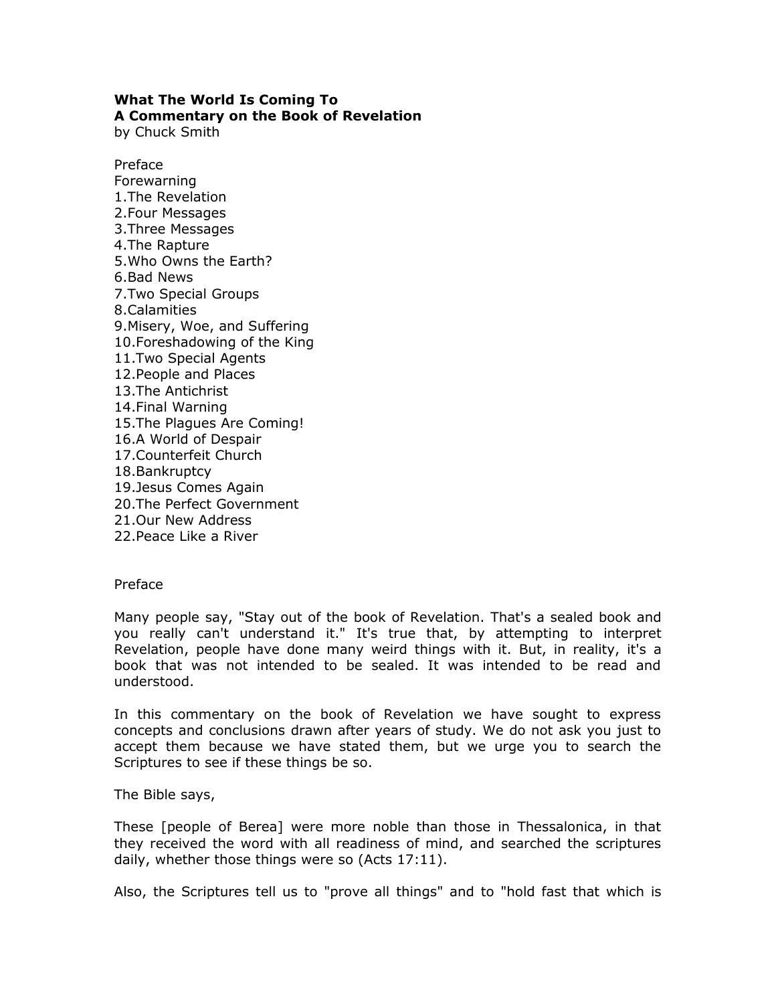# **What The World Is Coming To A Commentary on the Book of Revelation**

by Chuck Smith

Preface Forewarning 1.The Revelation 2.Four Messages 3.Three Messages 4.The Rapture 5.Who Owns the Earth? 6.Bad News 7.Two Special Groups 8.Calamities 9.Misery, Woe, and Suffering 10.Foreshadowing of the King 11.Two Special Agents 12.People and Places 13.The Antichrist 14.Final Warning 15.The Plagues Are Coming! 16.A World of Despair 17.Counterfeit Church 18.Bankruptcy 19.Jesus Comes Again 20.The Perfect Government 21.Our New Address 22.Peace Like a River

## Preface

Many people say, "Stay out of the book of Revelation. That's a sealed book and you really can't understand it." It's true that, by attempting to interpret Revelation, people have done many weird things with it. But, in reality, it's a book that was not intended to be sealed. It was intended to be read and understood.

In this commentary on the book of Revelation we have sought to express concepts and conclusions drawn after years of study. We do not ask you just to accept them because we have stated them, but we urge you to search the Scriptures to see if these things be so.

The Bible says,

These [people of Berea] were more noble than those in Thessalonica, in that they received the word with all readiness of mind, and searched the scriptures daily, whether those things were so (Acts 17:11).

Also, the Scriptures tell us to "prove all things" and to "hold fast that which is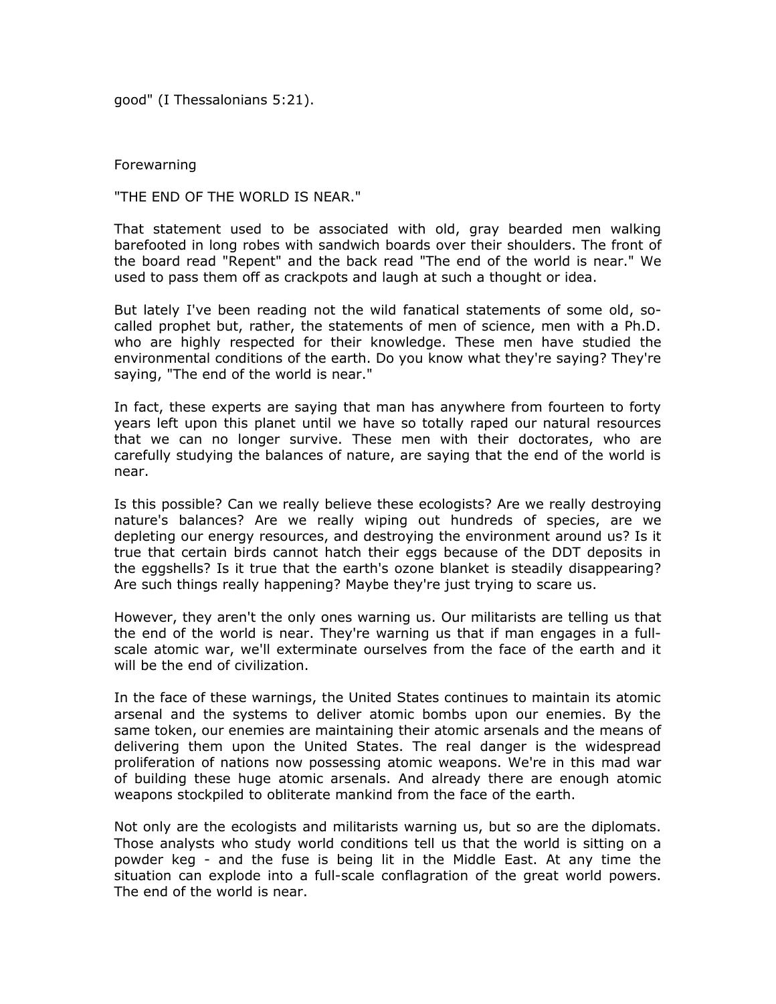good" (I Thessalonians 5:21).

Forewarning

"THE END OF THE WORLD IS NEAR."

That statement used to be associated with old, gray bearded men walking barefooted in long robes with sandwich boards over their shoulders. The front of the board read "Repent" and the back read "The end of the world is near." We used to pass them off as crackpots and laugh at such a thought or idea.

But lately I've been reading not the wild fanatical statements of some old, socalled prophet but, rather, the statements of men of science, men with a Ph.D. who are highly respected for their knowledge. These men have studied the environmental conditions of the earth. Do you know what they're saying? They're saying, "The end of the world is near."

In fact, these experts are saying that man has anywhere from fourteen to forty years left upon this planet until we have so totally raped our natural resources that we can no longer survive. These men with their doctorates, who are carefully studying the balances of nature, are saying that the end of the world is near.

Is this possible? Can we really believe these ecologists? Are we really destroying nature's balances? Are we really wiping out hundreds of species, are we depleting our energy resources, and destroying the environment around us? Is it true that certain birds cannot hatch their eggs because of the DDT deposits in the eggshells? Is it true that the earth's ozone blanket is steadily disappearing? Are such things really happening? Maybe they're just trying to scare us.

However, they aren't the only ones warning us. Our militarists are telling us that the end of the world is near. They're warning us that if man engages in a fullscale atomic war, we'll exterminate ourselves from the face of the earth and it will be the end of civilization.

In the face of these warnings, the United States continues to maintain its atomic arsenal and the systems to deliver atomic bombs upon our enemies. By the same token, our enemies are maintaining their atomic arsenals and the means of delivering them upon the United States. The real danger is the widespread proliferation of nations now possessing atomic weapons. We're in this mad war of building these huge atomic arsenals. And already there are enough atomic weapons stockpiled to obliterate mankind from the face of the earth.

Not only are the ecologists and militarists warning us, but so are the diplomats. Those analysts who study world conditions tell us that the world is sitting on a powder keg - and the fuse is being lit in the Middle East. At any time the situation can explode into a full-scale conflagration of the great world powers. The end of the world is near.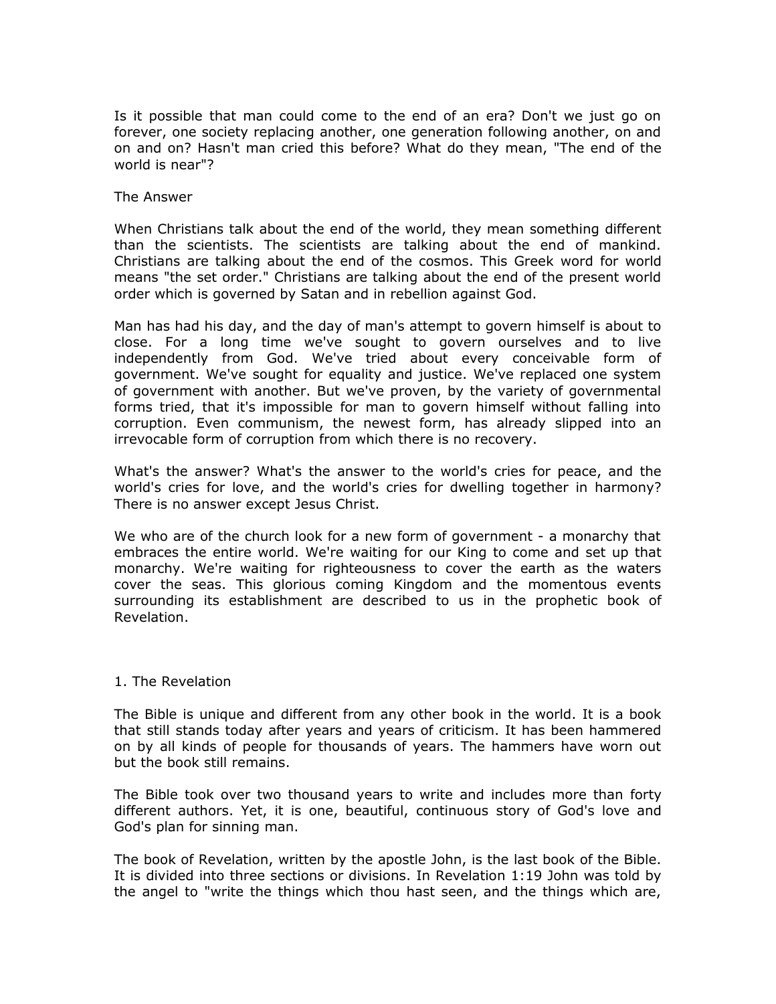Is it possible that man could come to the end of an era? Don't we just go on forever, one society replacing another, one generation following another, on and on and on? Hasn't man cried this before? What do they mean, "The end of the world is near"?

### The Answer

When Christians talk about the end of the world, they mean something different than the scientists. The scientists are talking about the end of mankind. Christians are talking about the end of the cosmos. This Greek word for world means "the set order." Christians are talking about the end of the present world order which is governed by Satan and in rebellion against God.

Man has had his day, and the day of man's attempt to govern himself is about to close. For a long time we've sought to govern ourselves and to live independently from God. We've tried about every conceivable form of government. We've sought for equality and justice. We've replaced one system of government with another. But we've proven, by the variety of governmental forms tried, that it's impossible for man to govern himself without falling into corruption. Even communism, the newest form, has already slipped into an irrevocable form of corruption from which there is no recovery.

What's the answer? What's the answer to the world's cries for peace, and the world's cries for love, and the world's cries for dwelling together in harmony? There is no answer except Jesus Christ.

We who are of the church look for a new form of government - a monarchy that embraces the entire world. We're waiting for our King to come and set up that monarchy. We're waiting for righteousness to cover the earth as the waters cover the seas. This glorious coming Kingdom and the momentous events surrounding its establishment are described to us in the prophetic book of Revelation.

## 1. The Revelation

The Bible is unique and different from any other book in the world. It is a book that still stands today after years and years of criticism. It has been hammered on by all kinds of people for thousands of years. The hammers have worn out but the book still remains.

The Bible took over two thousand years to write and includes more than forty different authors. Yet, it is one, beautiful, continuous story of God's love and God's plan for sinning man.

The book of Revelation, written by the apostle John, is the last book of the Bible. It is divided into three sections or divisions. In Revelation 1:19 John was told by the angel to "write the things which thou hast seen, and the things which are,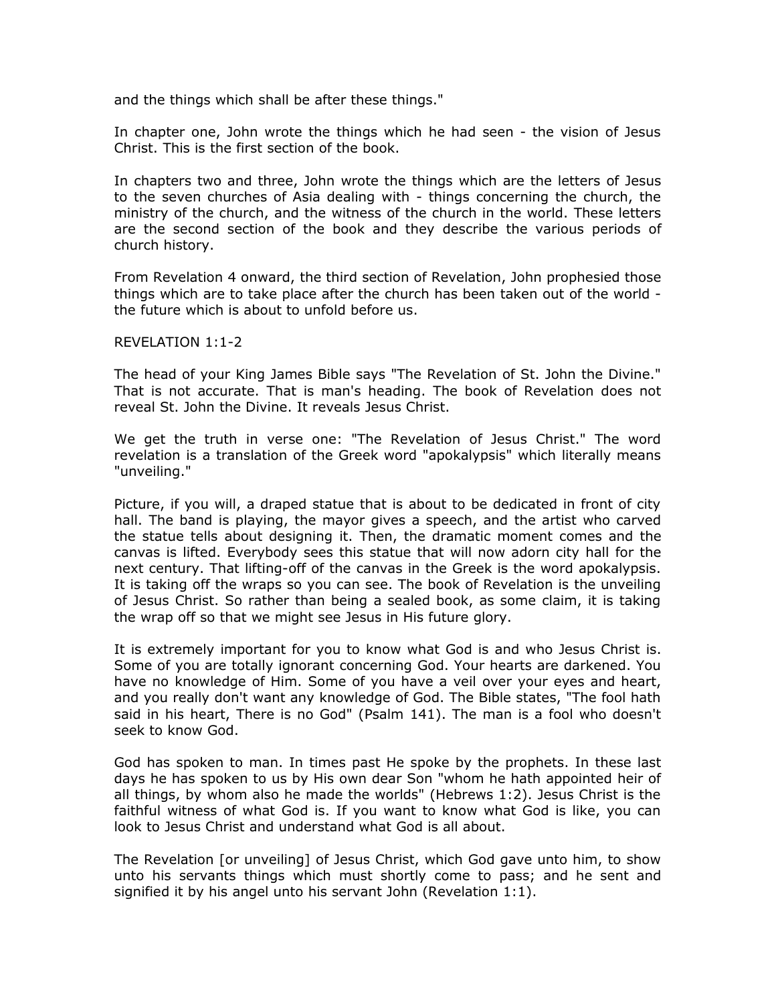and the things which shall be after these things."

In chapter one, John wrote the things which he had seen - the vision of Jesus Christ. This is the first section of the book.

In chapters two and three, John wrote the things which are the letters of Jesus to the seven churches of Asia dealing with - things concerning the church, the ministry of the church, and the witness of the church in the world. These letters are the second section of the book and they describe the various periods of church history.

From Revelation 4 onward, the third section of Revelation, John prophesied those things which are to take place after the church has been taken out of the world the future which is about to unfold before us.

REVELATION 1:1-2

The head of your King James Bible says "The Revelation of St. John the Divine." That is not accurate. That is man's heading. The book of Revelation does not reveal St. John the Divine. It reveals Jesus Christ.

We get the truth in verse one: "The Revelation of Jesus Christ." The word revelation is a translation of the Greek word "apokalypsis" which literally means "unveiling."

Picture, if you will, a draped statue that is about to be dedicated in front of city hall. The band is playing, the mayor gives a speech, and the artist who carved the statue tells about designing it. Then, the dramatic moment comes and the canvas is lifted. Everybody sees this statue that will now adorn city hall for the next century. That lifting-off of the canvas in the Greek is the word apokalypsis. It is taking off the wraps so you can see. The book of Revelation is the unveiling of Jesus Christ. So rather than being a sealed book, as some claim, it is taking the wrap off so that we might see Jesus in His future glory.

It is extremely important for you to know what God is and who Jesus Christ is. Some of you are totally ignorant concerning God. Your hearts are darkened. You have no knowledge of Him. Some of you have a veil over your eyes and heart, and you really don't want any knowledge of God. The Bible states, "The fool hath said in his heart, There is no God" (Psalm 141). The man is a fool who doesn't seek to know God.

God has spoken to man. In times past He spoke by the prophets. In these last days he has spoken to us by His own dear Son "whom he hath appointed heir of all things, by whom also he made the worlds" (Hebrews 1:2). Jesus Christ is the faithful witness of what God is. If you want to know what God is like, you can look to Jesus Christ and understand what God is all about.

The Revelation [or unveiling] of Jesus Christ, which God gave unto him, to show unto his servants things which must shortly come to pass; and he sent and signified it by his angel unto his servant John (Revelation 1:1).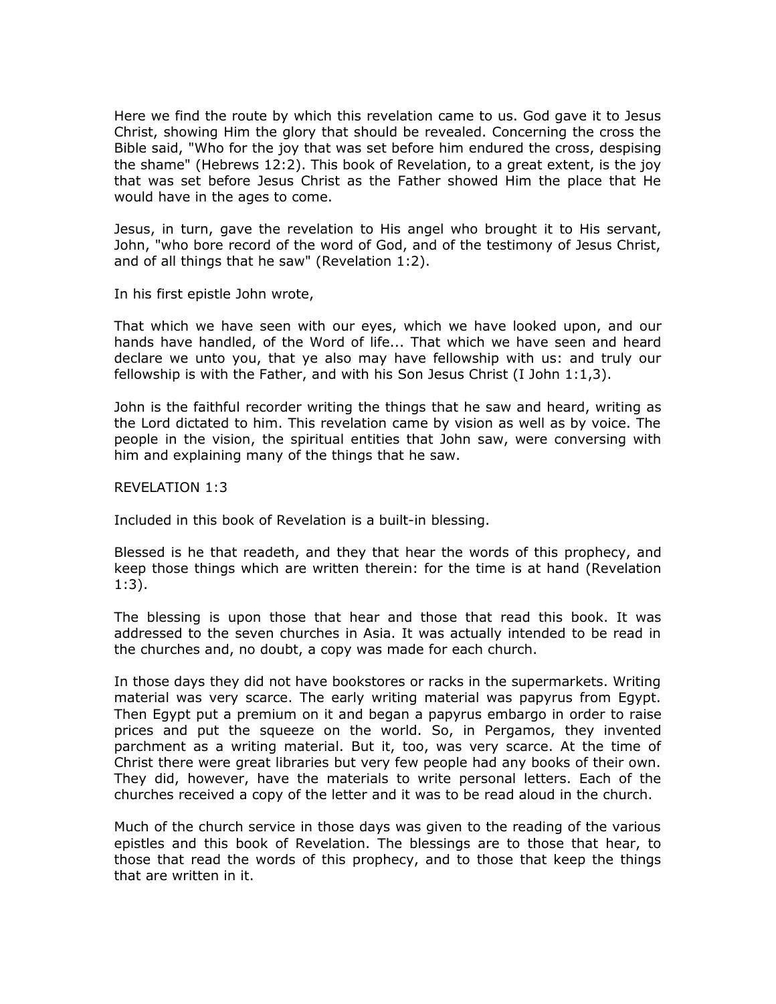Here we find the route by which this revelation came to us. God gave it to Jesus Christ, showing Him the glory that should be revealed. Concerning the cross the Bible said, "Who for the joy that was set before him endured the cross, despising the shame" (Hebrews 12:2). This book of Revelation, to a great extent, is the joy that was set before Jesus Christ as the Father showed Him the place that He would have in the ages to come.

Jesus, in turn, gave the revelation to His angel who brought it to His servant, John, "who bore record of the word of God, and of the testimony of Jesus Christ, and of all things that he saw" (Revelation 1:2).

In his first epistle John wrote,

That which we have seen with our eyes, which we have looked upon, and our hands have handled, of the Word of life... That which we have seen and heard declare we unto you, that ye also may have fellowship with us: and truly our fellowship is with the Father, and with his Son Jesus Christ  $(I$  John  $1:1,3$ ).

John is the faithful recorder writing the things that he saw and heard, writing as the Lord dictated to him. This revelation came by vision as well as by voice. The people in the vision, the spiritual entities that John saw, were conversing with him and explaining many of the things that he saw.

REVELATION 1:3

Included in this book of Revelation is a built-in blessing.

Blessed is he that readeth, and they that hear the words of this prophecy, and keep those things which are written therein: for the time is at hand (Revelation 1:3).

The blessing is upon those that hear and those that read this book. It was addressed to the seven churches in Asia. It was actually intended to be read in the churches and, no doubt, a copy was made for each church.

In those days they did not have bookstores or racks in the supermarkets. Writing material was very scarce. The early writing material was papyrus from Egypt. Then Egypt put a premium on it and began a papyrus embargo in order to raise prices and put the squeeze on the world. So, in Pergamos, they invented parchment as a writing material. But it, too, was very scarce. At the time of Christ there were great libraries but very few people had any books of their own. They did, however, have the materials to write personal letters. Each of the churches received a copy of the letter and it was to be read aloud in the church.

Much of the church service in those days was given to the reading of the various epistles and this book of Revelation. The blessings are to those that hear, to those that read the words of this prophecy, and to those that keep the things that are written in it.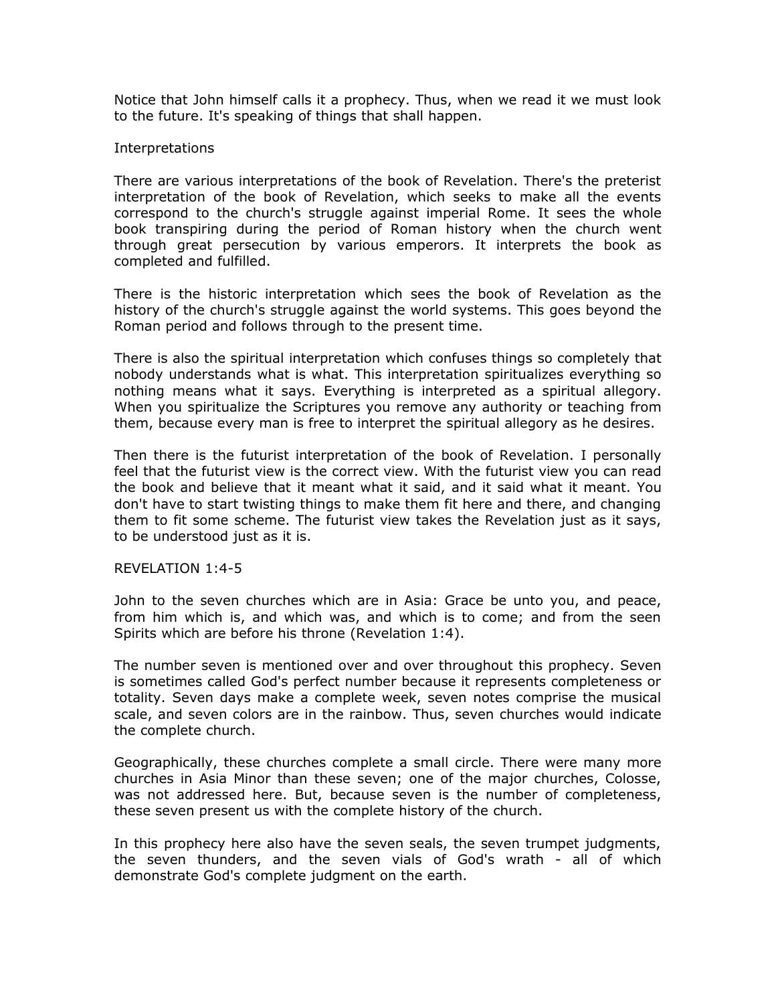Notice that John himself calls it a prophecy. Thus, when we read it we must look to the future. It's speaking of things that shall happen.

# Interpretations

There are various interpretations of the book of Revelation. There's the preterist interpretation of the book of Revelation, which seeks to make all the events correspond to the church's struggle against imperial Rome. It sees the whole book transpiring during the period of Roman history when the church went through great persecution by various emperors. It interprets the book as completed and fulfilled.

There is the historic interpretation which sees the book of Revelation as the history of the church's struggle against the world systems. This goes beyond the Roman period and follows through to the present time.

There is also the spiritual interpretation which confuses things so completely that nobody understands what is what. This interpretation spiritualizes everything so nothing means what it says. Everything is interpreted as a spiritual allegory. When you spiritualize the Scriptures you remove any authority or teaching from them, because every man is free to interpret the spiritual allegory as he desires.

Then there is the futurist interpretation of the book of Revelation. I personally feel that the futurist view is the correct view. With the futurist view you can read the book and believe that it meant what it said, and it said what it meant. You don't have to start twisting things to make them fit here and there, and changing them to fit some scheme. The futurist view takes the Revelation just as it says, to be understood just as it is.

## REVELATION 1:4-5

John to the seven churches which are in Asia: Grace be unto you, and peace, from him which is, and which was, and which is to come; and from the seen Spirits which are before his throne (Revelation 1:4).

The number seven is mentioned over and over throughout this prophecy. Seven is sometimes called God's perfect number because it represents completeness or totality. Seven days make a complete week, seven notes comprise the musical scale, and seven colors are in the rainbow. Thus, seven churches would indicate the complete church.

Geographically, these churches complete a small circle. There were many more churches in Asia Minor than these seven; one of the major churches, Colosse, was not addressed here. But, because seven is the number of completeness, these seven present us with the complete history of the church.

In this prophecy here also have the seven seals, the seven trumpet judgments, the seven thunders, and the seven vials of God's wrath - all of which demonstrate God's complete judgment on the earth.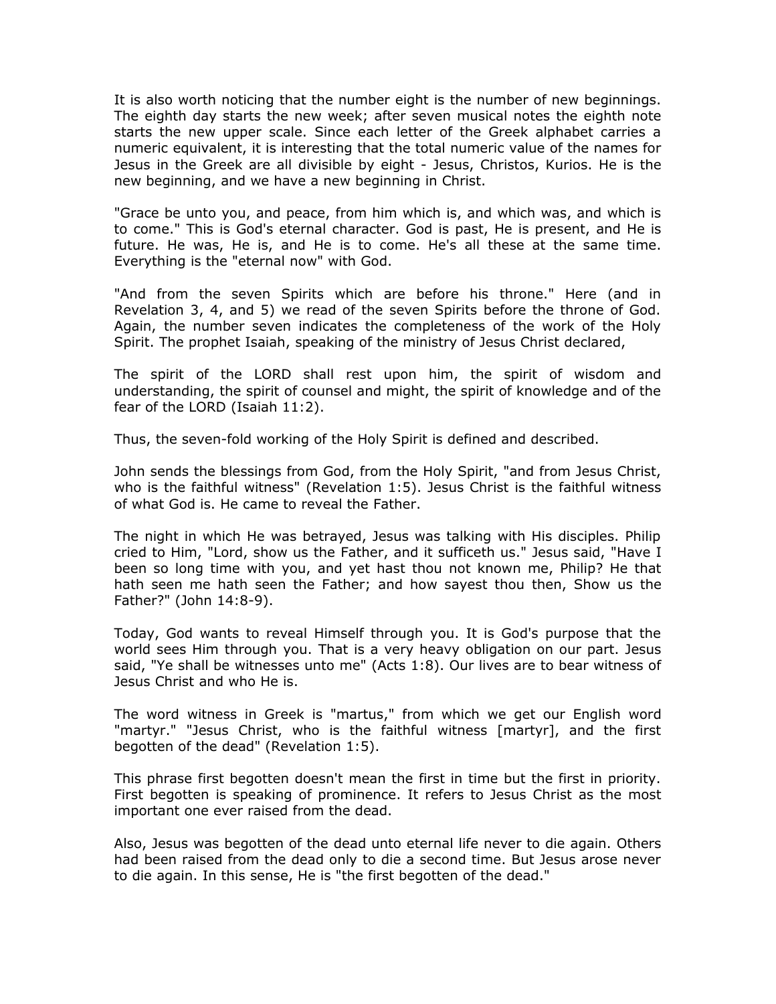It is also worth noticing that the number eight is the number of new beginnings. The eighth day starts the new week; after seven musical notes the eighth note starts the new upper scale. Since each letter of the Greek alphabet carries a numeric equivalent, it is interesting that the total numeric value of the names for Jesus in the Greek are all divisible by eight - Jesus, Christos, Kurios. He is the new beginning, and we have a new beginning in Christ.

"Grace be unto you, and peace, from him which is, and which was, and which is to come." This is God's eternal character. God is past, He is present, and He is future. He was, He is, and He is to come. He's all these at the same time. Everything is the "eternal now" with God.

"And from the seven Spirits which are before his throne." Here (and in Revelation 3, 4, and 5) we read of the seven Spirits before the throne of God. Again, the number seven indicates the completeness of the work of the Holy Spirit. The prophet Isaiah, speaking of the ministry of Jesus Christ declared,

The spirit of the LORD shall rest upon him, the spirit of wisdom and understanding, the spirit of counsel and might, the spirit of knowledge and of the fear of the LORD (Isaiah 11:2).

Thus, the seven-fold working of the Holy Spirit is defined and described.

John sends the blessings from God, from the Holy Spirit, "and from Jesus Christ, who is the faithful witness" (Revelation 1:5). Jesus Christ is the faithful witness of what God is. He came to reveal the Father.

The night in which He was betrayed, Jesus was talking with His disciples. Philip cried to Him, "Lord, show us the Father, and it sufficeth us." Jesus said, "Have I been so long time with you, and yet hast thou not known me, Philip? He that hath seen me hath seen the Father; and how sayest thou then, Show us the Father?" (John 14:8-9).

Today, God wants to reveal Himself through you. It is God's purpose that the world sees Him through you. That is a very heavy obligation on our part. Jesus said, "Ye shall be witnesses unto me" (Acts 1:8). Our lives are to bear witness of Jesus Christ and who He is.

The word witness in Greek is "martus," from which we get our English word "martyr." "Jesus Christ, who is the faithful witness [martyr], and the first begotten of the dead" (Revelation 1:5).

This phrase first begotten doesn't mean the first in time but the first in priority. First begotten is speaking of prominence. It refers to Jesus Christ as the most important one ever raised from the dead.

Also, Jesus was begotten of the dead unto eternal life never to die again. Others had been raised from the dead only to die a second time. But Jesus arose never to die again. In this sense, He is "the first begotten of the dead."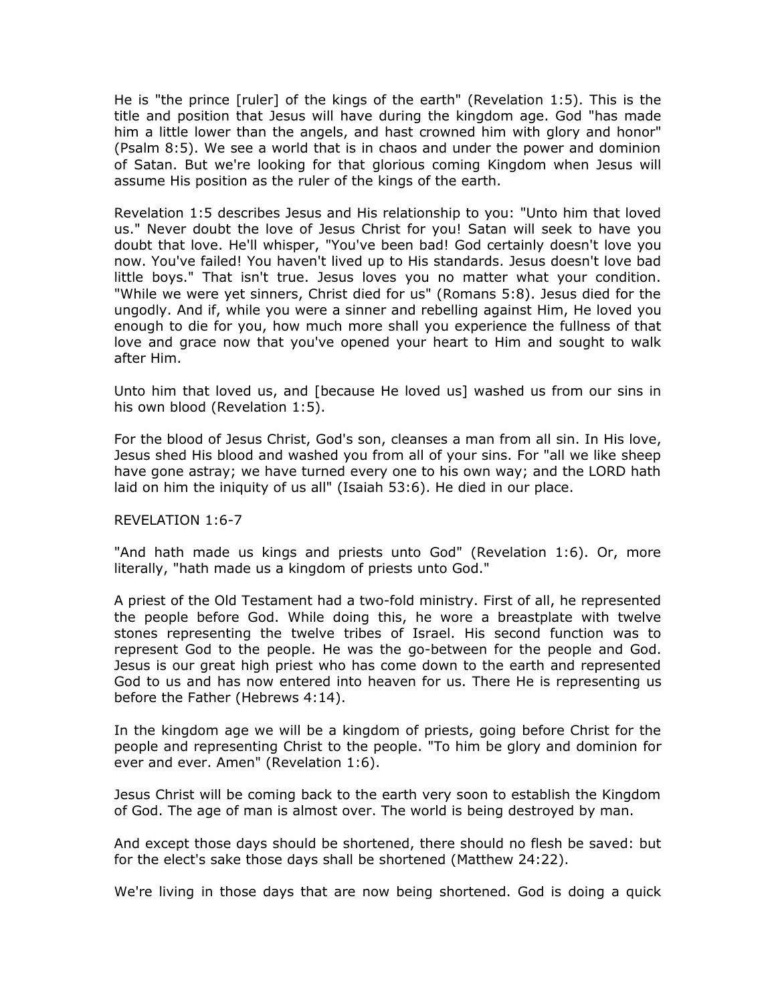He is "the prince [ruler] of the kings of the earth" (Revelation 1:5). This is the title and position that Jesus will have during the kingdom age. God "has made him a little lower than the angels, and hast crowned him with glory and honor" (Psalm 8:5). We see a world that is in chaos and under the power and dominion of Satan. But we're looking for that glorious coming Kingdom when Jesus will assume His position as the ruler of the kings of the earth.

Revelation 1:5 describes Jesus and His relationship to you: "Unto him that loved us." Never doubt the love of Jesus Christ for you! Satan will seek to have you doubt that love. He'll whisper, "You've been bad! God certainly doesn't love you now. You've failed! You haven't lived up to His standards. Jesus doesn't love bad little boys." That isn't true. Jesus loves you no matter what your condition. "While we were yet sinners, Christ died for us" (Romans 5:8). Jesus died for the ungodly. And if, while you were a sinner and rebelling against Him, He loved you enough to die for you, how much more shall you experience the fullness of that love and grace now that you've opened your heart to Him and sought to walk after Him.

Unto him that loved us, and [because He loved us] washed us from our sins in his own blood (Revelation 1:5).

For the blood of Jesus Christ, God's son, cleanses a man from all sin. In His love, Jesus shed His blood and washed you from all of your sins. For "all we like sheep have gone astray; we have turned every one to his own way; and the LORD hath laid on him the iniquity of us all" (Isaiah 53:6). He died in our place.

#### REVELATION 1:6-7

"And hath made us kings and priests unto God" (Revelation 1:6). Or, more literally, "hath made us a kingdom of priests unto God."

A priest of the Old Testament had a two-fold ministry. First of all, he represented the people before God. While doing this, he wore a breastplate with twelve stones representing the twelve tribes of Israel. His second function was to represent God to the people. He was the go-between for the people and God. Jesus is our great high priest who has come down to the earth and represented God to us and has now entered into heaven for us. There He is representing us before the Father (Hebrews 4:14).

In the kingdom age we will be a kingdom of priests, going before Christ for the people and representing Christ to the people. "To him be glory and dominion for ever and ever. Amen" (Revelation 1:6).

Jesus Christ will be coming back to the earth very soon to establish the Kingdom of God. The age of man is almost over. The world is being destroyed by man.

And except those days should be shortened, there should no flesh be saved: but for the elect's sake those days shall be shortened (Matthew 24:22).

We're living in those days that are now being shortened. God is doing a quick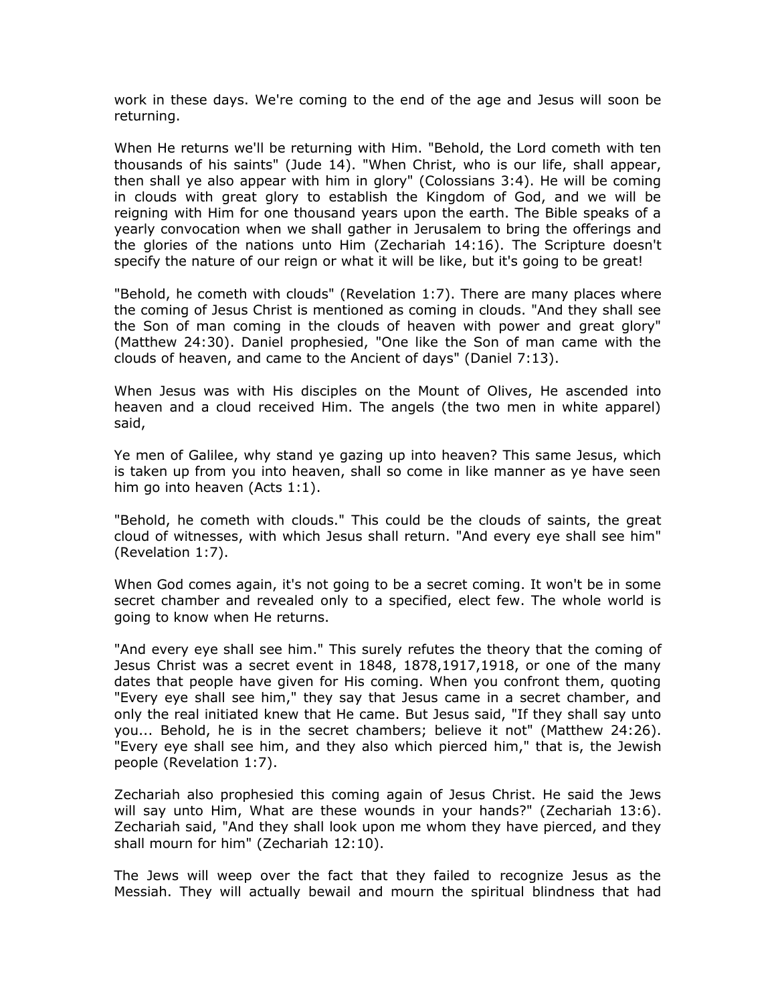work in these days. We're coming to the end of the age and Jesus will soon be returning.

When He returns we'll be returning with Him. "Behold, the Lord cometh with ten thousands of his saints" (Jude 14). "When Christ, who is our life, shall appear, then shall ye also appear with him in glory" (Colossians 3:4). He will be coming in clouds with great glory to establish the Kingdom of God, and we will be reigning with Him for one thousand years upon the earth. The Bible speaks of a yearly convocation when we shall gather in Jerusalem to bring the offerings and the glories of the nations unto Him (Zechariah 14:16). The Scripture doesn't specify the nature of our reign or what it will be like, but it's going to be great!

"Behold, he cometh with clouds" (Revelation 1:7). There are many places where the coming of Jesus Christ is mentioned as coming in clouds. "And they shall see the Son of man coming in the clouds of heaven with power and great glory" (Matthew 24:30). Daniel prophesied, "One like the Son of man came with the clouds of heaven, and came to the Ancient of days" (Daniel 7:13).

When Jesus was with His disciples on the Mount of Olives, He ascended into heaven and a cloud received Him. The angels (the two men in white apparel) said,

Ye men of Galilee, why stand ye gazing up into heaven? This same Jesus, which is taken up from you into heaven, shall so come in like manner as ye have seen him go into heaven (Acts 1:1).

"Behold, he cometh with clouds." This could be the clouds of saints, the great cloud of witnesses, with which Jesus shall return. "And every eye shall see him" (Revelation 1:7).

When God comes again, it's not going to be a secret coming. It won't be in some secret chamber and revealed only to a specified, elect few. The whole world is going to know when He returns.

"And every eye shall see him." This surely refutes the theory that the coming of Jesus Christ was a secret event in 1848, 1878,1917,1918, or one of the many dates that people have given for His coming. When you confront them, quoting "Every eye shall see him," they say that Jesus came in a secret chamber, and only the real initiated knew that He came. But Jesus said, "If they shall say unto you... Behold, he is in the secret chambers; believe it not" (Matthew 24:26). "Every eye shall see him, and they also which pierced him," that is, the Jewish people (Revelation 1:7).

Zechariah also prophesied this coming again of Jesus Christ. He said the Jews will say unto Him, What are these wounds in your hands?" (Zechariah 13:6). Zechariah said, "And they shall look upon me whom they have pierced, and they shall mourn for him" (Zechariah 12:10).

The Jews will weep over the fact that they failed to recognize Jesus as the Messiah. They will actually bewail and mourn the spiritual blindness that had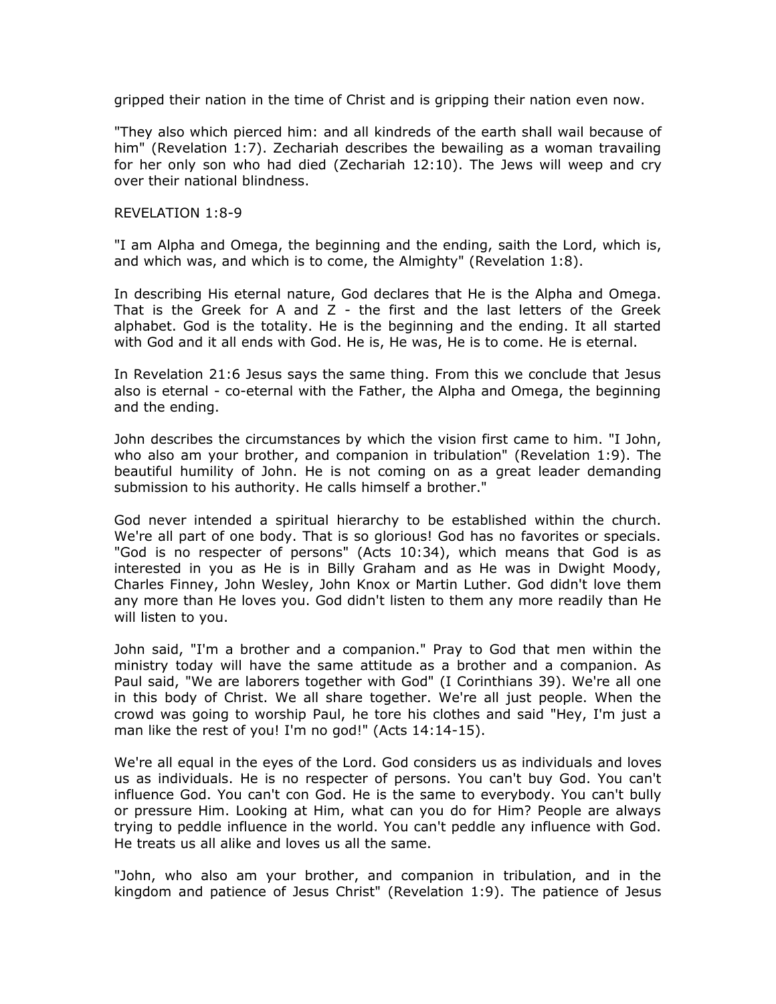gripped their nation in the time of Christ and is gripping their nation even now.

"They also which pierced him: and all kindreds of the earth shall wail because of him" (Revelation 1:7). Zechariah describes the bewailing as a woman travailing for her only son who had died (Zechariah 12:10). The Jews will weep and cry over their national blindness.

### REVELATION 1:8-9

"I am Alpha and Omega, the beginning and the ending, saith the Lord, which is, and which was, and which is to come, the Almighty" (Revelation 1:8).

In describing His eternal nature, God declares that He is the Alpha and Omega. That is the Greek for A and Z - the first and the last letters of the Greek alphabet. God is the totality. He is the beginning and the ending. It all started with God and it all ends with God. He is, He was, He is to come. He is eternal.

In Revelation 21:6 Jesus says the same thing. From this we conclude that Jesus also is eternal - co-eternal with the Father, the Alpha and Omega, the beginning and the ending.

John describes the circumstances by which the vision first came to him. "I John, who also am your brother, and companion in tribulation" (Revelation 1:9). The beautiful humility of John. He is not coming on as a great leader demanding submission to his authority. He calls himself a brother."

God never intended a spiritual hierarchy to be established within the church. We're all part of one body. That is so glorious! God has no favorites or specials. "God is no respecter of persons" (Acts 10:34), which means that God is as interested in you as He is in Billy Graham and as He was in Dwight Moody, Charles Finney, John Wesley, John Knox or Martin Luther. God didn't love them any more than He loves you. God didn't listen to them any more readily than He will listen to you.

John said, "I'm a brother and a companion." Pray to God that men within the ministry today will have the same attitude as a brother and a companion. As Paul said, "We are laborers together with God" (I Corinthians 39). We're all one in this body of Christ. We all share together. We're all just people. When the crowd was going to worship Paul, he tore his clothes and said "Hey, I'm just a man like the rest of you! I'm no god!" (Acts 14:14-15).

We're all equal in the eyes of the Lord. God considers us as individuals and loves us as individuals. He is no respecter of persons. You can't buy God. You can't influence God. You can't con God. He is the same to everybody. You can't bully or pressure Him. Looking at Him, what can you do for Him? People are always trying to peddle influence in the world. You can't peddle any influence with God. He treats us all alike and loves us all the same.

"John, who also am your brother, and companion in tribulation, and in the kingdom and patience of Jesus Christ" (Revelation 1:9). The patience of Jesus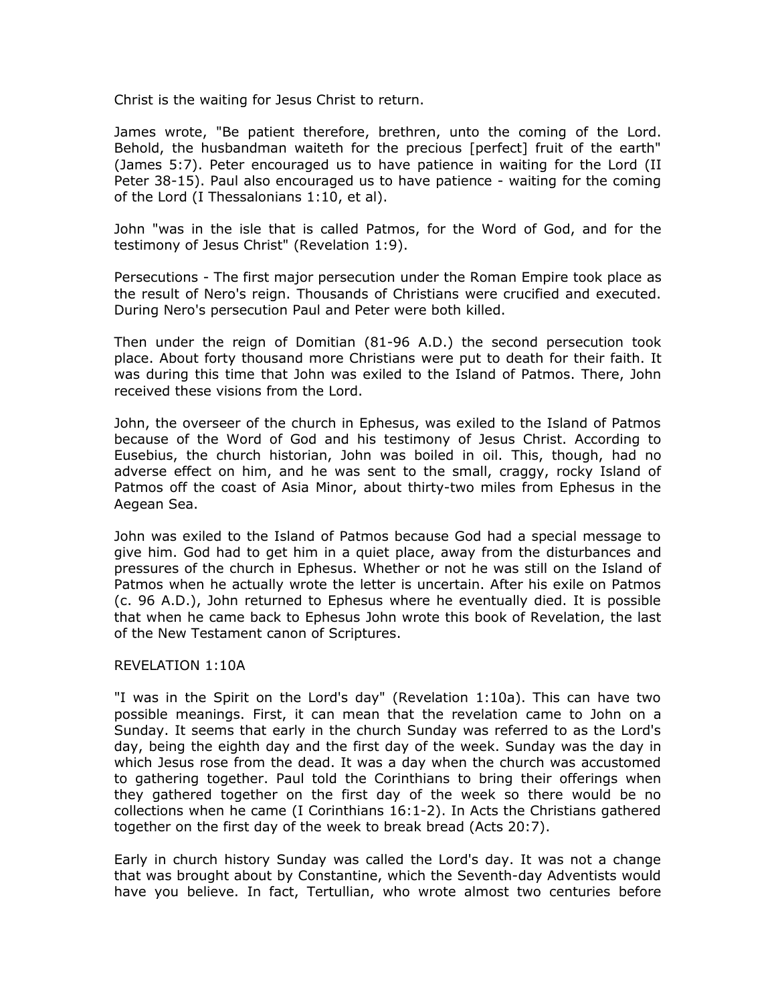Christ is the waiting for Jesus Christ to return.

James wrote, "Be patient therefore, brethren, unto the coming of the Lord. Behold, the husbandman waiteth for the precious [perfect] fruit of the earth" (James 5:7). Peter encouraged us to have patience in waiting for the Lord (II Peter 38-15). Paul also encouraged us to have patience - waiting for the coming of the Lord (I Thessalonians 1:10, et al).

John "was in the isle that is called Patmos, for the Word of God, and for the testimony of Jesus Christ" (Revelation 1:9).

Persecutions - The first major persecution under the Roman Empire took place as the result of Nero's reign. Thousands of Christians were crucified and executed. During Nero's persecution Paul and Peter were both killed.

Then under the reign of Domitian (81-96 A.D.) the second persecution took place. About forty thousand more Christians were put to death for their faith. It was during this time that John was exiled to the Island of Patmos. There, John received these visions from the Lord.

John, the overseer of the church in Ephesus, was exiled to the Island of Patmos because of the Word of God and his testimony of Jesus Christ. According to Eusebius, the church historian, John was boiled in oil. This, though, had no adverse effect on him, and he was sent to the small, craggy, rocky Island of Patmos off the coast of Asia Minor, about thirty-two miles from Ephesus in the Aegean Sea.

John was exiled to the Island of Patmos because God had a special message to give him. God had to get him in a quiet place, away from the disturbances and pressures of the church in Ephesus. Whether or not he was still on the Island of Patmos when he actually wrote the letter is uncertain. After his exile on Patmos (c. 96 A.D.), John returned to Ephesus where he eventually died. It is possible that when he came back to Ephesus John wrote this book of Revelation, the last of the New Testament canon of Scriptures.

## REVELATION 1:10A

"I was in the Spirit on the Lord's day" (Revelation 1:10a). This can have two possible meanings. First, it can mean that the revelation came to John on a Sunday. It seems that early in the church Sunday was referred to as the Lord's day, being the eighth day and the first day of the week. Sunday was the day in which Jesus rose from the dead. It was a day when the church was accustomed to gathering together. Paul told the Corinthians to bring their offerings when they gathered together on the first day of the week so there would be no collections when he came (I Corinthians 16:1-2). In Acts the Christians gathered together on the first day of the week to break bread (Acts 20:7).

Early in church history Sunday was called the Lord's day. It was not a change that was brought about by Constantine, which the Seventh-day Adventists would have you believe. In fact, Tertullian, who wrote almost two centuries before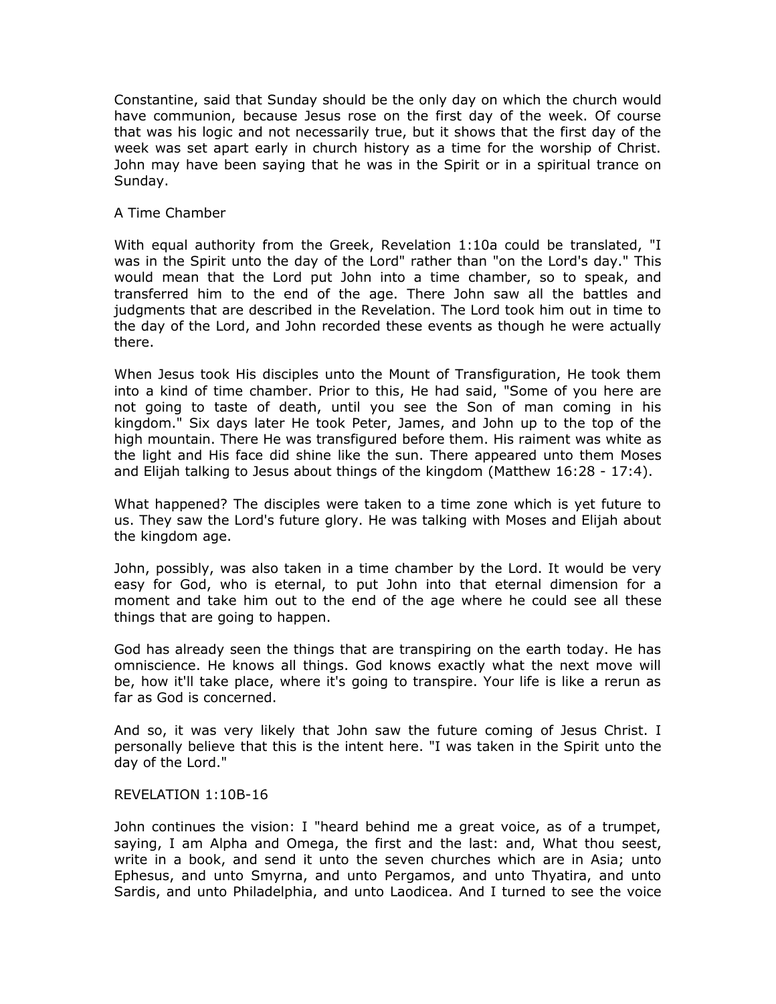Constantine, said that Sunday should be the only day on which the church would have communion, because Jesus rose on the first day of the week. Of course that was his logic and not necessarily true, but it shows that the first day of the week was set apart early in church history as a time for the worship of Christ. John may have been saying that he was in the Spirit or in a spiritual trance on Sunday.

# A Time Chamber

With equal authority from the Greek, Revelation 1:10a could be translated, "I was in the Spirit unto the day of the Lord" rather than "on the Lord's day." This would mean that the Lord put John into a time chamber, so to speak, and transferred him to the end of the age. There John saw all the battles and judgments that are described in the Revelation. The Lord took him out in time to the day of the Lord, and John recorded these events as though he were actually there.

When Jesus took His disciples unto the Mount of Transfiguration, He took them into a kind of time chamber. Prior to this, He had said, "Some of you here are not going to taste of death, until you see the Son of man coming in his kingdom." Six days later He took Peter, James, and John up to the top of the high mountain. There He was transfigured before them. His raiment was white as the light and His face did shine like the sun. There appeared unto them Moses and Elijah talking to Jesus about things of the kingdom (Matthew 16:28 - 17:4).

What happened? The disciples were taken to a time zone which is yet future to us. They saw the Lord's future glory. He was talking with Moses and Elijah about the kingdom age.

John, possibly, was also taken in a time chamber by the Lord. It would be very easy for God, who is eternal, to put John into that eternal dimension for a moment and take him out to the end of the age where he could see all these things that are going to happen.

God has already seen the things that are transpiring on the earth today. He has omniscience. He knows all things. God knows exactly what the next move will be, how it'll take place, where it's going to transpire. Your life is like a rerun as far as God is concerned.

And so, it was very likely that John saw the future coming of Jesus Christ. I personally believe that this is the intent here. "I was taken in the Spirit unto the day of the Lord."

### REVELATION 1:10B-16

John continues the vision: I "heard behind me a great voice, as of a trumpet, saying, I am Alpha and Omega, the first and the last: and, What thou seest, write in a book, and send it unto the seven churches which are in Asia; unto Ephesus, and unto Smyrna, and unto Pergamos, and unto Thyatira, and unto Sardis, and unto Philadelphia, and unto Laodicea. And I turned to see the voice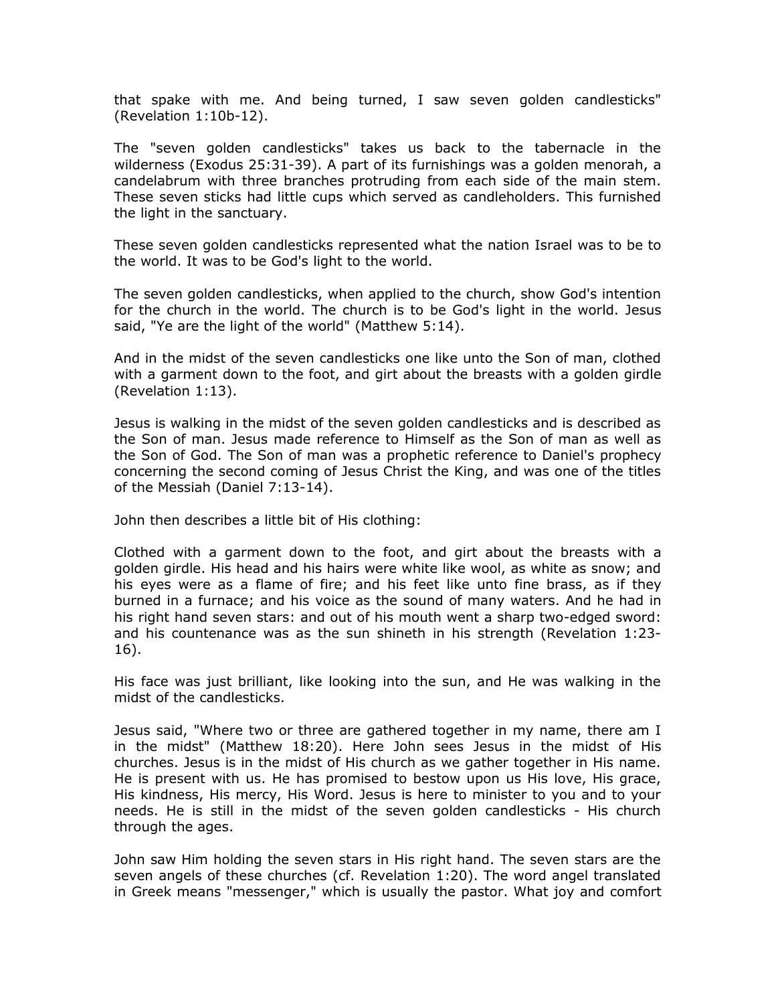that spake with me. And being turned, I saw seven golden candlesticks" (Revelation 1:10b-12).

The "seven golden candlesticks" takes us back to the tabernacle in the wilderness (Exodus 25:31-39). A part of its furnishings was a golden menorah, a candelabrum with three branches protruding from each side of the main stem. These seven sticks had little cups which served as candleholders. This furnished the light in the sanctuary.

These seven golden candlesticks represented what the nation Israel was to be to the world. It was to be God's light to the world.

The seven golden candlesticks, when applied to the church, show God's intention for the church in the world. The church is to be God's light in the world. Jesus said, "Ye are the light of the world" (Matthew 5:14).

And in the midst of the seven candlesticks one like unto the Son of man, clothed with a garment down to the foot, and girt about the breasts with a golden girdle (Revelation 1:13).

Jesus is walking in the midst of the seven golden candlesticks and is described as the Son of man. Jesus made reference to Himself as the Son of man as well as the Son of God. The Son of man was a prophetic reference to Daniel's prophecy concerning the second coming of Jesus Christ the King, and was one of the titles of the Messiah (Daniel 7:13-14).

John then describes a little bit of His clothing:

Clothed with a garment down to the foot, and girt about the breasts with a golden girdle. His head and his hairs were white like wool, as white as snow; and his eyes were as a flame of fire; and his feet like unto fine brass, as if they burned in a furnace; and his voice as the sound of many waters. And he had in his right hand seven stars: and out of his mouth went a sharp two-edged sword: and his countenance was as the sun shineth in his strength (Revelation 1:23- 16).

His face was just brilliant, like looking into the sun, and He was walking in the midst of the candlesticks.

Jesus said, "Where two or three are gathered together in my name, there am I in the midst" (Matthew 18:20). Here John sees Jesus in the midst of His churches. Jesus is in the midst of His church as we gather together in His name. He is present with us. He has promised to bestow upon us His love, His grace, His kindness, His mercy, His Word. Jesus is here to minister to you and to your needs. He is still in the midst of the seven golden candlesticks - His church through the ages.

John saw Him holding the seven stars in His right hand. The seven stars are the seven angels of these churches (cf. Revelation 1:20). The word angel translated in Greek means "messenger," which is usually the pastor. What joy and comfort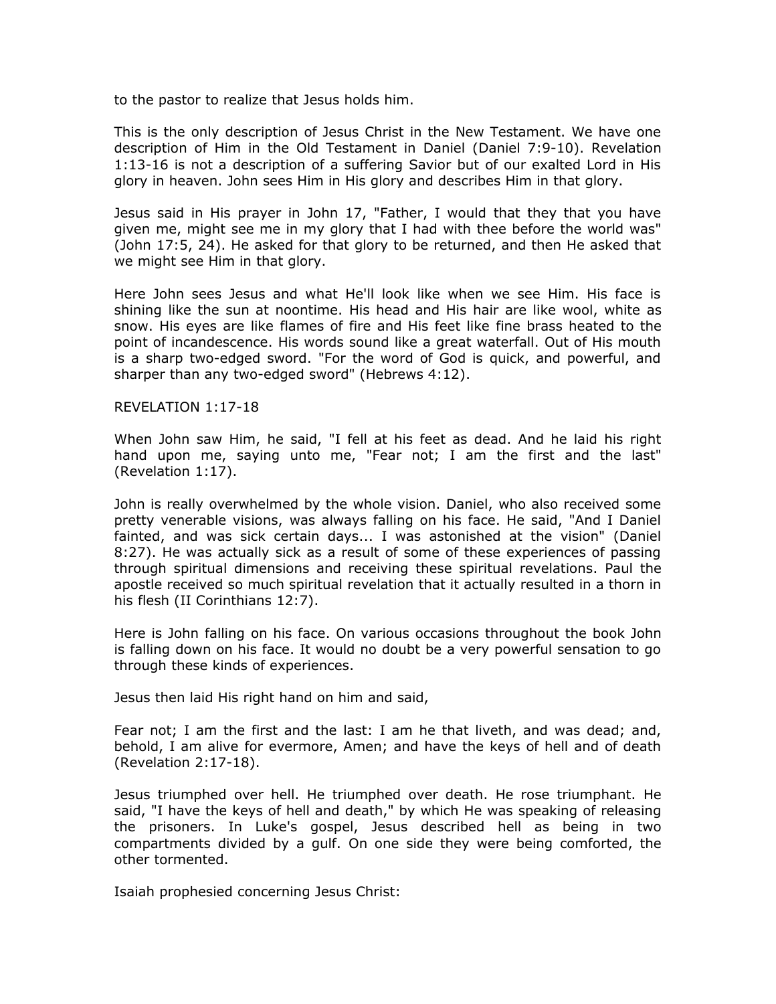to the pastor to realize that Jesus holds him.

This is the only description of Jesus Christ in the New Testament. We have one description of Him in the Old Testament in Daniel (Daniel 7:9-10). Revelation 1:13-16 is not a description of a suffering Savior but of our exalted Lord in His glory in heaven. John sees Him in His glory and describes Him in that glory.

Jesus said in His prayer in John 17, "Father, I would that they that you have given me, might see me in my glory that I had with thee before the world was" (John 17:5, 24). He asked for that glory to be returned, and then He asked that we might see Him in that glory.

Here John sees Jesus and what He'll look like when we see Him. His face is shining like the sun at noontime. His head and His hair are like wool, white as snow. His eyes are like flames of fire and His feet like fine brass heated to the point of incandescence. His words sound like a great waterfall. Out of His mouth is a sharp two-edged sword. "For the word of God is quick, and powerful, and sharper than any two-edged sword" (Hebrews 4:12).

REVELATION 1:17-18

When John saw Him, he said, "I fell at his feet as dead. And he laid his right hand upon me, saying unto me, "Fear not; I am the first and the last" (Revelation 1:17).

John is really overwhelmed by the whole vision. Daniel, who also received some pretty venerable visions, was always falling on his face. He said, "And I Daniel fainted, and was sick certain days... I was astonished at the vision" (Daniel 8:27). He was actually sick as a result of some of these experiences of passing through spiritual dimensions and receiving these spiritual revelations. Paul the apostle received so much spiritual revelation that it actually resulted in a thorn in his flesh (II Corinthians 12:7).

Here is John falling on his face. On various occasions throughout the book John is falling down on his face. It would no doubt be a very powerful sensation to go through these kinds of experiences.

Jesus then laid His right hand on him and said,

Fear not; I am the first and the last: I am he that liveth, and was dead; and, behold, I am alive for evermore, Amen; and have the keys of hell and of death (Revelation 2:17-18).

Jesus triumphed over hell. He triumphed over death. He rose triumphant. He said, "I have the keys of hell and death," by which He was speaking of releasing the prisoners. In Luke's gospel, Jesus described hell as being in two compartments divided by a gulf. On one side they were being comforted, the other tormented.

Isaiah prophesied concerning Jesus Christ: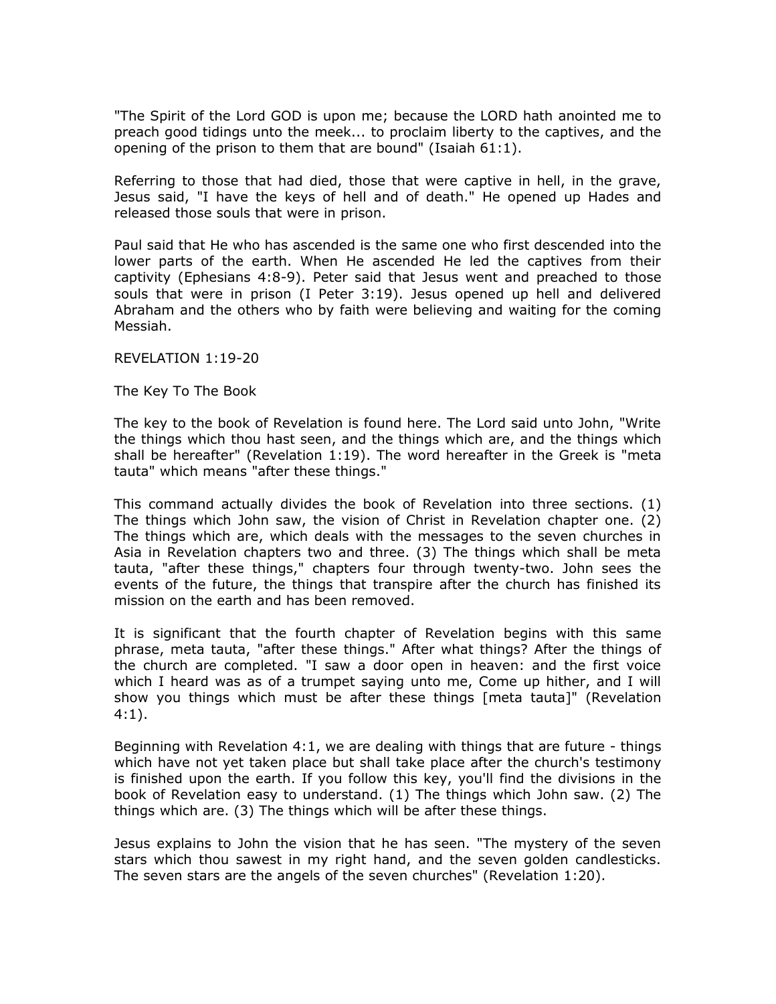"The Spirit of the Lord GOD is upon me; because the LORD hath anointed me to preach good tidings unto the meek... to proclaim liberty to the captives, and the opening of the prison to them that are bound" (Isaiah 61:1).

Referring to those that had died, those that were captive in hell, in the grave, Jesus said, "I have the keys of hell and of death." He opened up Hades and released those souls that were in prison.

Paul said that He who has ascended is the same one who first descended into the lower parts of the earth. When He ascended He led the captives from their captivity (Ephesians 4:8-9). Peter said that Jesus went and preached to those souls that were in prison (I Peter 3:19). Jesus opened up hell and delivered Abraham and the others who by faith were believing and waiting for the coming Messiah.

REVELATION 1:19-20

The Key To The Book

The key to the book of Revelation is found here. The Lord said unto John, "Write the things which thou hast seen, and the things which are, and the things which shall be hereafter" (Revelation 1:19). The word hereafter in the Greek is "meta tauta" which means "after these things."

This command actually divides the book of Revelation into three sections. (1) The things which John saw, the vision of Christ in Revelation chapter one. (2) The things which are, which deals with the messages to the seven churches in Asia in Revelation chapters two and three. (3) The things which shall be meta tauta, "after these things," chapters four through twenty-two. John sees the events of the future, the things that transpire after the church has finished its mission on the earth and has been removed.

It is significant that the fourth chapter of Revelation begins with this same phrase, meta tauta, "after these things." After what things? After the things of the church are completed. "I saw a door open in heaven: and the first voice which I heard was as of a trumpet saying unto me, Come up hither, and I will show you things which must be after these things [meta tauta]" (Revelation 4:1).

Beginning with Revelation 4:1, we are dealing with things that are future - things which have not yet taken place but shall take place after the church's testimony is finished upon the earth. If you follow this key, you'll find the divisions in the book of Revelation easy to understand. (1) The things which John saw. (2) The things which are. (3) The things which will be after these things.

Jesus explains to John the vision that he has seen. "The mystery of the seven stars which thou sawest in my right hand, and the seven golden candlesticks. The seven stars are the angels of the seven churches" (Revelation 1:20).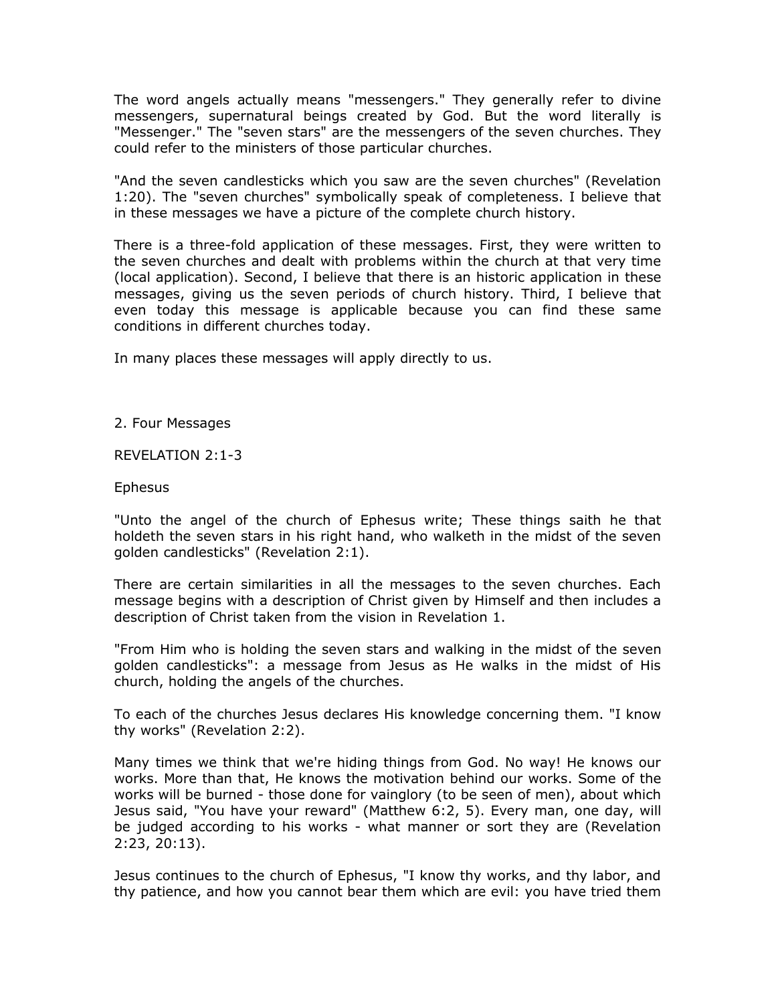The word angels actually means "messengers." They generally refer to divine messengers, supernatural beings created by God. But the word literally is "Messenger." The "seven stars" are the messengers of the seven churches. They could refer to the ministers of those particular churches.

"And the seven candlesticks which you saw are the seven churches" (Revelation 1:20). The "seven churches" symbolically speak of completeness. I believe that in these messages we have a picture of the complete church history.

There is a three-fold application of these messages. First, they were written to the seven churches and dealt with problems within the church at that very time (local application). Second, I believe that there is an historic application in these messages, giving us the seven periods of church history. Third, I believe that even today this message is applicable because you can find these same conditions in different churches today.

In many places these messages will apply directly to us.

2. Four Messages

REVELATION 2:1-3

Ephesus

"Unto the angel of the church of Ephesus write; These things saith he that holdeth the seven stars in his right hand, who walketh in the midst of the seven golden candlesticks" (Revelation 2:1).

There are certain similarities in all the messages to the seven churches. Each message begins with a description of Christ given by Himself and then includes a description of Christ taken from the vision in Revelation 1.

"From Him who is holding the seven stars and walking in the midst of the seven golden candlesticks": a message from Jesus as He walks in the midst of His church, holding the angels of the churches.

To each of the churches Jesus declares His knowledge concerning them. "I know thy works" (Revelation 2:2).

Many times we think that we're hiding things from God. No way! He knows our works. More than that, He knows the motivation behind our works. Some of the works will be burned - those done for vainglory (to be seen of men), about which Jesus said, "You have your reward" (Matthew 6:2, 5). Every man, one day, will be judged according to his works - what manner or sort they are (Revelation 2:23, 20:13).

Jesus continues to the church of Ephesus, "I know thy works, and thy labor, and thy patience, and how you cannot bear them which are evil: you have tried them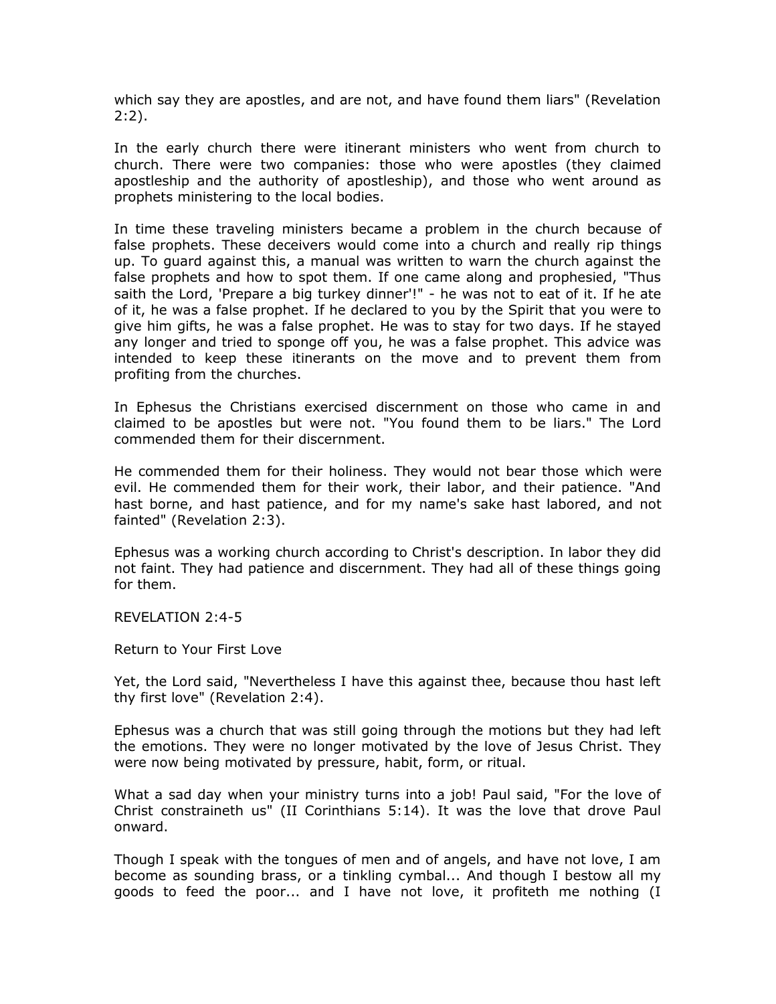which say they are apostles, and are not, and have found them liars" (Revelation 2:2).

In the early church there were itinerant ministers who went from church to church. There were two companies: those who were apostles (they claimed apostleship and the authority of apostleship), and those who went around as prophets ministering to the local bodies.

In time these traveling ministers became a problem in the church because of false prophets. These deceivers would come into a church and really rip things up. To guard against this, a manual was written to warn the church against the false prophets and how to spot them. If one came along and prophesied, "Thus saith the Lord, 'Prepare a big turkey dinner'!" - he was not to eat of it. If he ate of it, he was a false prophet. If he declared to you by the Spirit that you were to give him gifts, he was a false prophet. He was to stay for two days. If he stayed any longer and tried to sponge off you, he was a false prophet. This advice was intended to keep these itinerants on the move and to prevent them from profiting from the churches.

In Ephesus the Christians exercised discernment on those who came in and claimed to be apostles but were not. "You found them to be liars." The Lord commended them for their discernment.

He commended them for their holiness. They would not bear those which were evil. He commended them for their work, their labor, and their patience. "And hast borne, and hast patience, and for my name's sake hast labored, and not fainted" (Revelation 2:3).

Ephesus was a working church according to Christ's description. In labor they did not faint. They had patience and discernment. They had all of these things going for them.

REVELATION 2:4-5

Return to Your First Love

Yet, the Lord said, "Nevertheless I have this against thee, because thou hast left thy first love" (Revelation 2:4).

Ephesus was a church that was still going through the motions but they had left the emotions. They were no longer motivated by the love of Jesus Christ. They were now being motivated by pressure, habit, form, or ritual.

What a sad day when your ministry turns into a job! Paul said, "For the love of Christ constraineth us" (II Corinthians 5:14). It was the love that drove Paul onward.

Though I speak with the tongues of men and of angels, and have not love, I am become as sounding brass, or a tinkling cymbal... And though I bestow all my goods to feed the poor... and I have not love, it profiteth me nothing (I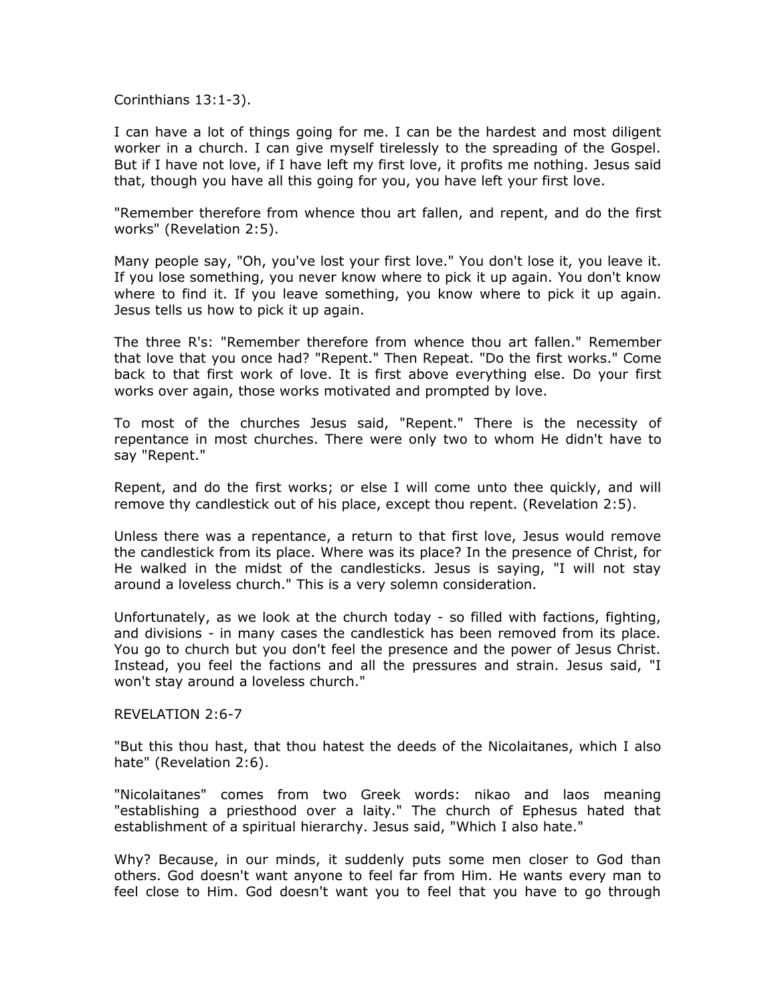Corinthians 13:1-3).

I can have a lot of things going for me. I can be the hardest and most diligent worker in a church. I can give myself tirelessly to the spreading of the Gospel. But if I have not love, if I have left my first love, it profits me nothing. Jesus said that, though you have all this going for you, you have left your first love.

"Remember therefore from whence thou art fallen, and repent, and do the first works" (Revelation 2:5).

Many people say, "Oh, you've lost your first love." You don't lose it, you leave it. If you lose something, you never know where to pick it up again. You don't know where to find it. If you leave something, you know where to pick it up again. Jesus tells us how to pick it up again.

The three R's: "Remember therefore from whence thou art fallen." Remember that love that you once had? "Repent." Then Repeat. "Do the first works." Come back to that first work of love. It is first above everything else. Do your first works over again, those works motivated and prompted by love.

To most of the churches Jesus said, "Repent." There is the necessity of repentance in most churches. There were only two to whom He didn't have to say "Repent."

Repent, and do the first works; or else I will come unto thee quickly, and will remove thy candlestick out of his place, except thou repent. (Revelation 2:5).

Unless there was a repentance, a return to that first love, Jesus would remove the candlestick from its place. Where was its place? In the presence of Christ, for He walked in the midst of the candlesticks. Jesus is saying, "I will not stay around a loveless church." This is a very solemn consideration.

Unfortunately, as we look at the church today - so filled with factions, fighting, and divisions - in many cases the candlestick has been removed from its place. You go to church but you don't feel the presence and the power of Jesus Christ. Instead, you feel the factions and all the pressures and strain. Jesus said, "I won't stay around a loveless church."

### REVELATION 2:6-7

"But this thou hast, that thou hatest the deeds of the Nicolaitanes, which I also hate" (Revelation 2:6).

"Nicolaitanes" comes from two Greek words: nikao and laos meaning "establishing a priesthood over a laity." The church of Ephesus hated that establishment of a spiritual hierarchy. Jesus said, "Which I also hate."

Why? Because, in our minds, it suddenly puts some men closer to God than others. God doesn't want anyone to feel far from Him. He wants every man to feel close to Him. God doesn't want you to feel that you have to go through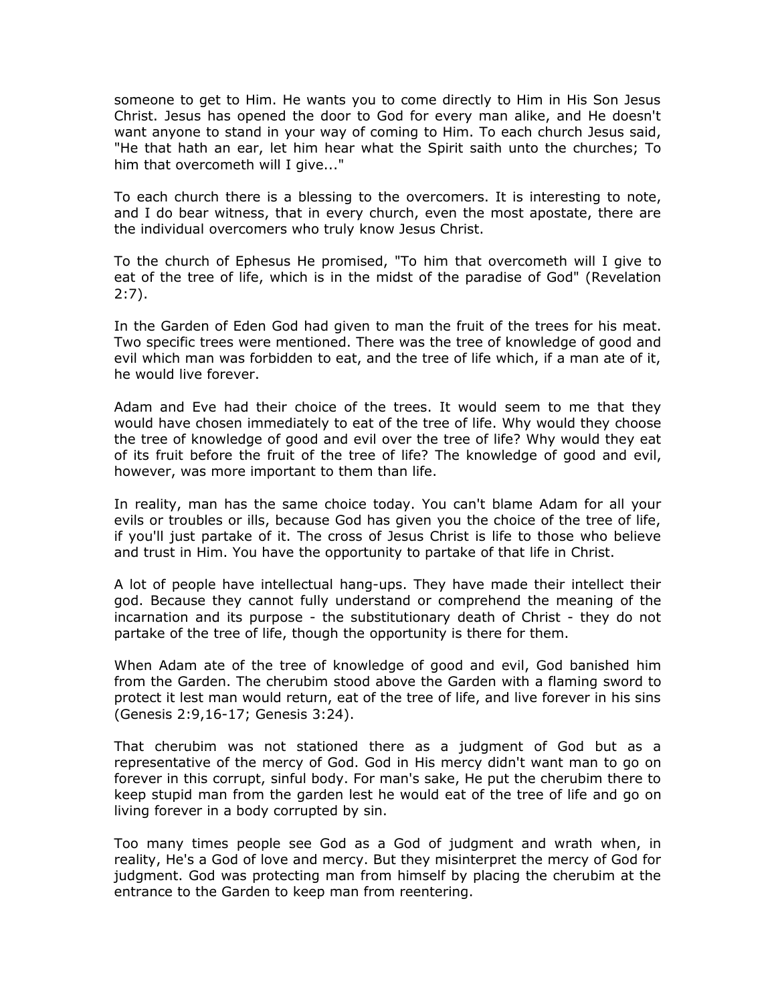someone to get to Him. He wants you to come directly to Him in His Son Jesus Christ. Jesus has opened the door to God for every man alike, and He doesn't want anyone to stand in your way of coming to Him. To each church Jesus said, "He that hath an ear, let him hear what the Spirit saith unto the churches; To him that overcometh will I give..."

To each church there is a blessing to the overcomers. It is interesting to note, and I do bear witness, that in every church, even the most apostate, there are the individual overcomers who truly know Jesus Christ.

To the church of Ephesus He promised, "To him that overcometh will I give to eat of the tree of life, which is in the midst of the paradise of God" (Revelation 2:7).

In the Garden of Eden God had given to man the fruit of the trees for his meat. Two specific trees were mentioned. There was the tree of knowledge of good and evil which man was forbidden to eat, and the tree of life which, if a man ate of it, he would live forever.

Adam and Eve had their choice of the trees. It would seem to me that they would have chosen immediately to eat of the tree of life. Why would they choose the tree of knowledge of good and evil over the tree of life? Why would they eat of its fruit before the fruit of the tree of life? The knowledge of good and evil, however, was more important to them than life.

In reality, man has the same choice today. You can't blame Adam for all your evils or troubles or ills, because God has given you the choice of the tree of life, if you'll just partake of it. The cross of Jesus Christ is life to those who believe and trust in Him. You have the opportunity to partake of that life in Christ.

A lot of people have intellectual hang-ups. They have made their intellect their god. Because they cannot fully understand or comprehend the meaning of the incarnation and its purpose - the substitutionary death of Christ - they do not partake of the tree of life, though the opportunity is there for them.

When Adam ate of the tree of knowledge of good and evil, God banished him from the Garden. The cherubim stood above the Garden with a flaming sword to protect it lest man would return, eat of the tree of life, and live forever in his sins (Genesis 2:9,16-17; Genesis 3:24).

That cherubim was not stationed there as a judgment of God but as a representative of the mercy of God. God in His mercy didn't want man to go on forever in this corrupt, sinful body. For man's sake, He put the cherubim there to keep stupid man from the garden lest he would eat of the tree of life and go on living forever in a body corrupted by sin.

Too many times people see God as a God of judgment and wrath when, in reality, He's a God of love and mercy. But they misinterpret the mercy of God for judgment. God was protecting man from himself by placing the cherubim at the entrance to the Garden to keep man from reentering.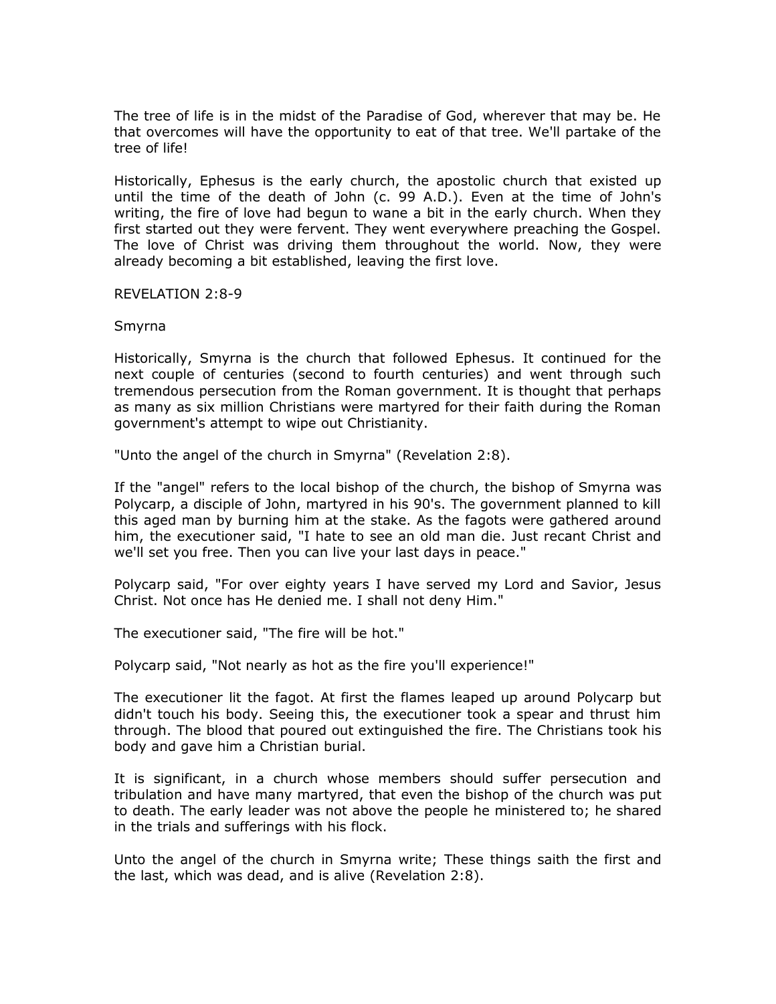The tree of life is in the midst of the Paradise of God, wherever that may be. He that overcomes will have the opportunity to eat of that tree. We'll partake of the tree of life!

Historically, Ephesus is the early church, the apostolic church that existed up until the time of the death of John (c. 99 A.D.). Even at the time of John's writing, the fire of love had begun to wane a bit in the early church. When they first started out they were fervent. They went everywhere preaching the Gospel. The love of Christ was driving them throughout the world. Now, they were already becoming a bit established, leaving the first love.

REVELATION 2:8-9

### Smyrna

Historically, Smyrna is the church that followed Ephesus. It continued for the next couple of centuries (second to fourth centuries) and went through such tremendous persecution from the Roman government. It is thought that perhaps as many as six million Christians were martyred for their faith during the Roman government's attempt to wipe out Christianity.

"Unto the angel of the church in Smyrna" (Revelation 2:8).

If the "angel" refers to the local bishop of the church, the bishop of Smyrna was Polycarp, a disciple of John, martyred in his 90's. The government planned to kill this aged man by burning him at the stake. As the fagots were gathered around him, the executioner said, "I hate to see an old man die. Just recant Christ and we'll set you free. Then you can live your last days in peace."

Polycarp said, "For over eighty years I have served my Lord and Savior, Jesus Christ. Not once has He denied me. I shall not deny Him."

The executioner said, "The fire will be hot."

Polycarp said, "Not nearly as hot as the fire you'll experience!"

The executioner lit the fagot. At first the flames leaped up around Polycarp but didn't touch his body. Seeing this, the executioner took a spear and thrust him through. The blood that poured out extinguished the fire. The Christians took his body and gave him a Christian burial.

It is significant, in a church whose members should suffer persecution and tribulation and have many martyred, that even the bishop of the church was put to death. The early leader was not above the people he ministered to; he shared in the trials and sufferings with his flock.

Unto the angel of the church in Smyrna write; These things saith the first and the last, which was dead, and is alive (Revelation 2:8).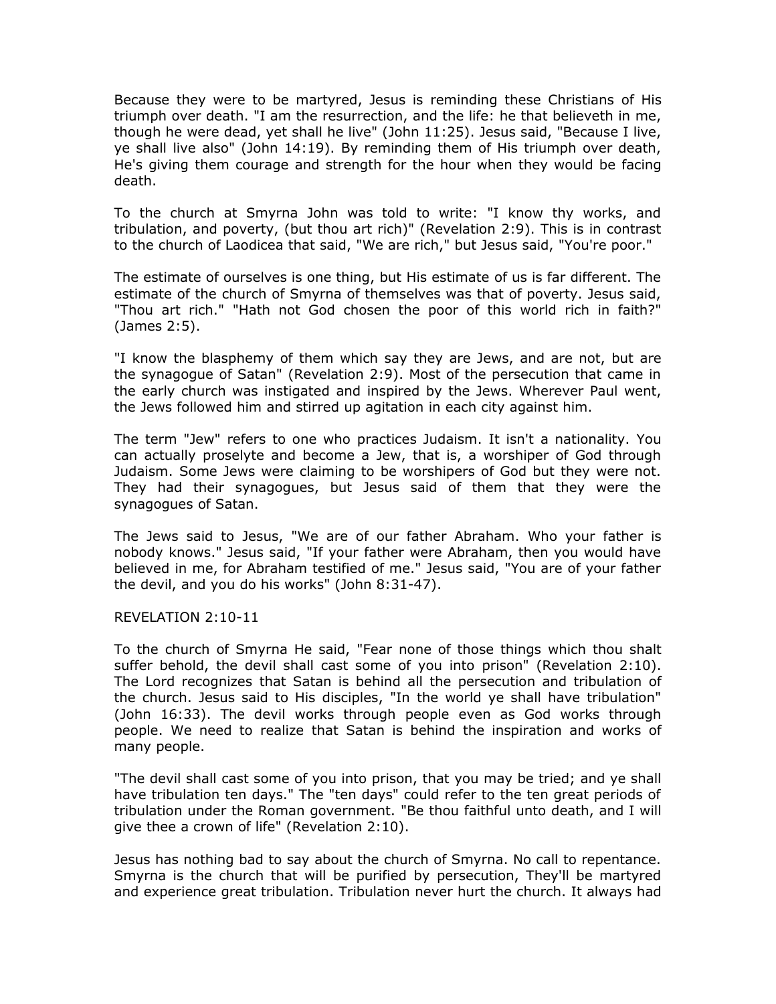Because they were to be martyred, Jesus is reminding these Christians of His triumph over death. "I am the resurrection, and the life: he that believeth in me, though he were dead, yet shall he live" (John 11:25). Jesus said, "Because I live, ye shall live also" (John 14:19). By reminding them of His triumph over death, He's giving them courage and strength for the hour when they would be facing death.

To the church at Smyrna John was told to write: "I know thy works, and tribulation, and poverty, (but thou art rich)" (Revelation 2:9). This is in contrast to the church of Laodicea that said, "We are rich," but Jesus said, "You're poor."

The estimate of ourselves is one thing, but His estimate of us is far different. The estimate of the church of Smyrna of themselves was that of poverty. Jesus said, "Thou art rich." "Hath not God chosen the poor of this world rich in faith?" (James 2:5).

"I know the blasphemy of them which say they are Jews, and are not, but are the synagogue of Satan" (Revelation 2:9). Most of the persecution that came in the early church was instigated and inspired by the Jews. Wherever Paul went, the Jews followed him and stirred up agitation in each city against him.

The term "Jew" refers to one who practices Judaism. It isn't a nationality. You can actually proselyte and become a Jew, that is, a worshiper of God through Judaism. Some Jews were claiming to be worshipers of God but they were not. They had their synagogues, but Jesus said of them that they were the synagogues of Satan.

The Jews said to Jesus, "We are of our father Abraham. Who your father is nobody knows." Jesus said, "If your father were Abraham, then you would have believed in me, for Abraham testified of me." Jesus said, "You are of your father the devil, and you do his works" (John 8:31-47).

## REVELATION 2:10-11

To the church of Smyrna He said, "Fear none of those things which thou shalt suffer behold, the devil shall cast some of you into prison" (Revelation 2:10). The Lord recognizes that Satan is behind all the persecution and tribulation of the church. Jesus said to His disciples, "In the world ye shall have tribulation" (John 16:33). The devil works through people even as God works through people. We need to realize that Satan is behind the inspiration and works of many people.

"The devil shall cast some of you into prison, that you may be tried; and ye shall have tribulation ten days." The "ten days" could refer to the ten great periods of tribulation under the Roman government. "Be thou faithful unto death, and I will give thee a crown of life" (Revelation 2:10).

Jesus has nothing bad to say about the church of Smyrna. No call to repentance. Smyrna is the church that will be purified by persecution, They'll be martyred and experience great tribulation. Tribulation never hurt the church. It always had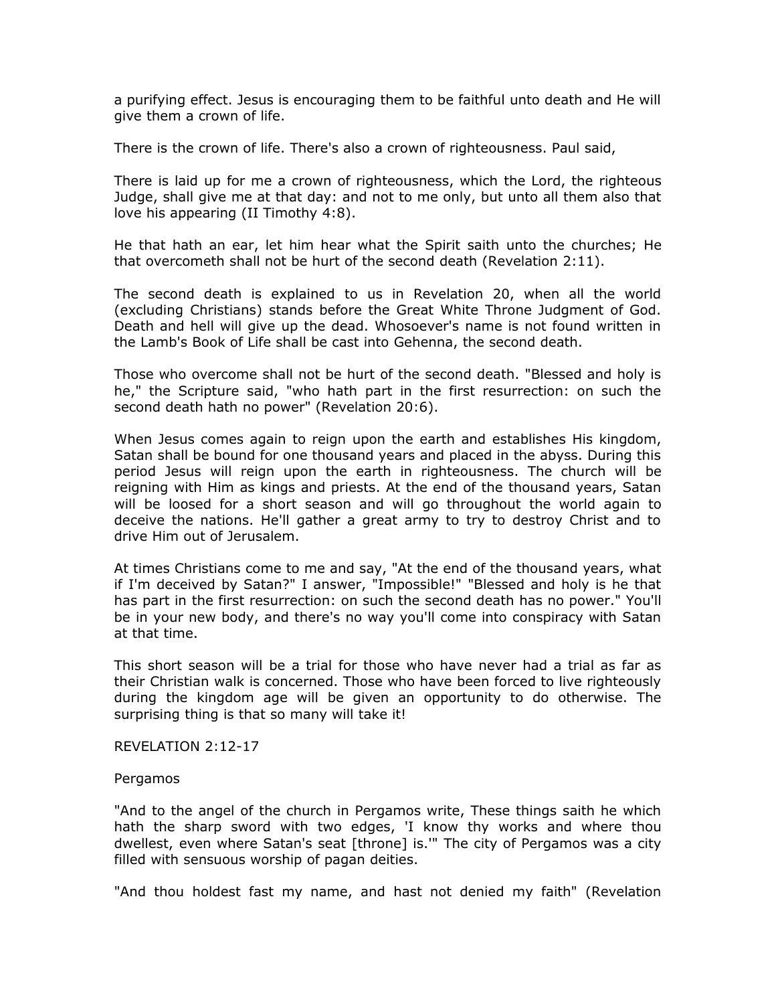a purifying effect. Jesus is encouraging them to be faithful unto death and He will give them a crown of life.

There is the crown of life. There's also a crown of righteousness. Paul said,

There is laid up for me a crown of righteousness, which the Lord, the righteous Judge, shall give me at that day: and not to me only, but unto all them also that love his appearing (II Timothy 4:8).

He that hath an ear, let him hear what the Spirit saith unto the churches; He that overcometh shall not be hurt of the second death (Revelation 2:11).

The second death is explained to us in Revelation 20, when all the world (excluding Christians) stands before the Great White Throne Judgment of God. Death and hell will give up the dead. Whosoever's name is not found written in the Lamb's Book of Life shall be cast into Gehenna, the second death.

Those who overcome shall not be hurt of the second death. "Blessed and holy is he," the Scripture said, "who hath part in the first resurrection: on such the second death hath no power" (Revelation 20:6).

When Jesus comes again to reign upon the earth and establishes His kingdom, Satan shall be bound for one thousand years and placed in the abyss. During this period Jesus will reign upon the earth in righteousness. The church will be reigning with Him as kings and priests. At the end of the thousand years, Satan will be loosed for a short season and will go throughout the world again to deceive the nations. He'll gather a great army to try to destroy Christ and to drive Him out of Jerusalem.

At times Christians come to me and say, "At the end of the thousand years, what if I'm deceived by Satan?" I answer, "Impossible!" "Blessed and holy is he that has part in the first resurrection: on such the second death has no power." You'll be in your new body, and there's no way you'll come into conspiracy with Satan at that time.

This short season will be a trial for those who have never had a trial as far as their Christian walk is concerned. Those who have been forced to live righteously during the kingdom age will be given an opportunity to do otherwise. The surprising thing is that so many will take it!

REVELATION 2:12-17

Pergamos

"And to the angel of the church in Pergamos write, These things saith he which hath the sharp sword with two edges, 'I know thy works and where thou dwellest, even where Satan's seat [throne] is.'" The city of Pergamos was a city filled with sensuous worship of pagan deities.

"And thou holdest fast my name, and hast not denied my faith" (Revelation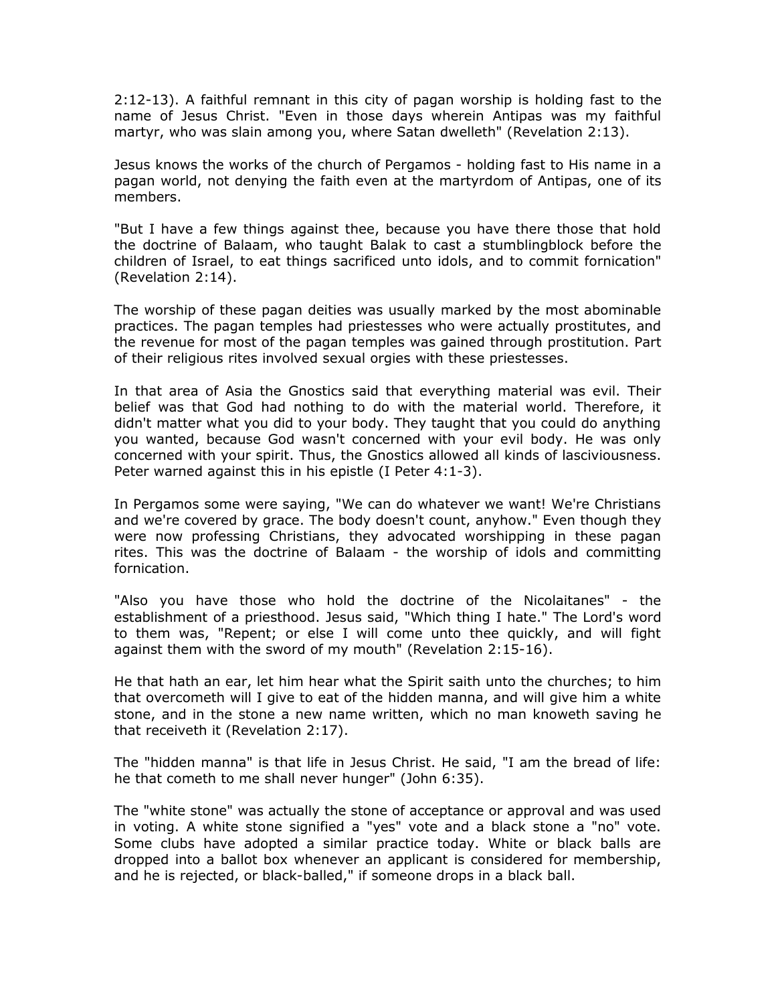2:12-13). A faithful remnant in this city of pagan worship is holding fast to the name of Jesus Christ. "Even in those days wherein Antipas was my faithful martyr, who was slain among you, where Satan dwelleth" (Revelation 2:13).

Jesus knows the works of the church of Pergamos - holding fast to His name in a pagan world, not denying the faith even at the martyrdom of Antipas, one of its members.

"But I have a few things against thee, because you have there those that hold the doctrine of Balaam, who taught Balak to cast a stumblingblock before the children of Israel, to eat things sacrificed unto idols, and to commit fornication" (Revelation 2:14).

The worship of these pagan deities was usually marked by the most abominable practices. The pagan temples had priestesses who were actually prostitutes, and the revenue for most of the pagan temples was gained through prostitution. Part of their religious rites involved sexual orgies with these priestesses.

In that area of Asia the Gnostics said that everything material was evil. Their belief was that God had nothing to do with the material world. Therefore, it didn't matter what you did to your body. They taught that you could do anything you wanted, because God wasn't concerned with your evil body. He was only concerned with your spirit. Thus, the Gnostics allowed all kinds of lasciviousness. Peter warned against this in his epistle (I Peter 4:1-3).

In Pergamos some were saying, "We can do whatever we want! We're Christians and we're covered by grace. The body doesn't count, anyhow." Even though they were now professing Christians, they advocated worshipping in these pagan rites. This was the doctrine of Balaam - the worship of idols and committing fornication.

"Also you have those who hold the doctrine of the Nicolaitanes" - the establishment of a priesthood. Jesus said, "Which thing I hate." The Lord's word to them was, "Repent; or else I will come unto thee quickly, and will fight against them with the sword of my mouth" (Revelation 2:15-16).

He that hath an ear, let him hear what the Spirit saith unto the churches; to him that overcometh will I give to eat of the hidden manna, and will give him a white stone, and in the stone a new name written, which no man knoweth saving he that receiveth it (Revelation 2:17).

The "hidden manna" is that life in Jesus Christ. He said, "I am the bread of life: he that cometh to me shall never hunger" (John 6:35).

The "white stone" was actually the stone of acceptance or approval and was used in voting. A white stone signified a "yes" vote and a black stone a "no" vote. Some clubs have adopted a similar practice today. White or black balls are dropped into a ballot box whenever an applicant is considered for membership, and he is rejected, or black-balled," if someone drops in a black ball.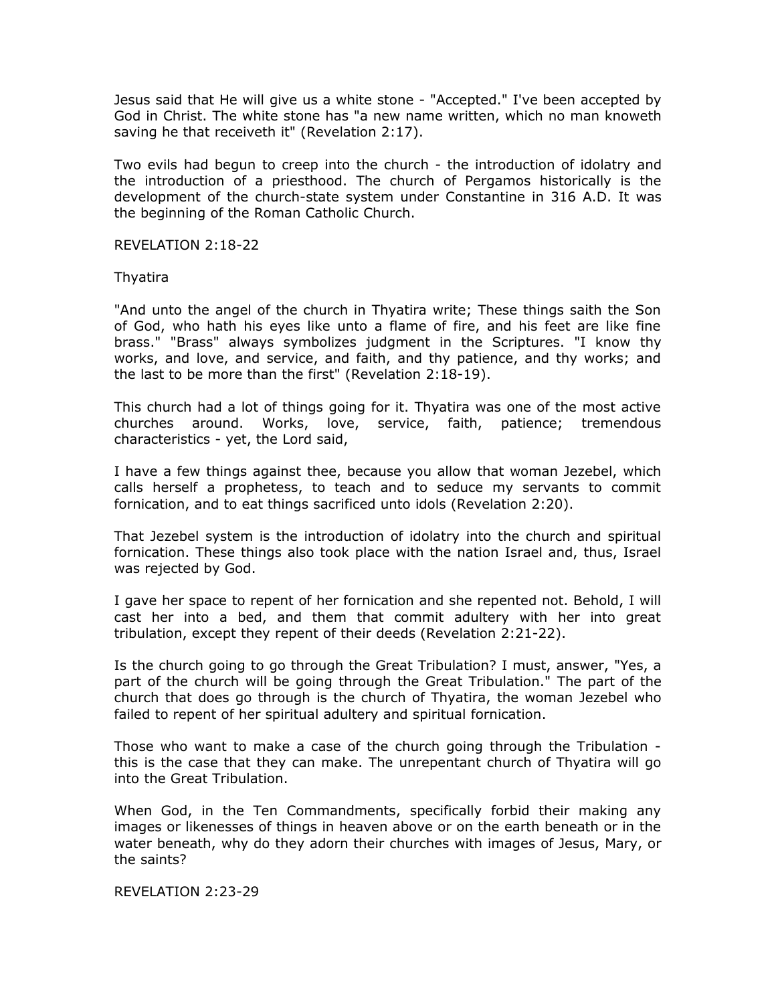Jesus said that He will give us a white stone - "Accepted." I've been accepted by God in Christ. The white stone has "a new name written, which no man knoweth saving he that receiveth it" (Revelation 2:17).

Two evils had begun to creep into the church - the introduction of idolatry and the introduction of a priesthood. The church of Pergamos historically is the development of the church-state system under Constantine in 316 A.D. It was the beginning of the Roman Catholic Church.

REVELATION 2:18-22

Thyatira

"And unto the angel of the church in Thyatira write; These things saith the Son of God, who hath his eyes like unto a flame of fire, and his feet are like fine brass." "Brass" always symbolizes judgment in the Scriptures. "I know thy works, and love, and service, and faith, and thy patience, and thy works; and the last to be more than the first" (Revelation 2:18-19).

This church had a lot of things going for it. Thyatira was one of the most active churches around. Works, love, service, faith, patience; tremendous characteristics - yet, the Lord said,

I have a few things against thee, because you allow that woman Jezebel, which calls herself a prophetess, to teach and to seduce my servants to commit fornication, and to eat things sacrificed unto idols (Revelation 2:20).

That Jezebel system is the introduction of idolatry into the church and spiritual fornication. These things also took place with the nation Israel and, thus, Israel was rejected by God.

I gave her space to repent of her fornication and she repented not. Behold, I will cast her into a bed, and them that commit adultery with her into great tribulation, except they repent of their deeds (Revelation 2:21-22).

Is the church going to go through the Great Tribulation? I must, answer, "Yes, a part of the church will be going through the Great Tribulation." The part of the church that does go through is the church of Thyatira, the woman Jezebel who failed to repent of her spiritual adultery and spiritual fornication.

Those who want to make a case of the church going through the Tribulation this is the case that they can make. The unrepentant church of Thyatira will go into the Great Tribulation.

When God, in the Ten Commandments, specifically forbid their making any images or likenesses of things in heaven above or on the earth beneath or in the water beneath, why do they adorn their churches with images of Jesus, Mary, or the saints?

REVELATION 2:23-29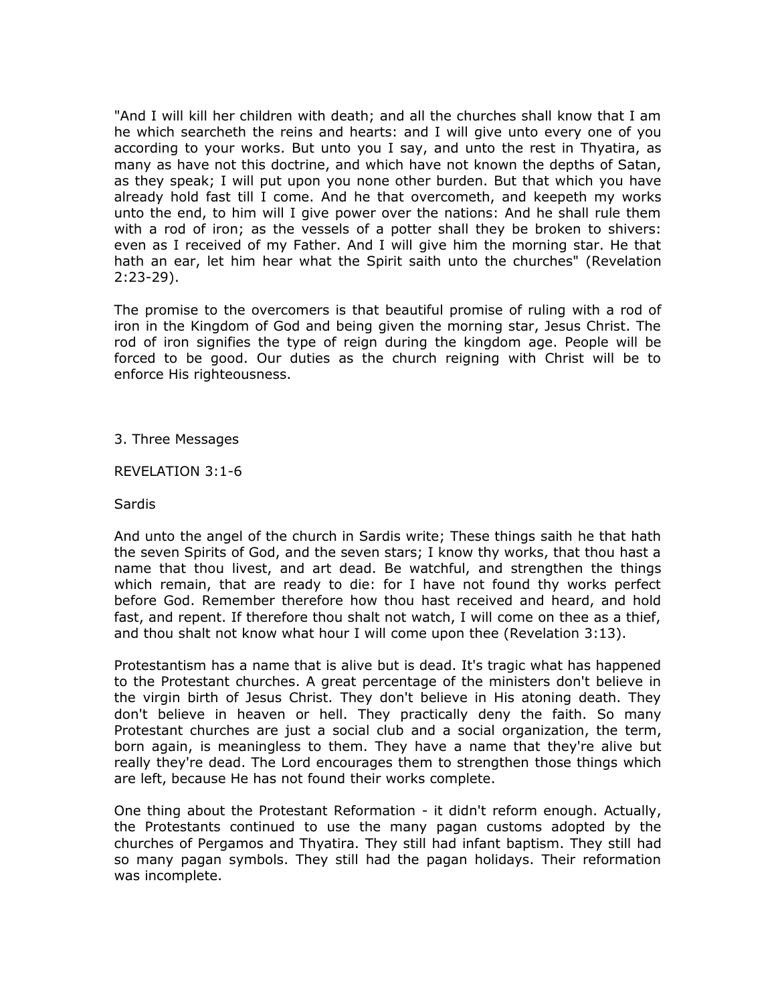"And I will kill her children with death; and all the churches shall know that I am he which searcheth the reins and hearts: and I will give unto every one of you according to your works. But unto you I say, and unto the rest in Thyatira, as many as have not this doctrine, and which have not known the depths of Satan, as they speak; I will put upon you none other burden. But that which you have already hold fast till I come. And he that overcometh, and keepeth my works unto the end, to him will I give power over the nations: And he shall rule them with a rod of iron; as the vessels of a potter shall they be broken to shivers: even as I received of my Father. And I will give him the morning star. He that hath an ear, let him hear what the Spirit saith unto the churches" (Revelation 2:23-29).

The promise to the overcomers is that beautiful promise of ruling with a rod of iron in the Kingdom of God and being given the morning star, Jesus Christ. The rod of iron signifies the type of reign during the kingdom age. People will be forced to be good. Our duties as the church reigning with Christ will be to enforce His righteousness.

3. Three Messages

REVELATION 3:1-6

**Sardis** 

And unto the angel of the church in Sardis write; These things saith he that hath the seven Spirits of God, and the seven stars; I know thy works, that thou hast a name that thou livest, and art dead. Be watchful, and strengthen the things which remain, that are ready to die: for I have not found thy works perfect before God. Remember therefore how thou hast received and heard, and hold fast, and repent. If therefore thou shalt not watch, I will come on thee as a thief, and thou shalt not know what hour I will come upon thee (Revelation 3:13).

Protestantism has a name that is alive but is dead. It's tragic what has happened to the Protestant churches. A great percentage of the ministers don't believe in the virgin birth of Jesus Christ. They don't believe in His atoning death. They don't believe in heaven or hell. They practically deny the faith. So many Protestant churches are just a social club and a social organization, the term, born again, is meaningless to them. They have a name that they're alive but really they're dead. The Lord encourages them to strengthen those things which are left, because He has not found their works complete.

One thing about the Protestant Reformation - it didn't reform enough. Actually, the Protestants continued to use the many pagan customs adopted by the churches of Pergamos and Thyatira. They still had infant baptism. They still had so many pagan symbols. They still had the pagan holidays. Their reformation was incomplete.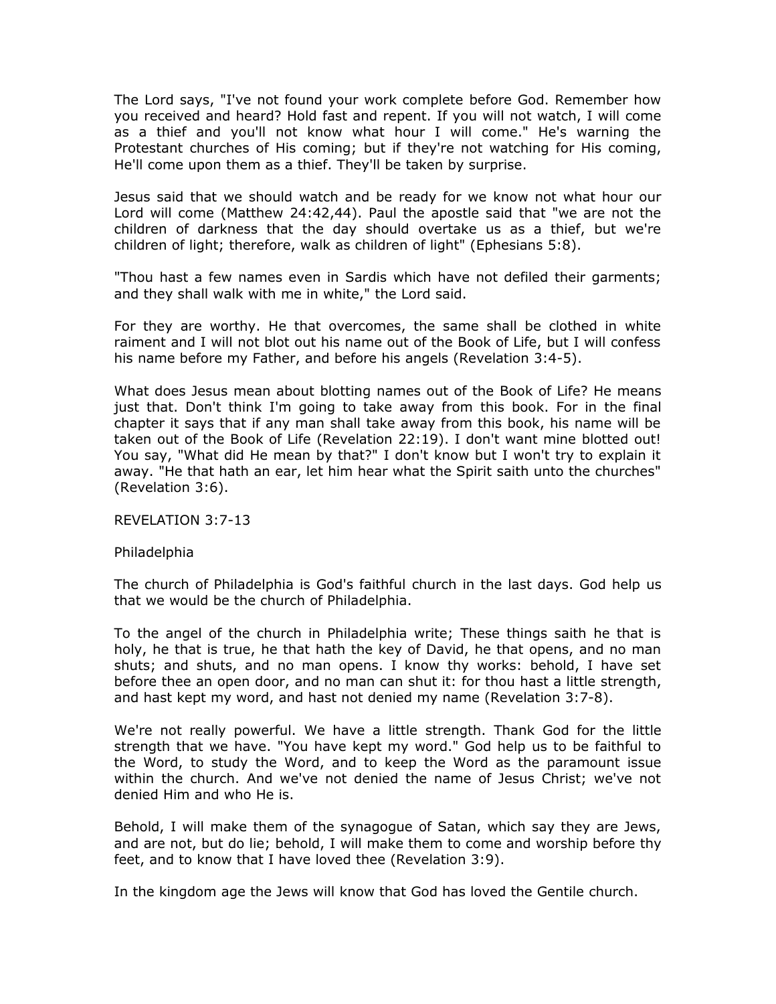The Lord says, "I've not found your work complete before God. Remember how you received and heard? Hold fast and repent. If you will not watch, I will come as a thief and you'll not know what hour I will come." He's warning the Protestant churches of His coming; but if they're not watching for His coming, He'll come upon them as a thief. They'll be taken by surprise.

Jesus said that we should watch and be ready for we know not what hour our Lord will come (Matthew 24:42,44). Paul the apostle said that "we are not the children of darkness that the day should overtake us as a thief, but we're children of light; therefore, walk as children of light" (Ephesians 5:8).

"Thou hast a few names even in Sardis which have not defiled their garments; and they shall walk with me in white," the Lord said.

For they are worthy. He that overcomes, the same shall be clothed in white raiment and I will not blot out his name out of the Book of Life, but I will confess his name before my Father, and before his angels (Revelation 3:4-5).

What does Jesus mean about blotting names out of the Book of Life? He means just that. Don't think I'm going to take away from this book. For in the final chapter it says that if any man shall take away from this book, his name will be taken out of the Book of Life (Revelation 22:19). I don't want mine blotted out! You say, "What did He mean by that?" I don't know but I won't try to explain it away. "He that hath an ear, let him hear what the Spirit saith unto the churches" (Revelation 3:6).

REVELATION 3:7-13

Philadelphia

The church of Philadelphia is God's faithful church in the last days. God help us that we would be the church of Philadelphia.

To the angel of the church in Philadelphia write; These things saith he that is holy, he that is true, he that hath the key of David, he that opens, and no man shuts; and shuts, and no man opens. I know thy works: behold, I have set before thee an open door, and no man can shut it: for thou hast a little strength, and hast kept my word, and hast not denied my name (Revelation 3:7-8).

We're not really powerful. We have a little strength. Thank God for the little strength that we have. "You have kept my word." God help us to be faithful to the Word, to study the Word, and to keep the Word as the paramount issue within the church. And we've not denied the name of Jesus Christ; we've not denied Him and who He is.

Behold, I will make them of the synagogue of Satan, which say they are Jews, and are not, but do lie; behold, I will make them to come and worship before thy feet, and to know that I have loved thee (Revelation 3:9).

In the kingdom age the Jews will know that God has loved the Gentile church.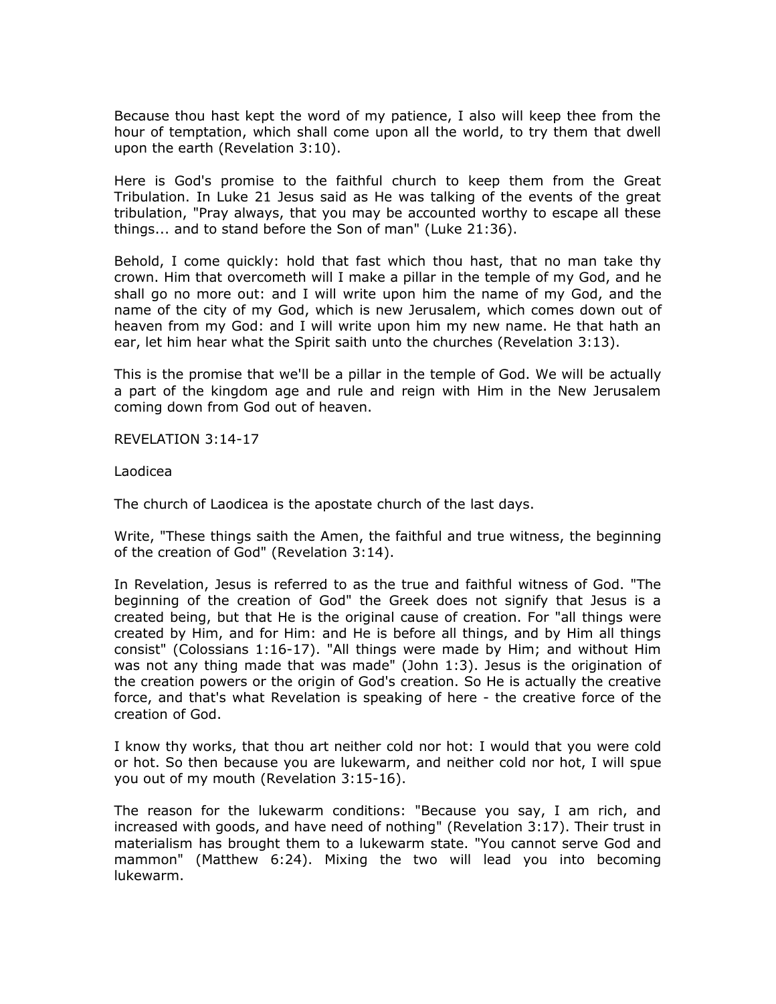Because thou hast kept the word of my patience, I also will keep thee from the hour of temptation, which shall come upon all the world, to try them that dwell upon the earth (Revelation 3:10).

Here is God's promise to the faithful church to keep them from the Great Tribulation. In Luke 21 Jesus said as He was talking of the events of the great tribulation, "Pray always, that you may be accounted worthy to escape all these things... and to stand before the Son of man" (Luke 21:36).

Behold, I come quickly: hold that fast which thou hast, that no man take thy crown. Him that overcometh will I make a pillar in the temple of my God, and he shall go no more out: and I will write upon him the name of my God, and the name of the city of my God, which is new Jerusalem, which comes down out of heaven from my God: and I will write upon him my new name. He that hath an ear, let him hear what the Spirit saith unto the churches (Revelation 3:13).

This is the promise that we'll be a pillar in the temple of God. We will be actually a part of the kingdom age and rule and reign with Him in the New Jerusalem coming down from God out of heaven.

REVELATION 3:14-17

Laodicea

The church of Laodicea is the apostate church of the last days.

Write, "These things saith the Amen, the faithful and true witness, the beginning of the creation of God" (Revelation 3:14).

In Revelation, Jesus is referred to as the true and faithful witness of God. "The beginning of the creation of God" the Greek does not signify that Jesus is a created being, but that He is the original cause of creation. For "all things were created by Him, and for Him: and He is before all things, and by Him all things consist" (Colossians 1:16-17). "All things were made by Him; and without Him was not any thing made that was made" (John 1:3). Jesus is the origination of the creation powers or the origin of God's creation. So He is actually the creative force, and that's what Revelation is speaking of here - the creative force of the creation of God.

I know thy works, that thou art neither cold nor hot: I would that you were cold or hot. So then because you are lukewarm, and neither cold nor hot, I will spue you out of my mouth (Revelation 3:15-16).

The reason for the lukewarm conditions: "Because you say, I am rich, and increased with goods, and have need of nothing" (Revelation 3:17). Their trust in materialism has brought them to a lukewarm state. "You cannot serve God and mammon" (Matthew 6:24). Mixing the two will lead you into becoming lukewarm.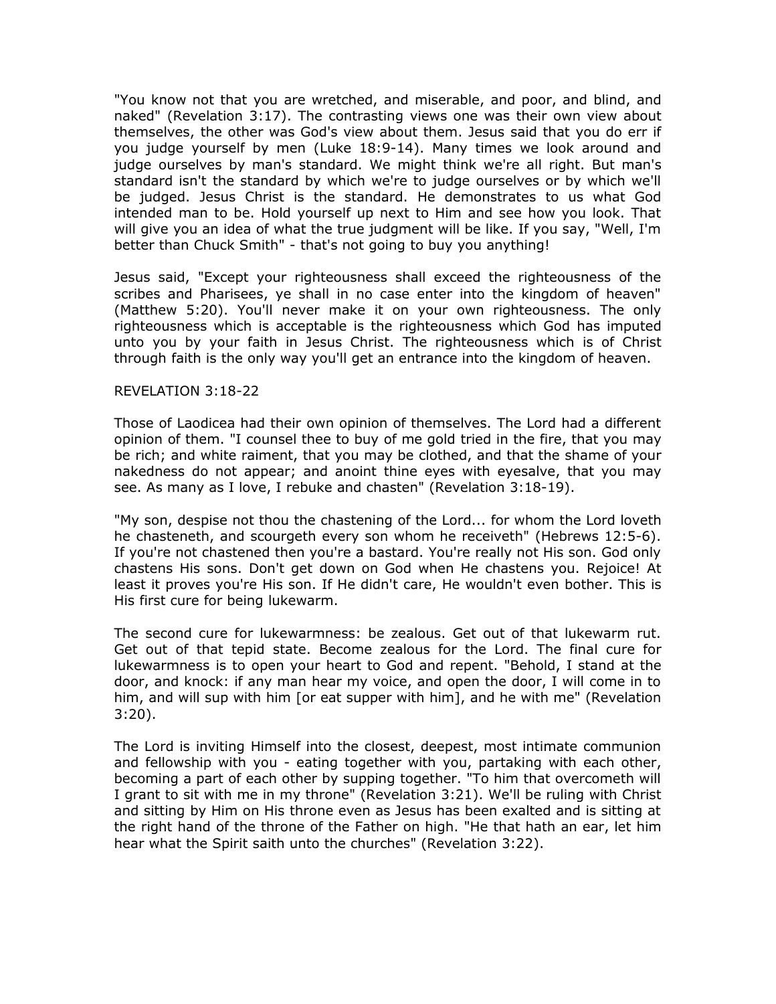"You know not that you are wretched, and miserable, and poor, and blind, and naked" (Revelation 3:17). The contrasting views one was their own view about themselves, the other was God's view about them. Jesus said that you do err if you judge yourself by men (Luke 18:9-14). Many times we look around and judge ourselves by man's standard. We might think we're all right. But man's standard isn't the standard by which we're to judge ourselves or by which we'll be judged. Jesus Christ is the standard. He demonstrates to us what God intended man to be. Hold yourself up next to Him and see how you look. That will give you an idea of what the true judgment will be like. If you say, "Well, I'm better than Chuck Smith" - that's not going to buy you anything!

Jesus said, "Except your righteousness shall exceed the righteousness of the scribes and Pharisees, ye shall in no case enter into the kingdom of heaven" (Matthew 5:20). You'll never make it on your own righteousness. The only righteousness which is acceptable is the righteousness which God has imputed unto you by your faith in Jesus Christ. The righteousness which is of Christ through faith is the only way you'll get an entrance into the kingdom of heaven.

## REVELATION 3:18-22

Those of Laodicea had their own opinion of themselves. The Lord had a different opinion of them. "I counsel thee to buy of me gold tried in the fire, that you may be rich; and white raiment, that you may be clothed, and that the shame of your nakedness do not appear; and anoint thine eyes with eyesalve, that you may see. As many as I love, I rebuke and chasten" (Revelation 3:18-19).

"My son, despise not thou the chastening of the Lord... for whom the Lord loveth he chasteneth, and scourgeth every son whom he receiveth" (Hebrews 12:5-6). If you're not chastened then you're a bastard. You're really not His son. God only chastens His sons. Don't get down on God when He chastens you. Rejoice! At least it proves you're His son. If He didn't care, He wouldn't even bother. This is His first cure for being lukewarm.

The second cure for lukewarmness: be zealous. Get out of that lukewarm rut. Get out of that tepid state. Become zealous for the Lord. The final cure for lukewarmness is to open your heart to God and repent. "Behold, I stand at the door, and knock: if any man hear my voice, and open the door, I will come in to him, and will sup with him [or eat supper with him], and he with me" (Revelation 3:20).

The Lord is inviting Himself into the closest, deepest, most intimate communion and fellowship with you - eating together with you, partaking with each other, becoming a part of each other by supping together. "To him that overcometh will I grant to sit with me in my throne" (Revelation 3:21). We'll be ruling with Christ and sitting by Him on His throne even as Jesus has been exalted and is sitting at the right hand of the throne of the Father on high. "He that hath an ear, let him hear what the Spirit saith unto the churches" (Revelation 3:22).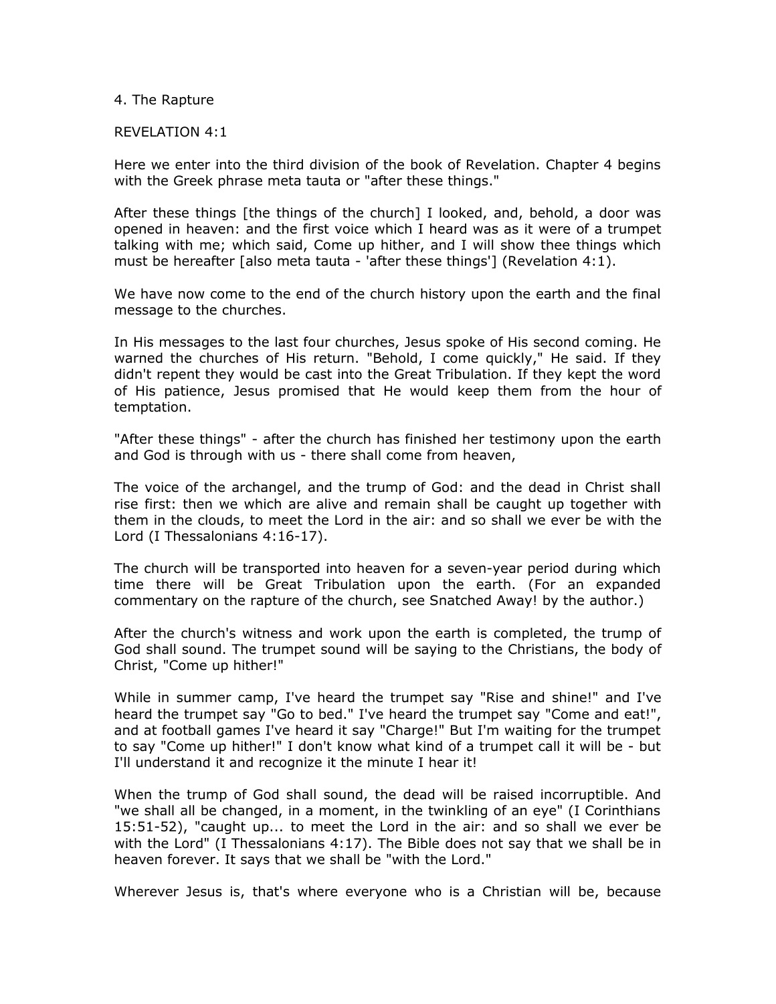#### 4. The Rapture

### REVELATION 4:1

Here we enter into the third division of the book of Revelation. Chapter 4 begins with the Greek phrase meta tauta or "after these things."

After these things [the things of the church] I looked, and, behold, a door was opened in heaven: and the first voice which I heard was as it were of a trumpet talking with me; which said, Come up hither, and I will show thee things which must be hereafter [also meta tauta - 'after these things'] (Revelation 4:1).

We have now come to the end of the church history upon the earth and the final message to the churches.

In His messages to the last four churches, Jesus spoke of His second coming. He warned the churches of His return. "Behold, I come quickly," He said. If they didn't repent they would be cast into the Great Tribulation. If they kept the word of His patience, Jesus promised that He would keep them from the hour of temptation.

"After these things" - after the church has finished her testimony upon the earth and God is through with us - there shall come from heaven,

The voice of the archangel, and the trump of God: and the dead in Christ shall rise first: then we which are alive and remain shall be caught up together with them in the clouds, to meet the Lord in the air: and so shall we ever be with the Lord (I Thessalonians 4:16-17).

The church will be transported into heaven for a seven-year period during which time there will be Great Tribulation upon the earth. (For an expanded commentary on the rapture of the church, see Snatched Away! by the author.)

After the church's witness and work upon the earth is completed, the trump of God shall sound. The trumpet sound will be saying to the Christians, the body of Christ, "Come up hither!"

While in summer camp, I've heard the trumpet say "Rise and shine!" and I've heard the trumpet say "Go to bed." I've heard the trumpet say "Come and eat!", and at football games I've heard it say "Charge!" But I'm waiting for the trumpet to say "Come up hither!" I don't know what kind of a trumpet call it will be - but I'll understand it and recognize it the minute I hear it!

When the trump of God shall sound, the dead will be raised incorruptible. And "we shall all be changed, in a moment, in the twinkling of an eye" (I Corinthians 15:51-52), "caught up... to meet the Lord in the air: and so shall we ever be with the Lord" (I Thessalonians 4:17). The Bible does not say that we shall be in heaven forever. It says that we shall be "with the Lord."

Wherever Jesus is, that's where everyone who is a Christian will be, because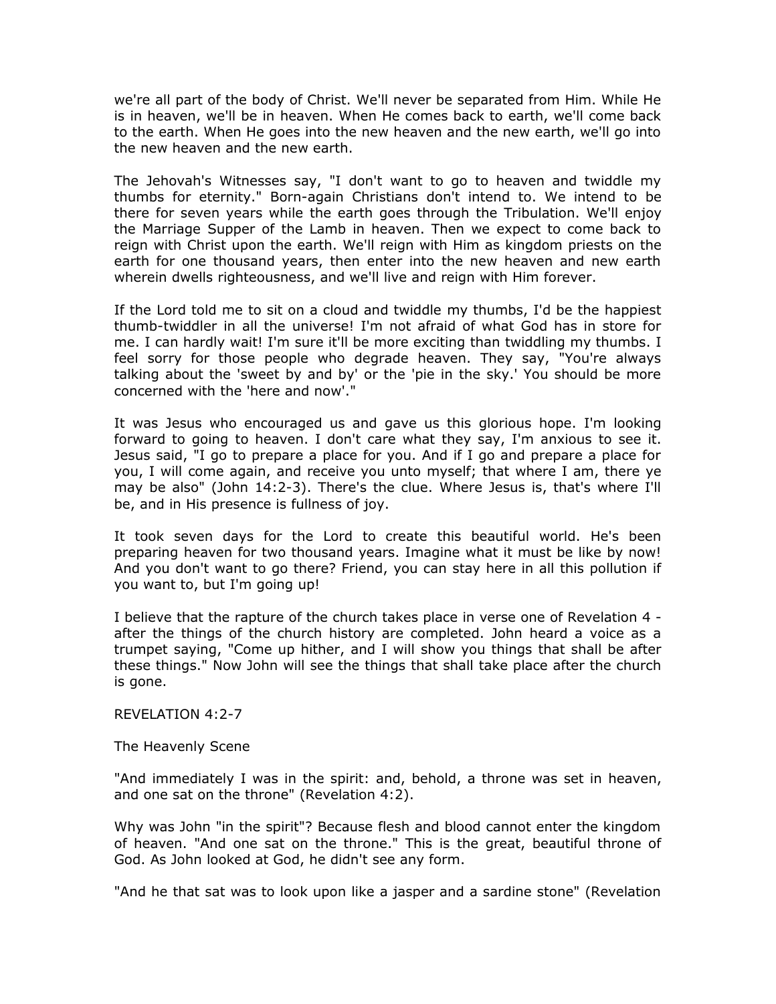we're all part of the body of Christ. We'll never be separated from Him. While He is in heaven, we'll be in heaven. When He comes back to earth, we'll come back to the earth. When He goes into the new heaven and the new earth, we'll go into the new heaven and the new earth.

The Jehovah's Witnesses say, "I don't want to go to heaven and twiddle my thumbs for eternity." Born-again Christians don't intend to. We intend to be there for seven years while the earth goes through the Tribulation. We'll enjoy the Marriage Supper of the Lamb in heaven. Then we expect to come back to reign with Christ upon the earth. We'll reign with Him as kingdom priests on the earth for one thousand years, then enter into the new heaven and new earth wherein dwells righteousness, and we'll live and reign with Him forever.

If the Lord told me to sit on a cloud and twiddle my thumbs, I'd be the happiest thumb-twiddler in all the universe! I'm not afraid of what God has in store for me. I can hardly wait! I'm sure it'll be more exciting than twiddling my thumbs. I feel sorry for those people who degrade heaven. They say, "You're always talking about the 'sweet by and by' or the 'pie in the sky.' You should be more concerned with the 'here and now'."

It was Jesus who encouraged us and gave us this glorious hope. I'm looking forward to going to heaven. I don't care what they say, I'm anxious to see it. Jesus said, "I go to prepare a place for you. And if I go and prepare a place for you, I will come again, and receive you unto myself; that where I am, there ye may be also" (John 14:2-3). There's the clue. Where Jesus is, that's where I'll be, and in His presence is fullness of joy.

It took seven days for the Lord to create this beautiful world. He's been preparing heaven for two thousand years. Imagine what it must be like by now! And you don't want to go there? Friend, you can stay here in all this pollution if you want to, but I'm going up!

I believe that the rapture of the church takes place in verse one of Revelation 4 after the things of the church history are completed. John heard a voice as a trumpet saying, "Come up hither, and I will show you things that shall be after these things." Now John will see the things that shall take place after the church is gone.

## REVELATION 4:2-7

The Heavenly Scene

"And immediately I was in the spirit: and, behold, a throne was set in heaven, and one sat on the throne" (Revelation 4:2).

Why was John "in the spirit"? Because flesh and blood cannot enter the kingdom of heaven. "And one sat on the throne." This is the great, beautiful throne of God. As John looked at God, he didn't see any form.

"And he that sat was to look upon like a jasper and a sardine stone" (Revelation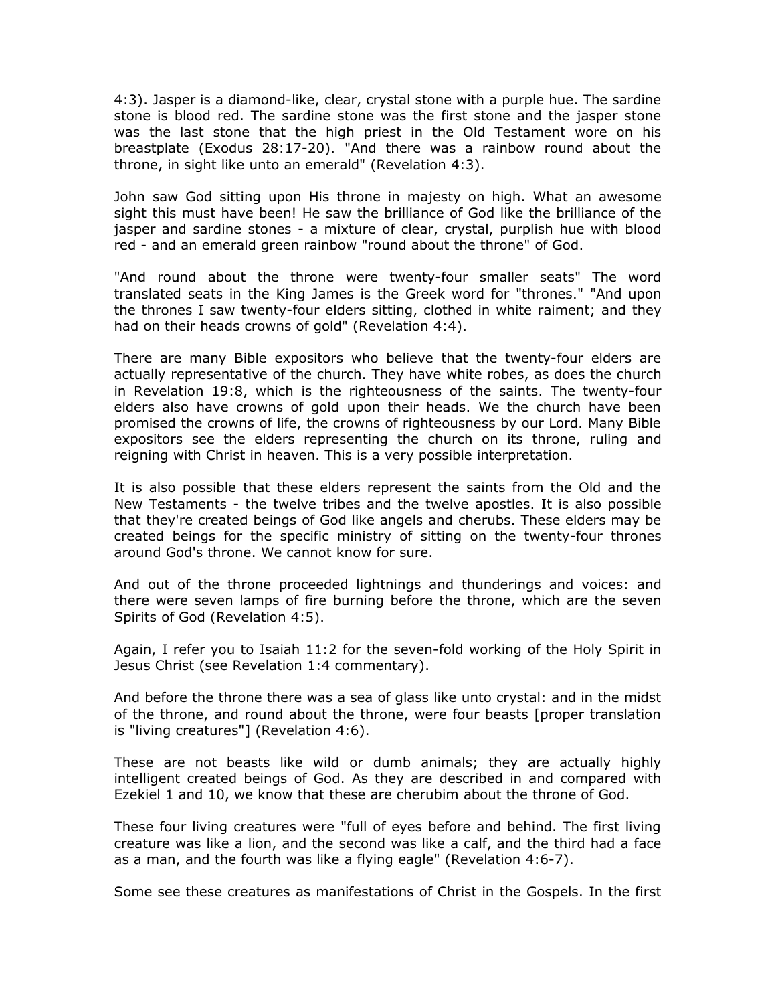4:3). Jasper is a diamond-like, clear, crystal stone with a purple hue. The sardine stone is blood red. The sardine stone was the first stone and the jasper stone was the last stone that the high priest in the Old Testament wore on his breastplate (Exodus 28:17-20). "And there was a rainbow round about the throne, in sight like unto an emerald" (Revelation 4:3).

John saw God sitting upon His throne in majesty on high. What an awesome sight this must have been! He saw the brilliance of God like the brilliance of the jasper and sardine stones - a mixture of clear, crystal, purplish hue with blood red - and an emerald green rainbow "round about the throne" of God.

"And round about the throne were twenty-four smaller seats" The word translated seats in the King James is the Greek word for "thrones." "And upon the thrones I saw twenty-four elders sitting, clothed in white raiment; and they had on their heads crowns of gold" (Revelation 4:4).

There are many Bible expositors who believe that the twenty-four elders are actually representative of the church. They have white robes, as does the church in Revelation 19:8, which is the righteousness of the saints. The twenty-four elders also have crowns of gold upon their heads. We the church have been promised the crowns of life, the crowns of righteousness by our Lord. Many Bible expositors see the elders representing the church on its throne, ruling and reigning with Christ in heaven. This is a very possible interpretation.

It is also possible that these elders represent the saints from the Old and the New Testaments - the twelve tribes and the twelve apostles. It is also possible that they're created beings of God like angels and cherubs. These elders may be created beings for the specific ministry of sitting on the twenty-four thrones around God's throne. We cannot know for sure.

And out of the throne proceeded lightnings and thunderings and voices: and there were seven lamps of fire burning before the throne, which are the seven Spirits of God (Revelation 4:5).

Again, I refer you to Isaiah 11:2 for the seven-fold working of the Holy Spirit in Jesus Christ (see Revelation 1:4 commentary).

And before the throne there was a sea of glass like unto crystal: and in the midst of the throne, and round about the throne, were four beasts [proper translation is "living creatures"] (Revelation 4:6).

These are not beasts like wild or dumb animals; they are actually highly intelligent created beings of God. As they are described in and compared with Ezekiel 1 and 10, we know that these are cherubim about the throne of God.

These four living creatures were "full of eyes before and behind. The first living creature was like a lion, and the second was like a calf, and the third had a face as a man, and the fourth was like a flying eagle" (Revelation 4:6-7).

Some see these creatures as manifestations of Christ in the Gospels. In the first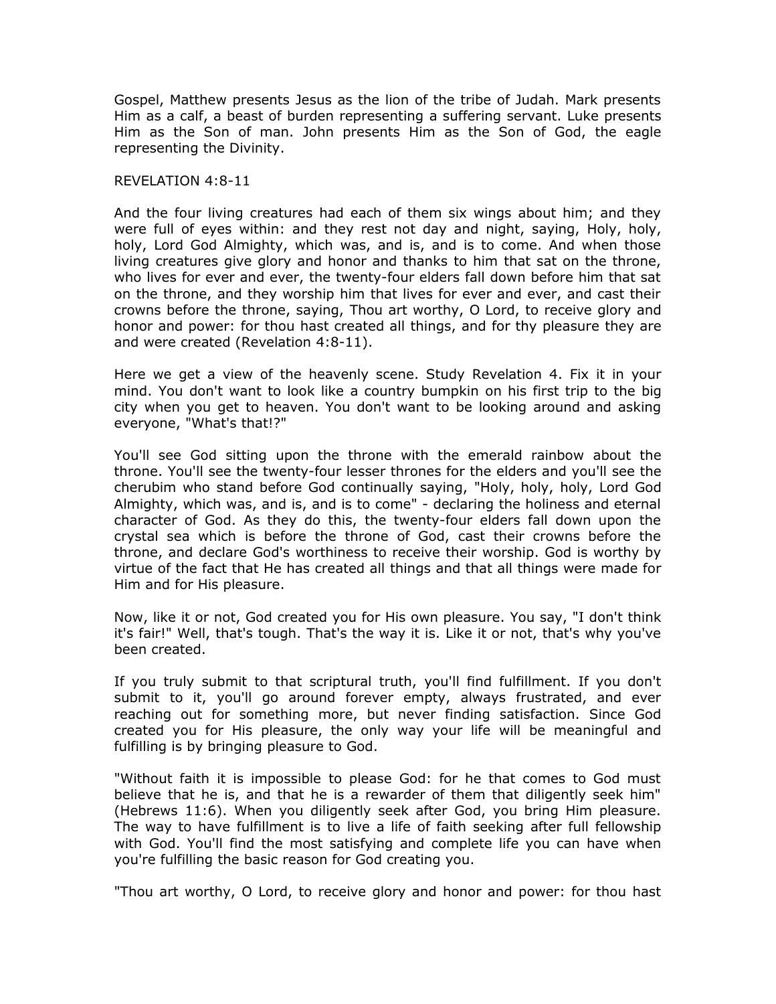Gospel, Matthew presents Jesus as the lion of the tribe of Judah. Mark presents Him as a calf, a beast of burden representing a suffering servant. Luke presents Him as the Son of man. John presents Him as the Son of God, the eagle representing the Divinity.

### REVELATION 4:8-11

And the four living creatures had each of them six wings about him; and they were full of eyes within: and they rest not day and night, saying, Holy, holy, holy, Lord God Almighty, which was, and is, and is to come. And when those living creatures give glory and honor and thanks to him that sat on the throne, who lives for ever and ever, the twenty-four elders fall down before him that sat on the throne, and they worship him that lives for ever and ever, and cast their crowns before the throne, saying, Thou art worthy, O Lord, to receive glory and honor and power: for thou hast created all things, and for thy pleasure they are and were created (Revelation 4:8-11).

Here we get a view of the heavenly scene. Study Revelation 4. Fix it in your mind. You don't want to look like a country bumpkin on his first trip to the big city when you get to heaven. You don't want to be looking around and asking everyone, "What's that!?"

You'll see God sitting upon the throne with the emerald rainbow about the throne. You'll see the twenty-four lesser thrones for the elders and you'll see the cherubim who stand before God continually saying, "Holy, holy, holy, Lord God Almighty, which was, and is, and is to come" - declaring the holiness and eternal character of God. As they do this, the twenty-four elders fall down upon the crystal sea which is before the throne of God, cast their crowns before the throne, and declare God's worthiness to receive their worship. God is worthy by virtue of the fact that He has created all things and that all things were made for Him and for His pleasure.

Now, like it or not, God created you for His own pleasure. You say, "I don't think it's fair!" Well, that's tough. That's the way it is. Like it or not, that's why you've been created.

If you truly submit to that scriptural truth, you'll find fulfillment. If you don't submit to it, you'll go around forever empty, always frustrated, and ever reaching out for something more, but never finding satisfaction. Since God created you for His pleasure, the only way your life will be meaningful and fulfilling is by bringing pleasure to God.

"Without faith it is impossible to please God: for he that comes to God must believe that he is, and that he is a rewarder of them that diligently seek him" (Hebrews 11:6). When you diligently seek after God, you bring Him pleasure. The way to have fulfillment is to live a life of faith seeking after full fellowship with God. You'll find the most satisfying and complete life you can have when you're fulfilling the basic reason for God creating you.

"Thou art worthy, O Lord, to receive glory and honor and power: for thou hast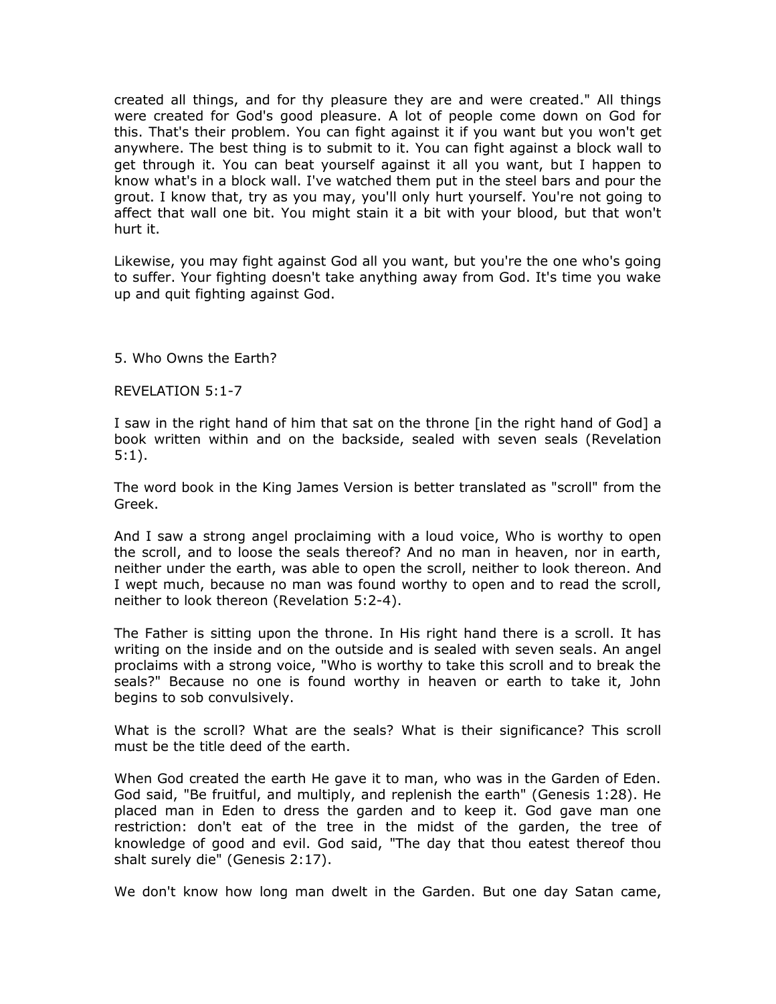created all things, and for thy pleasure they are and were created." All things were created for God's good pleasure. A lot of people come down on God for this. That's their problem. You can fight against it if you want but you won't get anywhere. The best thing is to submit to it. You can fight against a block wall to get through it. You can beat yourself against it all you want, but I happen to know what's in a block wall. I've watched them put in the steel bars and pour the grout. I know that, try as you may, you'll only hurt yourself. You're not going to affect that wall one bit. You might stain it a bit with your blood, but that won't hurt it.

Likewise, you may fight against God all you want, but you're the one who's going to suffer. Your fighting doesn't take anything away from God. It's time you wake up and quit fighting against God.

5. Who Owns the Earth?

REVELATION 5:1-7

I saw in the right hand of him that sat on the throne [in the right hand of God] a book written within and on the backside, sealed with seven seals (Revelation 5:1).

The word book in the King James Version is better translated as "scroll" from the Greek.

And I saw a strong angel proclaiming with a loud voice, Who is worthy to open the scroll, and to loose the seals thereof? And no man in heaven, nor in earth, neither under the earth, was able to open the scroll, neither to look thereon. And I wept much, because no man was found worthy to open and to read the scroll, neither to look thereon (Revelation 5:2-4).

The Father is sitting upon the throne. In His right hand there is a scroll. It has writing on the inside and on the outside and is sealed with seven seals. An angel proclaims with a strong voice, "Who is worthy to take this scroll and to break the seals?" Because no one is found worthy in heaven or earth to take it, John begins to sob convulsively.

What is the scroll? What are the seals? What is their significance? This scroll must be the title deed of the earth.

When God created the earth He gave it to man, who was in the Garden of Eden. God said, "Be fruitful, and multiply, and replenish the earth" (Genesis 1:28). He placed man in Eden to dress the garden and to keep it. God gave man one restriction: don't eat of the tree in the midst of the garden, the tree of knowledge of good and evil. God said, "The day that thou eatest thereof thou shalt surely die" (Genesis 2:17).

We don't know how long man dwelt in the Garden. But one day Satan came,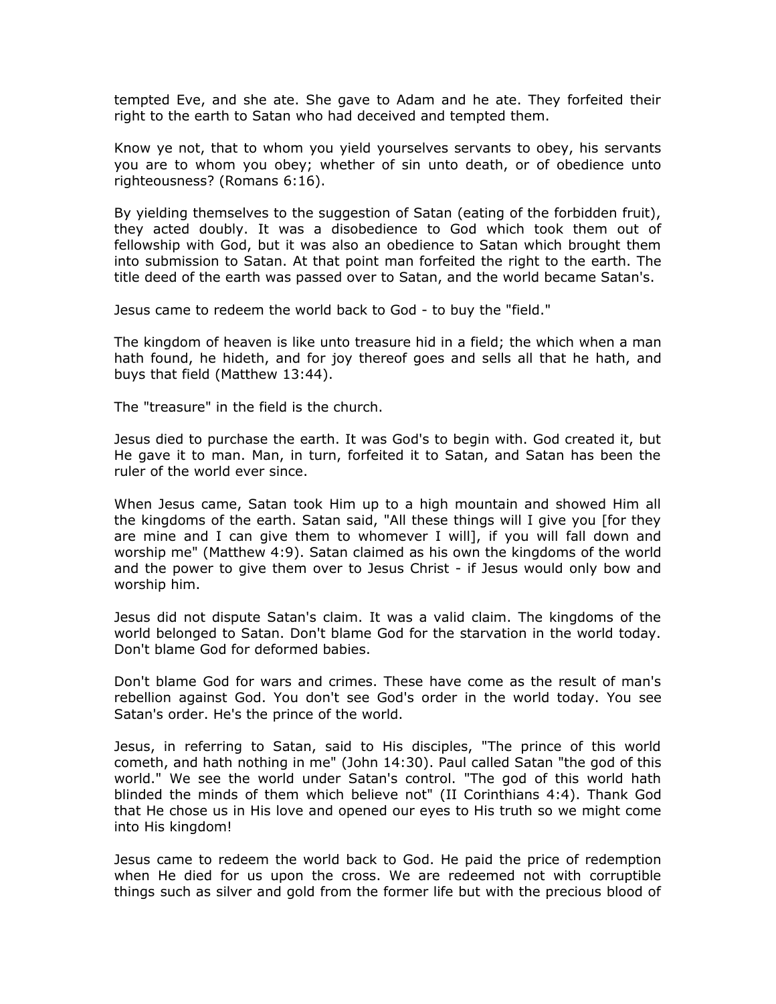tempted Eve, and she ate. She gave to Adam and he ate. They forfeited their right to the earth to Satan who had deceived and tempted them.

Know ye not, that to whom you yield yourselves servants to obey, his servants you are to whom you obey; whether of sin unto death, or of obedience unto righteousness? (Romans 6:16).

By yielding themselves to the suggestion of Satan (eating of the forbidden fruit), they acted doubly. It was a disobedience to God which took them out of fellowship with God, but it was also an obedience to Satan which brought them into submission to Satan. At that point man forfeited the right to the earth. The title deed of the earth was passed over to Satan, and the world became Satan's.

Jesus came to redeem the world back to God - to buy the "field."

The kingdom of heaven is like unto treasure hid in a field; the which when a man hath found, he hideth, and for joy thereof goes and sells all that he hath, and buys that field (Matthew 13:44).

The "treasure" in the field is the church.

Jesus died to purchase the earth. It was God's to begin with. God created it, but He gave it to man. Man, in turn, forfeited it to Satan, and Satan has been the ruler of the world ever since.

When Jesus came, Satan took Him up to a high mountain and showed Him all the kingdoms of the earth. Satan said, "All these things will I give you [for they are mine and I can give them to whomever I will], if you will fall down and worship me" (Matthew 4:9). Satan claimed as his own the kingdoms of the world and the power to give them over to Jesus Christ - if Jesus would only bow and worship him.

Jesus did not dispute Satan's claim. It was a valid claim. The kingdoms of the world belonged to Satan. Don't blame God for the starvation in the world today. Don't blame God for deformed babies.

Don't blame God for wars and crimes. These have come as the result of man's rebellion against God. You don't see God's order in the world today. You see Satan's order. He's the prince of the world.

Jesus, in referring to Satan, said to His disciples, "The prince of this world cometh, and hath nothing in me" (John 14:30). Paul called Satan "the god of this world." We see the world under Satan's control. "The god of this world hath blinded the minds of them which believe not" (II Corinthians 4:4). Thank God that He chose us in His love and opened our eyes to His truth so we might come into His kingdom!

Jesus came to redeem the world back to God. He paid the price of redemption when He died for us upon the cross. We are redeemed not with corruptible things such as silver and gold from the former life but with the precious blood of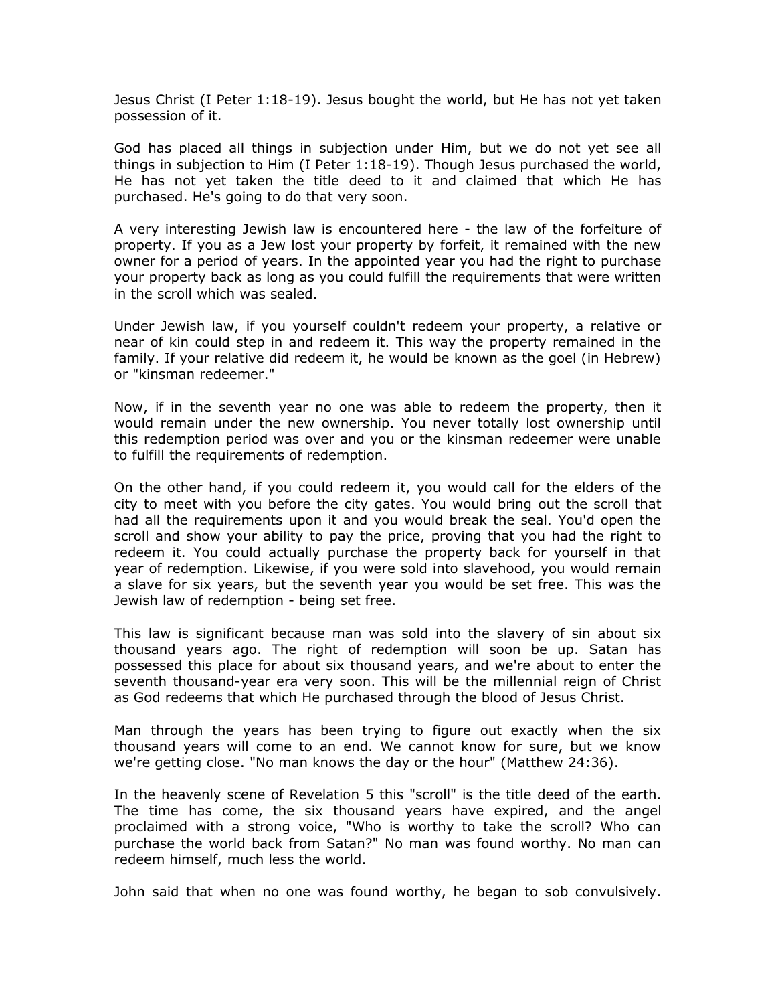Jesus Christ (I Peter 1:18-19). Jesus bought the world, but He has not yet taken possession of it.

God has placed all things in subjection under Him, but we do not yet see all things in subjection to Him (I Peter 1:18-19). Though Jesus purchased the world, He has not yet taken the title deed to it and claimed that which He has purchased. He's going to do that very soon.

A very interesting Jewish law is encountered here - the law of the forfeiture of property. If you as a Jew lost your property by forfeit, it remained with the new owner for a period of years. In the appointed year you had the right to purchase your property back as long as you could fulfill the requirements that were written in the scroll which was sealed.

Under Jewish law, if you yourself couldn't redeem your property, a relative or near of kin could step in and redeem it. This way the property remained in the family. If your relative did redeem it, he would be known as the goel (in Hebrew) or "kinsman redeemer."

Now, if in the seventh year no one was able to redeem the property, then it would remain under the new ownership. You never totally lost ownership until this redemption period was over and you or the kinsman redeemer were unable to fulfill the requirements of redemption.

On the other hand, if you could redeem it, you would call for the elders of the city to meet with you before the city gates. You would bring out the scroll that had all the requirements upon it and you would break the seal. You'd open the scroll and show your ability to pay the price, proving that you had the right to redeem it. You could actually purchase the property back for yourself in that year of redemption. Likewise, if you were sold into slavehood, you would remain a slave for six years, but the seventh year you would be set free. This was the Jewish law of redemption - being set free.

This law is significant because man was sold into the slavery of sin about six thousand years ago. The right of redemption will soon be up. Satan has possessed this place for about six thousand years, and we're about to enter the seventh thousand-year era very soon. This will be the millennial reign of Christ as God redeems that which He purchased through the blood of Jesus Christ.

Man through the years has been trying to figure out exactly when the six thousand years will come to an end. We cannot know for sure, but we know we're getting close. "No man knows the day or the hour" (Matthew 24:36).

In the heavenly scene of Revelation 5 this "scroll" is the title deed of the earth. The time has come, the six thousand years have expired, and the angel proclaimed with a strong voice, "Who is worthy to take the scroll? Who can purchase the world back from Satan?" No man was found worthy. No man can redeem himself, much less the world.

John said that when no one was found worthy, he began to sob convulsively.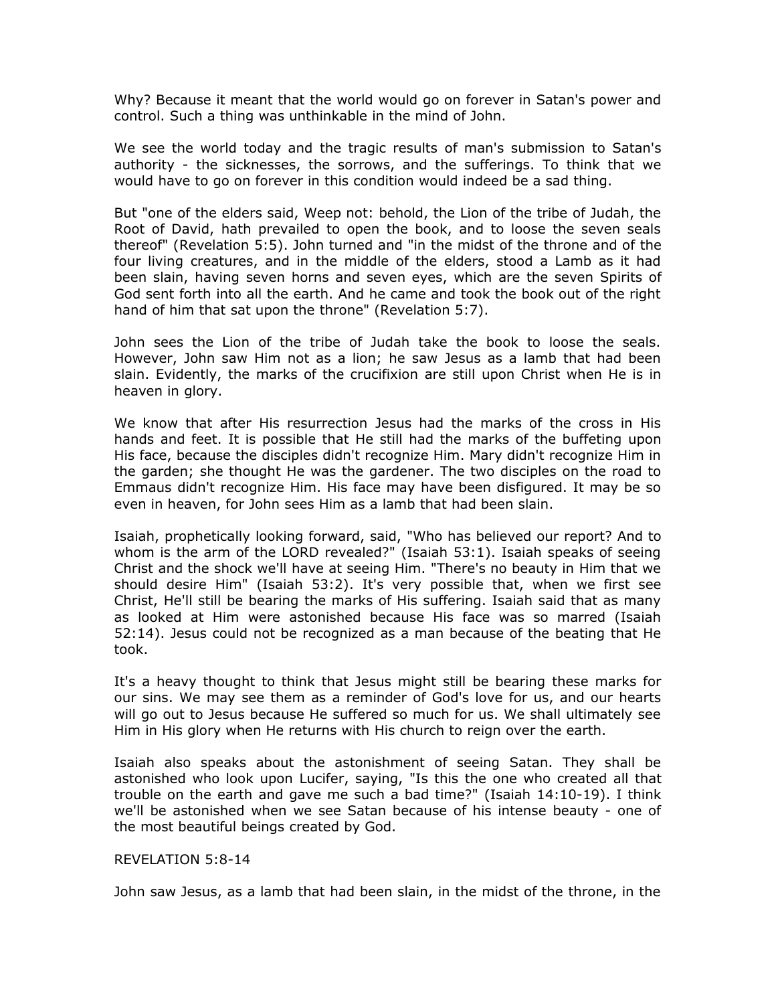Why? Because it meant that the world would go on forever in Satan's power and control. Such a thing was unthinkable in the mind of John.

We see the world today and the tragic results of man's submission to Satan's authority - the sicknesses, the sorrows, and the sufferings. To think that we would have to go on forever in this condition would indeed be a sad thing.

But "one of the elders said, Weep not: behold, the Lion of the tribe of Judah, the Root of David, hath prevailed to open the book, and to loose the seven seals thereof" (Revelation 5:5). John turned and "in the midst of the throne and of the four living creatures, and in the middle of the elders, stood a Lamb as it had been slain, having seven horns and seven eyes, which are the seven Spirits of God sent forth into all the earth. And he came and took the book out of the right hand of him that sat upon the throne" (Revelation 5:7).

John sees the Lion of the tribe of Judah take the book to loose the seals. However, John saw Him not as a lion; he saw Jesus as a lamb that had been slain. Evidently, the marks of the crucifixion are still upon Christ when He is in heaven in glory.

We know that after His resurrection Jesus had the marks of the cross in His hands and feet. It is possible that He still had the marks of the buffeting upon His face, because the disciples didn't recognize Him. Mary didn't recognize Him in the garden; she thought He was the gardener. The two disciples on the road to Emmaus didn't recognize Him. His face may have been disfigured. It may be so even in heaven, for John sees Him as a lamb that had been slain.

Isaiah, prophetically looking forward, said, "Who has believed our report? And to whom is the arm of the LORD revealed?" (Isaiah 53:1). Isaiah speaks of seeing Christ and the shock we'll have at seeing Him. "There's no beauty in Him that we should desire Him" (Isaiah 53:2). It's very possible that, when we first see Christ, He'll still be bearing the marks of His suffering. Isaiah said that as many as looked at Him were astonished because His face was so marred (Isaiah 52:14). Jesus could not be recognized as a man because of the beating that He took.

It's a heavy thought to think that Jesus might still be bearing these marks for our sins. We may see them as a reminder of God's love for us, and our hearts will go out to Jesus because He suffered so much for us. We shall ultimately see Him in His glory when He returns with His church to reign over the earth.

Isaiah also speaks about the astonishment of seeing Satan. They shall be astonished who look upon Lucifer, saying, "Is this the one who created all that trouble on the earth and gave me such a bad time?" (Isaiah 14:10-19). I think we'll be astonished when we see Satan because of his intense beauty - one of the most beautiful beings created by God.

### REVELATION 5:8-14

John saw Jesus, as a lamb that had been slain, in the midst of the throne, in the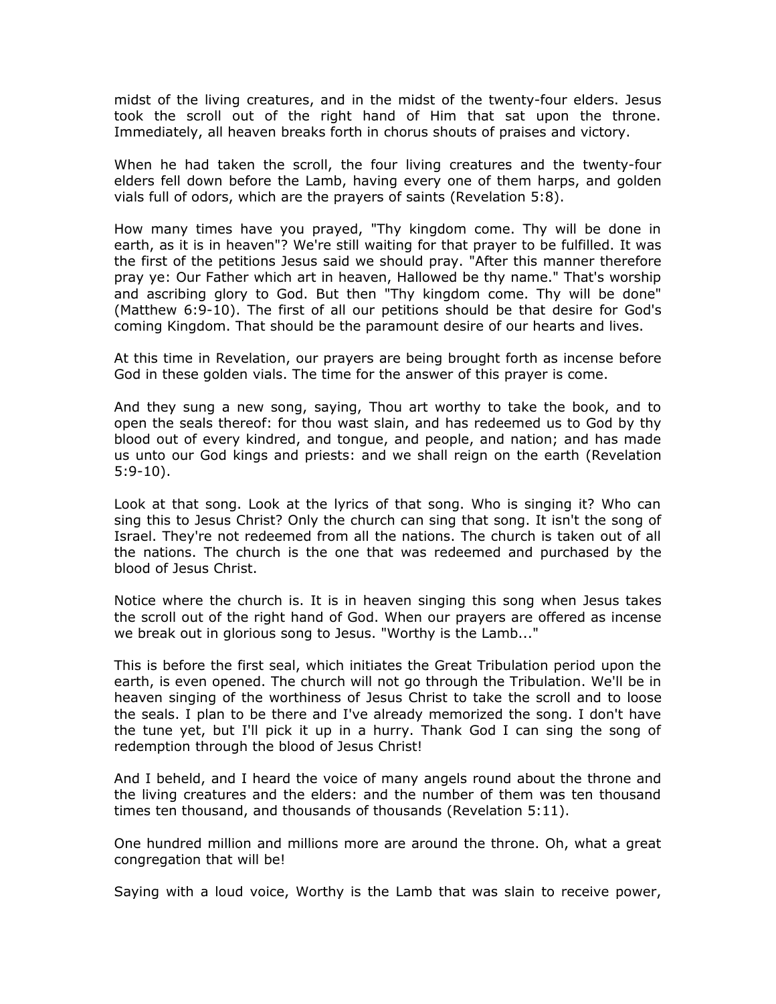midst of the living creatures, and in the midst of the twenty-four elders. Jesus took the scroll out of the right hand of Him that sat upon the throne. Immediately, all heaven breaks forth in chorus shouts of praises and victory.

When he had taken the scroll, the four living creatures and the twenty-four elders fell down before the Lamb, having every one of them harps, and golden vials full of odors, which are the prayers of saints (Revelation 5:8).

How many times have you prayed, "Thy kingdom come. Thy will be done in earth, as it is in heaven"? We're still waiting for that prayer to be fulfilled. It was the first of the petitions Jesus said we should pray. "After this manner therefore pray ye: Our Father which art in heaven, Hallowed be thy name." That's worship and ascribing glory to God. But then "Thy kingdom come. Thy will be done" (Matthew 6:9-10). The first of all our petitions should be that desire for God's coming Kingdom. That should be the paramount desire of our hearts and lives.

At this time in Revelation, our prayers are being brought forth as incense before God in these golden vials. The time for the answer of this prayer is come.

And they sung a new song, saying, Thou art worthy to take the book, and to open the seals thereof: for thou wast slain, and has redeemed us to God by thy blood out of every kindred, and tongue, and people, and nation; and has made us unto our God kings and priests: and we shall reign on the earth (Revelation 5:9-10).

Look at that song. Look at the lyrics of that song. Who is singing it? Who can sing this to Jesus Christ? Only the church can sing that song. It isn't the song of Israel. They're not redeemed from all the nations. The church is taken out of all the nations. The church is the one that was redeemed and purchased by the blood of Jesus Christ.

Notice where the church is. It is in heaven singing this song when Jesus takes the scroll out of the right hand of God. When our prayers are offered as incense we break out in glorious song to Jesus. "Worthy is the Lamb..."

This is before the first seal, which initiates the Great Tribulation period upon the earth, is even opened. The church will not go through the Tribulation. We'll be in heaven singing of the worthiness of Jesus Christ to take the scroll and to loose the seals. I plan to be there and I've already memorized the song. I don't have the tune yet, but I'll pick it up in a hurry. Thank God I can sing the song of redemption through the blood of Jesus Christ!

And I beheld, and I heard the voice of many angels round about the throne and the living creatures and the elders: and the number of them was ten thousand times ten thousand, and thousands of thousands (Revelation 5:11).

One hundred million and millions more are around the throne. Oh, what a great congregation that will be!

Saying with a loud voice, Worthy is the Lamb that was slain to receive power,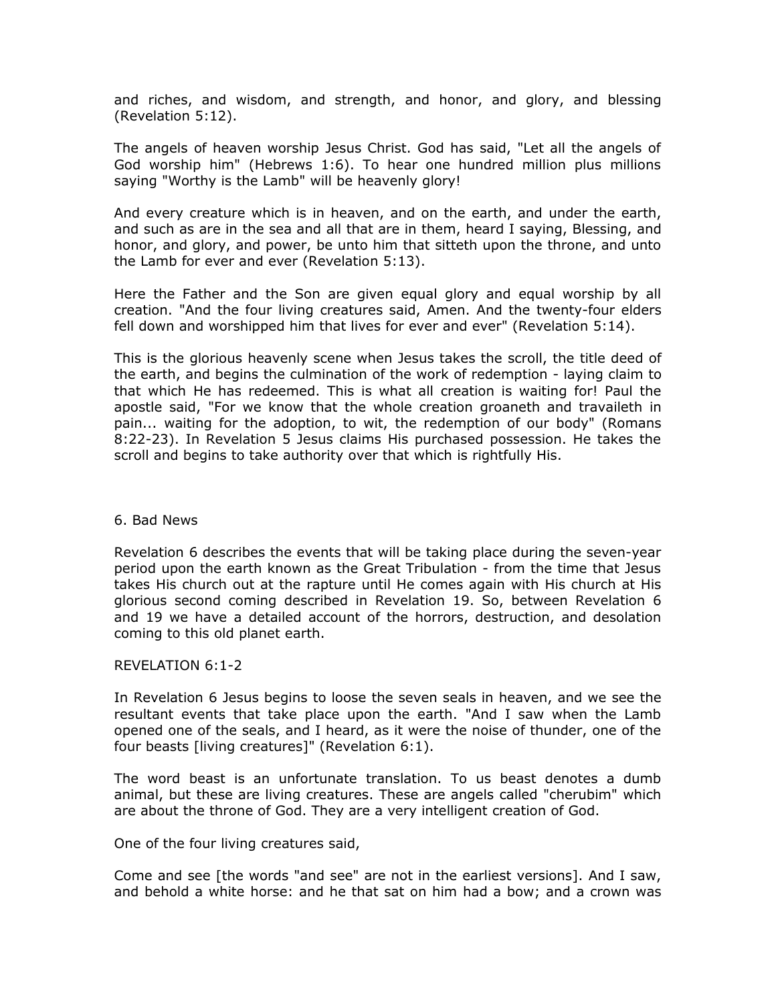and riches, and wisdom, and strength, and honor, and glory, and blessing (Revelation 5:12).

The angels of heaven worship Jesus Christ. God has said, "Let all the angels of God worship him" (Hebrews 1:6). To hear one hundred million plus millions saying "Worthy is the Lamb" will be heavenly glory!

And every creature which is in heaven, and on the earth, and under the earth, and such as are in the sea and all that are in them, heard I saying, Blessing, and honor, and glory, and power, be unto him that sitteth upon the throne, and unto the Lamb for ever and ever (Revelation 5:13).

Here the Father and the Son are given equal glory and equal worship by all creation. "And the four living creatures said, Amen. And the twenty-four elders fell down and worshipped him that lives for ever and ever" (Revelation 5:14).

This is the glorious heavenly scene when Jesus takes the scroll, the title deed of the earth, and begins the culmination of the work of redemption - laying claim to that which He has redeemed. This is what all creation is waiting for! Paul the apostle said, "For we know that the whole creation groaneth and travaileth in pain... waiting for the adoption, to wit, the redemption of our body" (Romans 8:22-23). In Revelation 5 Jesus claims His purchased possession. He takes the scroll and begins to take authority over that which is rightfully His.

## 6. Bad News

Revelation 6 describes the events that will be taking place during the seven-year period upon the earth known as the Great Tribulation - from the time that Jesus takes His church out at the rapture until He comes again with His church at His glorious second coming described in Revelation 19. So, between Revelation 6 and 19 we have a detailed account of the horrors, destruction, and desolation coming to this old planet earth.

## REVELATION 6:1-2

In Revelation 6 Jesus begins to loose the seven seals in heaven, and we see the resultant events that take place upon the earth. "And I saw when the Lamb opened one of the seals, and I heard, as it were the noise of thunder, one of the four beasts [living creatures]" (Revelation 6:1).

The word beast is an unfortunate translation. To us beast denotes a dumb animal, but these are living creatures. These are angels called "cherubim" which are about the throne of God. They are a very intelligent creation of God.

One of the four living creatures said,

Come and see [the words "and see" are not in the earliest versions]. And I saw, and behold a white horse: and he that sat on him had a bow; and a crown was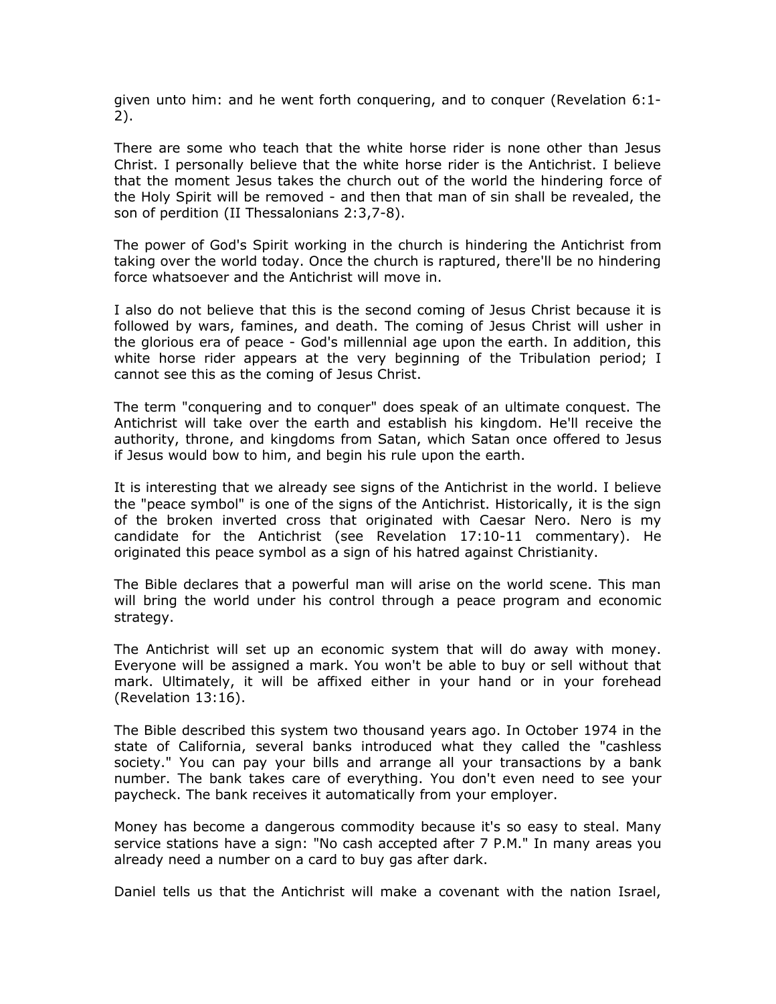given unto him: and he went forth conquering, and to conquer (Revelation 6:1- 2).

There are some who teach that the white horse rider is none other than Jesus Christ. I personally believe that the white horse rider is the Antichrist. I believe that the moment Jesus takes the church out of the world the hindering force of the Holy Spirit will be removed - and then that man of sin shall be revealed, the son of perdition (II Thessalonians 2:3,7-8).

The power of God's Spirit working in the church is hindering the Antichrist from taking over the world today. Once the church is raptured, there'll be no hindering force whatsoever and the Antichrist will move in.

I also do not believe that this is the second coming of Jesus Christ because it is followed by wars, famines, and death. The coming of Jesus Christ will usher in the glorious era of peace - God's millennial age upon the earth. In addition, this white horse rider appears at the very beginning of the Tribulation period; I cannot see this as the coming of Jesus Christ.

The term "conquering and to conquer" does speak of an ultimate conquest. The Antichrist will take over the earth and establish his kingdom. He'll receive the authority, throne, and kingdoms from Satan, which Satan once offered to Jesus if Jesus would bow to him, and begin his rule upon the earth.

It is interesting that we already see signs of the Antichrist in the world. I believe the "peace symbol" is one of the signs of the Antichrist. Historically, it is the sign of the broken inverted cross that originated with Caesar Nero. Nero is my candidate for the Antichrist (see Revelation 17:10-11 commentary). He originated this peace symbol as a sign of his hatred against Christianity.

The Bible declares that a powerful man will arise on the world scene. This man will bring the world under his control through a peace program and economic strategy.

The Antichrist will set up an economic system that will do away with money. Everyone will be assigned a mark. You won't be able to buy or sell without that mark. Ultimately, it will be affixed either in your hand or in your forehead (Revelation 13:16).

The Bible described this system two thousand years ago. In October 1974 in the state of California, several banks introduced what they called the "cashless society." You can pay your bills and arrange all your transactions by a bank number. The bank takes care of everything. You don't even need to see your paycheck. The bank receives it automatically from your employer.

Money has become a dangerous commodity because it's so easy to steal. Many service stations have a sign: "No cash accepted after 7 P.M." In many areas you already need a number on a card to buy gas after dark.

Daniel tells us that the Antichrist will make a covenant with the nation Israel,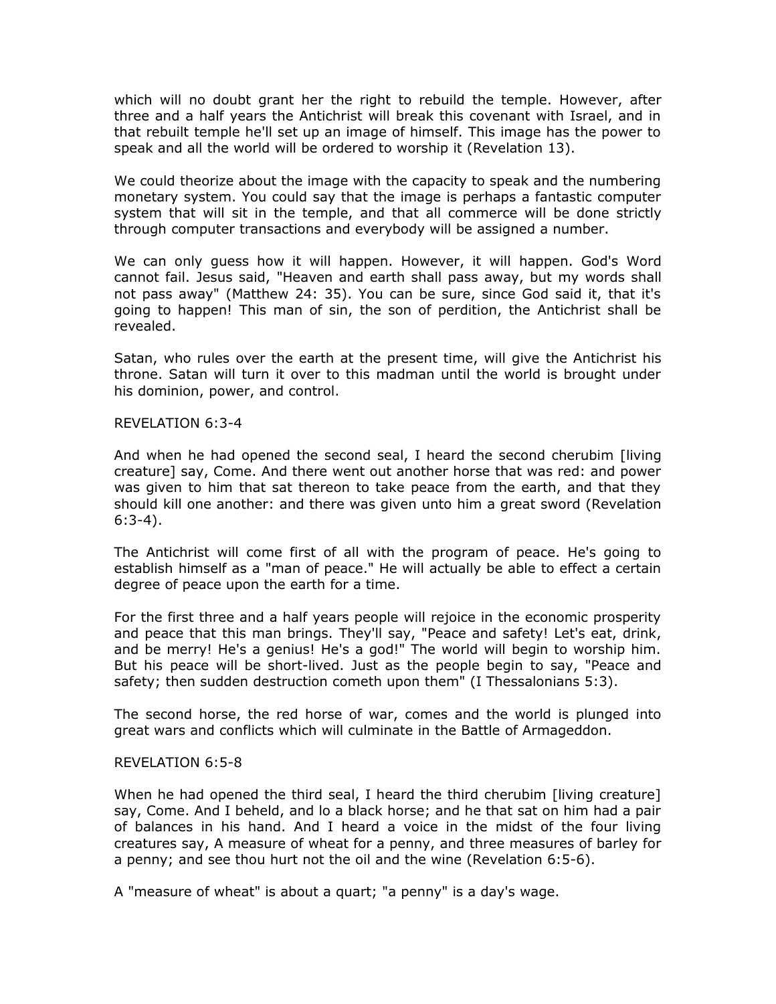which will no doubt grant her the right to rebuild the temple. However, after three and a half years the Antichrist will break this covenant with Israel, and in that rebuilt temple he'll set up an image of himself. This image has the power to speak and all the world will be ordered to worship it (Revelation 13).

We could theorize about the image with the capacity to speak and the numbering monetary system. You could say that the image is perhaps a fantastic computer system that will sit in the temple, and that all commerce will be done strictly through computer transactions and everybody will be assigned a number.

We can only guess how it will happen. However, it will happen. God's Word cannot fail. Jesus said, "Heaven and earth shall pass away, but my words shall not pass away" (Matthew 24: 35). You can be sure, since God said it, that it's going to happen! This man of sin, the son of perdition, the Antichrist shall be revealed.

Satan, who rules over the earth at the present time, will give the Antichrist his throne. Satan will turn it over to this madman until the world is brought under his dominion, power, and control.

### REVELATION 6:3-4

And when he had opened the second seal, I heard the second cherubim [living creature] say, Come. And there went out another horse that was red: and power was given to him that sat thereon to take peace from the earth, and that they should kill one another: and there was given unto him a great sword (Revelation 6:3-4).

The Antichrist will come first of all with the program of peace. He's going to establish himself as a "man of peace." He will actually be able to effect a certain degree of peace upon the earth for a time.

For the first three and a half years people will rejoice in the economic prosperity and peace that this man brings. They'll say, "Peace and safety! Let's eat, drink, and be merry! He's a genius! He's a god!" The world will begin to worship him. But his peace will be short-lived. Just as the people begin to say, "Peace and safety; then sudden destruction cometh upon them" (I Thessalonians 5:3).

The second horse, the red horse of war, comes and the world is plunged into great wars and conflicts which will culminate in the Battle of Armageddon.

## REVELATION 6:5-8

When he had opened the third seal, I heard the third cherubim [living creature] say, Come. And I beheld, and lo a black horse; and he that sat on him had a pair of balances in his hand. And I heard a voice in the midst of the four living creatures say, A measure of wheat for a penny, and three measures of barley for a penny; and see thou hurt not the oil and the wine (Revelation 6:5-6).

A "measure of wheat" is about a quart; "a penny" is a day's wage.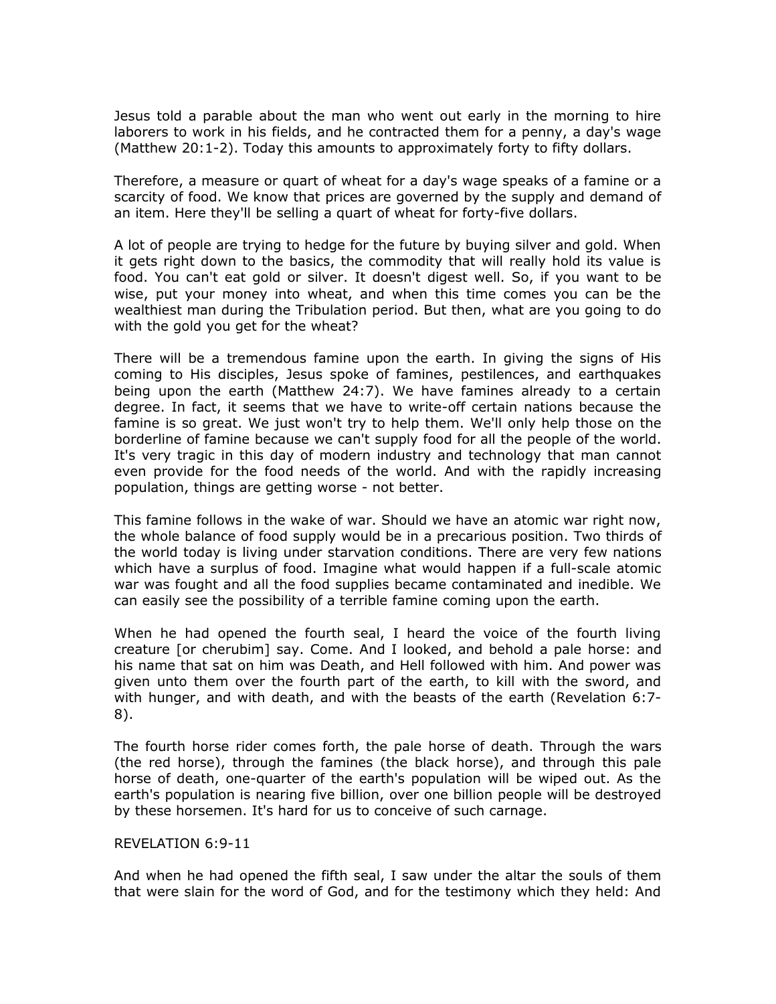Jesus told a parable about the man who went out early in the morning to hire laborers to work in his fields, and he contracted them for a penny, a day's wage (Matthew 20:1-2). Today this amounts to approximately forty to fifty dollars.

Therefore, a measure or quart of wheat for a day's wage speaks of a famine or a scarcity of food. We know that prices are governed by the supply and demand of an item. Here they'll be selling a quart of wheat for forty-five dollars.

A lot of people are trying to hedge for the future by buying silver and gold. When it gets right down to the basics, the commodity that will really hold its value is food. You can't eat gold or silver. It doesn't digest well. So, if you want to be wise, put your money into wheat, and when this time comes you can be the wealthiest man during the Tribulation period. But then, what are you going to do with the gold you get for the wheat?

There will be a tremendous famine upon the earth. In giving the signs of His coming to His disciples, Jesus spoke of famines, pestilences, and earthquakes being upon the earth (Matthew 24:7). We have famines already to a certain degree. In fact, it seems that we have to write-off certain nations because the famine is so great. We just won't try to help them. We'll only help those on the borderline of famine because we can't supply food for all the people of the world. It's very tragic in this day of modern industry and technology that man cannot even provide for the food needs of the world. And with the rapidly increasing population, things are getting worse - not better.

This famine follows in the wake of war. Should we have an atomic war right now, the whole balance of food supply would be in a precarious position. Two thirds of the world today is living under starvation conditions. There are very few nations which have a surplus of food. Imagine what would happen if a full-scale atomic war was fought and all the food supplies became contaminated and inedible. We can easily see the possibility of a terrible famine coming upon the earth.

When he had opened the fourth seal, I heard the voice of the fourth living creature [or cherubim] say. Come. And I looked, and behold a pale horse: and his name that sat on him was Death, and Hell followed with him. And power was given unto them over the fourth part of the earth, to kill with the sword, and with hunger, and with death, and with the beasts of the earth (Revelation 6:7- 8).

The fourth horse rider comes forth, the pale horse of death. Through the wars (the red horse), through the famines (the black horse), and through this pale horse of death, one-quarter of the earth's population will be wiped out. As the earth's population is nearing five billion, over one billion people will be destroyed by these horsemen. It's hard for us to conceive of such carnage.

# REVELATION 6:9-11

And when he had opened the fifth seal, I saw under the altar the souls of them that were slain for the word of God, and for the testimony which they held: And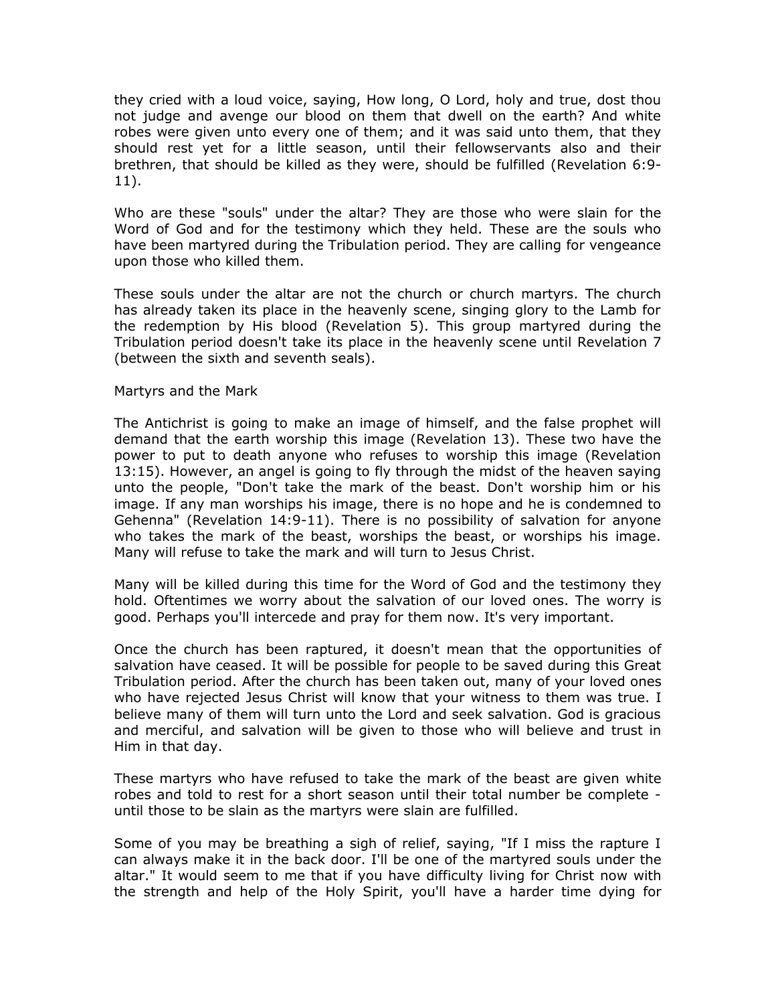they cried with a loud voice, saying, How long, O Lord, holy and true, dost thou not judge and avenge our blood on them that dwell on the earth? And white robes were given unto every one of them; and it was said unto them, that they should rest yet for a little season, until their fellowservants also and their brethren, that should be killed as they were, should be fulfilled (Revelation 6:9- 11).

Who are these "souls" under the altar? They are those who were slain for the Word of God and for the testimony which they held. These are the souls who have been martyred during the Tribulation period. They are calling for vengeance upon those who killed them.

These souls under the altar are not the church or church martyrs. The church has already taken its place in the heavenly scene, singing glory to the Lamb for the redemption by His blood (Revelation 5). This group martyred during the Tribulation period doesn't take its place in the heavenly scene until Revelation 7 (between the sixth and seventh seals).

## Martyrs and the Mark

The Antichrist is going to make an image of himself, and the false prophet will demand that the earth worship this image (Revelation 13). These two have the power to put to death anyone who refuses to worship this image (Revelation 13:15). However, an angel is going to fly through the midst of the heaven saying unto the people, "Don't take the mark of the beast. Don't worship him or his image. If any man worships his image, there is no hope and he is condemned to Gehenna" (Revelation 14:9-11). There is no possibility of salvation for anyone who takes the mark of the beast, worships the beast, or worships his image. Many will refuse to take the mark and will turn to Jesus Christ.

Many will be killed during this time for the Word of God and the testimony they hold. Oftentimes we worry about the salvation of our loved ones. The worry is good. Perhaps you'll intercede and pray for them now. It's very important.

Once the church has been raptured, it doesn't mean that the opportunities of salvation have ceased. It will be possible for people to be saved during this Great Tribulation period. After the church has been taken out, many of your loved ones who have rejected Jesus Christ will know that your witness to them was true. I believe many of them will turn unto the Lord and seek salvation. God is gracious and merciful, and salvation will be given to those who will believe and trust in Him in that day.

These martyrs who have refused to take the mark of the beast are given white robes and told to rest for a short season until their total number be complete until those to be slain as the martyrs were slain are fulfilled.

Some of you may be breathing a sigh of relief, saying, "If I miss the rapture I can always make it in the back door. I'll be one of the martyred souls under the altar." It would seem to me that if you have difficulty living for Christ now with the strength and help of the Holy Spirit, you'll have a harder time dying for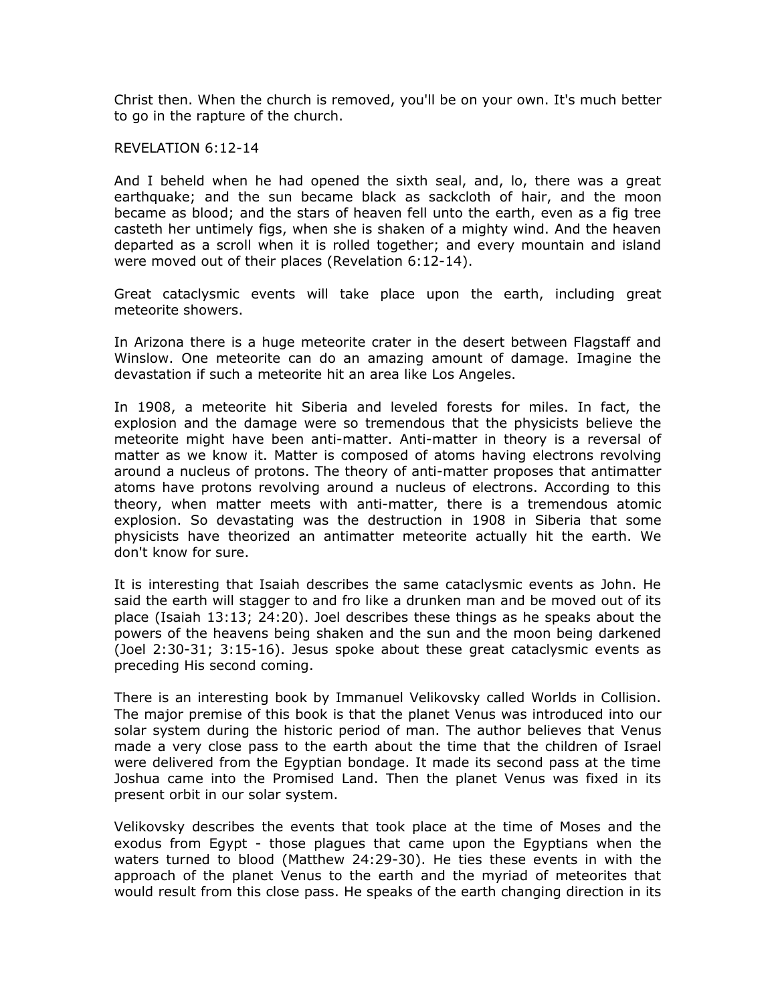Christ then. When the church is removed, you'll be on your own. It's much better to go in the rapture of the church.

REVELATION 6:12-14

And I beheld when he had opened the sixth seal, and, lo, there was a great earthquake; and the sun became black as sackcloth of hair, and the moon became as blood; and the stars of heaven fell unto the earth, even as a fig tree casteth her untimely figs, when she is shaken of a mighty wind. And the heaven departed as a scroll when it is rolled together; and every mountain and island were moved out of their places (Revelation 6:12-14).

Great cataclysmic events will take place upon the earth, including great meteorite showers.

In Arizona there is a huge meteorite crater in the desert between Flagstaff and Winslow. One meteorite can do an amazing amount of damage. Imagine the devastation if such a meteorite hit an area like Los Angeles.

In 1908, a meteorite hit Siberia and leveled forests for miles. In fact, the explosion and the damage were so tremendous that the physicists believe the meteorite might have been anti-matter. Anti-matter in theory is a reversal of matter as we know it. Matter is composed of atoms having electrons revolving around a nucleus of protons. The theory of anti-matter proposes that antimatter atoms have protons revolving around a nucleus of electrons. According to this theory, when matter meets with anti-matter, there is a tremendous atomic explosion. So devastating was the destruction in 1908 in Siberia that some physicists have theorized an antimatter meteorite actually hit the earth. We don't know for sure.

It is interesting that Isaiah describes the same cataclysmic events as John. He said the earth will stagger to and fro like a drunken man and be moved out of its place (Isaiah 13:13; 24:20). Joel describes these things as he speaks about the powers of the heavens being shaken and the sun and the moon being darkened (Joel 2:30-31; 3:15-16). Jesus spoke about these great cataclysmic events as preceding His second coming.

There is an interesting book by Immanuel Velikovsky called Worlds in Collision. The major premise of this book is that the planet Venus was introduced into our solar system during the historic period of man. The author believes that Venus made a very close pass to the earth about the time that the children of Israel were delivered from the Egyptian bondage. It made its second pass at the time Joshua came into the Promised Land. Then the planet Venus was fixed in its present orbit in our solar system.

Velikovsky describes the events that took place at the time of Moses and the exodus from Egypt - those plagues that came upon the Egyptians when the waters turned to blood (Matthew 24:29-30). He ties these events in with the approach of the planet Venus to the earth and the myriad of meteorites that would result from this close pass. He speaks of the earth changing direction in its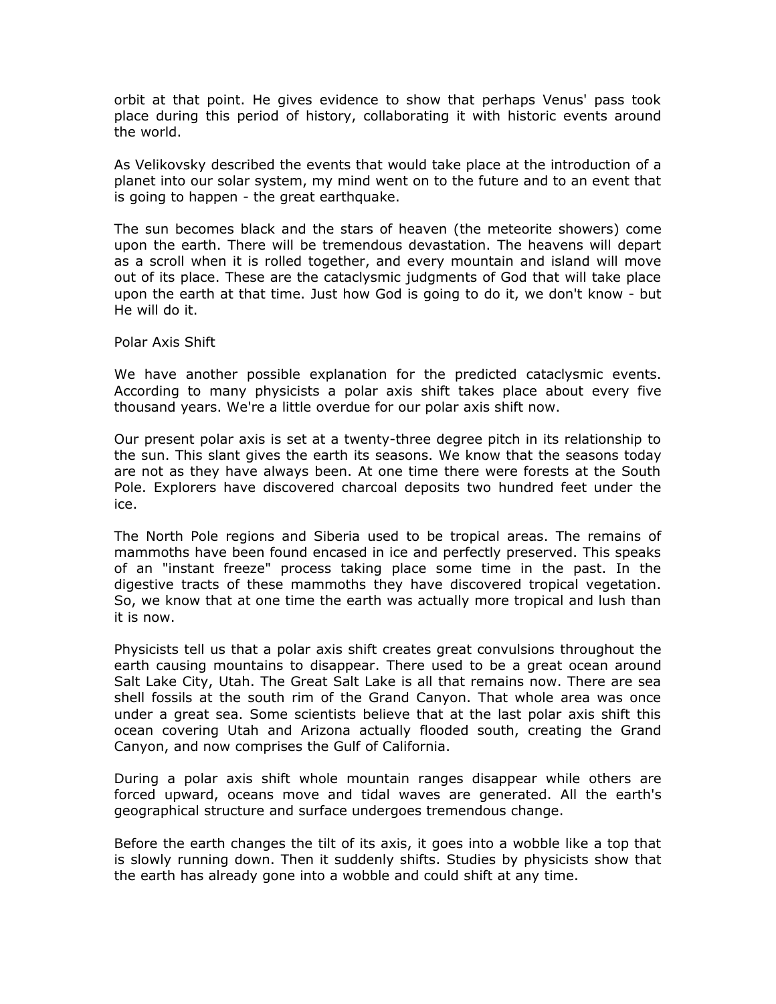orbit at that point. He gives evidence to show that perhaps Venus' pass took place during this period of history, collaborating it with historic events around the world.

As Velikovsky described the events that would take place at the introduction of a planet into our solar system, my mind went on to the future and to an event that is going to happen - the great earthquake.

The sun becomes black and the stars of heaven (the meteorite showers) come upon the earth. There will be tremendous devastation. The heavens will depart as a scroll when it is rolled together, and every mountain and island will move out of its place. These are the cataclysmic judgments of God that will take place upon the earth at that time. Just how God is going to do it, we don't know - but He will do it.

Polar Axis Shift

We have another possible explanation for the predicted cataclysmic events. According to many physicists a polar axis shift takes place about every five thousand years. We're a little overdue for our polar axis shift now.

Our present polar axis is set at a twenty-three degree pitch in its relationship to the sun. This slant gives the earth its seasons. We know that the seasons today are not as they have always been. At one time there were forests at the South Pole. Explorers have discovered charcoal deposits two hundred feet under the ice.

The North Pole regions and Siberia used to be tropical areas. The remains of mammoths have been found encased in ice and perfectly preserved. This speaks of an "instant freeze" process taking place some time in the past. In the digestive tracts of these mammoths they have discovered tropical vegetation. So, we know that at one time the earth was actually more tropical and lush than it is now.

Physicists tell us that a polar axis shift creates great convulsions throughout the earth causing mountains to disappear. There used to be a great ocean around Salt Lake City, Utah. The Great Salt Lake is all that remains now. There are sea shell fossils at the south rim of the Grand Canyon. That whole area was once under a great sea. Some scientists believe that at the last polar axis shift this ocean covering Utah and Arizona actually flooded south, creating the Grand Canyon, and now comprises the Gulf of California.

During a polar axis shift whole mountain ranges disappear while others are forced upward, oceans move and tidal waves are generated. All the earth's geographical structure and surface undergoes tremendous change.

Before the earth changes the tilt of its axis, it goes into a wobble like a top that is slowly running down. Then it suddenly shifts. Studies by physicists show that the earth has already gone into a wobble and could shift at any time.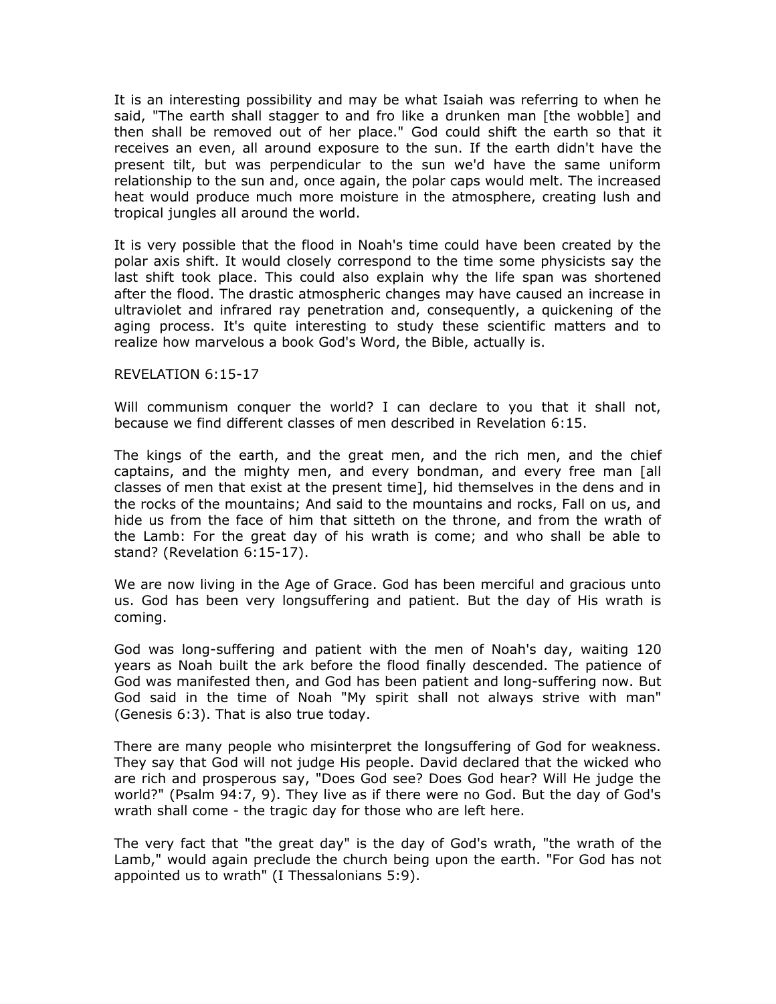It is an interesting possibility and may be what Isaiah was referring to when he said, "The earth shall stagger to and fro like a drunken man [the wobble] and then shall be removed out of her place." God could shift the earth so that it receives an even, all around exposure to the sun. If the earth didn't have the present tilt, but was perpendicular to the sun we'd have the same uniform relationship to the sun and, once again, the polar caps would melt. The increased heat would produce much more moisture in the atmosphere, creating lush and tropical jungles all around the world.

It is very possible that the flood in Noah's time could have been created by the polar axis shift. It would closely correspond to the time some physicists say the last shift took place. This could also explain why the life span was shortened after the flood. The drastic atmospheric changes may have caused an increase in ultraviolet and infrared ray penetration and, consequently, a quickening of the aging process. It's quite interesting to study these scientific matters and to realize how marvelous a book God's Word, the Bible, actually is.

REVELATION 6:15-17

Will communism conquer the world? I can declare to you that it shall not, because we find different classes of men described in Revelation 6:15.

The kings of the earth, and the great men, and the rich men, and the chief captains, and the mighty men, and every bondman, and every free man [all classes of men that exist at the present time], hid themselves in the dens and in the rocks of the mountains; And said to the mountains and rocks, Fall on us, and hide us from the face of him that sitteth on the throne, and from the wrath of the Lamb: For the great day of his wrath is come; and who shall be able to stand? (Revelation 6:15-17).

We are now living in the Age of Grace. God has been merciful and gracious unto us. God has been very longsuffering and patient. But the day of His wrath is coming.

God was long-suffering and patient with the men of Noah's day, waiting 120 years as Noah built the ark before the flood finally descended. The patience of God was manifested then, and God has been patient and long-suffering now. But God said in the time of Noah "My spirit shall not always strive with man" (Genesis 6:3). That is also true today.

There are many people who misinterpret the longsuffering of God for weakness. They say that God will not judge His people. David declared that the wicked who are rich and prosperous say, "Does God see? Does God hear? Will He judge the world?" (Psalm 94:7, 9). They live as if there were no God. But the day of God's wrath shall come - the tragic day for those who are left here.

The very fact that "the great day" is the day of God's wrath, "the wrath of the Lamb," would again preclude the church being upon the earth. "For God has not appointed us to wrath" (I Thessalonians 5:9).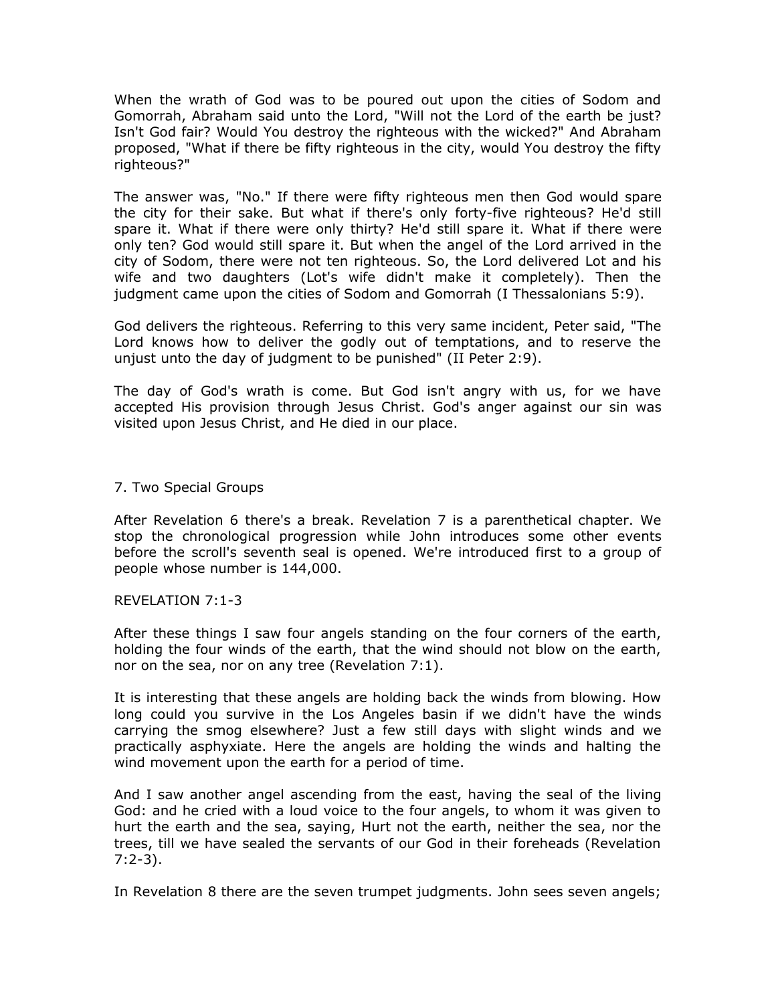When the wrath of God was to be poured out upon the cities of Sodom and Gomorrah, Abraham said unto the Lord, "Will not the Lord of the earth be just? Isn't God fair? Would You destroy the righteous with the wicked?" And Abraham proposed, "What if there be fifty righteous in the city, would You destroy the fifty righteous?"

The answer was, "No." If there were fifty righteous men then God would spare the city for their sake. But what if there's only forty-five righteous? He'd still spare it. What if there were only thirty? He'd still spare it. What if there were only ten? God would still spare it. But when the angel of the Lord arrived in the city of Sodom, there were not ten righteous. So, the Lord delivered Lot and his wife and two daughters (Lot's wife didn't make it completely). Then the judgment came upon the cities of Sodom and Gomorrah (I Thessalonians 5:9).

God delivers the righteous. Referring to this very same incident, Peter said, "The Lord knows how to deliver the godly out of temptations, and to reserve the unjust unto the day of judgment to be punished" (II Peter 2:9).

The day of God's wrath is come. But God isn't angry with us, for we have accepted His provision through Jesus Christ. God's anger against our sin was visited upon Jesus Christ, and He died in our place.

## 7. Two Special Groups

After Revelation 6 there's a break. Revelation 7 is a parenthetical chapter. We stop the chronological progression while John introduces some other events before the scroll's seventh seal is opened. We're introduced first to a group of people whose number is 144,000.

### REVELATION 7:1-3

After these things I saw four angels standing on the four corners of the earth, holding the four winds of the earth, that the wind should not blow on the earth, nor on the sea, nor on any tree (Revelation 7:1).

It is interesting that these angels are holding back the winds from blowing. How long could you survive in the Los Angeles basin if we didn't have the winds carrying the smog elsewhere? Just a few still days with slight winds and we practically asphyxiate. Here the angels are holding the winds and halting the wind movement upon the earth for a period of time.

And I saw another angel ascending from the east, having the seal of the living God: and he cried with a loud voice to the four angels, to whom it was given to hurt the earth and the sea, saying, Hurt not the earth, neither the sea, nor the trees, till we have sealed the servants of our God in their foreheads (Revelation 7:2-3).

In Revelation 8 there are the seven trumpet judgments. John sees seven angels;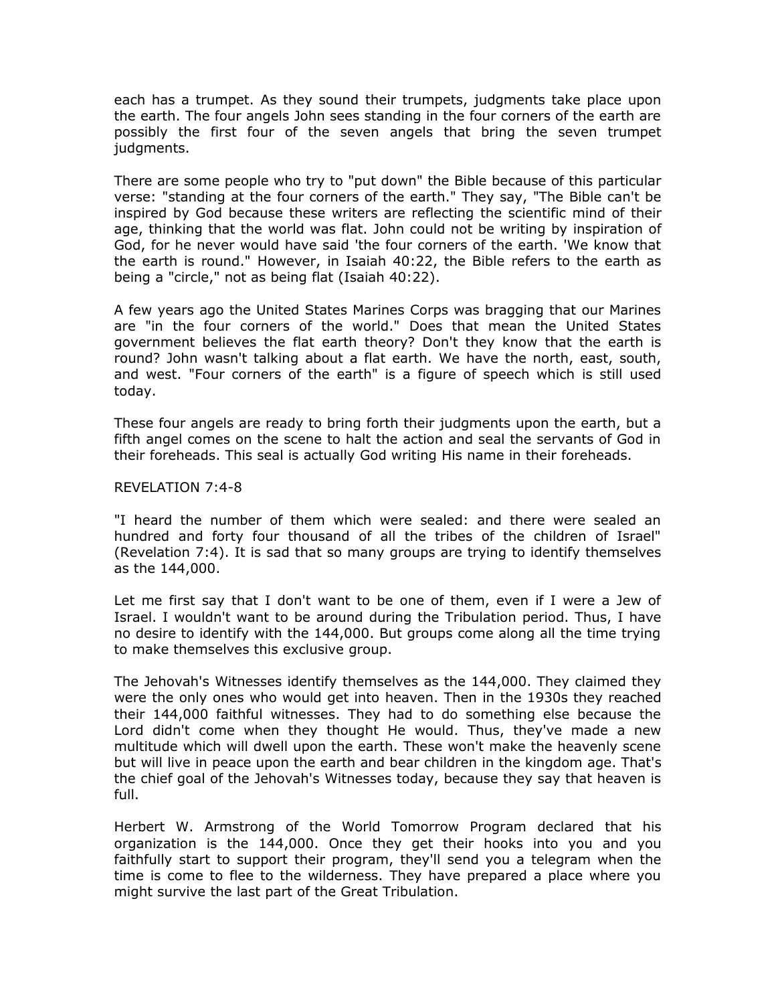each has a trumpet. As they sound their trumpets, judgments take place upon the earth. The four angels John sees standing in the four corners of the earth are possibly the first four of the seven angels that bring the seven trumpet judgments.

There are some people who try to "put down" the Bible because of this particular verse: "standing at the four corners of the earth." They say, "The Bible can't be inspired by God because these writers are reflecting the scientific mind of their age, thinking that the world was flat. John could not be writing by inspiration of God, for he never would have said 'the four corners of the earth. 'We know that the earth is round." However, in Isaiah 40:22, the Bible refers to the earth as being a "circle," not as being flat (Isaiah 40:22).

A few years ago the United States Marines Corps was bragging that our Marines are "in the four corners of the world." Does that mean the United States government believes the flat earth theory? Don't they know that the earth is round? John wasn't talking about a flat earth. We have the north, east, south, and west. "Four corners of the earth" is a figure of speech which is still used today.

These four angels are ready to bring forth their judgments upon the earth, but a fifth angel comes on the scene to halt the action and seal the servants of God in their foreheads. This seal is actually God writing His name in their foreheads.

## REVELATION 7:4-8

"I heard the number of them which were sealed: and there were sealed an hundred and forty four thousand of all the tribes of the children of Israel" (Revelation 7:4). It is sad that so many groups are trying to identify themselves as the 144,000.

Let me first say that I don't want to be one of them, even if I were a Jew of Israel. I wouldn't want to be around during the Tribulation period. Thus, I have no desire to identify with the 144,000. But groups come along all the time trying to make themselves this exclusive group.

The Jehovah's Witnesses identify themselves as the 144,000. They claimed they were the only ones who would get into heaven. Then in the 1930s they reached their 144,000 faithful witnesses. They had to do something else because the Lord didn't come when they thought He would. Thus, they've made a new multitude which will dwell upon the earth. These won't make the heavenly scene but will live in peace upon the earth and bear children in the kingdom age. That's the chief goal of the Jehovah's Witnesses today, because they say that heaven is full.

Herbert W. Armstrong of the World Tomorrow Program declared that his organization is the 144,000. Once they get their hooks into you and you faithfully start to support their program, they'll send you a telegram when the time is come to flee to the wilderness. They have prepared a place where you might survive the last part of the Great Tribulation.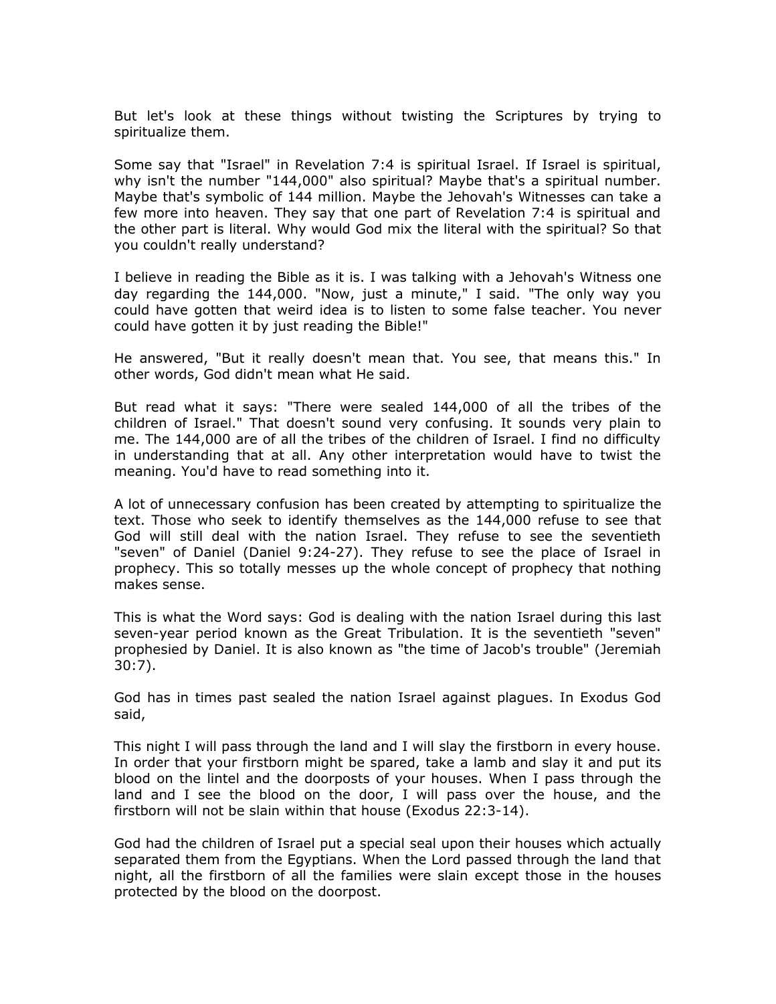But let's look at these things without twisting the Scriptures by trying to spiritualize them.

Some say that "Israel" in Revelation 7:4 is spiritual Israel. If Israel is spiritual, why isn't the number "144,000" also spiritual? Maybe that's a spiritual number. Maybe that's symbolic of 144 million. Maybe the Jehovah's Witnesses can take a few more into heaven. They say that one part of Revelation 7:4 is spiritual and the other part is literal. Why would God mix the literal with the spiritual? So that you couldn't really understand?

I believe in reading the Bible as it is. I was talking with a Jehovah's Witness one day regarding the 144,000. "Now, just a minute," I said. "The only way you could have gotten that weird idea is to listen to some false teacher. You never could have gotten it by just reading the Bible!"

He answered, "But it really doesn't mean that. You see, that means this." In other words, God didn't mean what He said.

But read what it says: "There were sealed 144,000 of all the tribes of the children of Israel." That doesn't sound very confusing. It sounds very plain to me. The 144,000 are of all the tribes of the children of Israel. I find no difficulty in understanding that at all. Any other interpretation would have to twist the meaning. You'd have to read something into it.

A lot of unnecessary confusion has been created by attempting to spiritualize the text. Those who seek to identify themselves as the 144,000 refuse to see that God will still deal with the nation Israel. They refuse to see the seventieth "seven" of Daniel (Daniel 9:24-27). They refuse to see the place of Israel in prophecy. This so totally messes up the whole concept of prophecy that nothing makes sense.

This is what the Word says: God is dealing with the nation Israel during this last seven-year period known as the Great Tribulation. It is the seventieth "seven" prophesied by Daniel. It is also known as "the time of Jacob's trouble" (Jeremiah 30:7).

God has in times past sealed the nation Israel against plagues. In Exodus God said,

This night I will pass through the land and I will slay the firstborn in every house. In order that your firstborn might be spared, take a lamb and slay it and put its blood on the lintel and the doorposts of your houses. When I pass through the land and I see the blood on the door, I will pass over the house, and the firstborn will not be slain within that house (Exodus 22:3-14).

God had the children of Israel put a special seal upon their houses which actually separated them from the Egyptians. When the Lord passed through the land that night, all the firstborn of all the families were slain except those in the houses protected by the blood on the doorpost.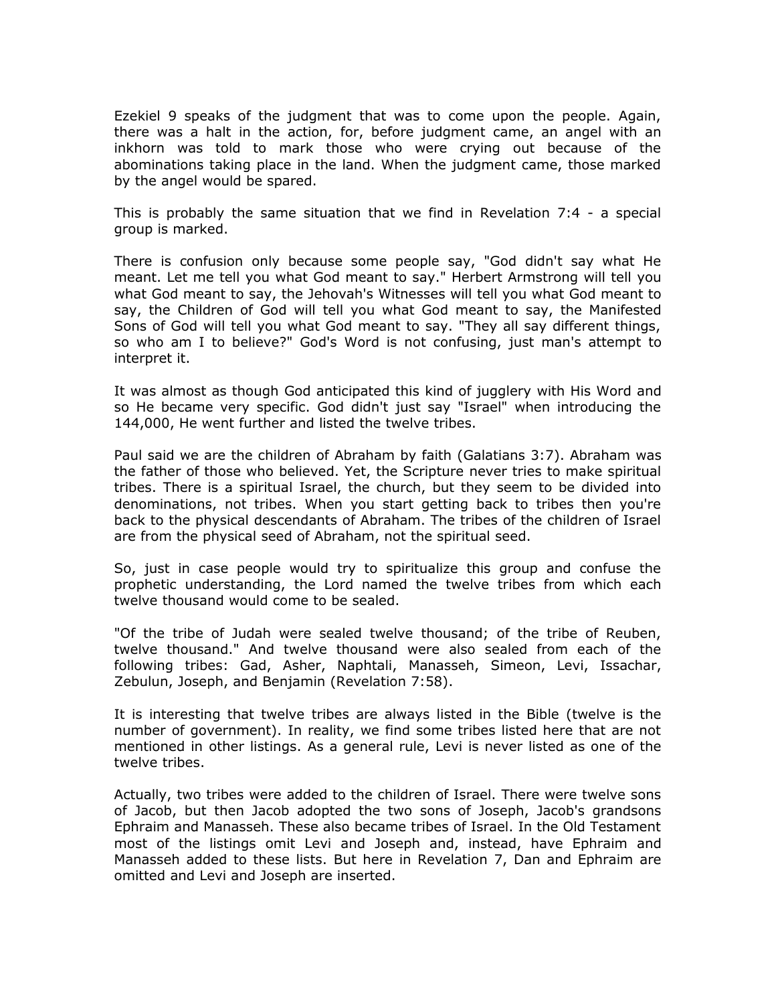Ezekiel 9 speaks of the judgment that was to come upon the people. Again, there was a halt in the action, for, before judgment came, an angel with an inkhorn was told to mark those who were crying out because of the abominations taking place in the land. When the judgment came, those marked by the angel would be spared.

This is probably the same situation that we find in Revelation 7:4 - a special group is marked.

There is confusion only because some people say, "God didn't say what He meant. Let me tell you what God meant to say." Herbert Armstrong will tell you what God meant to say, the Jehovah's Witnesses will tell you what God meant to say, the Children of God will tell you what God meant to say, the Manifested Sons of God will tell you what God meant to say. "They all say different things, so who am I to believe?" God's Word is not confusing, just man's attempt to interpret it.

It was almost as though God anticipated this kind of jugglery with His Word and so He became very specific. God didn't just say "Israel" when introducing the 144,000, He went further and listed the twelve tribes.

Paul said we are the children of Abraham by faith (Galatians 3:7). Abraham was the father of those who believed. Yet, the Scripture never tries to make spiritual tribes. There is a spiritual Israel, the church, but they seem to be divided into denominations, not tribes. When you start getting back to tribes then you're back to the physical descendants of Abraham. The tribes of the children of Israel are from the physical seed of Abraham, not the spiritual seed.

So, just in case people would try to spiritualize this group and confuse the prophetic understanding, the Lord named the twelve tribes from which each twelve thousand would come to be sealed.

"Of the tribe of Judah were sealed twelve thousand; of the tribe of Reuben, twelve thousand." And twelve thousand were also sealed from each of the following tribes: Gad, Asher, Naphtali, Manasseh, Simeon, Levi, Issachar, Zebulun, Joseph, and Benjamin (Revelation 7:58).

It is interesting that twelve tribes are always listed in the Bible (twelve is the number of government). In reality, we find some tribes listed here that are not mentioned in other listings. As a general rule, Levi is never listed as one of the twelve tribes.

Actually, two tribes were added to the children of Israel. There were twelve sons of Jacob, but then Jacob adopted the two sons of Joseph, Jacob's grandsons Ephraim and Manasseh. These also became tribes of Israel. In the Old Testament most of the listings omit Levi and Joseph and, instead, have Ephraim and Manasseh added to these lists. But here in Revelation 7, Dan and Ephraim are omitted and Levi and Joseph are inserted.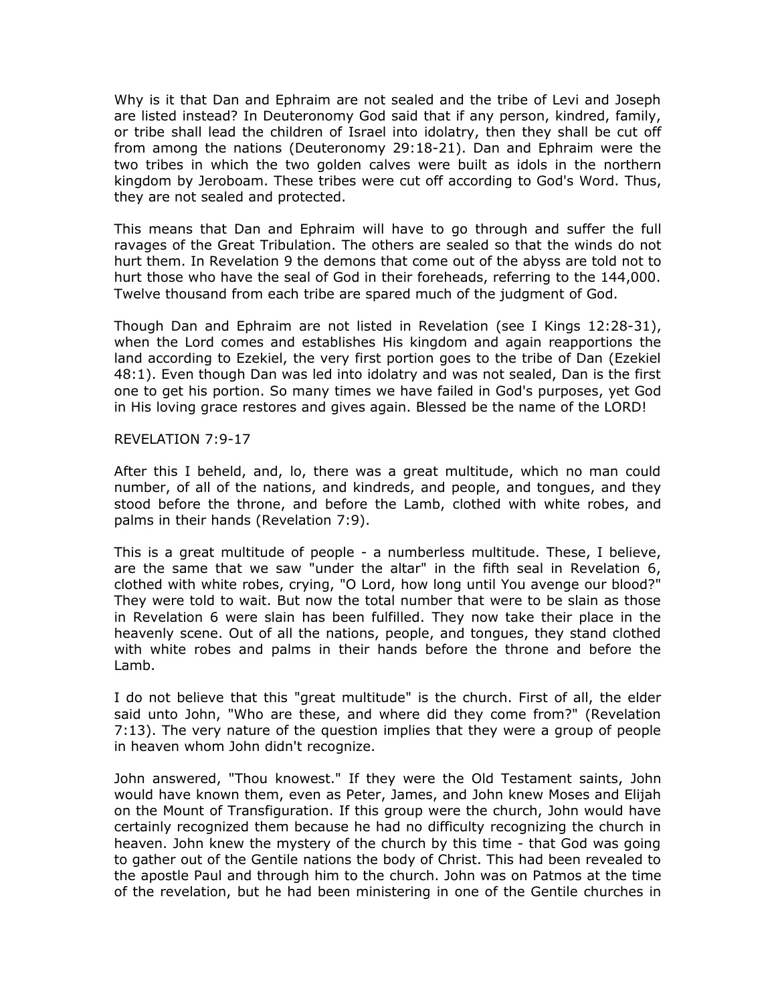Why is it that Dan and Ephraim are not sealed and the tribe of Levi and Joseph are listed instead? In Deuteronomy God said that if any person, kindred, family, or tribe shall lead the children of Israel into idolatry, then they shall be cut off from among the nations (Deuteronomy 29:18-21). Dan and Ephraim were the two tribes in which the two golden calves were built as idols in the northern kingdom by Jeroboam. These tribes were cut off according to God's Word. Thus, they are not sealed and protected.

This means that Dan and Ephraim will have to go through and suffer the full ravages of the Great Tribulation. The others are sealed so that the winds do not hurt them. In Revelation 9 the demons that come out of the abyss are told not to hurt those who have the seal of God in their foreheads, referring to the 144,000. Twelve thousand from each tribe are spared much of the judgment of God.

Though Dan and Ephraim are not listed in Revelation (see I Kings 12:28-31), when the Lord comes and establishes His kingdom and again reapportions the land according to Ezekiel, the very first portion goes to the tribe of Dan (Ezekiel 48:1). Even though Dan was led into idolatry and was not sealed, Dan is the first one to get his portion. So many times we have failed in God's purposes, yet God in His loving grace restores and gives again. Blessed be the name of the LORD!

## REVELATION 7:9-17

After this I beheld, and, lo, there was a great multitude, which no man could number, of all of the nations, and kindreds, and people, and tongues, and they stood before the throne, and before the Lamb, clothed with white robes, and palms in their hands (Revelation 7:9).

This is a great multitude of people - a numberless multitude. These, I believe, are the same that we saw "under the altar" in the fifth seal in Revelation 6, clothed with white robes, crying, "O Lord, how long until You avenge our blood?" They were told to wait. But now the total number that were to be slain as those in Revelation 6 were slain has been fulfilled. They now take their place in the heavenly scene. Out of all the nations, people, and tongues, they stand clothed with white robes and palms in their hands before the throne and before the Lamb.

I do not believe that this "great multitude" is the church. First of all, the elder said unto John, "Who are these, and where did they come from?" (Revelation 7:13). The very nature of the question implies that they were a group of people in heaven whom John didn't recognize.

John answered, "Thou knowest." If they were the Old Testament saints, John would have known them, even as Peter, James, and John knew Moses and Elijah on the Mount of Transfiguration. If this group were the church, John would have certainly recognized them because he had no difficulty recognizing the church in heaven. John knew the mystery of the church by this time - that God was going to gather out of the Gentile nations the body of Christ. This had been revealed to the apostle Paul and through him to the church. John was on Patmos at the time of the revelation, but he had been ministering in one of the Gentile churches in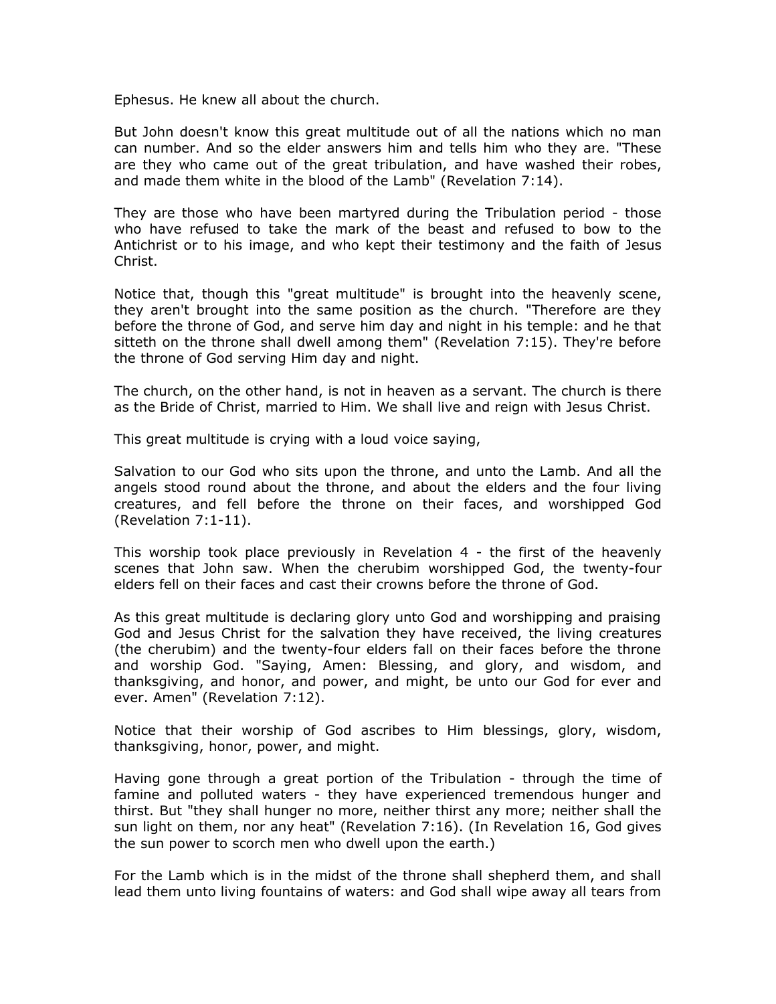Ephesus. He knew all about the church.

But John doesn't know this great multitude out of all the nations which no man can number. And so the elder answers him and tells him who they are. "These are they who came out of the great tribulation, and have washed their robes, and made them white in the blood of the Lamb" (Revelation 7:14).

They are those who have been martyred during the Tribulation period - those who have refused to take the mark of the beast and refused to bow to the Antichrist or to his image, and who kept their testimony and the faith of Jesus Christ.

Notice that, though this "great multitude" is brought into the heavenly scene, they aren't brought into the same position as the church. "Therefore are they before the throne of God, and serve him day and night in his temple: and he that sitteth on the throne shall dwell among them" (Revelation 7:15). They're before the throne of God serving Him day and night.

The church, on the other hand, is not in heaven as a servant. The church is there as the Bride of Christ, married to Him. We shall live and reign with Jesus Christ.

This great multitude is crying with a loud voice saying,

Salvation to our God who sits upon the throne, and unto the Lamb. And all the angels stood round about the throne, and about the elders and the four living creatures, and fell before the throne on their faces, and worshipped God (Revelation 7:1-11).

This worship took place previously in Revelation 4 - the first of the heavenly scenes that John saw. When the cherubim worshipped God, the twenty-four elders fell on their faces and cast their crowns before the throne of God.

As this great multitude is declaring glory unto God and worshipping and praising God and Jesus Christ for the salvation they have received, the living creatures (the cherubim) and the twenty-four elders fall on their faces before the throne and worship God. "Saying, Amen: Blessing, and glory, and wisdom, and thanksgiving, and honor, and power, and might, be unto our God for ever and ever. Amen" (Revelation 7:12).

Notice that their worship of God ascribes to Him blessings, glory, wisdom, thanksgiving, honor, power, and might.

Having gone through a great portion of the Tribulation - through the time of famine and polluted waters - they have experienced tremendous hunger and thirst. But "they shall hunger no more, neither thirst any more; neither shall the sun light on them, nor any heat" (Revelation 7:16). (In Revelation 16, God gives the sun power to scorch men who dwell upon the earth.)

For the Lamb which is in the midst of the throne shall shepherd them, and shall lead them unto living fountains of waters: and God shall wipe away all tears from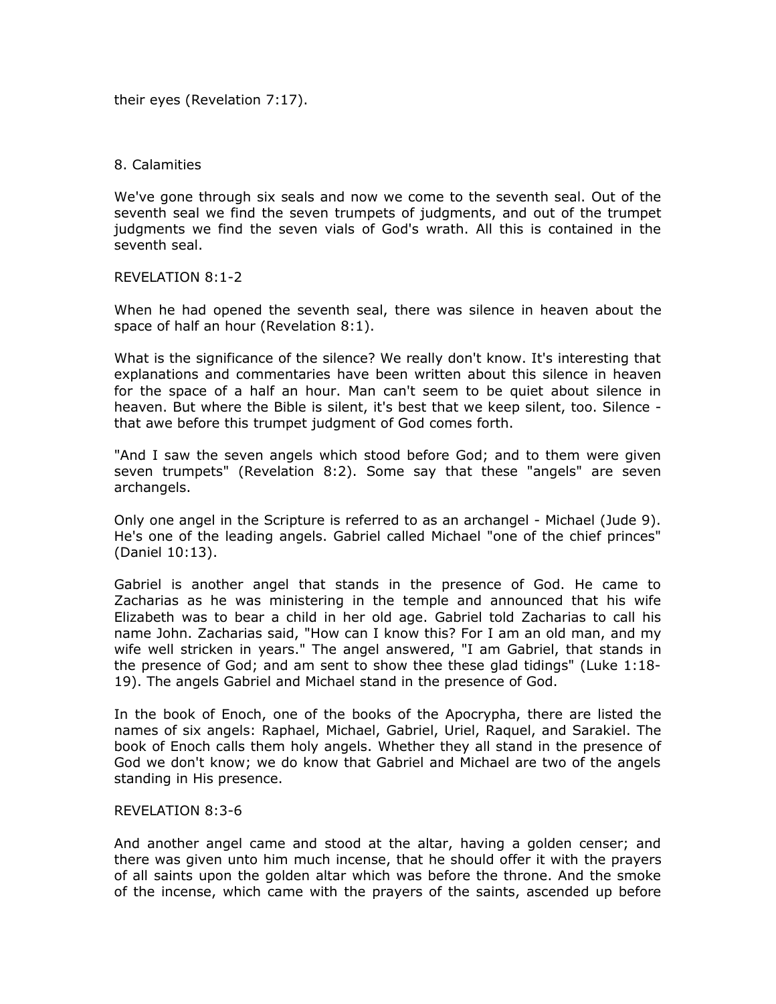their eyes (Revelation 7:17).

## 8. Calamities

We've gone through six seals and now we come to the seventh seal. Out of the seventh seal we find the seven trumpets of judgments, and out of the trumpet judgments we find the seven vials of God's wrath. All this is contained in the seventh seal.

## REVELATION 8:1-2

When he had opened the seventh seal, there was silence in heaven about the space of half an hour (Revelation 8:1).

What is the significance of the silence? We really don't know. It's interesting that explanations and commentaries have been written about this silence in heaven for the space of a half an hour. Man can't seem to be quiet about silence in heaven. But where the Bible is silent, it's best that we keep silent, too. Silence that awe before this trumpet judgment of God comes forth.

"And I saw the seven angels which stood before God; and to them were given seven trumpets" (Revelation 8:2). Some say that these "angels" are seven archangels.

Only one angel in the Scripture is referred to as an archangel - Michael (Jude 9). He's one of the leading angels. Gabriel called Michael "one of the chief princes" (Daniel 10:13).

Gabriel is another angel that stands in the presence of God. He came to Zacharias as he was ministering in the temple and announced that his wife Elizabeth was to bear a child in her old age. Gabriel told Zacharias to call his name John. Zacharias said, "How can I know this? For I am an old man, and my wife well stricken in years." The angel answered, "I am Gabriel, that stands in the presence of God; and am sent to show thee these glad tidings" (Luke 1:18- 19). The angels Gabriel and Michael stand in the presence of God.

In the book of Enoch, one of the books of the Apocrypha, there are listed the names of six angels: Raphael, Michael, Gabriel, Uriel, Raquel, and Sarakiel. The book of Enoch calls them holy angels. Whether they all stand in the presence of God we don't know; we do know that Gabriel and Michael are two of the angels standing in His presence.

## REVELATION 8:3-6

And another angel came and stood at the altar, having a golden censer; and there was given unto him much incense, that he should offer it with the prayers of all saints upon the golden altar which was before the throne. And the smoke of the incense, which came with the prayers of the saints, ascended up before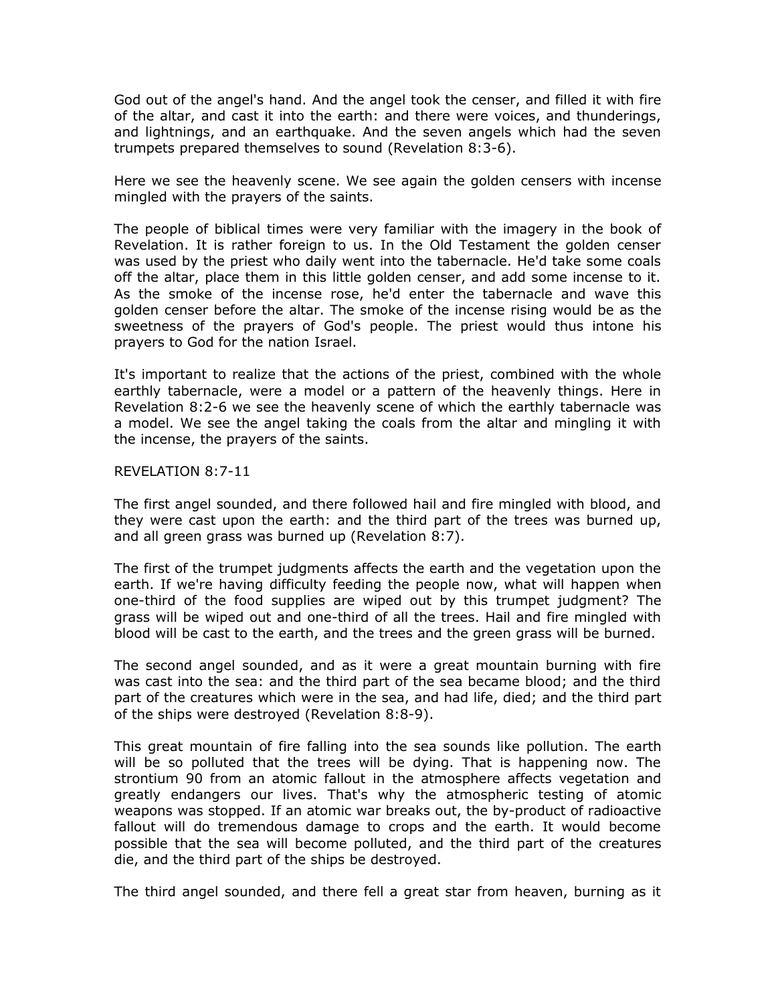God out of the angel's hand. And the angel took the censer, and filled it with fire of the altar, and cast it into the earth: and there were voices, and thunderings, and lightnings, and an earthquake. And the seven angels which had the seven trumpets prepared themselves to sound (Revelation 8:3-6).

Here we see the heavenly scene. We see again the golden censers with incense mingled with the prayers of the saints.

The people of biblical times were very familiar with the imagery in the book of Revelation. It is rather foreign to us. In the Old Testament the golden censer was used by the priest who daily went into the tabernacle. He'd take some coals off the altar, place them in this little golden censer, and add some incense to it. As the smoke of the incense rose, he'd enter the tabernacle and wave this golden censer before the altar. The smoke of the incense rising would be as the sweetness of the prayers of God's people. The priest would thus intone his prayers to God for the nation Israel.

It's important to realize that the actions of the priest, combined with the whole earthly tabernacle, were a model or a pattern of the heavenly things. Here in Revelation 8:2-6 we see the heavenly scene of which the earthly tabernacle was a model. We see the angel taking the coals from the altar and mingling it with the incense, the prayers of the saints.

### REVELATION 8:7-11

The first angel sounded, and there followed hail and fire mingled with blood, and they were cast upon the earth: and the third part of the trees was burned up, and all green grass was burned up (Revelation 8:7).

The first of the trumpet judgments affects the earth and the vegetation upon the earth. If we're having difficulty feeding the people now, what will happen when one-third of the food supplies are wiped out by this trumpet judgment? The grass will be wiped out and one-third of all the trees. Hail and fire mingled with blood will be cast to the earth, and the trees and the green grass will be burned.

The second angel sounded, and as it were a great mountain burning with fire was cast into the sea: and the third part of the sea became blood; and the third part of the creatures which were in the sea, and had life, died; and the third part of the ships were destroyed (Revelation 8:8-9).

This great mountain of fire falling into the sea sounds like pollution. The earth will be so polluted that the trees will be dying. That is happening now. The strontium 90 from an atomic fallout in the atmosphere affects vegetation and greatly endangers our lives. That's why the atmospheric testing of atomic weapons was stopped. If an atomic war breaks out, the by-product of radioactive fallout will do tremendous damage to crops and the earth. It would become possible that the sea will become polluted, and the third part of the creatures die, and the third part of the ships be destroyed.

The third angel sounded, and there fell a great star from heaven, burning as it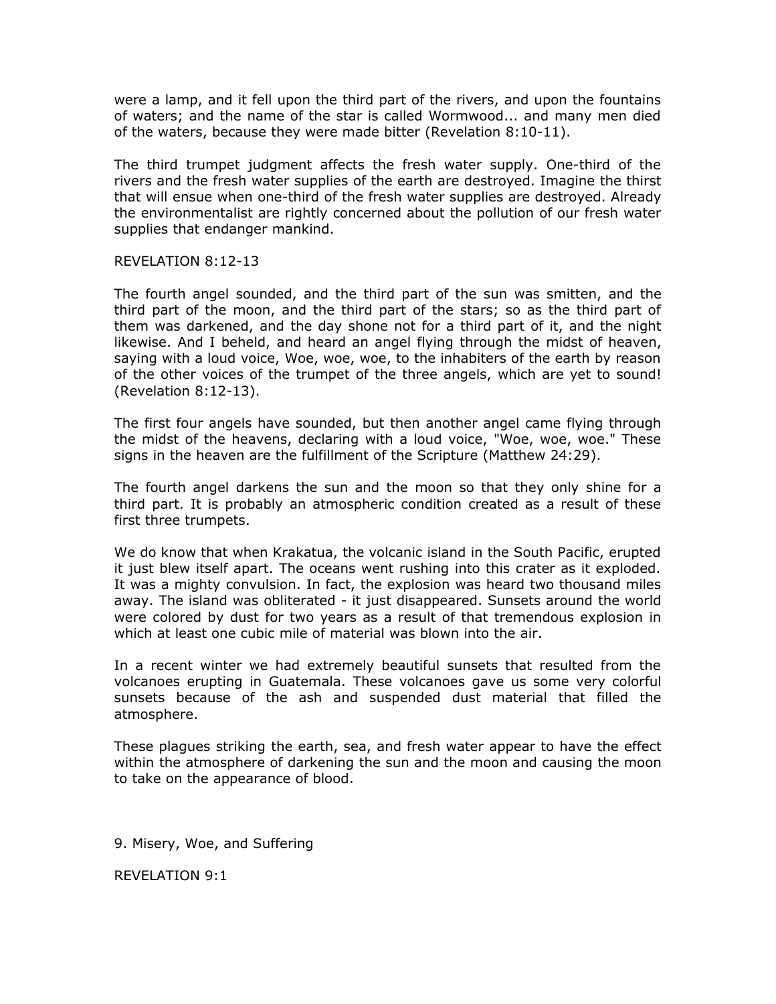were a lamp, and it fell upon the third part of the rivers, and upon the fountains of waters; and the name of the star is called Wormwood... and many men died of the waters, because they were made bitter (Revelation 8:10-11).

The third trumpet judgment affects the fresh water supply. One-third of the rivers and the fresh water supplies of the earth are destroyed. Imagine the thirst that will ensue when one-third of the fresh water supplies are destroyed. Already the environmentalist are rightly concerned about the pollution of our fresh water supplies that endanger mankind.

# REVELATION 8:12-13

The fourth angel sounded, and the third part of the sun was smitten, and the third part of the moon, and the third part of the stars; so as the third part of them was darkened, and the day shone not for a third part of it, and the night likewise. And I beheld, and heard an angel flying through the midst of heaven, saying with a loud voice, Woe, woe, woe, to the inhabiters of the earth by reason of the other voices of the trumpet of the three angels, which are yet to sound! (Revelation 8:12-13).

The first four angels have sounded, but then another angel came flying through the midst of the heavens, declaring with a loud voice, "Woe, woe, woe." These signs in the heaven are the fulfillment of the Scripture (Matthew 24:29).

The fourth angel darkens the sun and the moon so that they only shine for a third part. It is probably an atmospheric condition created as a result of these first three trumpets.

We do know that when Krakatua, the volcanic island in the South Pacific, erupted it just blew itself apart. The oceans went rushing into this crater as it exploded. It was a mighty convulsion. In fact, the explosion was heard two thousand miles away. The island was obliterated - it just disappeared. Sunsets around the world were colored by dust for two years as a result of that tremendous explosion in which at least one cubic mile of material was blown into the air.

In a recent winter we had extremely beautiful sunsets that resulted from the volcanoes erupting in Guatemala. These volcanoes gave us some very colorful sunsets because of the ash and suspended dust material that filled the atmosphere.

These plagues striking the earth, sea, and fresh water appear to have the effect within the atmosphere of darkening the sun and the moon and causing the moon to take on the appearance of blood.

9. Misery, Woe, and Suffering

REVELATION 9:1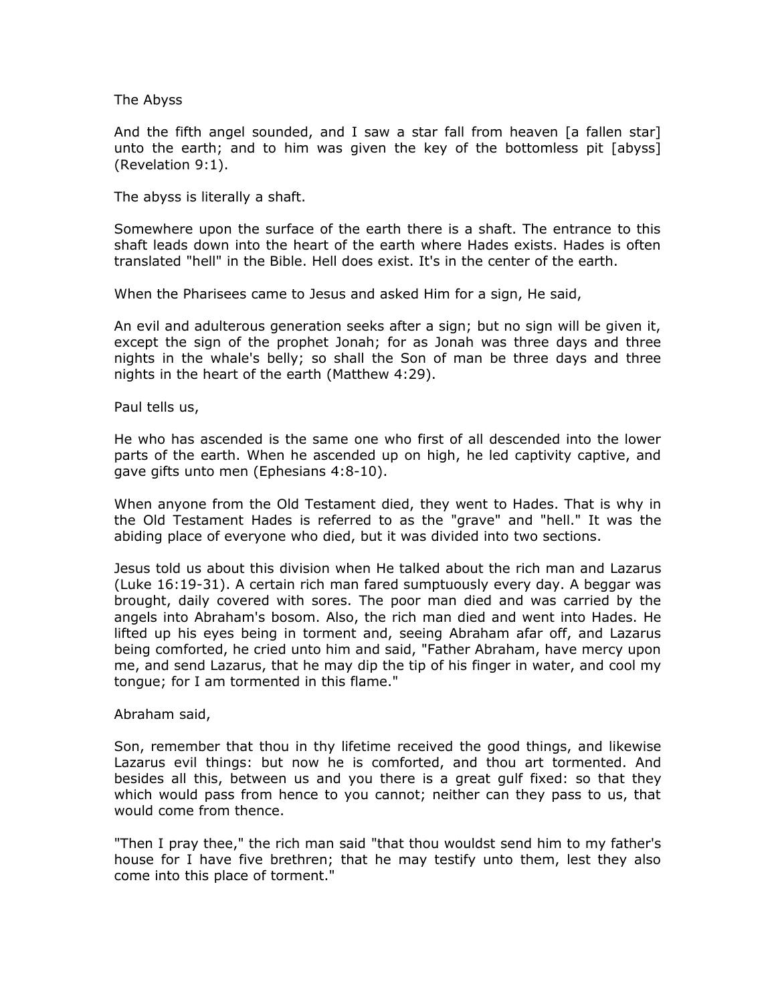The Abyss

And the fifth angel sounded, and I saw a star fall from heaven [a fallen star] unto the earth; and to him was given the key of the bottomless pit [abyss] (Revelation 9:1).

The abyss is literally a shaft.

Somewhere upon the surface of the earth there is a shaft. The entrance to this shaft leads down into the heart of the earth where Hades exists. Hades is often translated "hell" in the Bible. Hell does exist. It's in the center of the earth.

When the Pharisees came to Jesus and asked Him for a sign, He said,

An evil and adulterous generation seeks after a sign; but no sign will be given it, except the sign of the prophet Jonah; for as Jonah was three days and three nights in the whale's belly; so shall the Son of man be three days and three nights in the heart of the earth (Matthew 4:29).

Paul tells us,

He who has ascended is the same one who first of all descended into the lower parts of the earth. When he ascended up on high, he led captivity captive, and gave gifts unto men (Ephesians 4:8-10).

When anyone from the Old Testament died, they went to Hades. That is why in the Old Testament Hades is referred to as the "grave" and "hell." It was the abiding place of everyone who died, but it was divided into two sections.

Jesus told us about this division when He talked about the rich man and Lazarus (Luke 16:19-31). A certain rich man fared sumptuously every day. A beggar was brought, daily covered with sores. The poor man died and was carried by the angels into Abraham's bosom. Also, the rich man died and went into Hades. He lifted up his eyes being in torment and, seeing Abraham afar off, and Lazarus being comforted, he cried unto him and said, "Father Abraham, have mercy upon me, and send Lazarus, that he may dip the tip of his finger in water, and cool my tongue; for I am tormented in this flame."

Abraham said,

Son, remember that thou in thy lifetime received the good things, and likewise Lazarus evil things: but now he is comforted, and thou art tormented. And besides all this, between us and you there is a great gulf fixed: so that they which would pass from hence to you cannot; neither can they pass to us, that would come from thence.

"Then I pray thee," the rich man said "that thou wouldst send him to my father's house for I have five brethren; that he may testify unto them, lest they also come into this place of torment."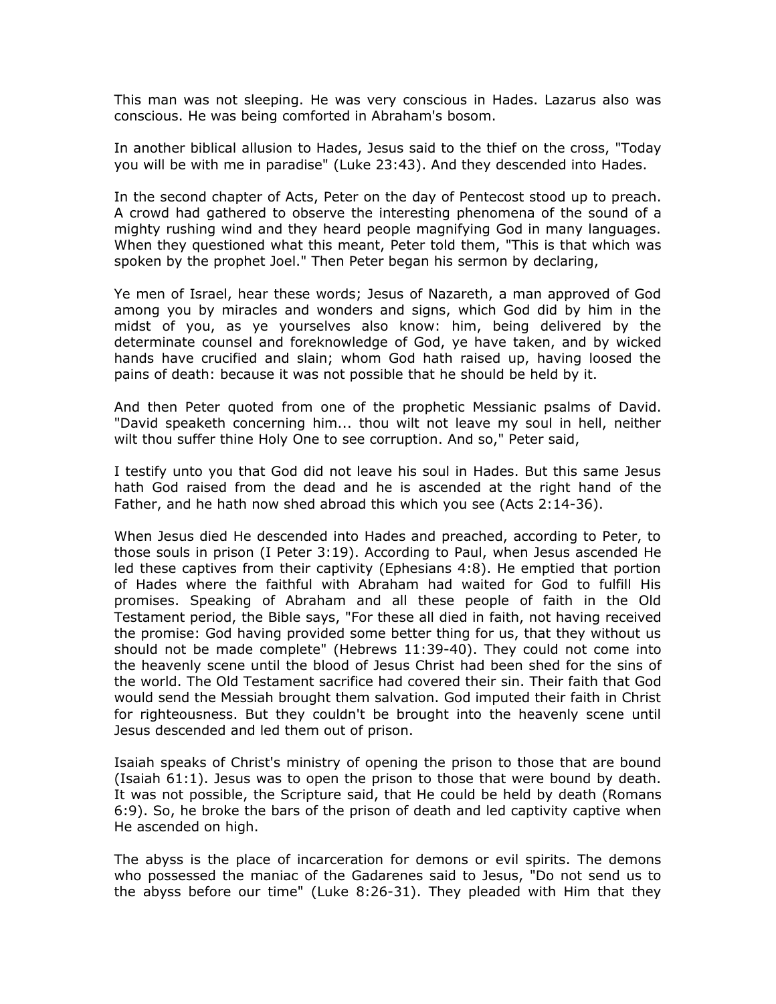This man was not sleeping. He was very conscious in Hades. Lazarus also was conscious. He was being comforted in Abraham's bosom.

In another biblical allusion to Hades, Jesus said to the thief on the cross, "Today you will be with me in paradise" (Luke 23:43). And they descended into Hades.

In the second chapter of Acts, Peter on the day of Pentecost stood up to preach. A crowd had gathered to observe the interesting phenomena of the sound of a mighty rushing wind and they heard people magnifying God in many languages. When they questioned what this meant, Peter told them, "This is that which was spoken by the prophet Joel." Then Peter began his sermon by declaring,

Ye men of Israel, hear these words; Jesus of Nazareth, a man approved of God among you by miracles and wonders and signs, which God did by him in the midst of you, as ye yourselves also know: him, being delivered by the determinate counsel and foreknowledge of God, ye have taken, and by wicked hands have crucified and slain; whom God hath raised up, having loosed the pains of death: because it was not possible that he should be held by it.

And then Peter quoted from one of the prophetic Messianic psalms of David. "David speaketh concerning him... thou wilt not leave my soul in hell, neither wilt thou suffer thine Holy One to see corruption. And so," Peter said,

I testify unto you that God did not leave his soul in Hades. But this same Jesus hath God raised from the dead and he is ascended at the right hand of the Father, and he hath now shed abroad this which you see (Acts 2:14-36).

When Jesus died He descended into Hades and preached, according to Peter, to those souls in prison (I Peter 3:19). According to Paul, when Jesus ascended He led these captives from their captivity (Ephesians 4:8). He emptied that portion of Hades where the faithful with Abraham had waited for God to fulfill His promises. Speaking of Abraham and all these people of faith in the Old Testament period, the Bible says, "For these all died in faith, not having received the promise: God having provided some better thing for us, that they without us should not be made complete" (Hebrews 11:39-40). They could not come into the heavenly scene until the blood of Jesus Christ had been shed for the sins of the world. The Old Testament sacrifice had covered their sin. Their faith that God would send the Messiah brought them salvation. God imputed their faith in Christ for righteousness. But they couldn't be brought into the heavenly scene until Jesus descended and led them out of prison.

Isaiah speaks of Christ's ministry of opening the prison to those that are bound (Isaiah 61:1). Jesus was to open the prison to those that were bound by death. It was not possible, the Scripture said, that He could be held by death (Romans 6:9). So, he broke the bars of the prison of death and led captivity captive when He ascended on high.

The abyss is the place of incarceration for demons or evil spirits. The demons who possessed the maniac of the Gadarenes said to Jesus, "Do not send us to the abyss before our time" (Luke 8:26-31). They pleaded with Him that they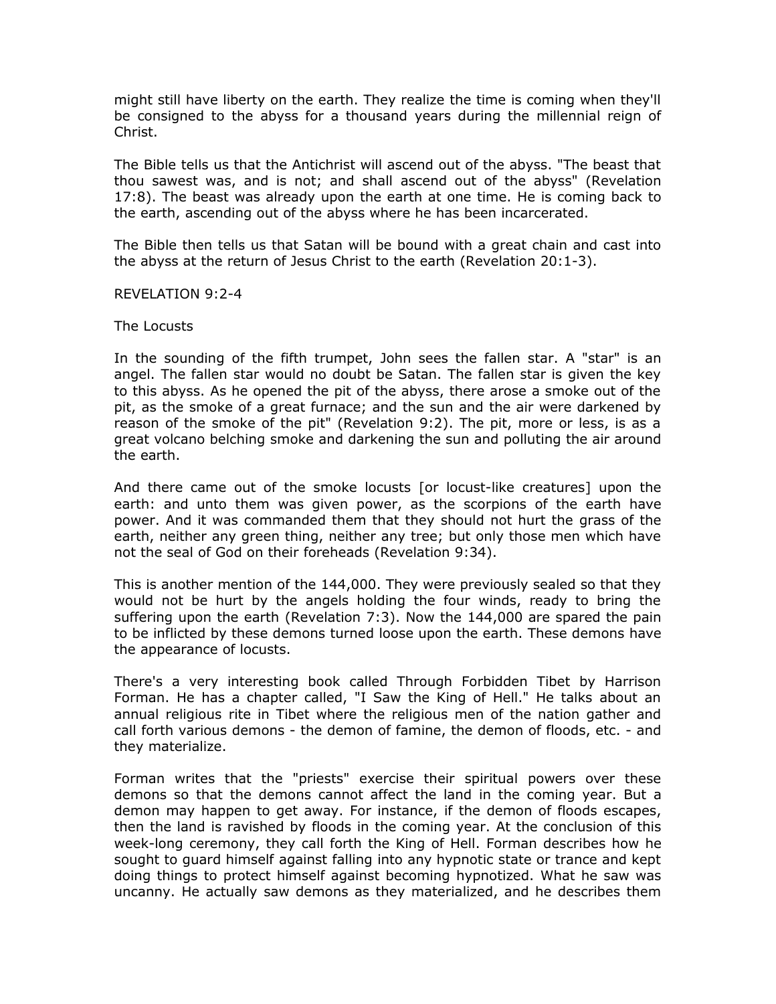might still have liberty on the earth. They realize the time is coming when they'll be consigned to the abyss for a thousand years during the millennial reign of Christ.

The Bible tells us that the Antichrist will ascend out of the abyss. "The beast that thou sawest was, and is not; and shall ascend out of the abyss" (Revelation 17:8). The beast was already upon the earth at one time. He is coming back to the earth, ascending out of the abyss where he has been incarcerated.

The Bible then tells us that Satan will be bound with a great chain and cast into the abyss at the return of Jesus Christ to the earth (Revelation 20:1-3).

REVELATION 9:2-4

### The Locusts

In the sounding of the fifth trumpet, John sees the fallen star. A "star" is an angel. The fallen star would no doubt be Satan. The fallen star is given the key to this abyss. As he opened the pit of the abyss, there arose a smoke out of the pit, as the smoke of a great furnace; and the sun and the air were darkened by reason of the smoke of the pit" (Revelation 9:2). The pit, more or less, is as a great volcano belching smoke and darkening the sun and polluting the air around the earth.

And there came out of the smoke locusts [or locust-like creatures] upon the earth: and unto them was given power, as the scorpions of the earth have power. And it was commanded them that they should not hurt the grass of the earth, neither any green thing, neither any tree; but only those men which have not the seal of God on their foreheads (Revelation 9:34).

This is another mention of the 144,000. They were previously sealed so that they would not be hurt by the angels holding the four winds, ready to bring the suffering upon the earth (Revelation 7:3). Now the 144,000 are spared the pain to be inflicted by these demons turned loose upon the earth. These demons have the appearance of locusts.

There's a very interesting book called Through Forbidden Tibet by Harrison Forman. He has a chapter called, "I Saw the King of Hell." He talks about an annual religious rite in Tibet where the religious men of the nation gather and call forth various demons - the demon of famine, the demon of floods, etc. - and they materialize.

Forman writes that the "priests" exercise their spiritual powers over these demons so that the demons cannot affect the land in the coming year. But a demon may happen to get away. For instance, if the demon of floods escapes, then the land is ravished by floods in the coming year. At the conclusion of this week-long ceremony, they call forth the King of Hell. Forman describes how he sought to guard himself against falling into any hypnotic state or trance and kept doing things to protect himself against becoming hypnotized. What he saw was uncanny. He actually saw demons as they materialized, and he describes them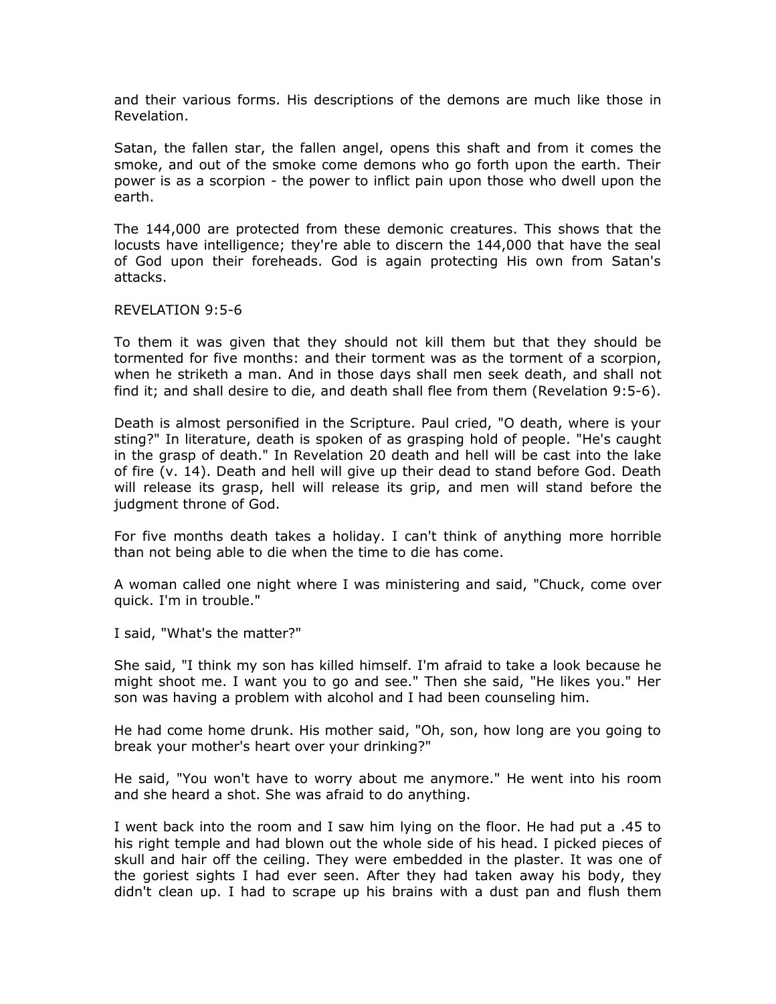and their various forms. His descriptions of the demons are much like those in Revelation.

Satan, the fallen star, the fallen angel, opens this shaft and from it comes the smoke, and out of the smoke come demons who go forth upon the earth. Their power is as a scorpion - the power to inflict pain upon those who dwell upon the earth.

The 144,000 are protected from these demonic creatures. This shows that the locusts have intelligence; they're able to discern the 144,000 that have the seal of God upon their foreheads. God is again protecting His own from Satan's attacks.

### REVELATION 9:5-6

To them it was given that they should not kill them but that they should be tormented for five months: and their torment was as the torment of a scorpion, when he striketh a man. And in those days shall men seek death, and shall not find it; and shall desire to die, and death shall flee from them (Revelation 9:5-6).

Death is almost personified in the Scripture. Paul cried, "O death, where is your sting?" In literature, death is spoken of as grasping hold of people. "He's caught in the grasp of death." In Revelation 20 death and hell will be cast into the lake of fire (v. 14). Death and hell will give up their dead to stand before God. Death will release its grasp, hell will release its grip, and men will stand before the judgment throne of God.

For five months death takes a holiday. I can't think of anything more horrible than not being able to die when the time to die has come.

A woman called one night where I was ministering and said, "Chuck, come over quick. I'm in trouble."

I said, "What's the matter?"

She said, "I think my son has killed himself. I'm afraid to take a look because he might shoot me. I want you to go and see." Then she said, "He likes you." Her son was having a problem with alcohol and I had been counseling him.

He had come home drunk. His mother said, "Oh, son, how long are you going to break your mother's heart over your drinking?"

He said, "You won't have to worry about me anymore." He went into his room and she heard a shot. She was afraid to do anything.

I went back into the room and I saw him lying on the floor. He had put a .45 to his right temple and had blown out the whole side of his head. I picked pieces of skull and hair off the ceiling. They were embedded in the plaster. It was one of the goriest sights I had ever seen. After they had taken away his body, they didn't clean up. I had to scrape up his brains with a dust pan and flush them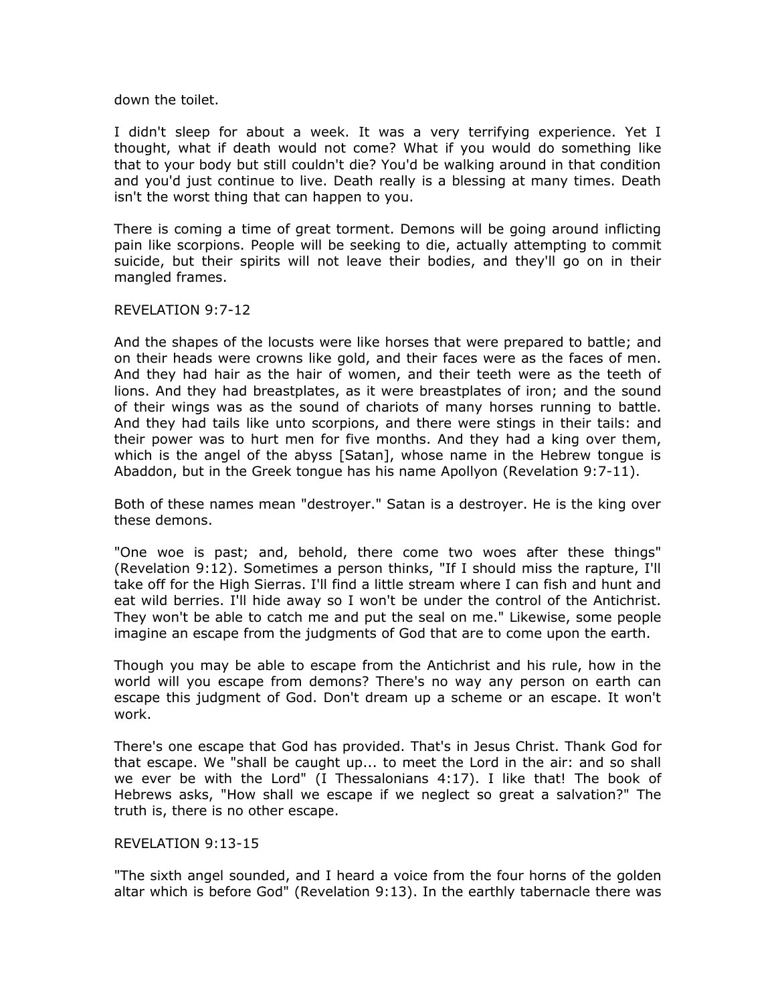down the toilet.

I didn't sleep for about a week. It was a very terrifying experience. Yet I thought, what if death would not come? What if you would do something like that to your body but still couldn't die? You'd be walking around in that condition and you'd just continue to live. Death really is a blessing at many times. Death isn't the worst thing that can happen to you.

There is coming a time of great torment. Demons will be going around inflicting pain like scorpions. People will be seeking to die, actually attempting to commit suicide, but their spirits will not leave their bodies, and they'll go on in their mangled frames.

## REVELATION 9:7-12

And the shapes of the locusts were like horses that were prepared to battle; and on their heads were crowns like gold, and their faces were as the faces of men. And they had hair as the hair of women, and their teeth were as the teeth of lions. And they had breastplates, as it were breastplates of iron; and the sound of their wings was as the sound of chariots of many horses running to battle. And they had tails like unto scorpions, and there were stings in their tails: and their power was to hurt men for five months. And they had a king over them, which is the angel of the abyss [Satan], whose name in the Hebrew tongue is Abaddon, but in the Greek tongue has his name Apollyon (Revelation 9:7-11).

Both of these names mean "destroyer." Satan is a destroyer. He is the king over these demons.

"One woe is past; and, behold, there come two woes after these things" (Revelation 9:12). Sometimes a person thinks, "If I should miss the rapture, I'll take off for the High Sierras. I'll find a little stream where I can fish and hunt and eat wild berries. I'll hide away so I won't be under the control of the Antichrist. They won't be able to catch me and put the seal on me." Likewise, some people imagine an escape from the judgments of God that are to come upon the earth.

Though you may be able to escape from the Antichrist and his rule, how in the world will you escape from demons? There's no way any person on earth can escape this judgment of God. Don't dream up a scheme or an escape. It won't work.

There's one escape that God has provided. That's in Jesus Christ. Thank God for that escape. We "shall be caught up... to meet the Lord in the air: and so shall we ever be with the Lord" (I Thessalonians 4:17). I like that! The book of Hebrews asks, "How shall we escape if we neglect so great a salvation?" The truth is, there is no other escape.

# REVELATION 9:13-15

"The sixth angel sounded, and I heard a voice from the four horns of the golden altar which is before God" (Revelation 9:13). In the earthly tabernacle there was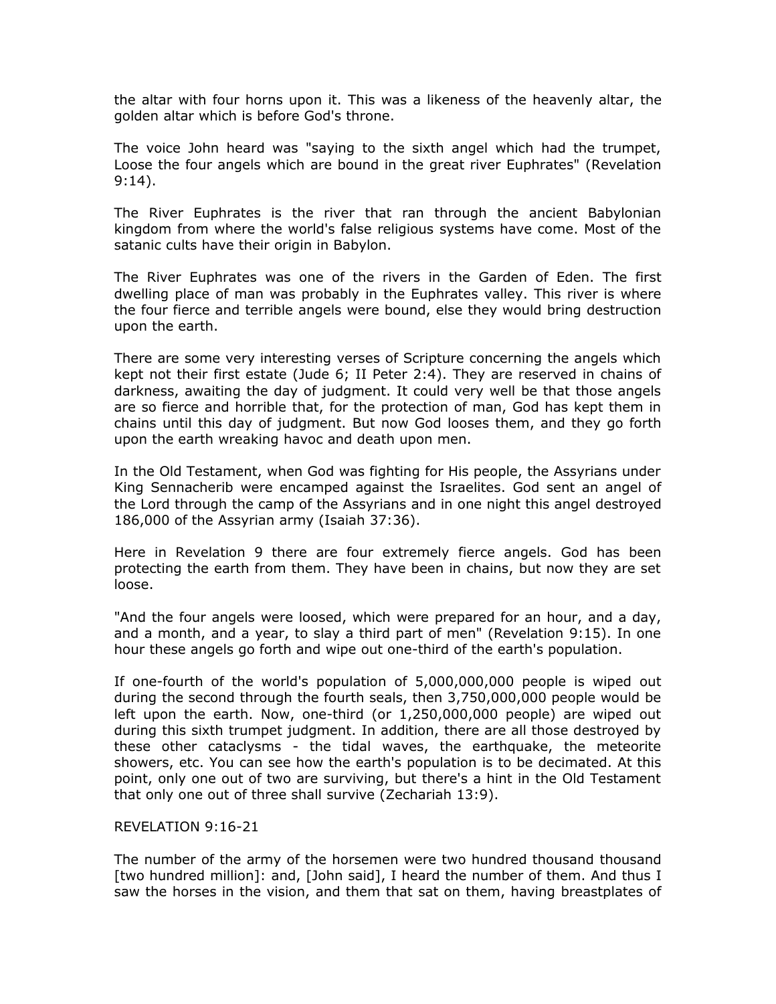the altar with four horns upon it. This was a likeness of the heavenly altar, the golden altar which is before God's throne.

The voice John heard was "saying to the sixth angel which had the trumpet, Loose the four angels which are bound in the great river Euphrates" (Revelation 9:14).

The River Euphrates is the river that ran through the ancient Babylonian kingdom from where the world's false religious systems have come. Most of the satanic cults have their origin in Babylon.

The River Euphrates was one of the rivers in the Garden of Eden. The first dwelling place of man was probably in the Euphrates valley. This river is where the four fierce and terrible angels were bound, else they would bring destruction upon the earth.

There are some very interesting verses of Scripture concerning the angels which kept not their first estate (Jude 6; II Peter 2:4). They are reserved in chains of darkness, awaiting the day of judgment. It could very well be that those angels are so fierce and horrible that, for the protection of man, God has kept them in chains until this day of judgment. But now God looses them, and they go forth upon the earth wreaking havoc and death upon men.

In the Old Testament, when God was fighting for His people, the Assyrians under King Sennacherib were encamped against the Israelites. God sent an angel of the Lord through the camp of the Assyrians and in one night this angel destroyed 186,000 of the Assyrian army (Isaiah 37:36).

Here in Revelation 9 there are four extremely fierce angels. God has been protecting the earth from them. They have been in chains, but now they are set loose.

"And the four angels were loosed, which were prepared for an hour, and a day, and a month, and a year, to slay a third part of men" (Revelation 9:15). In one hour these angels go forth and wipe out one-third of the earth's population.

If one-fourth of the world's population of 5,000,000,000 people is wiped out during the second through the fourth seals, then 3,750,000,000 people would be left upon the earth. Now, one-third (or 1,250,000,000 people) are wiped out during this sixth trumpet judgment. In addition, there are all those destroyed by these other cataclysms - the tidal waves, the earthquake, the meteorite showers, etc. You can see how the earth's population is to be decimated. At this point, only one out of two are surviving, but there's a hint in the Old Testament that only one out of three shall survive (Zechariah 13:9).

## REVELATION 9:16-21

The number of the army of the horsemen were two hundred thousand thousand [two hundred million]: and, [John said], I heard the number of them. And thus I saw the horses in the vision, and them that sat on them, having breastplates of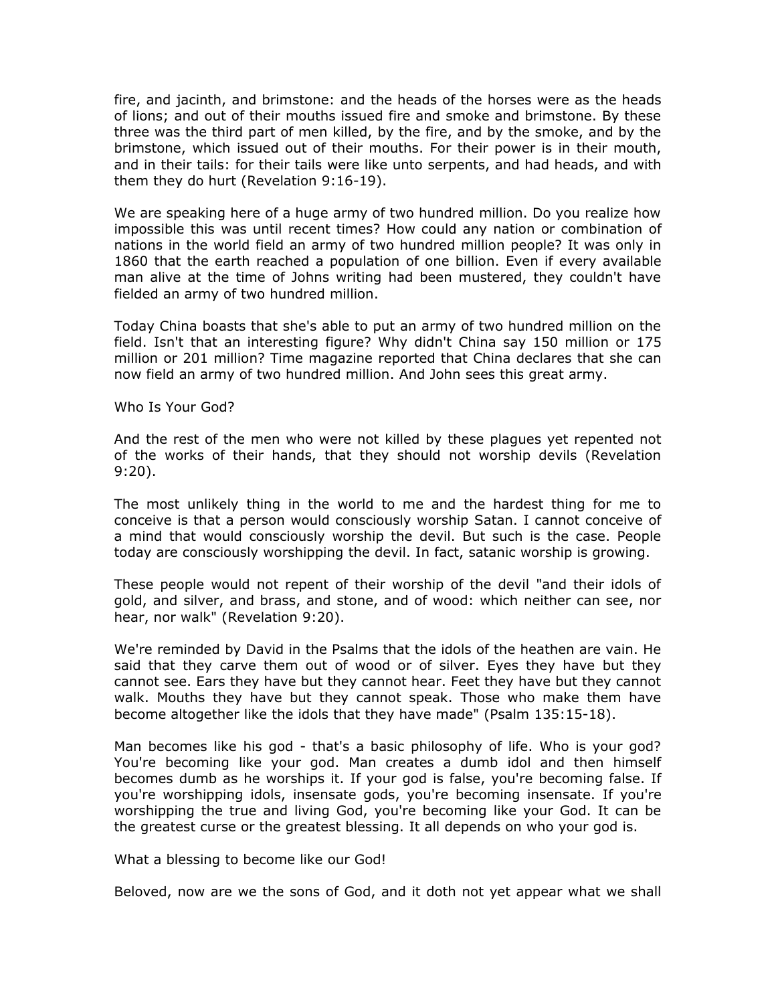fire, and jacinth, and brimstone: and the heads of the horses were as the heads of lions; and out of their mouths issued fire and smoke and brimstone. By these three was the third part of men killed, by the fire, and by the smoke, and by the brimstone, which issued out of their mouths. For their power is in their mouth, and in their tails: for their tails were like unto serpents, and had heads, and with them they do hurt (Revelation 9:16-19).

We are speaking here of a huge army of two hundred million. Do you realize how impossible this was until recent times? How could any nation or combination of nations in the world field an army of two hundred million people? It was only in 1860 that the earth reached a population of one billion. Even if every available man alive at the time of Johns writing had been mustered, they couldn't have fielded an army of two hundred million.

Today China boasts that she's able to put an army of two hundred million on the field. Isn't that an interesting figure? Why didn't China say 150 million or 175 million or 201 million? Time magazine reported that China declares that she can now field an army of two hundred million. And John sees this great army.

Who Is Your God?

And the rest of the men who were not killed by these plagues yet repented not of the works of their hands, that they should not worship devils (Revelation 9:20).

The most unlikely thing in the world to me and the hardest thing for me to conceive is that a person would consciously worship Satan. I cannot conceive of a mind that would consciously worship the devil. But such is the case. People today are consciously worshipping the devil. In fact, satanic worship is growing.

These people would not repent of their worship of the devil "and their idols of gold, and silver, and brass, and stone, and of wood: which neither can see, nor hear, nor walk" (Revelation 9:20).

We're reminded by David in the Psalms that the idols of the heathen are vain. He said that they carve them out of wood or of silver. Eyes they have but they cannot see. Ears they have but they cannot hear. Feet they have but they cannot walk. Mouths they have but they cannot speak. Those who make them have become altogether like the idols that they have made" (Psalm 135:15-18).

Man becomes like his god - that's a basic philosophy of life. Who is your god? You're becoming like your god. Man creates a dumb idol and then himself becomes dumb as he worships it. If your god is false, you're becoming false. If you're worshipping idols, insensate gods, you're becoming insensate. If you're worshipping the true and living God, you're becoming like your God. It can be the greatest curse or the greatest blessing. It all depends on who your god is.

What a blessing to become like our God!

Beloved, now are we the sons of God, and it doth not yet appear what we shall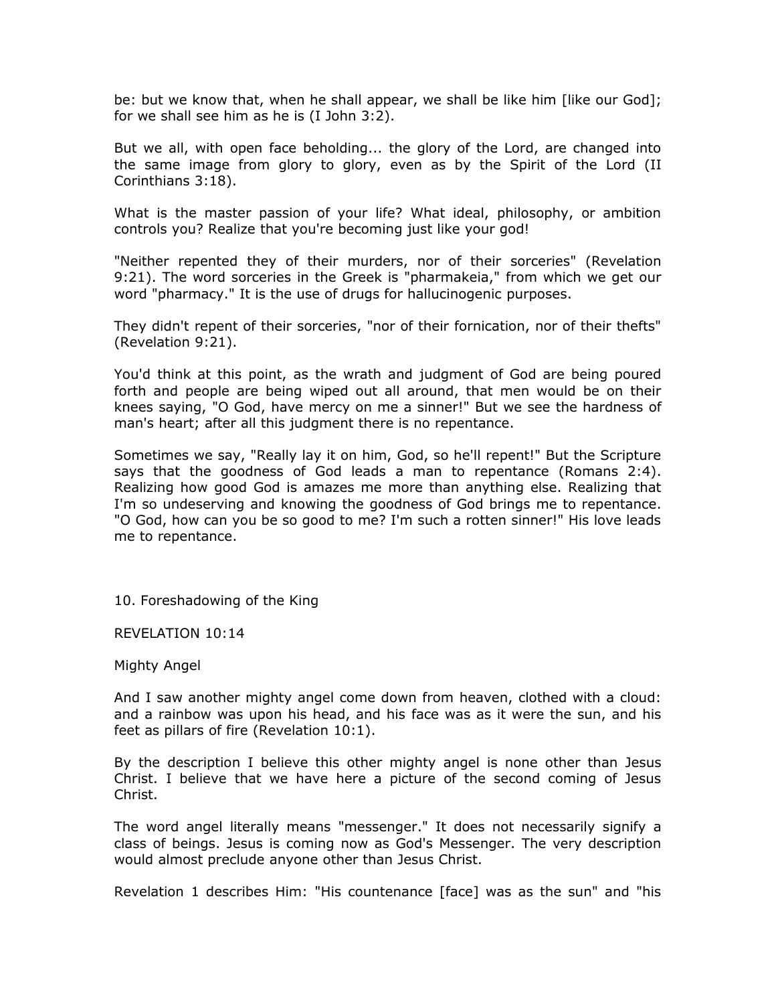be: but we know that, when he shall appear, we shall be like him [like our God]; for we shall see him as he is (I John 3:2).

But we all, with open face beholding... the glory of the Lord, are changed into the same image from glory to glory, even as by the Spirit of the Lord (II Corinthians 3:18).

What is the master passion of your life? What ideal, philosophy, or ambition controls you? Realize that you're becoming just like your god!

"Neither repented they of their murders, nor of their sorceries" (Revelation 9:21). The word sorceries in the Greek is "pharmakeia," from which we get our word "pharmacy." It is the use of drugs for hallucinogenic purposes.

They didn't repent of their sorceries, "nor of their fornication, nor of their thefts" (Revelation 9:21).

You'd think at this point, as the wrath and judgment of God are being poured forth and people are being wiped out all around, that men would be on their knees saying, "O God, have mercy on me a sinner!" But we see the hardness of man's heart; after all this judgment there is no repentance.

Sometimes we say, "Really lay it on him, God, so he'll repent!" But the Scripture says that the goodness of God leads a man to repentance (Romans 2:4). Realizing how good God is amazes me more than anything else. Realizing that I'm so undeserving and knowing the goodness of God brings me to repentance. "O God, how can you be so good to me? I'm such a rotten sinner!" His love leads me to repentance.

10. Foreshadowing of the King

REVELATION 10:14

#### Mighty Angel

And I saw another mighty angel come down from heaven, clothed with a cloud: and a rainbow was upon his head, and his face was as it were the sun, and his feet as pillars of fire (Revelation 10:1).

By the description I believe this other mighty angel is none other than Jesus Christ. I believe that we have here a picture of the second coming of Jesus Christ.

The word angel literally means "messenger." It does not necessarily signify a class of beings. Jesus is coming now as God's Messenger. The very description would almost preclude anyone other than Jesus Christ.

Revelation 1 describes Him: "His countenance [face] was as the sun" and "his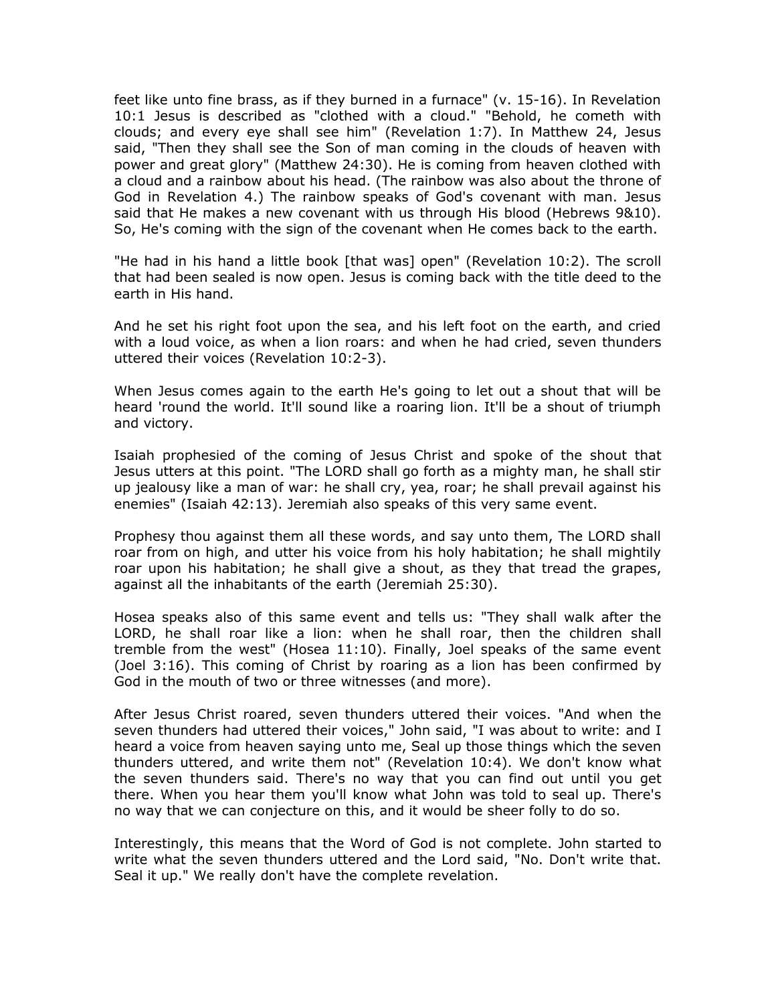feet like unto fine brass, as if they burned in a furnace" (v. 15-16). In Revelation 10:1 Jesus is described as "clothed with a cloud." "Behold, he cometh with clouds; and every eye shall see him" (Revelation 1:7). In Matthew 24, Jesus said, "Then they shall see the Son of man coming in the clouds of heaven with power and great glory" (Matthew 24:30). He is coming from heaven clothed with a cloud and a rainbow about his head. (The rainbow was also about the throne of God in Revelation 4.) The rainbow speaks of God's covenant with man. Jesus said that He makes a new covenant with us through His blood (Hebrews 9&10). So, He's coming with the sign of the covenant when He comes back to the earth.

"He had in his hand a little book [that was] open" (Revelation 10:2). The scroll that had been sealed is now open. Jesus is coming back with the title deed to the earth in His hand.

And he set his right foot upon the sea, and his left foot on the earth, and cried with a loud voice, as when a lion roars: and when he had cried, seven thunders uttered their voices (Revelation 10:2-3).

When Jesus comes again to the earth He's going to let out a shout that will be heard 'round the world. It'll sound like a roaring lion. It'll be a shout of triumph and victory.

Isaiah prophesied of the coming of Jesus Christ and spoke of the shout that Jesus utters at this point. "The LORD shall go forth as a mighty man, he shall stir up jealousy like a man of war: he shall cry, yea, roar; he shall prevail against his enemies" (Isaiah 42:13). Jeremiah also speaks of this very same event.

Prophesy thou against them all these words, and say unto them, The LORD shall roar from on high, and utter his voice from his holy habitation; he shall mightily roar upon his habitation; he shall give a shout, as they that tread the grapes, against all the inhabitants of the earth (Jeremiah 25:30).

Hosea speaks also of this same event and tells us: "They shall walk after the LORD, he shall roar like a lion: when he shall roar, then the children shall tremble from the west" (Hosea 11:10). Finally, Joel speaks of the same event (Joel 3:16). This coming of Christ by roaring as a lion has been confirmed by God in the mouth of two or three witnesses (and more).

After Jesus Christ roared, seven thunders uttered their voices. "And when the seven thunders had uttered their voices," John said, "I was about to write: and I heard a voice from heaven saying unto me, Seal up those things which the seven thunders uttered, and write them not" (Revelation 10:4). We don't know what the seven thunders said. There's no way that you can find out until you get there. When you hear them you'll know what John was told to seal up. There's no way that we can conjecture on this, and it would be sheer folly to do so.

Interestingly, this means that the Word of God is not complete. John started to write what the seven thunders uttered and the Lord said, "No. Don't write that. Seal it up." We really don't have the complete revelation.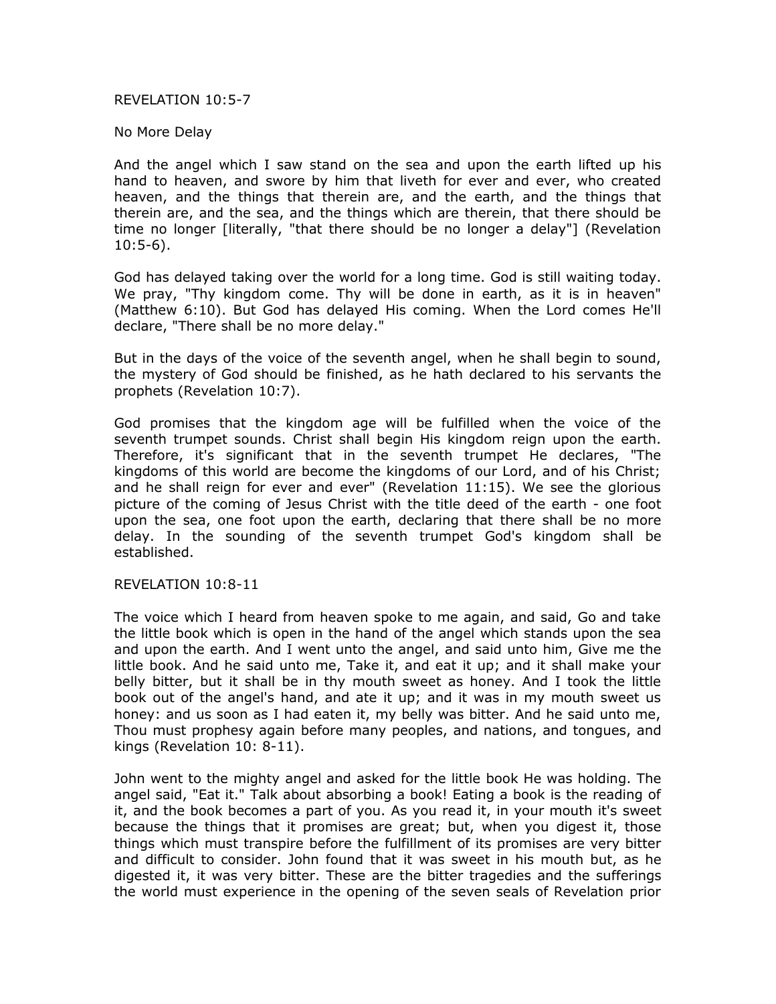### REVELATION 10:5-7

No More Delay

And the angel which I saw stand on the sea and upon the earth lifted up his hand to heaven, and swore by him that liveth for ever and ever, who created heaven, and the things that therein are, and the earth, and the things that therein are, and the sea, and the things which are therein, that there should be time no longer [literally, "that there should be no longer a delay"] (Revelation 10:5-6).

God has delayed taking over the world for a long time. God is still waiting today. We pray, "Thy kingdom come. Thy will be done in earth, as it is in heaven" (Matthew 6:10). But God has delayed His coming. When the Lord comes He'll declare, "There shall be no more delay."

But in the days of the voice of the seventh angel, when he shall begin to sound, the mystery of God should be finished, as he hath declared to his servants the prophets (Revelation 10:7).

God promises that the kingdom age will be fulfilled when the voice of the seventh trumpet sounds. Christ shall begin His kingdom reign upon the earth. Therefore, it's significant that in the seventh trumpet He declares, "The kingdoms of this world are become the kingdoms of our Lord, and of his Christ; and he shall reign for ever and ever" (Revelation 11:15). We see the glorious picture of the coming of Jesus Christ with the title deed of the earth - one foot upon the sea, one foot upon the earth, declaring that there shall be no more delay. In the sounding of the seventh trumpet God's kingdom shall be established.

REVELATION 10:8-11

The voice which I heard from heaven spoke to me again, and said, Go and take the little book which is open in the hand of the angel which stands upon the sea and upon the earth. And I went unto the angel, and said unto him, Give me the little book. And he said unto me, Take it, and eat it up; and it shall make your belly bitter, but it shall be in thy mouth sweet as honey. And I took the little book out of the angel's hand, and ate it up; and it was in my mouth sweet us honey: and us soon as I had eaten it, my belly was bitter. And he said unto me, Thou must prophesy again before many peoples, and nations, and tongues, and kings (Revelation 10: 8-11).

John went to the mighty angel and asked for the little book He was holding. The angel said, "Eat it." Talk about absorbing a book! Eating a book is the reading of it, and the book becomes a part of you. As you read it, in your mouth it's sweet because the things that it promises are great; but, when you digest it, those things which must transpire before the fulfillment of its promises are very bitter and difficult to consider. John found that it was sweet in his mouth but, as he digested it, it was very bitter. These are the bitter tragedies and the sufferings the world must experience in the opening of the seven seals of Revelation prior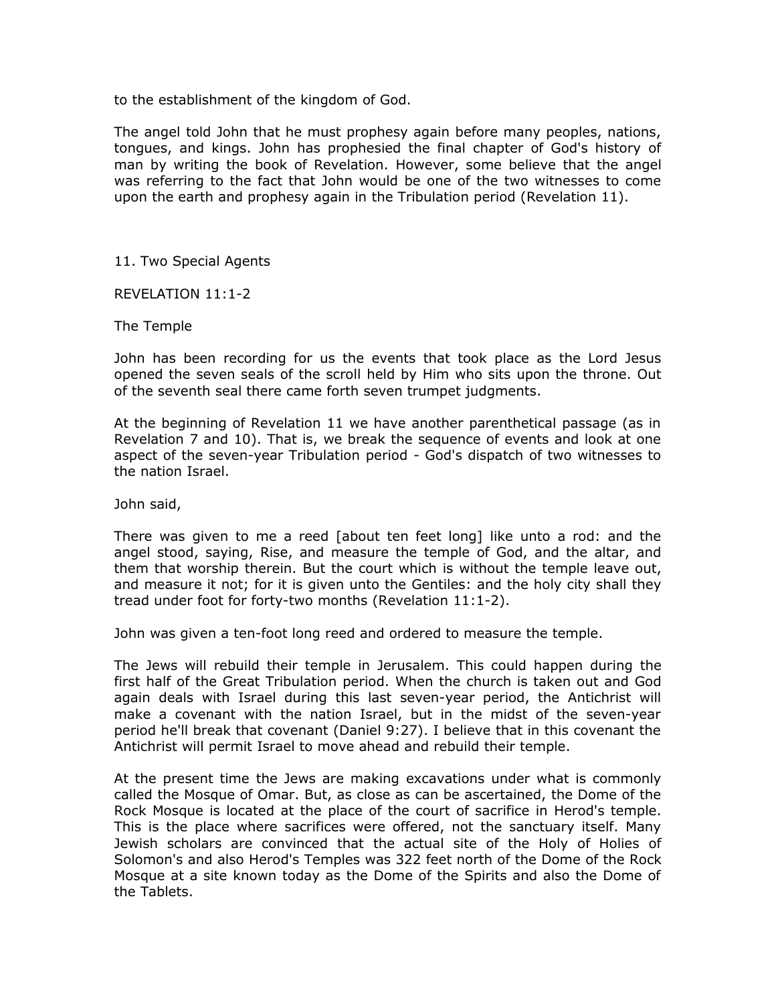to the establishment of the kingdom of God.

The angel told John that he must prophesy again before many peoples, nations, tongues, and kings. John has prophesied the final chapter of God's history of man by writing the book of Revelation. However, some believe that the angel was referring to the fact that John would be one of the two witnesses to come upon the earth and prophesy again in the Tribulation period (Revelation 11).

11. Two Special Agents

REVELATION 11:1-2

The Temple

John has been recording for us the events that took place as the Lord Jesus opened the seven seals of the scroll held by Him who sits upon the throne. Out of the seventh seal there came forth seven trumpet judgments.

At the beginning of Revelation 11 we have another parenthetical passage (as in Revelation 7 and 10). That is, we break the sequence of events and look at one aspect of the seven-year Tribulation period - God's dispatch of two witnesses to the nation Israel.

John said,

There was given to me a reed [about ten feet long] like unto a rod: and the angel stood, saying, Rise, and measure the temple of God, and the altar, and them that worship therein. But the court which is without the temple leave out, and measure it not; for it is given unto the Gentiles: and the holy city shall they tread under foot for forty-two months (Revelation 11:1-2).

John was given a ten-foot long reed and ordered to measure the temple.

The Jews will rebuild their temple in Jerusalem. This could happen during the first half of the Great Tribulation period. When the church is taken out and God again deals with Israel during this last seven-year period, the Antichrist will make a covenant with the nation Israel, but in the midst of the seven-year period he'll break that covenant (Daniel 9:27). I believe that in this covenant the Antichrist will permit Israel to move ahead and rebuild their temple.

At the present time the Jews are making excavations under what is commonly called the Mosque of Omar. But, as close as can be ascertained, the Dome of the Rock Mosque is located at the place of the court of sacrifice in Herod's temple. This is the place where sacrifices were offered, not the sanctuary itself. Many Jewish scholars are convinced that the actual site of the Holy of Holies of Solomon's and also Herod's Temples was 322 feet north of the Dome of the Rock Mosque at a site known today as the Dome of the Spirits and also the Dome of the Tablets.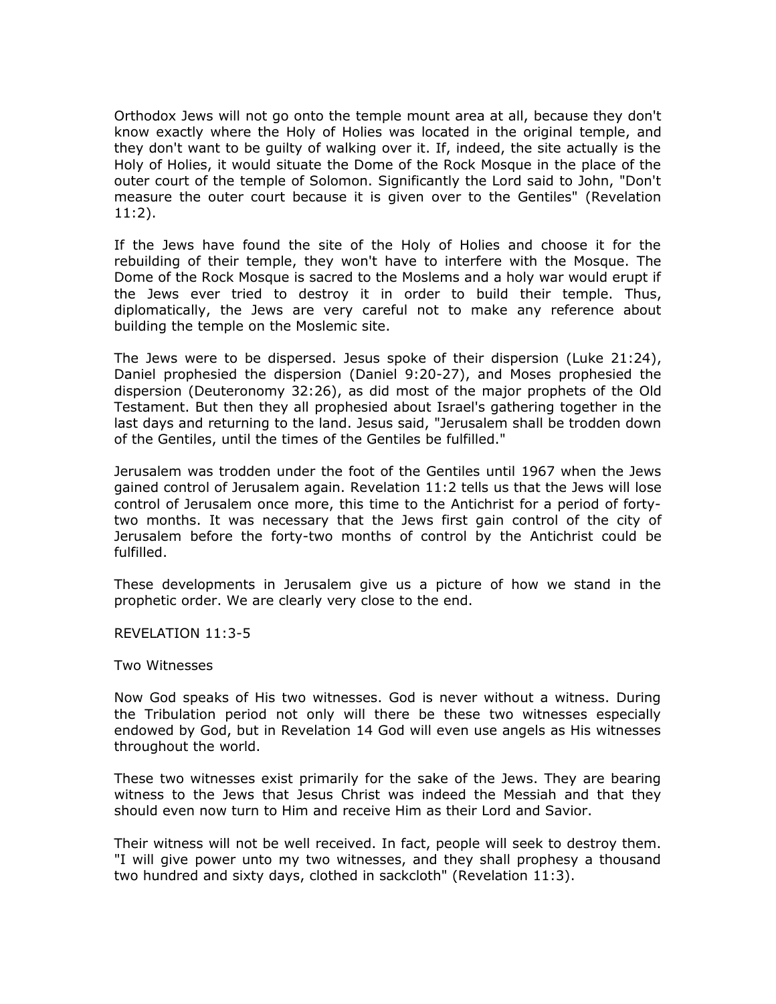Orthodox Jews will not go onto the temple mount area at all, because they don't know exactly where the Holy of Holies was located in the original temple, and they don't want to be guilty of walking over it. If, indeed, the site actually is the Holy of Holies, it would situate the Dome of the Rock Mosque in the place of the outer court of the temple of Solomon. Significantly the Lord said to John, "Don't measure the outer court because it is given over to the Gentiles" (Revelation 11:2).

If the Jews have found the site of the Holy of Holies and choose it for the rebuilding of their temple, they won't have to interfere with the Mosque. The Dome of the Rock Mosque is sacred to the Moslems and a holy war would erupt if the Jews ever tried to destroy it in order to build their temple. Thus, diplomatically, the Jews are very careful not to make any reference about building the temple on the Moslemic site.

The Jews were to be dispersed. Jesus spoke of their dispersion (Luke 21:24), Daniel prophesied the dispersion (Daniel 9:20-27), and Moses prophesied the dispersion (Deuteronomy 32:26), as did most of the major prophets of the Old Testament. But then they all prophesied about Israel's gathering together in the last days and returning to the land. Jesus said, "Jerusalem shall be trodden down of the Gentiles, until the times of the Gentiles be fulfilled."

Jerusalem was trodden under the foot of the Gentiles until 1967 when the Jews gained control of Jerusalem again. Revelation 11:2 tells us that the Jews will lose control of Jerusalem once more, this time to the Antichrist for a period of fortytwo months. It was necessary that the Jews first gain control of the city of Jerusalem before the forty-two months of control by the Antichrist could be fulfilled.

These developments in Jerusalem give us a picture of how we stand in the prophetic order. We are clearly very close to the end.

REVELATION 11:3-5

#### Two Witnesses

Now God speaks of His two witnesses. God is never without a witness. During the Tribulation period not only will there be these two witnesses especially endowed by God, but in Revelation 14 God will even use angels as His witnesses throughout the world.

These two witnesses exist primarily for the sake of the Jews. They are bearing witness to the Jews that Jesus Christ was indeed the Messiah and that they should even now turn to Him and receive Him as their Lord and Savior.

Their witness will not be well received. In fact, people will seek to destroy them. "I will give power unto my two witnesses, and they shall prophesy a thousand two hundred and sixty days, clothed in sackcloth" (Revelation 11:3).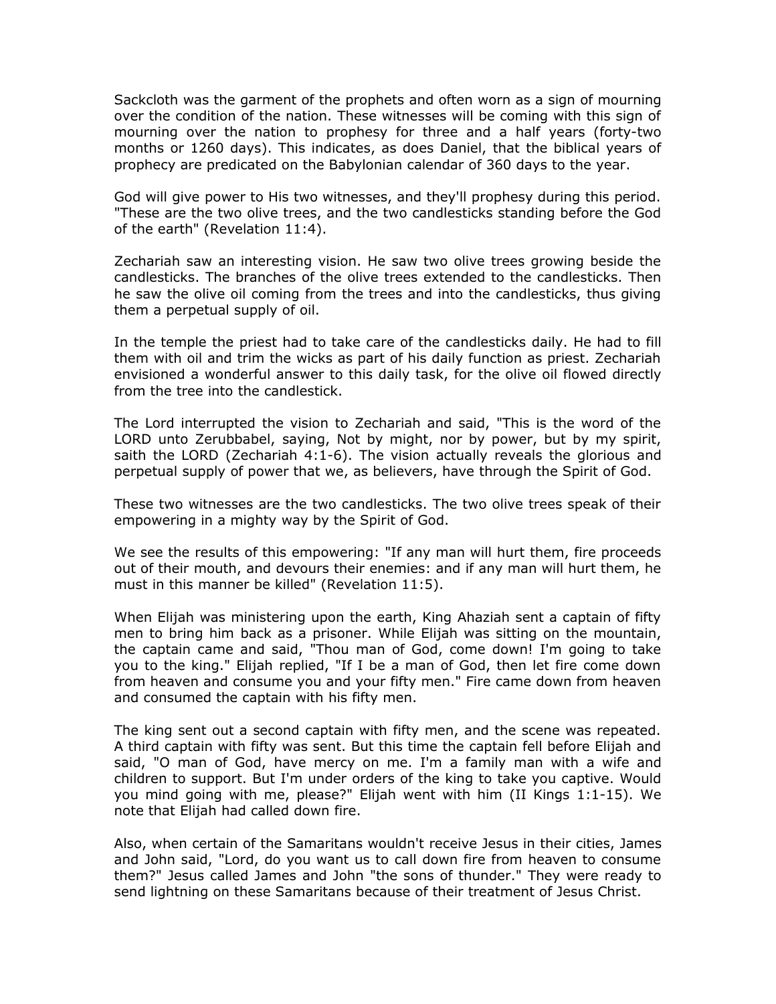Sackcloth was the garment of the prophets and often worn as a sign of mourning over the condition of the nation. These witnesses will be coming with this sign of mourning over the nation to prophesy for three and a half years (forty-two months or 1260 days). This indicates, as does Daniel, that the biblical years of prophecy are predicated on the Babylonian calendar of 360 days to the year.

God will give power to His two witnesses, and they'll prophesy during this period. "These are the two olive trees, and the two candlesticks standing before the God of the earth" (Revelation 11:4).

Zechariah saw an interesting vision. He saw two olive trees growing beside the candlesticks. The branches of the olive trees extended to the candlesticks. Then he saw the olive oil coming from the trees and into the candlesticks, thus giving them a perpetual supply of oil.

In the temple the priest had to take care of the candlesticks daily. He had to fill them with oil and trim the wicks as part of his daily function as priest. Zechariah envisioned a wonderful answer to this daily task, for the olive oil flowed directly from the tree into the candlestick.

The Lord interrupted the vision to Zechariah and said, "This is the word of the LORD unto Zerubbabel, saying, Not by might, nor by power, but by my spirit, saith the LORD (Zechariah 4:1-6). The vision actually reveals the glorious and perpetual supply of power that we, as believers, have through the Spirit of God.

These two witnesses are the two candlesticks. The two olive trees speak of their empowering in a mighty way by the Spirit of God.

We see the results of this empowering: "If any man will hurt them, fire proceeds out of their mouth, and devours their enemies: and if any man will hurt them, he must in this manner be killed" (Revelation 11:5).

When Elijah was ministering upon the earth, King Ahaziah sent a captain of fifty men to bring him back as a prisoner. While Elijah was sitting on the mountain, the captain came and said, "Thou man of God, come down! I'm going to take you to the king." Elijah replied, "If I be a man of God, then let fire come down from heaven and consume you and your fifty men." Fire came down from heaven and consumed the captain with his fifty men.

The king sent out a second captain with fifty men, and the scene was repeated. A third captain with fifty was sent. But this time the captain fell before Elijah and said, "O man of God, have mercy on me. I'm a family man with a wife and children to support. But I'm under orders of the king to take you captive. Would you mind going with me, please?" Elijah went with him (II Kings 1:1-15). We note that Elijah had called down fire.

Also, when certain of the Samaritans wouldn't receive Jesus in their cities, James and John said, "Lord, do you want us to call down fire from heaven to consume them?" Jesus called James and John "the sons of thunder." They were ready to send lightning on these Samaritans because of their treatment of Jesus Christ.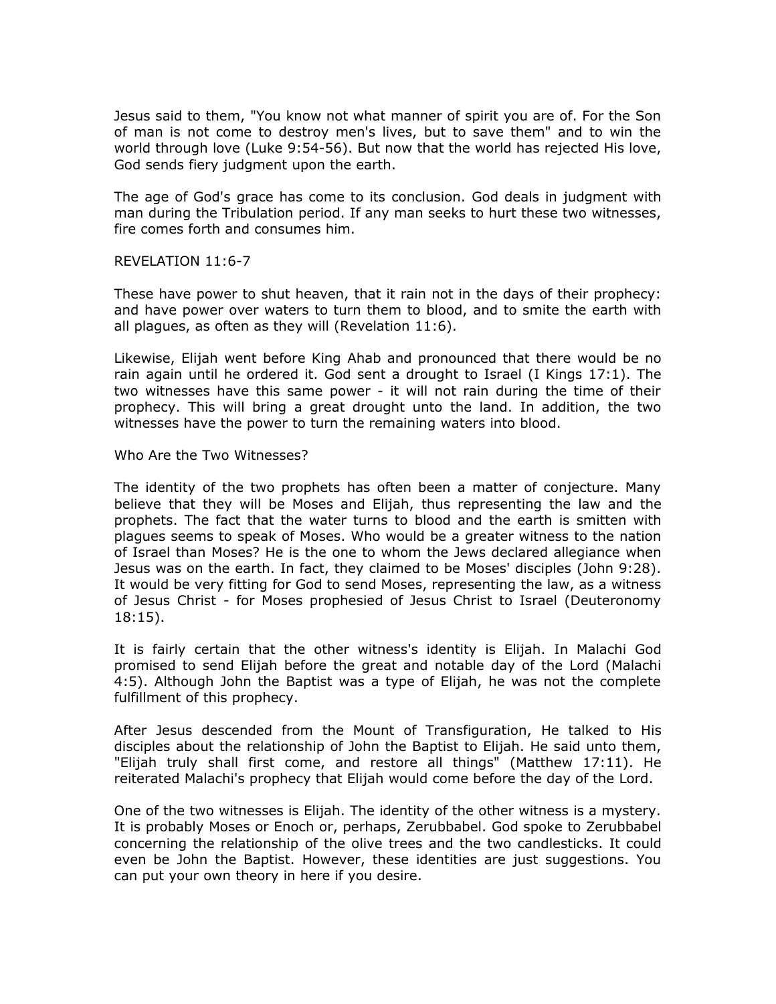Jesus said to them, "You know not what manner of spirit you are of. For the Son of man is not come to destroy men's lives, but to save them" and to win the world through love (Luke 9:54-56). But now that the world has rejected His love, God sends fiery judgment upon the earth.

The age of God's grace has come to its conclusion. God deals in judgment with man during the Tribulation period. If any man seeks to hurt these two witnesses, fire comes forth and consumes him.

### REVELATION 11:6-7

These have power to shut heaven, that it rain not in the days of their prophecy: and have power over waters to turn them to blood, and to smite the earth with all plagues, as often as they will (Revelation 11:6).

Likewise, Elijah went before King Ahab and pronounced that there would be no rain again until he ordered it. God sent a drought to Israel (I Kings 17:1). The two witnesses have this same power - it will not rain during the time of their prophecy. This will bring a great drought unto the land. In addition, the two witnesses have the power to turn the remaining waters into blood.

### Who Are the Two Witnesses?

The identity of the two prophets has often been a matter of conjecture. Many believe that they will be Moses and Elijah, thus representing the law and the prophets. The fact that the water turns to blood and the earth is smitten with plagues seems to speak of Moses. Who would be a greater witness to the nation of Israel than Moses? He is the one to whom the Jews declared allegiance when Jesus was on the earth. In fact, they claimed to be Moses' disciples (John 9:28). It would be very fitting for God to send Moses, representing the law, as a witness of Jesus Christ - for Moses prophesied of Jesus Christ to Israel (Deuteronomy 18:15).

It is fairly certain that the other witness's identity is Elijah. In Malachi God promised to send Elijah before the great and notable day of the Lord (Malachi 4:5). Although John the Baptist was a type of Elijah, he was not the complete fulfillment of this prophecy.

After Jesus descended from the Mount of Transfiguration, He talked to His disciples about the relationship of John the Baptist to Elijah. He said unto them, "Elijah truly shall first come, and restore all things" (Matthew 17:11). He reiterated Malachi's prophecy that Elijah would come before the day of the Lord.

One of the two witnesses is Elijah. The identity of the other witness is a mystery. It is probably Moses or Enoch or, perhaps, Zerubbabel. God spoke to Zerubbabel concerning the relationship of the olive trees and the two candlesticks. It could even be John the Baptist. However, these identities are just suggestions. You can put your own theory in here if you desire.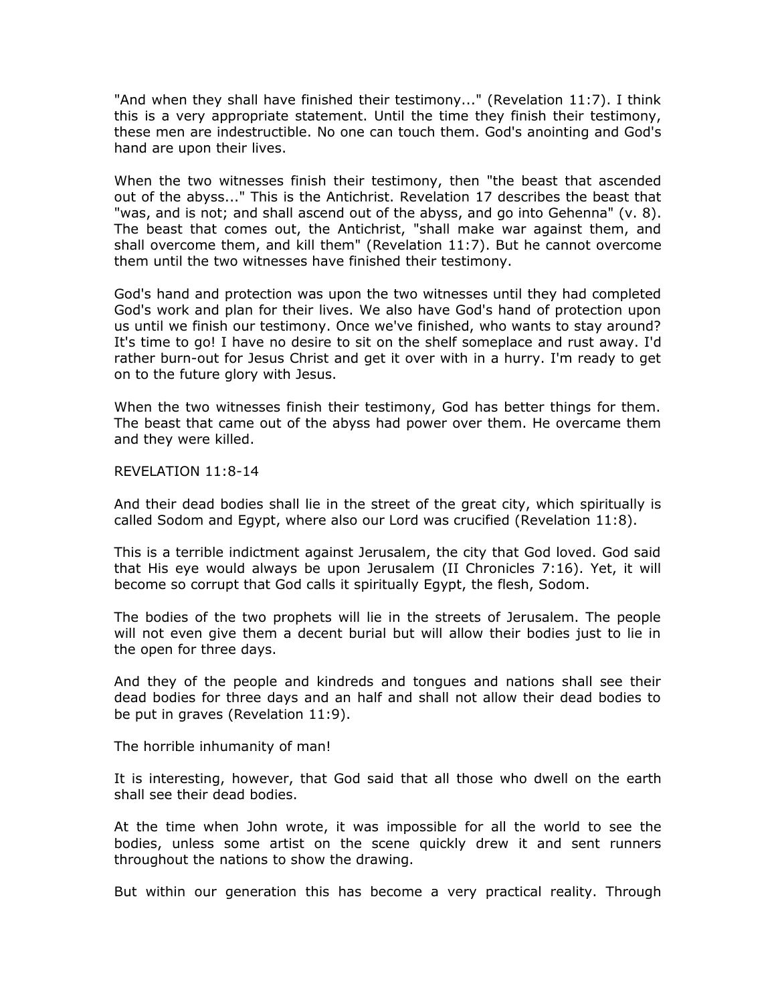"And when they shall have finished their testimony..." (Revelation 11:7). I think this is a very appropriate statement. Until the time they finish their testimony, these men are indestructible. No one can touch them. God's anointing and God's hand are upon their lives.

When the two witnesses finish their testimony, then "the beast that ascended out of the abyss..." This is the Antichrist. Revelation 17 describes the beast that "was, and is not; and shall ascend out of the abyss, and go into Gehenna" (v. 8). The beast that comes out, the Antichrist, "shall make war against them, and shall overcome them, and kill them" (Revelation 11:7). But he cannot overcome them until the two witnesses have finished their testimony.

God's hand and protection was upon the two witnesses until they had completed God's work and plan for their lives. We also have God's hand of protection upon us until we finish our testimony. Once we've finished, who wants to stay around? It's time to go! I have no desire to sit on the shelf someplace and rust away. I'd rather burn-out for Jesus Christ and get it over with in a hurry. I'm ready to get on to the future glory with Jesus.

When the two witnesses finish their testimony, God has better things for them. The beast that came out of the abyss had power over them. He overcame them and they were killed.

REVELATION 11:8-14

And their dead bodies shall lie in the street of the great city, which spiritually is called Sodom and Egypt, where also our Lord was crucified (Revelation 11:8).

This is a terrible indictment against Jerusalem, the city that God loved. God said that His eye would always be upon Jerusalem (II Chronicles 7:16). Yet, it will become so corrupt that God calls it spiritually Egypt, the flesh, Sodom.

The bodies of the two prophets will lie in the streets of Jerusalem. The people will not even give them a decent burial but will allow their bodies just to lie in the open for three days.

And they of the people and kindreds and tongues and nations shall see their dead bodies for three days and an half and shall not allow their dead bodies to be put in graves (Revelation 11:9).

The horrible inhumanity of man!

It is interesting, however, that God said that all those who dwell on the earth shall see their dead bodies.

At the time when John wrote, it was impossible for all the world to see the bodies, unless some artist on the scene quickly drew it and sent runners throughout the nations to show the drawing.

But within our generation this has become a very practical reality. Through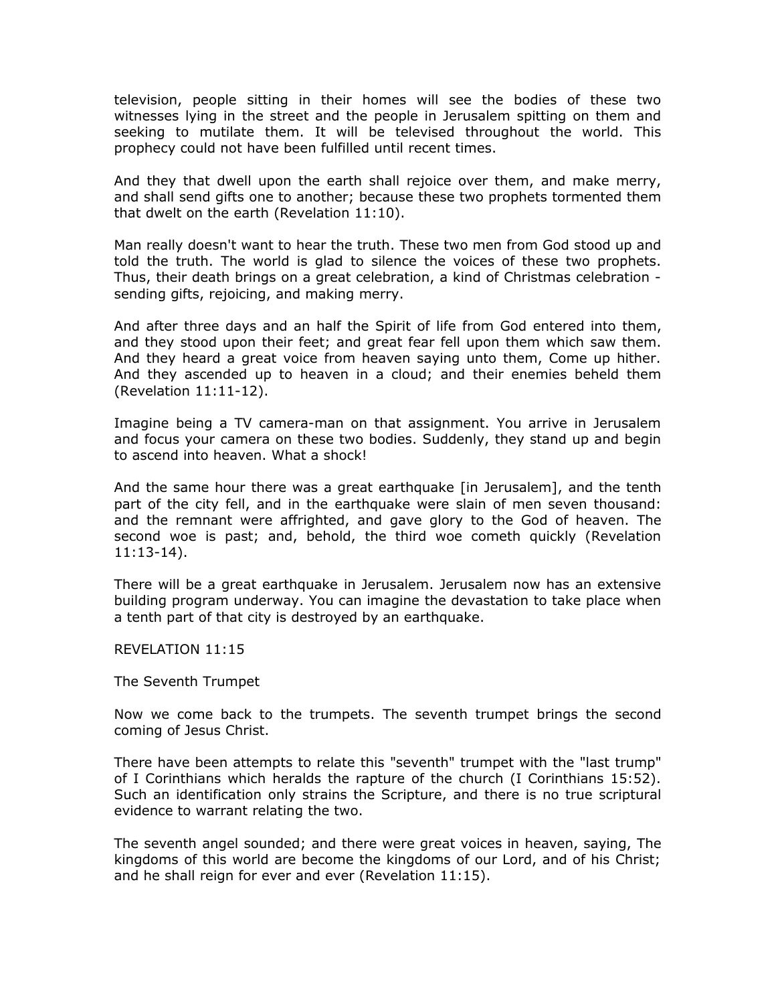television, people sitting in their homes will see the bodies of these two witnesses lying in the street and the people in Jerusalem spitting on them and seeking to mutilate them. It will be televised throughout the world. This prophecy could not have been fulfilled until recent times.

And they that dwell upon the earth shall rejoice over them, and make merry, and shall send gifts one to another; because these two prophets tormented them that dwelt on the earth (Revelation 11:10).

Man really doesn't want to hear the truth. These two men from God stood up and told the truth. The world is glad to silence the voices of these two prophets. Thus, their death brings on a great celebration, a kind of Christmas celebration sending gifts, rejoicing, and making merry.

And after three days and an half the Spirit of life from God entered into them, and they stood upon their feet; and great fear fell upon them which saw them. And they heard a great voice from heaven saying unto them, Come up hither. And they ascended up to heaven in a cloud; and their enemies beheld them (Revelation 11:11-12).

Imagine being a TV camera-man on that assignment. You arrive in Jerusalem and focus your camera on these two bodies. Suddenly, they stand up and begin to ascend into heaven. What a shock!

And the same hour there was a great earthquake [in Jerusalem], and the tenth part of the city fell, and in the earthquake were slain of men seven thousand: and the remnant were affrighted, and gave glory to the God of heaven. The second woe is past; and, behold, the third woe cometh quickly (Revelation 11:13-14).

There will be a great earthquake in Jerusalem. Jerusalem now has an extensive building program underway. You can imagine the devastation to take place when a tenth part of that city is destroyed by an earthquake.

REVELATION 11:15

The Seventh Trumpet

Now we come back to the trumpets. The seventh trumpet brings the second coming of Jesus Christ.

There have been attempts to relate this "seventh" trumpet with the "last trump" of I Corinthians which heralds the rapture of the church (I Corinthians 15:52). Such an identification only strains the Scripture, and there is no true scriptural evidence to warrant relating the two.

The seventh angel sounded; and there were great voices in heaven, saying, The kingdoms of this world are become the kingdoms of our Lord, and of his Christ; and he shall reign for ever and ever (Revelation 11:15).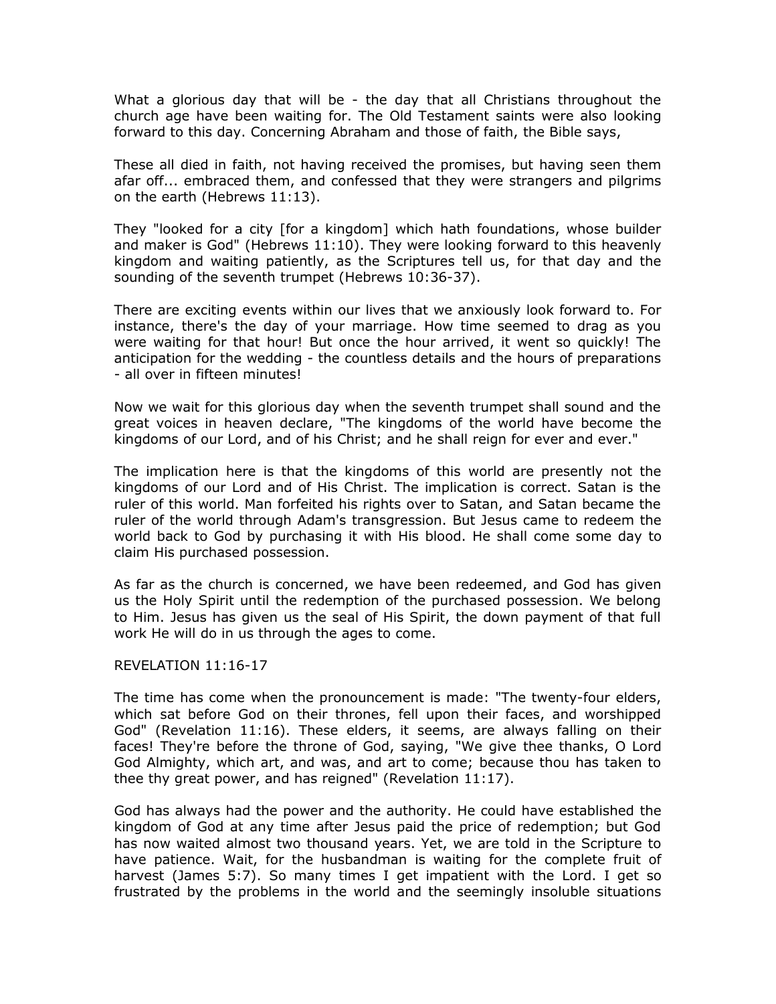What a glorious day that will be - the day that all Christians throughout the church age have been waiting for. The Old Testament saints were also looking forward to this day. Concerning Abraham and those of faith, the Bible says,

These all died in faith, not having received the promises, but having seen them afar off... embraced them, and confessed that they were strangers and pilgrims on the earth (Hebrews 11:13).

They "looked for a city [for a kingdom] which hath foundations, whose builder and maker is God" (Hebrews 11:10). They were looking forward to this heavenly kingdom and waiting patiently, as the Scriptures tell us, for that day and the sounding of the seventh trumpet (Hebrews 10:36-37).

There are exciting events within our lives that we anxiously look forward to. For instance, there's the day of your marriage. How time seemed to drag as you were waiting for that hour! But once the hour arrived, it went so quickly! The anticipation for the wedding - the countless details and the hours of preparations - all over in fifteen minutes!

Now we wait for this glorious day when the seventh trumpet shall sound and the great voices in heaven declare, "The kingdoms of the world have become the kingdoms of our Lord, and of his Christ; and he shall reign for ever and ever."

The implication here is that the kingdoms of this world are presently not the kingdoms of our Lord and of His Christ. The implication is correct. Satan is the ruler of this world. Man forfeited his rights over to Satan, and Satan became the ruler of the world through Adam's transgression. But Jesus came to redeem the world back to God by purchasing it with His blood. He shall come some day to claim His purchased possession.

As far as the church is concerned, we have been redeemed, and God has given us the Holy Spirit until the redemption of the purchased possession. We belong to Him. Jesus has given us the seal of His Spirit, the down payment of that full work He will do in us through the ages to come.

## REVELATION 11:16-17

The time has come when the pronouncement is made: "The twenty-four elders, which sat before God on their thrones, fell upon their faces, and worshipped God" (Revelation 11:16). These elders, it seems, are always falling on their faces! They're before the throne of God, saying, "We give thee thanks, O Lord God Almighty, which art, and was, and art to come; because thou has taken to thee thy great power, and has reigned" (Revelation 11:17).

God has always had the power and the authority. He could have established the kingdom of God at any time after Jesus paid the price of redemption; but God has now waited almost two thousand years. Yet, we are told in the Scripture to have patience. Wait, for the husbandman is waiting for the complete fruit of harvest (James 5:7). So many times I get impatient with the Lord. I get so frustrated by the problems in the world and the seemingly insoluble situations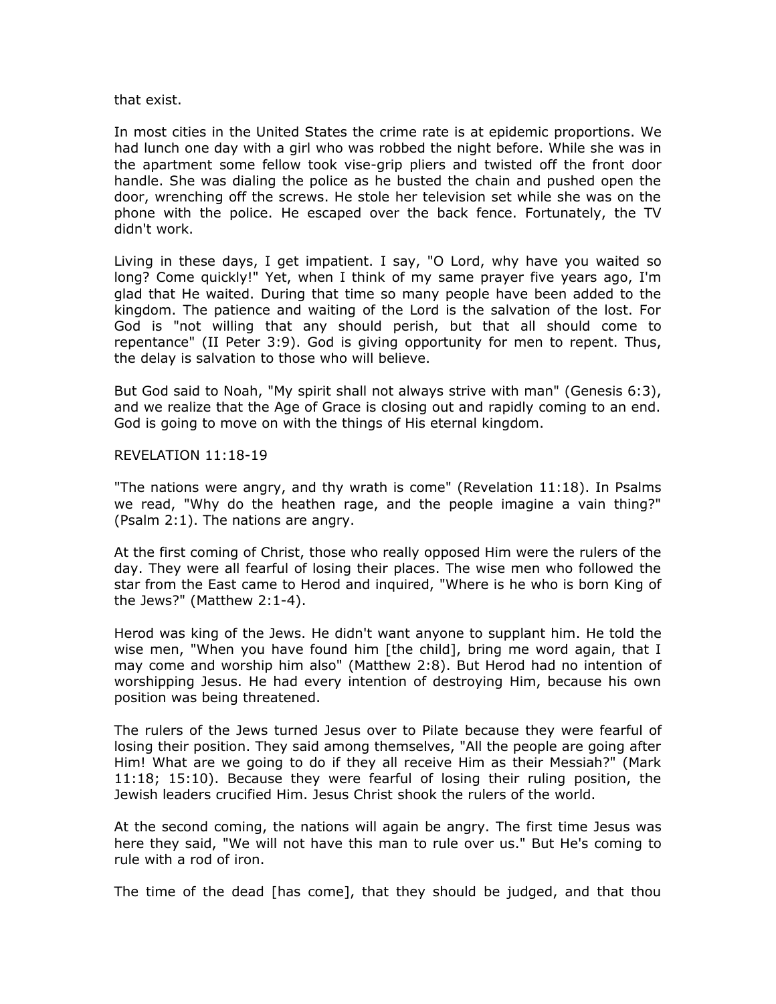that exist.

In most cities in the United States the crime rate is at epidemic proportions. We had lunch one day with a girl who was robbed the night before. While she was in the apartment some fellow took vise-grip pliers and twisted off the front door handle. She was dialing the police as he busted the chain and pushed open the door, wrenching off the screws. He stole her television set while she was on the phone with the police. He escaped over the back fence. Fortunately, the TV didn't work.

Living in these days, I get impatient. I say, "O Lord, why have you waited so long? Come quickly!" Yet, when I think of my same prayer five years ago, I'm glad that He waited. During that time so many people have been added to the kingdom. The patience and waiting of the Lord is the salvation of the lost. For God is "not willing that any should perish, but that all should come to repentance" (II Peter 3:9). God is giving opportunity for men to repent. Thus, the delay is salvation to those who will believe.

But God said to Noah, "My spirit shall not always strive with man" (Genesis 6:3), and we realize that the Age of Grace is closing out and rapidly coming to an end. God is going to move on with the things of His eternal kingdom.

REVELATION 11:18-19

"The nations were angry, and thy wrath is come" (Revelation 11:18). In Psalms we read, "Why do the heathen rage, and the people imagine a vain thing?" (Psalm 2:1). The nations are angry.

At the first coming of Christ, those who really opposed Him were the rulers of the day. They were all fearful of losing their places. The wise men who followed the star from the East came to Herod and inquired, "Where is he who is born King of the Jews?" (Matthew 2:1-4).

Herod was king of the Jews. He didn't want anyone to supplant him. He told the wise men, "When you have found him [the child], bring me word again, that I may come and worship him also" (Matthew 2:8). But Herod had no intention of worshipping Jesus. He had every intention of destroying Him, because his own position was being threatened.

The rulers of the Jews turned Jesus over to Pilate because they were fearful of losing their position. They said among themselves, "All the people are going after Him! What are we going to do if they all receive Him as their Messiah?" (Mark 11:18; 15:10). Because they were fearful of losing their ruling position, the Jewish leaders crucified Him. Jesus Christ shook the rulers of the world.

At the second coming, the nations will again be angry. The first time Jesus was here they said, "We will not have this man to rule over us." But He's coming to rule with a rod of iron.

The time of the dead [has come], that they should be judged, and that thou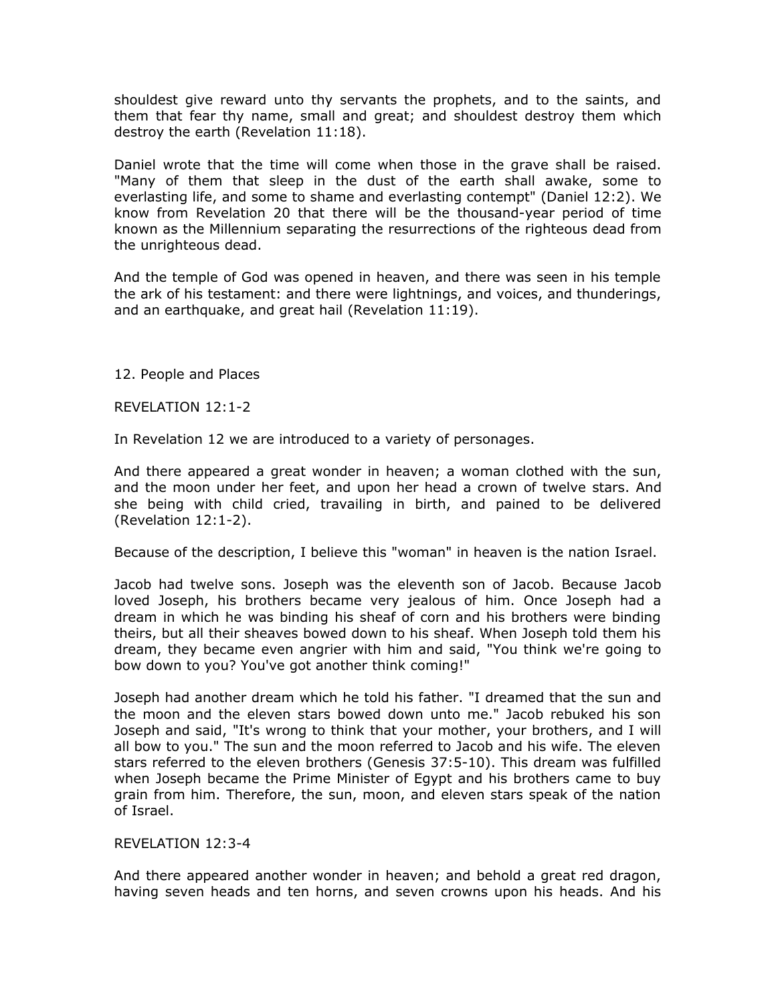shouldest give reward unto thy servants the prophets, and to the saints, and them that fear thy name, small and great; and shouldest destroy them which destroy the earth (Revelation 11:18).

Daniel wrote that the time will come when those in the grave shall be raised. "Many of them that sleep in the dust of the earth shall awake, some to everlasting life, and some to shame and everlasting contempt" (Daniel 12:2). We know from Revelation 20 that there will be the thousand-year period of time known as the Millennium separating the resurrections of the righteous dead from the unrighteous dead.

And the temple of God was opened in heaven, and there was seen in his temple the ark of his testament: and there were lightnings, and voices, and thunderings, and an earthquake, and great hail (Revelation 11:19).

12. People and Places

REVELATION 12:1-2

In Revelation 12 we are introduced to a variety of personages.

And there appeared a great wonder in heaven; a woman clothed with the sun, and the moon under her feet, and upon her head a crown of twelve stars. And she being with child cried, travailing in birth, and pained to be delivered (Revelation 12:1-2).

Because of the description, I believe this "woman" in heaven is the nation Israel.

Jacob had twelve sons. Joseph was the eleventh son of Jacob. Because Jacob loved Joseph, his brothers became very jealous of him. Once Joseph had a dream in which he was binding his sheaf of corn and his brothers were binding theirs, but all their sheaves bowed down to his sheaf. When Joseph told them his dream, they became even angrier with him and said, "You think we're going to bow down to you? You've got another think coming!"

Joseph had another dream which he told his father. "I dreamed that the sun and the moon and the eleven stars bowed down unto me." Jacob rebuked his son Joseph and said, "It's wrong to think that your mother, your brothers, and I will all bow to you." The sun and the moon referred to Jacob and his wife. The eleven stars referred to the eleven brothers (Genesis 37:5-10). This dream was fulfilled when Joseph became the Prime Minister of Egypt and his brothers came to buy grain from him. Therefore, the sun, moon, and eleven stars speak of the nation of Israel.

# REVELATION 12:3-4

And there appeared another wonder in heaven; and behold a great red dragon, having seven heads and ten horns, and seven crowns upon his heads. And his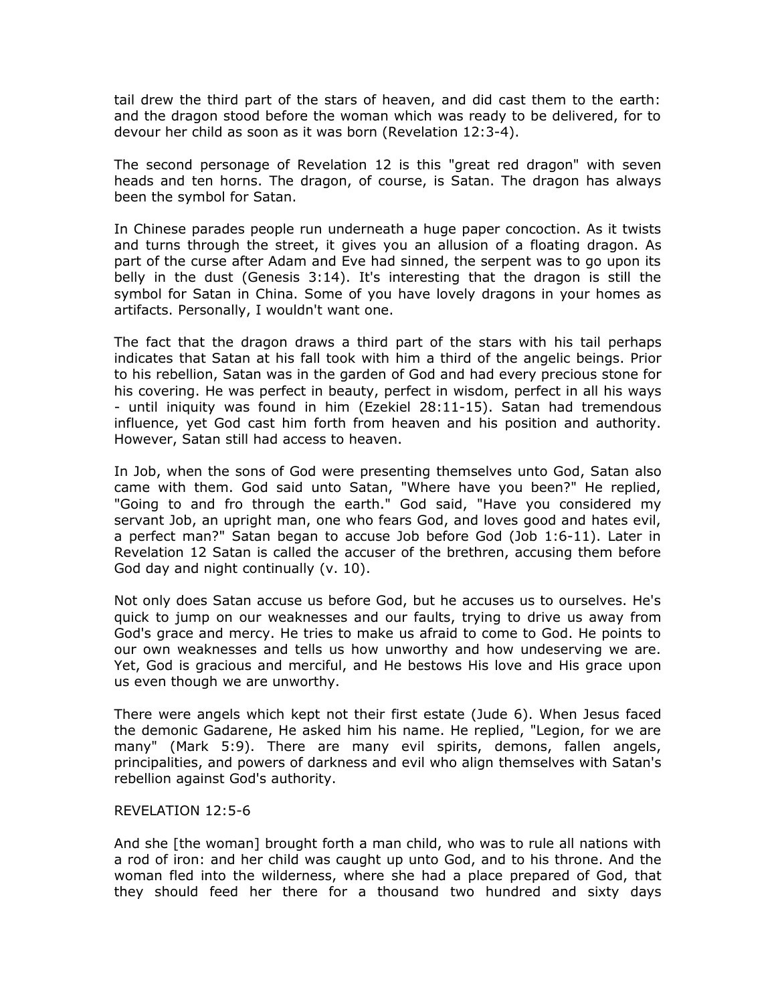tail drew the third part of the stars of heaven, and did cast them to the earth: and the dragon stood before the woman which was ready to be delivered, for to devour her child as soon as it was born (Revelation 12:3-4).

The second personage of Revelation 12 is this "great red dragon" with seven heads and ten horns. The dragon, of course, is Satan. The dragon has always been the symbol for Satan.

In Chinese parades people run underneath a huge paper concoction. As it twists and turns through the street, it gives you an allusion of a floating dragon. As part of the curse after Adam and Eve had sinned, the serpent was to go upon its belly in the dust (Genesis 3:14). It's interesting that the dragon is still the symbol for Satan in China. Some of you have lovely dragons in your homes as artifacts. Personally, I wouldn't want one.

The fact that the dragon draws a third part of the stars with his tail perhaps indicates that Satan at his fall took with him a third of the angelic beings. Prior to his rebellion, Satan was in the garden of God and had every precious stone for his covering. He was perfect in beauty, perfect in wisdom, perfect in all his ways - until iniquity was found in him (Ezekiel 28:11-15). Satan had tremendous influence, yet God cast him forth from heaven and his position and authority. However, Satan still had access to heaven.

In Job, when the sons of God were presenting themselves unto God, Satan also came with them. God said unto Satan, "Where have you been?" He replied, "Going to and fro through the earth." God said, "Have you considered my servant Job, an upright man, one who fears God, and loves good and hates evil, a perfect man?" Satan began to accuse Job before God (Job 1:6-11). Later in Revelation 12 Satan is called the accuser of the brethren, accusing them before God day and night continually (v. 10).

Not only does Satan accuse us before God, but he accuses us to ourselves. He's quick to jump on our weaknesses and our faults, trying to drive us away from God's grace and mercy. He tries to make us afraid to come to God. He points to our own weaknesses and tells us how unworthy and how undeserving we are. Yet, God is gracious and merciful, and He bestows His love and His grace upon us even though we are unworthy.

There were angels which kept not their first estate (Jude 6). When Jesus faced the demonic Gadarene, He asked him his name. He replied, "Legion, for we are many" (Mark 5:9). There are many evil spirits, demons, fallen angels, principalities, and powers of darkness and evil who align themselves with Satan's rebellion against God's authority.

#### REVELATION 12:5-6

And she [the woman] brought forth a man child, who was to rule all nations with a rod of iron: and her child was caught up unto God, and to his throne. And the woman fled into the wilderness, where she had a place prepared of God, that they should feed her there for a thousand two hundred and sixty days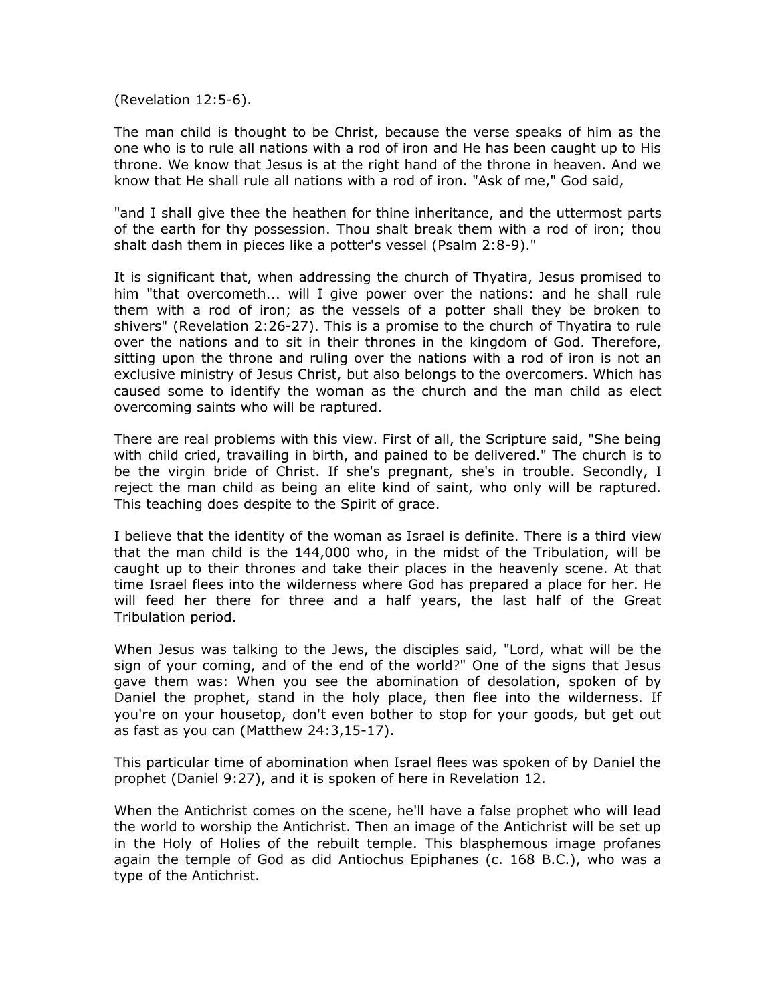(Revelation 12:5-6).

The man child is thought to be Christ, because the verse speaks of him as the one who is to rule all nations with a rod of iron and He has been caught up to His throne. We know that Jesus is at the right hand of the throne in heaven. And we know that He shall rule all nations with a rod of iron. "Ask of me," God said,

"and I shall give thee the heathen for thine inheritance, and the uttermost parts of the earth for thy possession. Thou shalt break them with a rod of iron; thou shalt dash them in pieces like a potter's vessel (Psalm 2:8-9)."

It is significant that, when addressing the church of Thyatira, Jesus promised to him "that overcometh... will I give power over the nations: and he shall rule them with a rod of iron; as the vessels of a potter shall they be broken to shivers" (Revelation 2:26-27). This is a promise to the church of Thyatira to rule over the nations and to sit in their thrones in the kingdom of God. Therefore, sitting upon the throne and ruling over the nations with a rod of iron is not an exclusive ministry of Jesus Christ, but also belongs to the overcomers. Which has caused some to identify the woman as the church and the man child as elect overcoming saints who will be raptured.

There are real problems with this view. First of all, the Scripture said, "She being with child cried, travailing in birth, and pained to be delivered." The church is to be the virgin bride of Christ. If she's pregnant, she's in trouble. Secondly, I reject the man child as being an elite kind of saint, who only will be raptured. This teaching does despite to the Spirit of grace.

I believe that the identity of the woman as Israel is definite. There is a third view that the man child is the 144,000 who, in the midst of the Tribulation, will be caught up to their thrones and take their places in the heavenly scene. At that time Israel flees into the wilderness where God has prepared a place for her. He will feed her there for three and a half years, the last half of the Great Tribulation period.

When Jesus was talking to the Jews, the disciples said, "Lord, what will be the sign of your coming, and of the end of the world?" One of the signs that Jesus gave them was: When you see the abomination of desolation, spoken of by Daniel the prophet, stand in the holy place, then flee into the wilderness. If you're on your housetop, don't even bother to stop for your goods, but get out as fast as you can (Matthew 24:3,15-17).

This particular time of abomination when Israel flees was spoken of by Daniel the prophet (Daniel 9:27), and it is spoken of here in Revelation 12.

When the Antichrist comes on the scene, he'll have a false prophet who will lead the world to worship the Antichrist. Then an image of the Antichrist will be set up in the Holy of Holies of the rebuilt temple. This blasphemous image profanes again the temple of God as did Antiochus Epiphanes (c. 168 B.C.), who was a type of the Antichrist.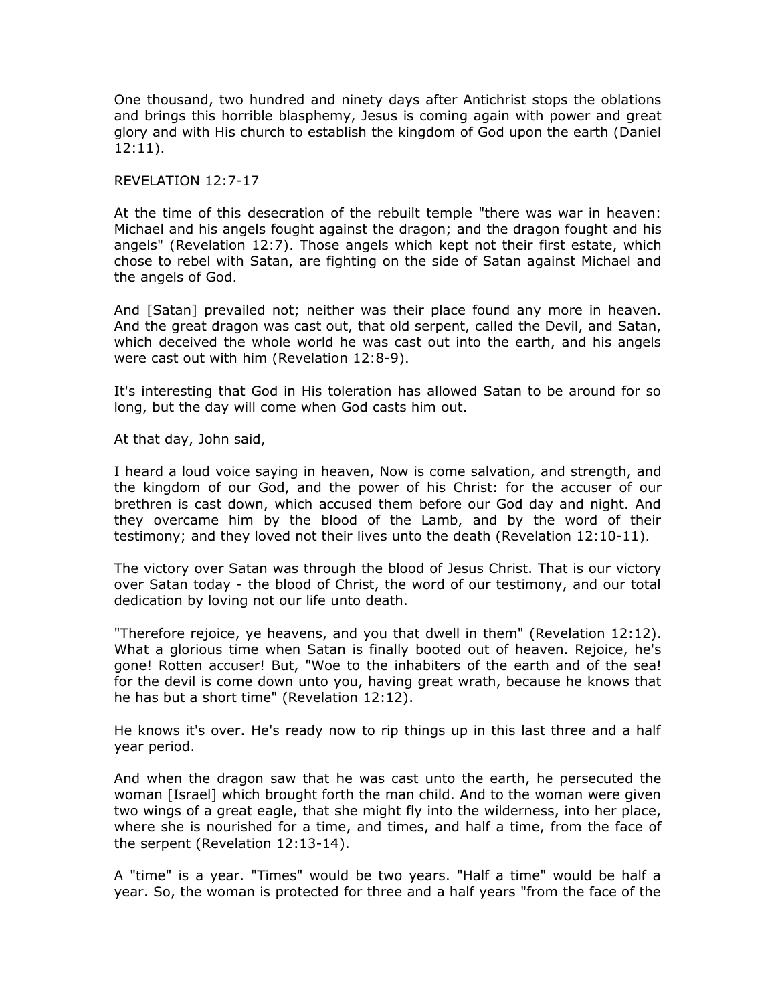One thousand, two hundred and ninety days after Antichrist stops the oblations and brings this horrible blasphemy, Jesus is coming again with power and great glory and with His church to establish the kingdom of God upon the earth (Daniel 12:11).

# REVELATION 12:7-17

At the time of this desecration of the rebuilt temple "there was war in heaven: Michael and his angels fought against the dragon; and the dragon fought and his angels" (Revelation 12:7). Those angels which kept not their first estate, which chose to rebel with Satan, are fighting on the side of Satan against Michael and the angels of God.

And [Satan] prevailed not; neither was their place found any more in heaven. And the great dragon was cast out, that old serpent, called the Devil, and Satan, which deceived the whole world he was cast out into the earth, and his angels were cast out with him (Revelation 12:8-9).

It's interesting that God in His toleration has allowed Satan to be around for so long, but the day will come when God casts him out.

At that day, John said,

I heard a loud voice saying in heaven, Now is come salvation, and strength, and the kingdom of our God, and the power of his Christ: for the accuser of our brethren is cast down, which accused them before our God day and night. And they overcame him by the blood of the Lamb, and by the word of their testimony; and they loved not their lives unto the death (Revelation 12:10-11).

The victory over Satan was through the blood of Jesus Christ. That is our victory over Satan today - the blood of Christ, the word of our testimony, and our total dedication by loving not our life unto death.

"Therefore rejoice, ye heavens, and you that dwell in them" (Revelation 12:12). What a glorious time when Satan is finally booted out of heaven. Rejoice, he's gone! Rotten accuser! But, "Woe to the inhabiters of the earth and of the sea! for the devil is come down unto you, having great wrath, because he knows that he has but a short time" (Revelation 12:12).

He knows it's over. He's ready now to rip things up in this last three and a half year period.

And when the dragon saw that he was cast unto the earth, he persecuted the woman [Israel] which brought forth the man child. And to the woman were given two wings of a great eagle, that she might fly into the wilderness, into her place, where she is nourished for a time, and times, and half a time, from the face of the serpent (Revelation 12:13-14).

A "time" is a year. "Times" would be two years. "Half a time" would be half a year. So, the woman is protected for three and a half years "from the face of the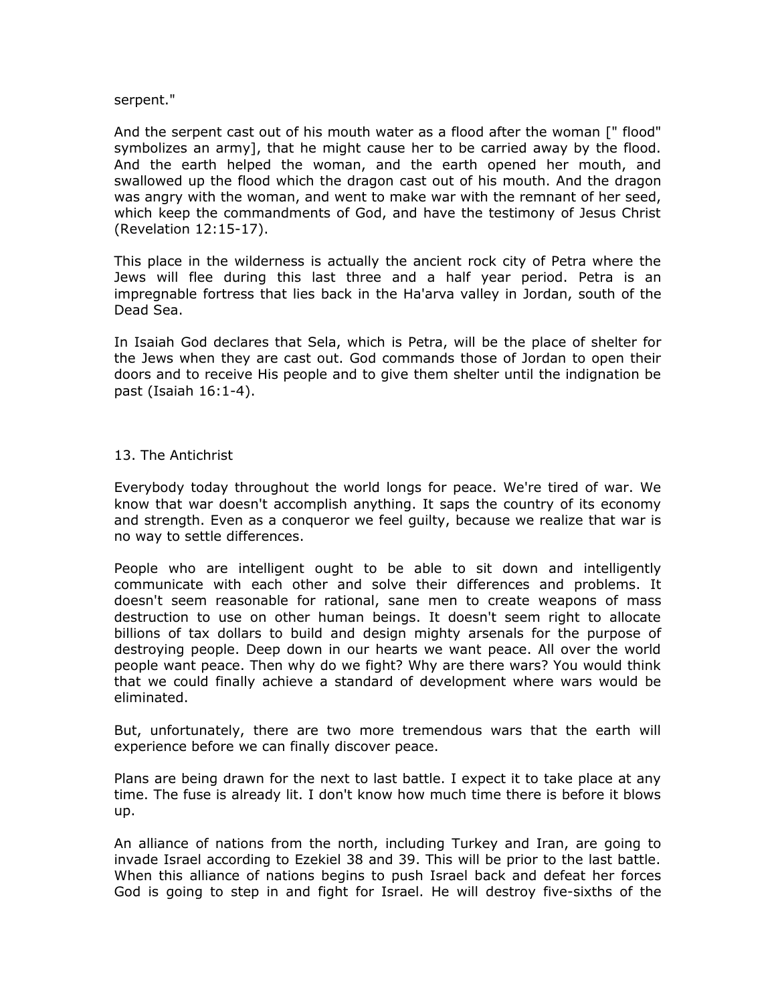# serpent."

And the serpent cast out of his mouth water as a flood after the woman [" flood" symbolizes an army], that he might cause her to be carried away by the flood. And the earth helped the woman, and the earth opened her mouth, and swallowed up the flood which the dragon cast out of his mouth. And the dragon was angry with the woman, and went to make war with the remnant of her seed, which keep the commandments of God, and have the testimony of Jesus Christ (Revelation 12:15-17).

This place in the wilderness is actually the ancient rock city of Petra where the Jews will flee during this last three and a half year period. Petra is an impregnable fortress that lies back in the Ha'arva valley in Jordan, south of the Dead Sea.

In Isaiah God declares that Sela, which is Petra, will be the place of shelter for the Jews when they are cast out. God commands those of Jordan to open their doors and to receive His people and to give them shelter until the indignation be past (Isaiah 16:1-4).

# 13. The Antichrist

Everybody today throughout the world longs for peace. We're tired of war. We know that war doesn't accomplish anything. It saps the country of its economy and strength. Even as a conqueror we feel guilty, because we realize that war is no way to settle differences.

People who are intelligent ought to be able to sit down and intelligently communicate with each other and solve their differences and problems. It doesn't seem reasonable for rational, sane men to create weapons of mass destruction to use on other human beings. It doesn't seem right to allocate billions of tax dollars to build and design mighty arsenals for the purpose of destroying people. Deep down in our hearts we want peace. All over the world people want peace. Then why do we fight? Why are there wars? You would think that we could finally achieve a standard of development where wars would be eliminated.

But, unfortunately, there are two more tremendous wars that the earth will experience before we can finally discover peace.

Plans are being drawn for the next to last battle. I expect it to take place at any time. The fuse is already lit. I don't know how much time there is before it blows up.

An alliance of nations from the north, including Turkey and Iran, are going to invade Israel according to Ezekiel 38 and 39. This will be prior to the last battle. When this alliance of nations begins to push Israel back and defeat her forces God is going to step in and fight for Israel. He will destroy five-sixths of the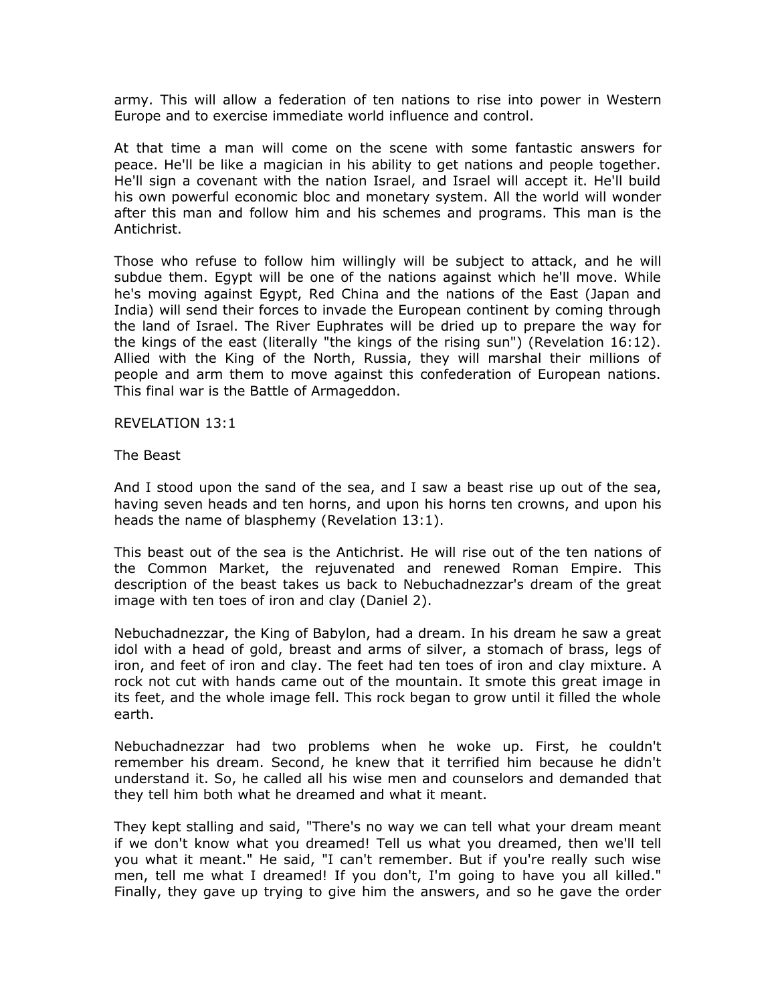army. This will allow a federation of ten nations to rise into power in Western Europe and to exercise immediate world influence and control.

At that time a man will come on the scene with some fantastic answers for peace. He'll be like a magician in his ability to get nations and people together. He'll sign a covenant with the nation Israel, and Israel will accept it. He'll build his own powerful economic bloc and monetary system. All the world will wonder after this man and follow him and his schemes and programs. This man is the Antichrist.

Those who refuse to follow him willingly will be subject to attack, and he will subdue them. Egypt will be one of the nations against which he'll move. While he's moving against Egypt, Red China and the nations of the East (Japan and India) will send their forces to invade the European continent by coming through the land of Israel. The River Euphrates will be dried up to prepare the way for the kings of the east (literally "the kings of the rising sun") (Revelation 16:12). Allied with the King of the North, Russia, they will marshal their millions of people and arm them to move against this confederation of European nations. This final war is the Battle of Armageddon.

REVELATION 13:1

The Beast

And I stood upon the sand of the sea, and I saw a beast rise up out of the sea, having seven heads and ten horns, and upon his horns ten crowns, and upon his heads the name of blasphemy (Revelation 13:1).

This beast out of the sea is the Antichrist. He will rise out of the ten nations of the Common Market, the rejuvenated and renewed Roman Empire. This description of the beast takes us back to Nebuchadnezzar's dream of the great image with ten toes of iron and clay (Daniel 2).

Nebuchadnezzar, the King of Babylon, had a dream. In his dream he saw a great idol with a head of gold, breast and arms of silver, a stomach of brass, legs of iron, and feet of iron and clay. The feet had ten toes of iron and clay mixture. A rock not cut with hands came out of the mountain. It smote this great image in its feet, and the whole image fell. This rock began to grow until it filled the whole earth.

Nebuchadnezzar had two problems when he woke up. First, he couldn't remember his dream. Second, he knew that it terrified him because he didn't understand it. So, he called all his wise men and counselors and demanded that they tell him both what he dreamed and what it meant.

They kept stalling and said, "There's no way we can tell what your dream meant if we don't know what you dreamed! Tell us what you dreamed, then we'll tell you what it meant." He said, "I can't remember. But if you're really such wise men, tell me what I dreamed! If you don't, I'm going to have you all killed." Finally, they gave up trying to give him the answers, and so he gave the order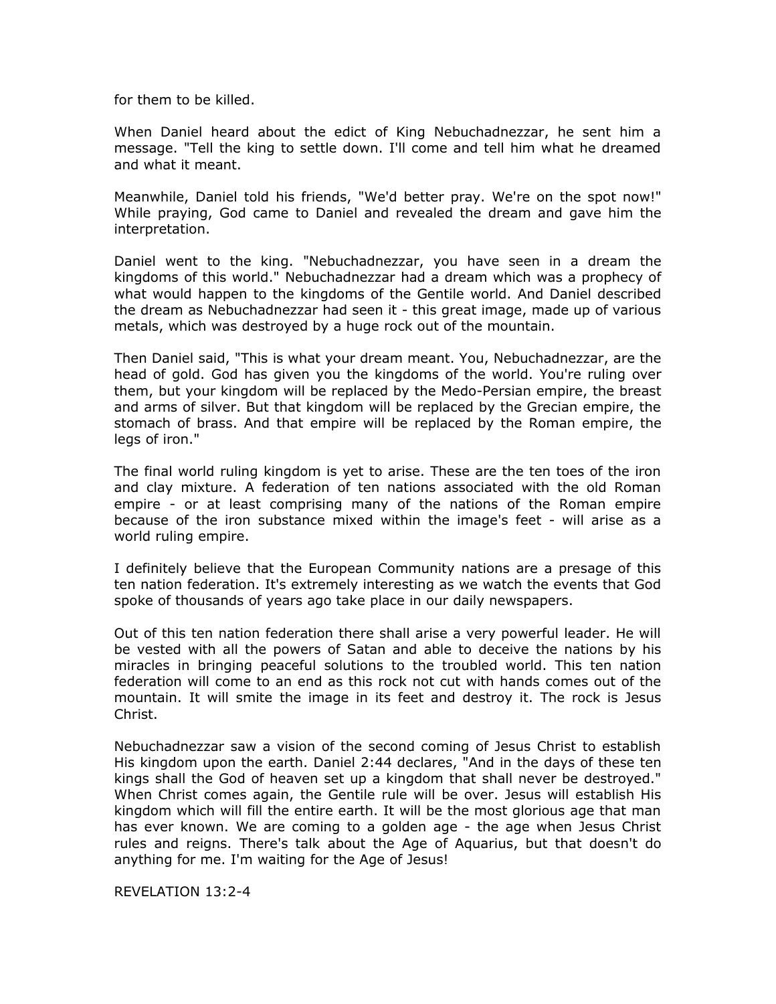for them to be killed.

When Daniel heard about the edict of King Nebuchadnezzar, he sent him a message. "Tell the king to settle down. I'll come and tell him what he dreamed and what it meant.

Meanwhile, Daniel told his friends, "We'd better pray. We're on the spot now!" While praying, God came to Daniel and revealed the dream and gave him the interpretation.

Daniel went to the king. "Nebuchadnezzar, you have seen in a dream the kingdoms of this world." Nebuchadnezzar had a dream which was a prophecy of what would happen to the kingdoms of the Gentile world. And Daniel described the dream as Nebuchadnezzar had seen it - this great image, made up of various metals, which was destroyed by a huge rock out of the mountain.

Then Daniel said, "This is what your dream meant. You, Nebuchadnezzar, are the head of gold. God has given you the kingdoms of the world. You're ruling over them, but your kingdom will be replaced by the Medo-Persian empire, the breast and arms of silver. But that kingdom will be replaced by the Grecian empire, the stomach of brass. And that empire will be replaced by the Roman empire, the legs of iron."

The final world ruling kingdom is yet to arise. These are the ten toes of the iron and clay mixture. A federation of ten nations associated with the old Roman empire - or at least comprising many of the nations of the Roman empire because of the iron substance mixed within the image's feet - will arise as a world ruling empire.

I definitely believe that the European Community nations are a presage of this ten nation federation. It's extremely interesting as we watch the events that God spoke of thousands of years ago take place in our daily newspapers.

Out of this ten nation federation there shall arise a very powerful leader. He will be vested with all the powers of Satan and able to deceive the nations by his miracles in bringing peaceful solutions to the troubled world. This ten nation federation will come to an end as this rock not cut with hands comes out of the mountain. It will smite the image in its feet and destroy it. The rock is Jesus Christ.

Nebuchadnezzar saw a vision of the second coming of Jesus Christ to establish His kingdom upon the earth. Daniel 2:44 declares, "And in the days of these ten kings shall the God of heaven set up a kingdom that shall never be destroyed." When Christ comes again, the Gentile rule will be over. Jesus will establish His kingdom which will fill the entire earth. It will be the most glorious age that man has ever known. We are coming to a golden age - the age when Jesus Christ rules and reigns. There's talk about the Age of Aquarius, but that doesn't do anything for me. I'm waiting for the Age of Jesus!

REVELATION 13:2-4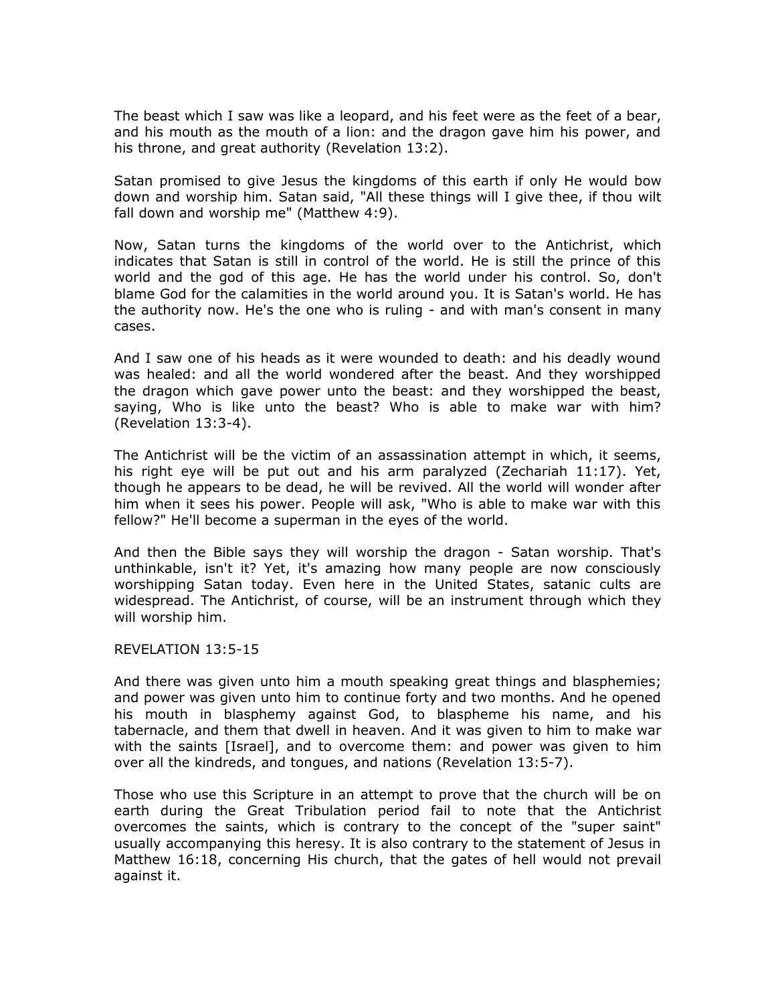The beast which I saw was like a leopard, and his feet were as the feet of a bear, and his mouth as the mouth of a lion: and the dragon gave him his power, and his throne, and great authority (Revelation 13:2).

Satan promised to give Jesus the kingdoms of this earth if only He would bow down and worship him. Satan said, "All these things will I give thee, if thou wilt fall down and worship me" (Matthew 4:9).

Now, Satan turns the kingdoms of the world over to the Antichrist, which indicates that Satan is still in control of the world. He is still the prince of this world and the god of this age. He has the world under his control. So, don't blame God for the calamities in the world around you. It is Satan's world. He has the authority now. He's the one who is ruling - and with man's consent in many cases.

And I saw one of his heads as it were wounded to death: and his deadly wound was healed: and all the world wondered after the beast. And they worshipped the dragon which gave power unto the beast: and they worshipped the beast, saying, Who is like unto the beast? Who is able to make war with him? (Revelation 13:3-4).

The Antichrist will be the victim of an assassination attempt in which, it seems, his right eye will be put out and his arm paralyzed (Zechariah 11:17). Yet, though he appears to be dead, he will be revived. All the world will wonder after him when it sees his power. People will ask, "Who is able to make war with this fellow?" He'll become a superman in the eyes of the world.

And then the Bible says they will worship the dragon - Satan worship. That's unthinkable, isn't it? Yet, it's amazing how many people are now consciously worshipping Satan today. Even here in the United States, satanic cults are widespread. The Antichrist, of course, will be an instrument through which they will worship him.

# REVELATION 13:5-15

And there was given unto him a mouth speaking great things and blasphemies; and power was given unto him to continue forty and two months. And he opened his mouth in blasphemy against God, to blaspheme his name, and his tabernacle, and them that dwell in heaven. And it was given to him to make war with the saints [Israel], and to overcome them: and power was given to him over all the kindreds, and tongues, and nations (Revelation 13:5-7).

Those who use this Scripture in an attempt to prove that the church will be on earth during the Great Tribulation period fail to note that the Antichrist overcomes the saints, which is contrary to the concept of the "super saint" usually accompanying this heresy. It is also contrary to the statement of Jesus in Matthew 16:18, concerning His church, that the gates of hell would not prevail against it.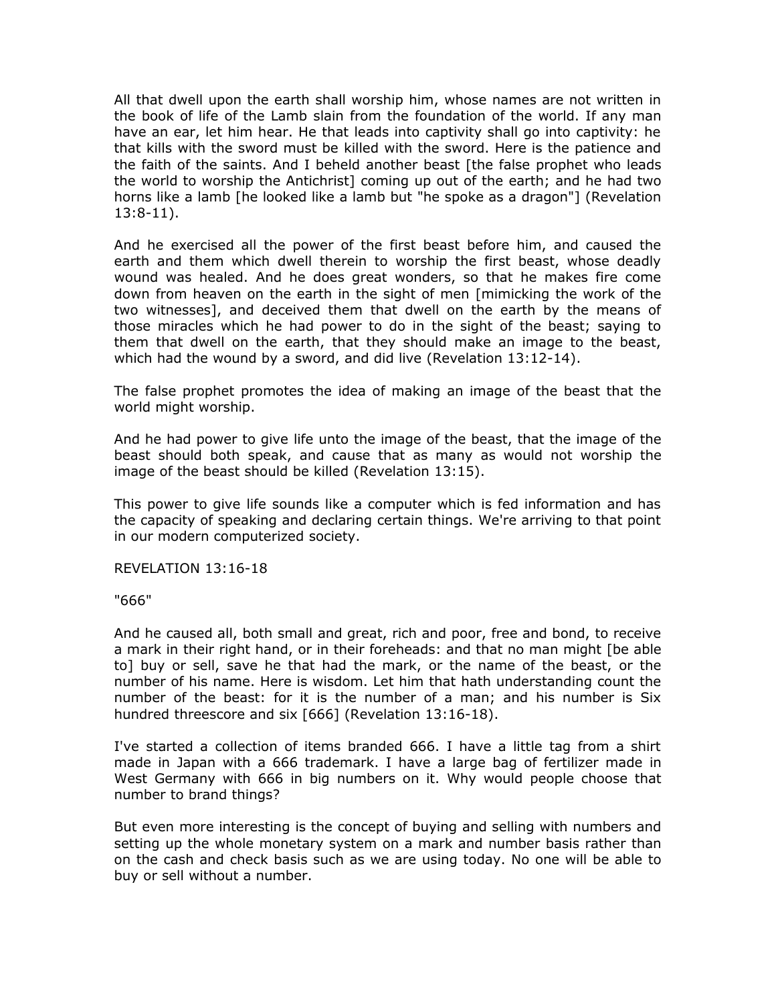All that dwell upon the earth shall worship him, whose names are not written in the book of life of the Lamb slain from the foundation of the world. If any man have an ear, let him hear. He that leads into captivity shall go into captivity: he that kills with the sword must be killed with the sword. Here is the patience and the faith of the saints. And I beheld another beast [the false prophet who leads the world to worship the Antichrist] coming up out of the earth; and he had two horns like a lamb [he looked like a lamb but "he spoke as a dragon"] (Revelation 13:8-11).

And he exercised all the power of the first beast before him, and caused the earth and them which dwell therein to worship the first beast, whose deadly wound was healed. And he does great wonders, so that he makes fire come down from heaven on the earth in the sight of men [mimicking the work of the two witnesses], and deceived them that dwell on the earth by the means of those miracles which he had power to do in the sight of the beast; saying to them that dwell on the earth, that they should make an image to the beast, which had the wound by a sword, and did live (Revelation 13:12-14).

The false prophet promotes the idea of making an image of the beast that the world might worship.

And he had power to give life unto the image of the beast, that the image of the beast should both speak, and cause that as many as would not worship the image of the beast should be killed (Revelation 13:15).

This power to give life sounds like a computer which is fed information and has the capacity of speaking and declaring certain things. We're arriving to that point in our modern computerized society.

REVELATION 13:16-18

"666"

And he caused all, both small and great, rich and poor, free and bond, to receive a mark in their right hand, or in their foreheads: and that no man might [be able to] buy or sell, save he that had the mark, or the name of the beast, or the number of his name. Here is wisdom. Let him that hath understanding count the number of the beast: for it is the number of a man; and his number is Six hundred threescore and six [666] (Revelation 13:16-18).

I've started a collection of items branded 666. I have a little tag from a shirt made in Japan with a 666 trademark. I have a large bag of fertilizer made in West Germany with 666 in big numbers on it. Why would people choose that number to brand things?

But even more interesting is the concept of buying and selling with numbers and setting up the whole monetary system on a mark and number basis rather than on the cash and check basis such as we are using today. No one will be able to buy or sell without a number.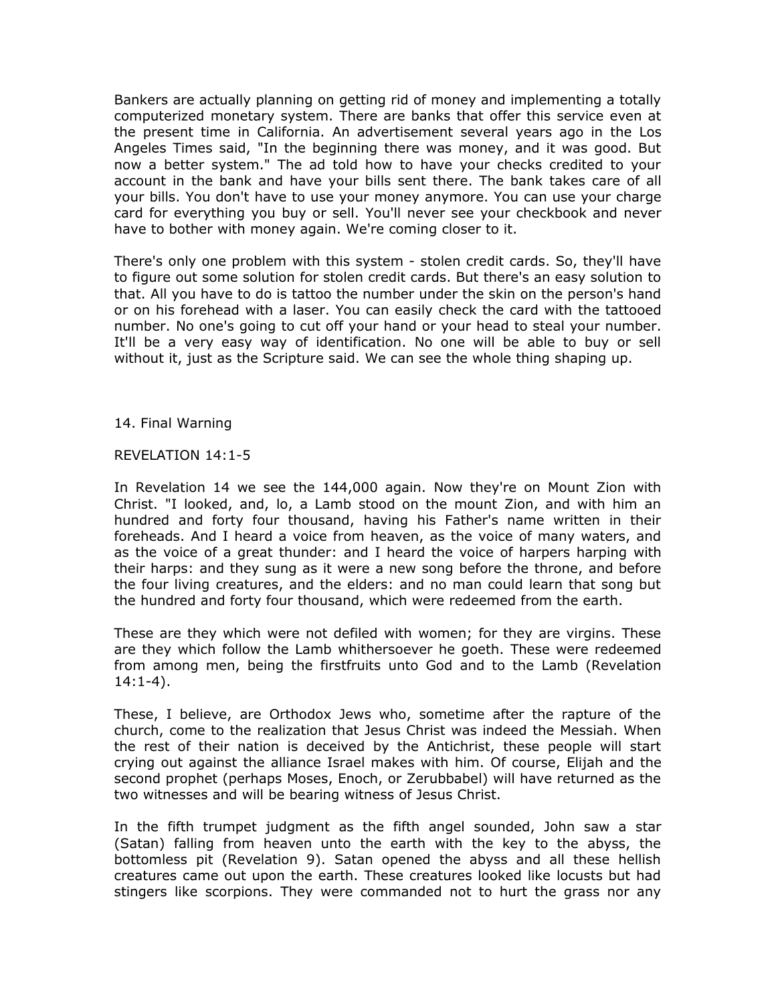Bankers are actually planning on getting rid of money and implementing a totally computerized monetary system. There are banks that offer this service even at the present time in California. An advertisement several years ago in the Los Angeles Times said, "In the beginning there was money, and it was good. But now a better system." The ad told how to have your checks credited to your account in the bank and have your bills sent there. The bank takes care of all your bills. You don't have to use your money anymore. You can use your charge card for everything you buy or sell. You'll never see your checkbook and never have to bother with money again. We're coming closer to it.

There's only one problem with this system - stolen credit cards. So, they'll have to figure out some solution for stolen credit cards. But there's an easy solution to that. All you have to do is tattoo the number under the skin on the person's hand or on his forehead with a laser. You can easily check the card with the tattooed number. No one's going to cut off your hand or your head to steal your number. It'll be a very easy way of identification. No one will be able to buy or sell without it, just as the Scripture said. We can see the whole thing shaping up.

14. Final Warning

REVELATION 14:1-5

In Revelation 14 we see the 144,000 again. Now they're on Mount Zion with Christ. "I looked, and, lo, a Lamb stood on the mount Zion, and with him an hundred and forty four thousand, having his Father's name written in their foreheads. And I heard a voice from heaven, as the voice of many waters, and as the voice of a great thunder: and I heard the voice of harpers harping with their harps: and they sung as it were a new song before the throne, and before the four living creatures, and the elders: and no man could learn that song but the hundred and forty four thousand, which were redeemed from the earth.

These are they which were not defiled with women; for they are virgins. These are they which follow the Lamb whithersoever he goeth. These were redeemed from among men, being the firstfruits unto God and to the Lamb (Revelation 14:1-4).

These, I believe, are Orthodox Jews who, sometime after the rapture of the church, come to the realization that Jesus Christ was indeed the Messiah. When the rest of their nation is deceived by the Antichrist, these people will start crying out against the alliance Israel makes with him. Of course, Elijah and the second prophet (perhaps Moses, Enoch, or Zerubbabel) will have returned as the two witnesses and will be bearing witness of Jesus Christ.

In the fifth trumpet judgment as the fifth angel sounded, John saw a star (Satan) falling from heaven unto the earth with the key to the abyss, the bottomless pit (Revelation 9). Satan opened the abyss and all these hellish creatures came out upon the earth. These creatures looked like locusts but had stingers like scorpions. They were commanded not to hurt the grass nor any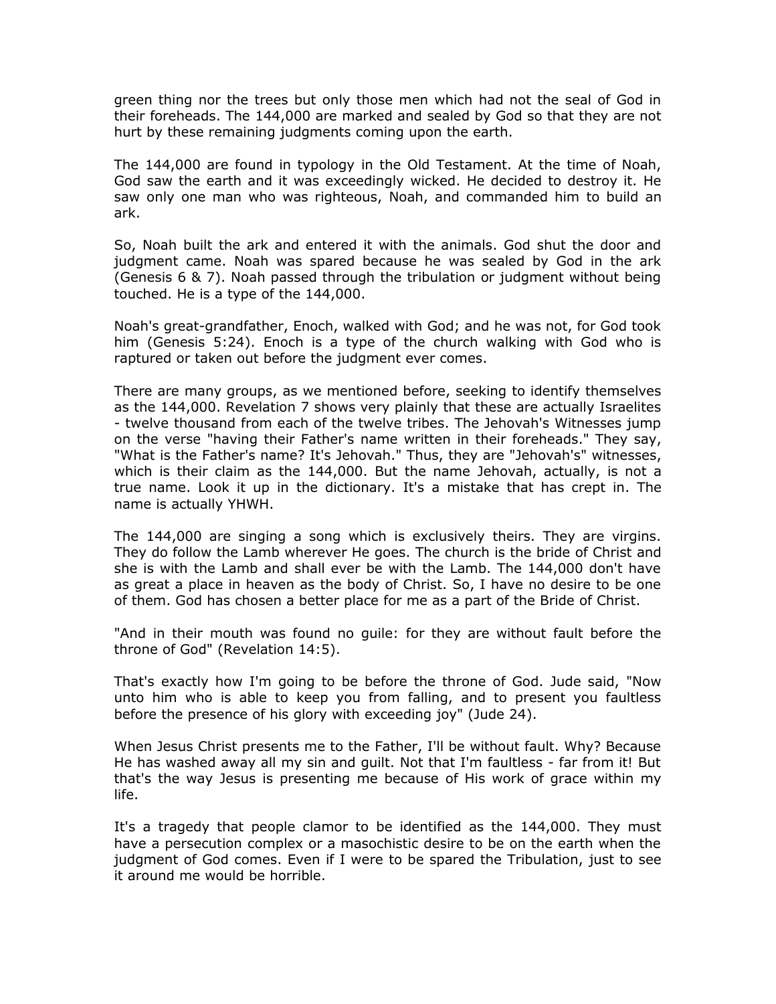green thing nor the trees but only those men which had not the seal of God in their foreheads. The 144,000 are marked and sealed by God so that they are not hurt by these remaining judgments coming upon the earth.

The 144,000 are found in typology in the Old Testament. At the time of Noah, God saw the earth and it was exceedingly wicked. He decided to destroy it. He saw only one man who was righteous, Noah, and commanded him to build an ark.

So, Noah built the ark and entered it with the animals. God shut the door and judgment came. Noah was spared because he was sealed by God in the ark (Genesis 6 & 7). Noah passed through the tribulation or judgment without being touched. He is a type of the 144,000.

Noah's great-grandfather, Enoch, walked with God; and he was not, for God took him (Genesis 5:24). Enoch is a type of the church walking with God who is raptured or taken out before the judgment ever comes.

There are many groups, as we mentioned before, seeking to identify themselves as the 144,000. Revelation 7 shows very plainly that these are actually Israelites - twelve thousand from each of the twelve tribes. The Jehovah's Witnesses jump on the verse "having their Father's name written in their foreheads." They say, "What is the Father's name? It's Jehovah." Thus, they are "Jehovah's" witnesses, which is their claim as the 144,000. But the name Jehovah, actually, is not a true name. Look it up in the dictionary. It's a mistake that has crept in. The name is actually YHWH.

The 144,000 are singing a song which is exclusively theirs. They are virgins. They do follow the Lamb wherever He goes. The church is the bride of Christ and she is with the Lamb and shall ever be with the Lamb. The 144,000 don't have as great a place in heaven as the body of Christ. So, I have no desire to be one of them. God has chosen a better place for me as a part of the Bride of Christ.

"And in their mouth was found no guile: for they are without fault before the throne of God" (Revelation 14:5).

That's exactly how I'm going to be before the throne of God. Jude said, "Now unto him who is able to keep you from falling, and to present you faultless before the presence of his glory with exceeding joy" (Jude 24).

When Jesus Christ presents me to the Father, I'll be without fault. Why? Because He has washed away all my sin and guilt. Not that I'm faultless - far from it! But that's the way Jesus is presenting me because of His work of grace within my life.

It's a tragedy that people clamor to be identified as the 144,000. They must have a persecution complex or a masochistic desire to be on the earth when the judgment of God comes. Even if I were to be spared the Tribulation, just to see it around me would be horrible.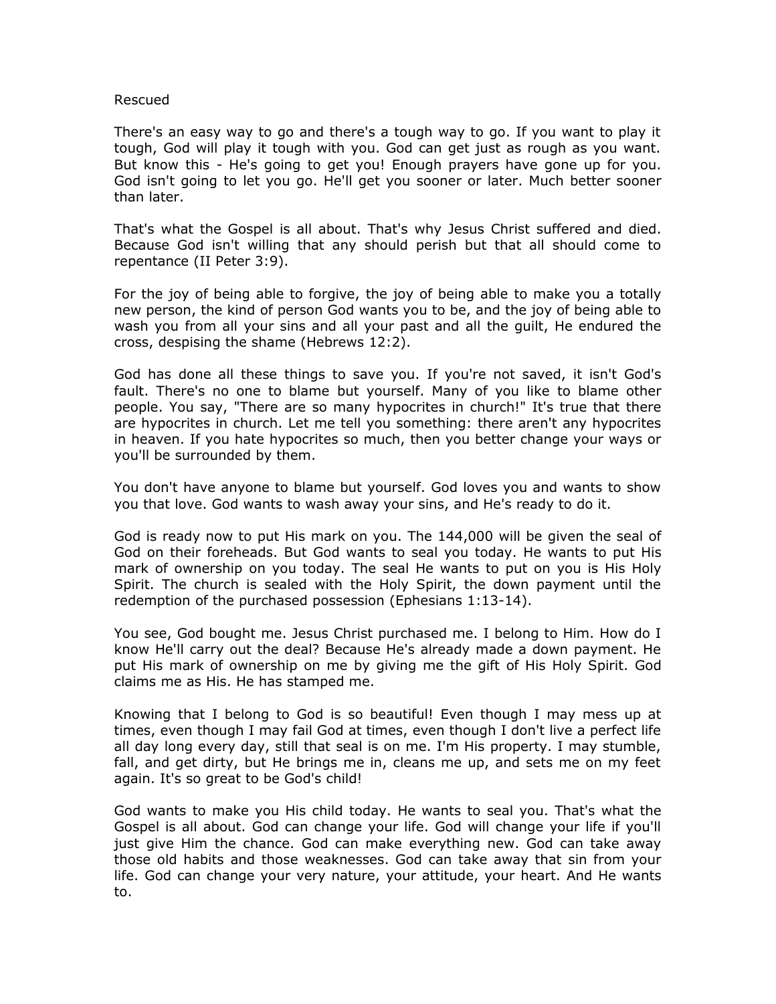### Rescued

There's an easy way to go and there's a tough way to go. If you want to play it tough, God will play it tough with you. God can get just as rough as you want. But know this - He's going to get you! Enough prayers have gone up for you. God isn't going to let you go. He'll get you sooner or later. Much better sooner than later.

That's what the Gospel is all about. That's why Jesus Christ suffered and died. Because God isn't willing that any should perish but that all should come to repentance (II Peter 3:9).

For the joy of being able to forgive, the joy of being able to make you a totally new person, the kind of person God wants you to be, and the joy of being able to wash you from all your sins and all your past and all the guilt, He endured the cross, despising the shame (Hebrews 12:2).

God has done all these things to save you. If you're not saved, it isn't God's fault. There's no one to blame but yourself. Many of you like to blame other people. You say, "There are so many hypocrites in church!" It's true that there are hypocrites in church. Let me tell you something: there aren't any hypocrites in heaven. If you hate hypocrites so much, then you better change your ways or you'll be surrounded by them.

You don't have anyone to blame but yourself. God loves you and wants to show you that love. God wants to wash away your sins, and He's ready to do it.

God is ready now to put His mark on you. The 144,000 will be given the seal of God on their foreheads. But God wants to seal you today. He wants to put His mark of ownership on you today. The seal He wants to put on you is His Holy Spirit. The church is sealed with the Holy Spirit, the down payment until the redemption of the purchased possession (Ephesians 1:13-14).

You see, God bought me. Jesus Christ purchased me. I belong to Him. How do I know He'll carry out the deal? Because He's already made a down payment. He put His mark of ownership on me by giving me the gift of His Holy Spirit. God claims me as His. He has stamped me.

Knowing that I belong to God is so beautiful! Even though I may mess up at times, even though I may fail God at times, even though I don't live a perfect life all day long every day, still that seal is on me. I'm His property. I may stumble, fall, and get dirty, but He brings me in, cleans me up, and sets me on my feet again. It's so great to be God's child!

God wants to make you His child today. He wants to seal you. That's what the Gospel is all about. God can change your life. God will change your life if you'll just give Him the chance. God can make everything new. God can take away those old habits and those weaknesses. God can take away that sin from your life. God can change your very nature, your attitude, your heart. And He wants to.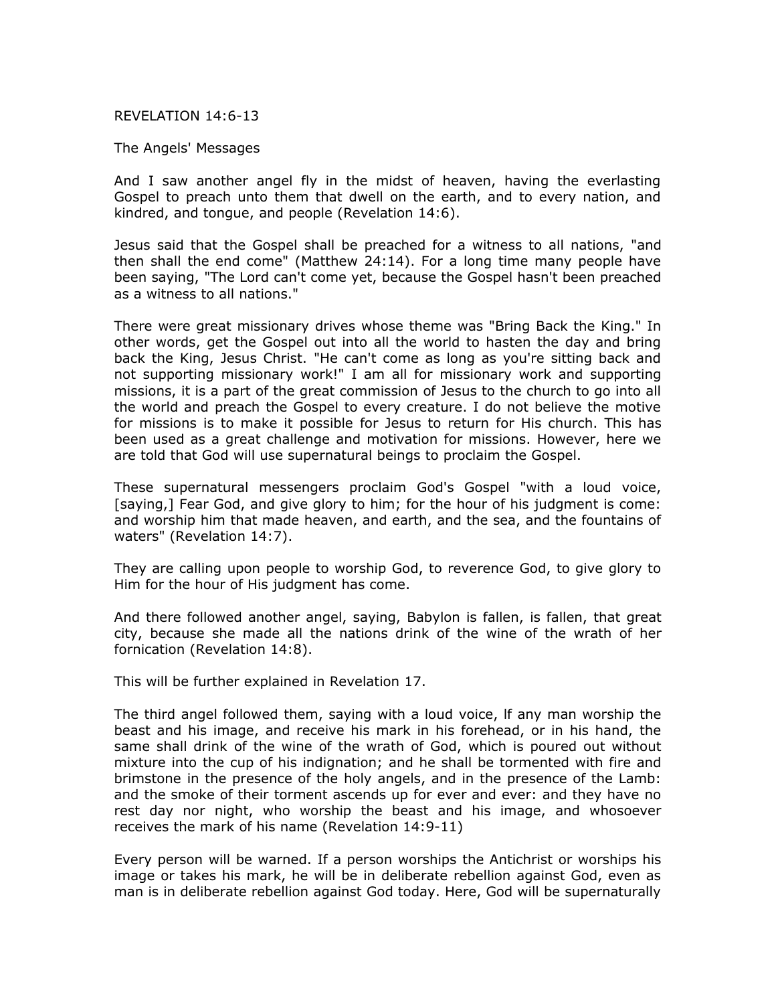### REVELATION 14:6-13

#### The Angels' Messages

And I saw another angel fly in the midst of heaven, having the everlasting Gospel to preach unto them that dwell on the earth, and to every nation, and kindred, and tongue, and people (Revelation 14:6).

Jesus said that the Gospel shall be preached for a witness to all nations, "and then shall the end come" (Matthew 24:14). For a long time many people have been saying, "The Lord can't come yet, because the Gospel hasn't been preached as a witness to all nations."

There were great missionary drives whose theme was "Bring Back the King." In other words, get the Gospel out into all the world to hasten the day and bring back the King, Jesus Christ. "He can't come as long as you're sitting back and not supporting missionary work!" I am all for missionary work and supporting missions, it is a part of the great commission of Jesus to the church to go into all the world and preach the Gospel to every creature. I do not believe the motive for missions is to make it possible for Jesus to return for His church. This has been used as a great challenge and motivation for missions. However, here we are told that God will use supernatural beings to proclaim the Gospel.

These supernatural messengers proclaim God's Gospel "with a loud voice, [saying,] Fear God, and give glory to him; for the hour of his judgment is come: and worship him that made heaven, and earth, and the sea, and the fountains of waters" (Revelation 14:7).

They are calling upon people to worship God, to reverence God, to give glory to Him for the hour of His judgment has come.

And there followed another angel, saying, Babylon is fallen, is fallen, that great city, because she made all the nations drink of the wine of the wrath of her fornication (Revelation 14:8).

This will be further explained in Revelation 17.

The third angel followed them, saying with a loud voice, lf any man worship the beast and his image, and receive his mark in his forehead, or in his hand, the same shall drink of the wine of the wrath of God, which is poured out without mixture into the cup of his indignation; and he shall be tormented with fire and brimstone in the presence of the holy angels, and in the presence of the Lamb: and the smoke of their torment ascends up for ever and ever: and they have no rest day nor night, who worship the beast and his image, and whosoever receives the mark of his name (Revelation 14:9-11)

Every person will be warned. If a person worships the Antichrist or worships his image or takes his mark, he will be in deliberate rebellion against God, even as man is in deliberate rebellion against God today. Here, God will be supernaturally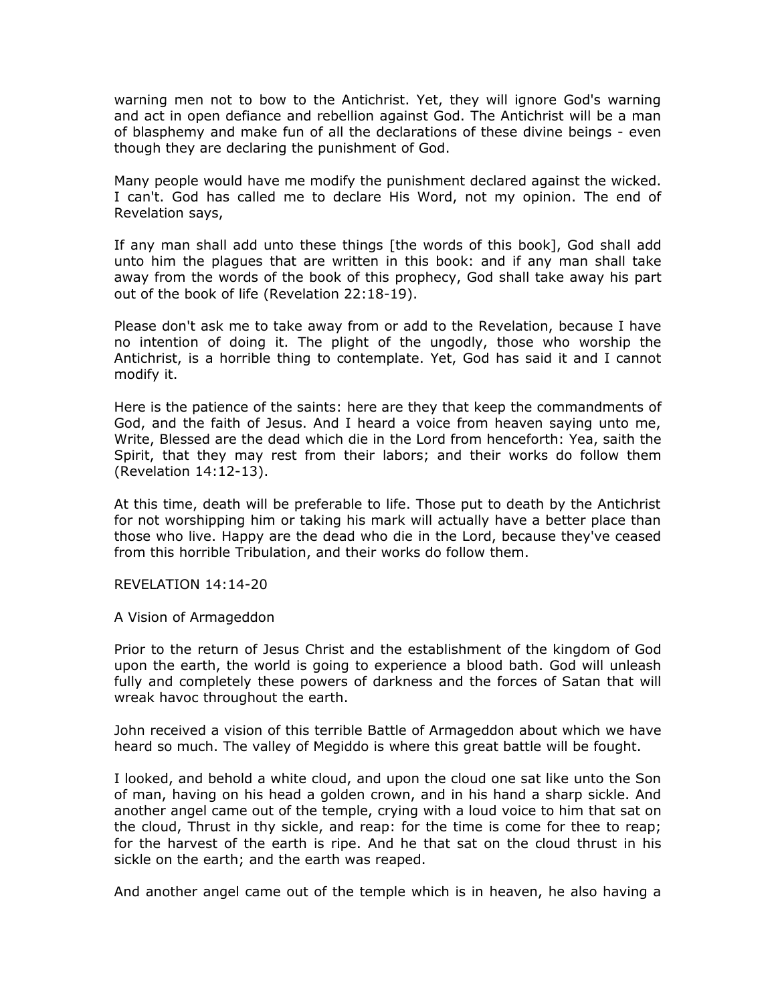warning men not to bow to the Antichrist. Yet, they will ignore God's warning and act in open defiance and rebellion against God. The Antichrist will be a man of blasphemy and make fun of all the declarations of these divine beings - even though they are declaring the punishment of God.

Many people would have me modify the punishment declared against the wicked. I can't. God has called me to declare His Word, not my opinion. The end of Revelation says,

If any man shall add unto these things [the words of this book], God shall add unto him the plagues that are written in this book: and if any man shall take away from the words of the book of this prophecy, God shall take away his part out of the book of life (Revelation 22:18-19).

Please don't ask me to take away from or add to the Revelation, because I have no intention of doing it. The plight of the ungodly, those who worship the Antichrist, is a horrible thing to contemplate. Yet, God has said it and I cannot modify it.

Here is the patience of the saints: here are they that keep the commandments of God, and the faith of Jesus. And I heard a voice from heaven saying unto me, Write, Blessed are the dead which die in the Lord from henceforth: Yea, saith the Spirit, that they may rest from their labors; and their works do follow them (Revelation 14:12-13).

At this time, death will be preferable to life. Those put to death by the Antichrist for not worshipping him or taking his mark will actually have a better place than those who live. Happy are the dead who die in the Lord, because they've ceased from this horrible Tribulation, and their works do follow them.

REVELATION 14:14-20

A Vision of Armageddon

Prior to the return of Jesus Christ and the establishment of the kingdom of God upon the earth, the world is going to experience a blood bath. God will unleash fully and completely these powers of darkness and the forces of Satan that will wreak havoc throughout the earth.

John received a vision of this terrible Battle of Armageddon about which we have heard so much. The valley of Megiddo is where this great battle will be fought.

I looked, and behold a white cloud, and upon the cloud one sat like unto the Son of man, having on his head a golden crown, and in his hand a sharp sickle. And another angel came out of the temple, crying with a loud voice to him that sat on the cloud, Thrust in thy sickle, and reap: for the time is come for thee to reap; for the harvest of the earth is ripe. And he that sat on the cloud thrust in his sickle on the earth; and the earth was reaped.

And another angel came out of the temple which is in heaven, he also having a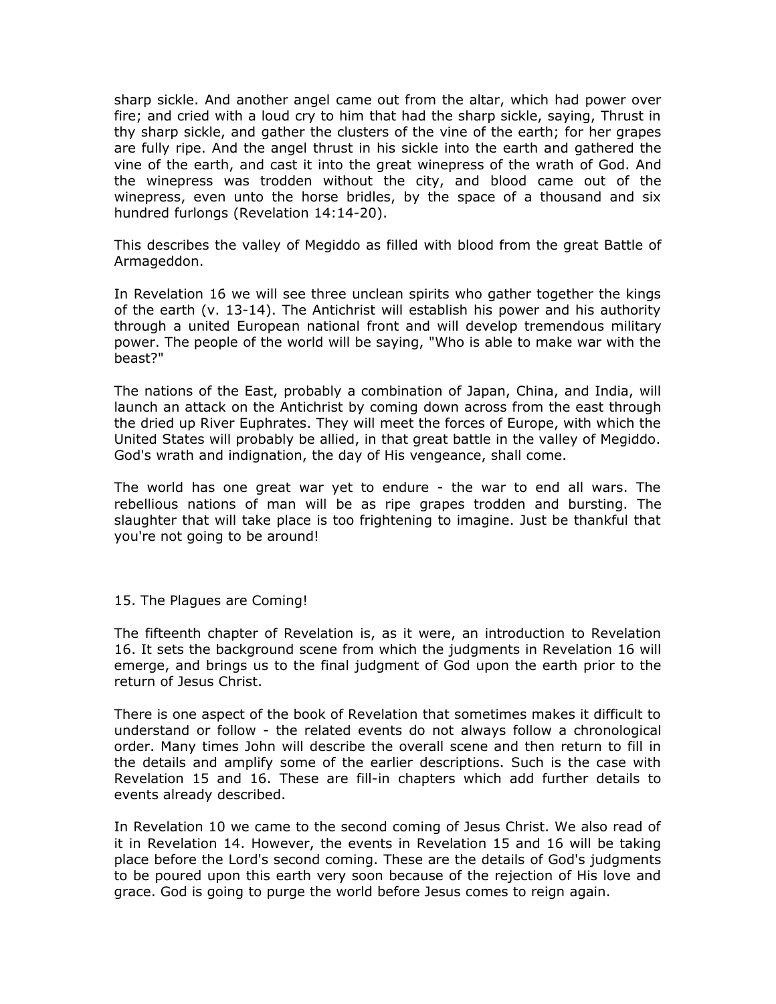sharp sickle. And another angel came out from the altar, which had power over fire; and cried with a loud cry to him that had the sharp sickle, saying, Thrust in thy sharp sickle, and gather the clusters of the vine of the earth; for her grapes are fully ripe. And the angel thrust in his sickle into the earth and gathered the vine of the earth, and cast it into the great winepress of the wrath of God. And the winepress was trodden without the city, and blood came out of the winepress, even unto the horse bridles, by the space of a thousand and six hundred furlongs (Revelation 14:14-20).

This describes the valley of Megiddo as filled with blood from the great Battle of Armageddon.

In Revelation 16 we will see three unclean spirits who gather together the kings of the earth (v. 13-14). The Antichrist will establish his power and his authority through a united European national front and will develop tremendous military power. The people of the world will be saying, "Who is able to make war with the beast?"

The nations of the East, probably a combination of Japan, China, and India, will launch an attack on the Antichrist by coming down across from the east through the dried up River Euphrates. They will meet the forces of Europe, with which the United States will probably be allied, in that great battle in the valley of Megiddo. God's wrath and indignation, the day of His vengeance, shall come.

The world has one great war yet to endure - the war to end all wars. The rebellious nations of man will be as ripe grapes trodden and bursting. The slaughter that will take place is too frightening to imagine. Just be thankful that you're not going to be around!

# 15. The Plagues are Coming!

The fifteenth chapter of Revelation is, as it were, an introduction to Revelation 16. It sets the background scene from which the judgments in Revelation 16 will emerge, and brings us to the final judgment of God upon the earth prior to the return of Jesus Christ.

There is one aspect of the book of Revelation that sometimes makes it difficult to understand or follow - the related events do not always follow a chronological order. Many times John will describe the overall scene and then return to fill in the details and amplify some of the earlier descriptions. Such is the case with Revelation 15 and 16. These are fill-in chapters which add further details to events already described.

In Revelation 10 we came to the second coming of Jesus Christ. We also read of it in Revelation 14. However, the events in Revelation 15 and 16 will be taking place before the Lord's second coming. These are the details of God's judgments to be poured upon this earth very soon because of the rejection of His love and grace. God is going to purge the world before Jesus comes to reign again.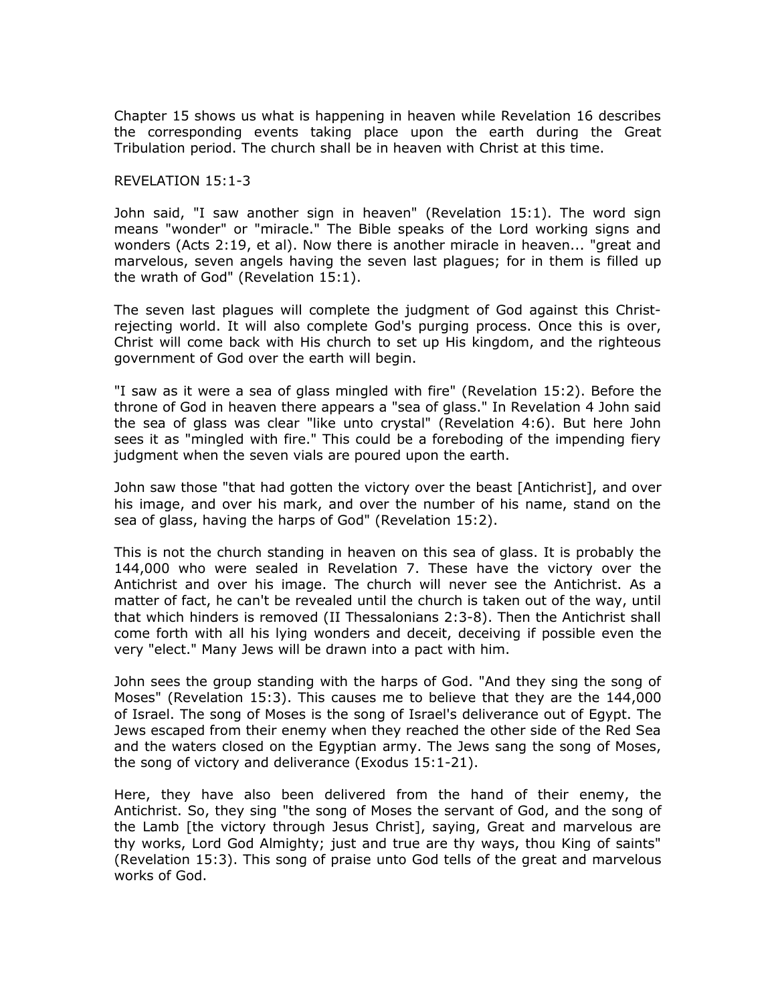Chapter 15 shows us what is happening in heaven while Revelation 16 describes the corresponding events taking place upon the earth during the Great Tribulation period. The church shall be in heaven with Christ at this time.

### REVELATION 15:1-3

John said, "I saw another sign in heaven" (Revelation 15:1). The word sign means "wonder" or "miracle." The Bible speaks of the Lord working signs and wonders (Acts 2:19, et al). Now there is another miracle in heaven... "great and marvelous, seven angels having the seven last plagues; for in them is filled up the wrath of God" (Revelation 15:1).

The seven last plagues will complete the judgment of God against this Christrejecting world. It will also complete God's purging process. Once this is over, Christ will come back with His church to set up His kingdom, and the righteous government of God over the earth will begin.

"I saw as it were a sea of glass mingled with fire" (Revelation 15:2). Before the throne of God in heaven there appears a "sea of glass." In Revelation 4 John said the sea of glass was clear "like unto crystal" (Revelation 4:6). But here John sees it as "mingled with fire." This could be a foreboding of the impending fiery judgment when the seven vials are poured upon the earth.

John saw those "that had gotten the victory over the beast [Antichrist], and over his image, and over his mark, and over the number of his name, stand on the sea of glass, having the harps of God" (Revelation 15:2).

This is not the church standing in heaven on this sea of glass. It is probably the 144,000 who were sealed in Revelation 7. These have the victory over the Antichrist and over his image. The church will never see the Antichrist. As a matter of fact, he can't be revealed until the church is taken out of the way, until that which hinders is removed (II Thessalonians 2:3-8). Then the Antichrist shall come forth with all his lying wonders and deceit, deceiving if possible even the very "elect." Many Jews will be drawn into a pact with him.

John sees the group standing with the harps of God. "And they sing the song of Moses" (Revelation 15:3). This causes me to believe that they are the 144,000 of Israel. The song of Moses is the song of Israel's deliverance out of Egypt. The Jews escaped from their enemy when they reached the other side of the Red Sea and the waters closed on the Egyptian army. The Jews sang the song of Moses, the song of victory and deliverance (Exodus 15:1-21).

Here, they have also been delivered from the hand of their enemy, the Antichrist. So, they sing "the song of Moses the servant of God, and the song of the Lamb [the victory through Jesus Christ], saying, Great and marvelous are thy works, Lord God Almighty; just and true are thy ways, thou King of saints" (Revelation 15:3). This song of praise unto God tells of the great and marvelous works of God.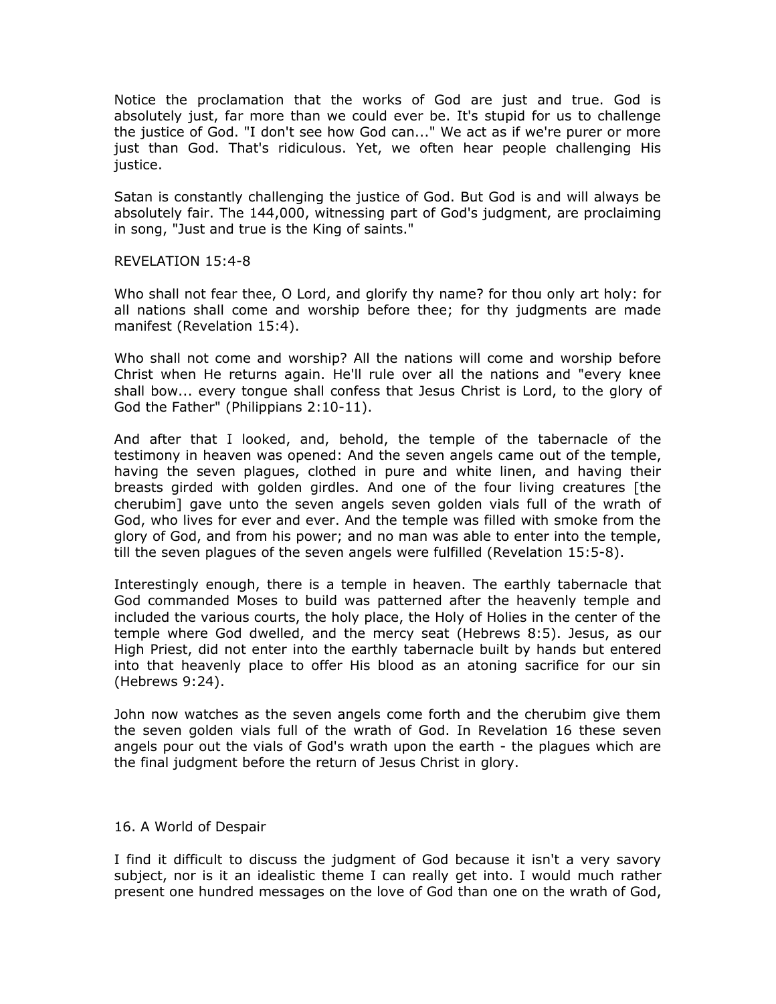Notice the proclamation that the works of God are just and true. God is absolutely just, far more than we could ever be. It's stupid for us to challenge the justice of God. "I don't see how God can..." We act as if we're purer or more just than God. That's ridiculous. Yet, we often hear people challenging His justice.

Satan is constantly challenging the justice of God. But God is and will always be absolutely fair. The 144,000, witnessing part of God's judgment, are proclaiming in song, "Just and true is the King of saints."

### REVELATION 15:4-8

Who shall not fear thee, O Lord, and glorify thy name? for thou only art holy: for all nations shall come and worship before thee; for thy judgments are made manifest (Revelation 15:4).

Who shall not come and worship? All the nations will come and worship before Christ when He returns again. He'll rule over all the nations and "every knee shall bow... every tongue shall confess that Jesus Christ is Lord, to the glory of God the Father" (Philippians 2:10-11).

And after that I looked, and, behold, the temple of the tabernacle of the testimony in heaven was opened: And the seven angels came out of the temple, having the seven plagues, clothed in pure and white linen, and having their breasts girded with golden girdles. And one of the four living creatures [the cherubim] gave unto the seven angels seven golden vials full of the wrath of God, who lives for ever and ever. And the temple was filled with smoke from the glory of God, and from his power; and no man was able to enter into the temple, till the seven plagues of the seven angels were fulfilled (Revelation 15:5-8).

Interestingly enough, there is a temple in heaven. The earthly tabernacle that God commanded Moses to build was patterned after the heavenly temple and included the various courts, the holy place, the Holy of Holies in the center of the temple where God dwelled, and the mercy seat (Hebrews 8:5). Jesus, as our High Priest, did not enter into the earthly tabernacle built by hands but entered into that heavenly place to offer His blood as an atoning sacrifice for our sin (Hebrews 9:24).

John now watches as the seven angels come forth and the cherubim give them the seven golden vials full of the wrath of God. In Revelation 16 these seven angels pour out the vials of God's wrath upon the earth - the plagues which are the final judgment before the return of Jesus Christ in glory.

# 16. A World of Despair

I find it difficult to discuss the judgment of God because it isn't a very savory subject, nor is it an idealistic theme I can really get into. I would much rather present one hundred messages on the love of God than one on the wrath of God,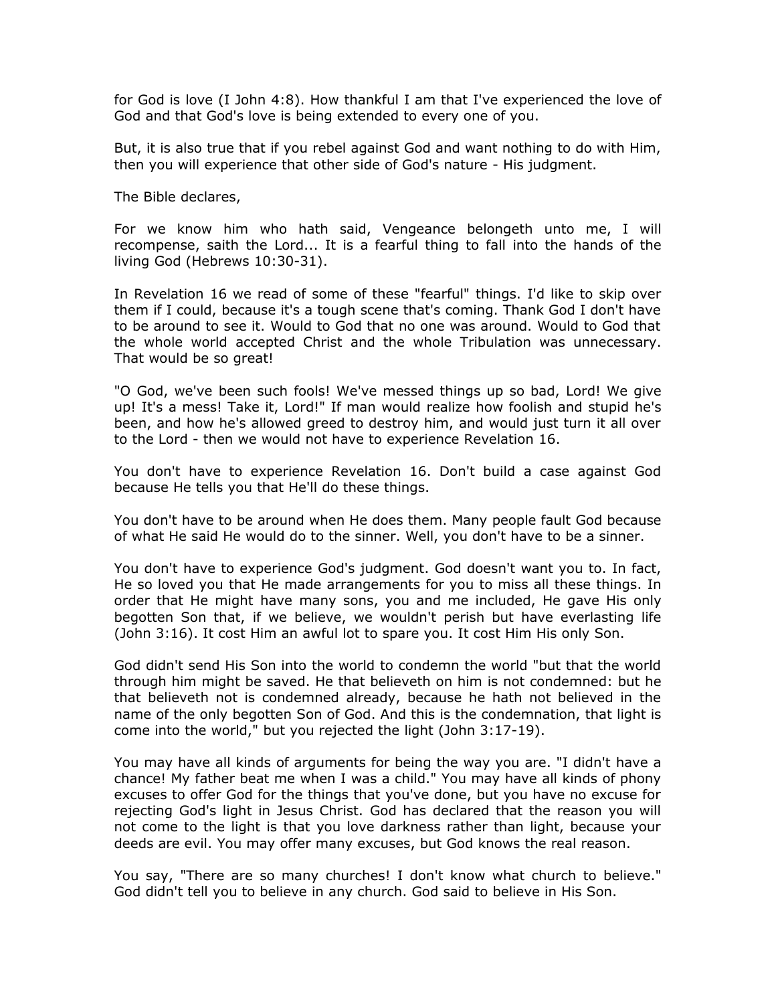for God is love (I John 4:8). How thankful I am that I've experienced the love of God and that God's love is being extended to every one of you.

But, it is also true that if you rebel against God and want nothing to do with Him, then you will experience that other side of God's nature - His judgment.

The Bible declares,

For we know him who hath said, Vengeance belongeth unto me, I will recompense, saith the Lord... It is a fearful thing to fall into the hands of the living God (Hebrews 10:30-31).

In Revelation 16 we read of some of these "fearful" things. I'd like to skip over them if I could, because it's a tough scene that's coming. Thank God I don't have to be around to see it. Would to God that no one was around. Would to God that the whole world accepted Christ and the whole Tribulation was unnecessary. That would be so great!

"O God, we've been such fools! We've messed things up so bad, Lord! We give up! It's a mess! Take it, Lord!" If man would realize how foolish and stupid he's been, and how he's allowed greed to destroy him, and would just turn it all over to the Lord - then we would not have to experience Revelation 16.

You don't have to experience Revelation 16. Don't build a case against God because He tells you that He'll do these things.

You don't have to be around when He does them. Many people fault God because of what He said He would do to the sinner. Well, you don't have to be a sinner.

You don't have to experience God's judgment. God doesn't want you to. In fact, He so loved you that He made arrangements for you to miss all these things. In order that He might have many sons, you and me included, He gave His only begotten Son that, if we believe, we wouldn't perish but have everlasting life (John 3:16). It cost Him an awful lot to spare you. It cost Him His only Son.

God didn't send His Son into the world to condemn the world "but that the world through him might be saved. He that believeth on him is not condemned: but he that believeth not is condemned already, because he hath not believed in the name of the only begotten Son of God. And this is the condemnation, that light is come into the world," but you rejected the light (John 3:17-19).

You may have all kinds of arguments for being the way you are. "I didn't have a chance! My father beat me when I was a child." You may have all kinds of phony excuses to offer God for the things that you've done, but you have no excuse for rejecting God's light in Jesus Christ. God has declared that the reason you will not come to the light is that you love darkness rather than light, because your deeds are evil. You may offer many excuses, but God knows the real reason.

You say, "There are so many churches! I don't know what church to believe." God didn't tell you to believe in any church. God said to believe in His Son.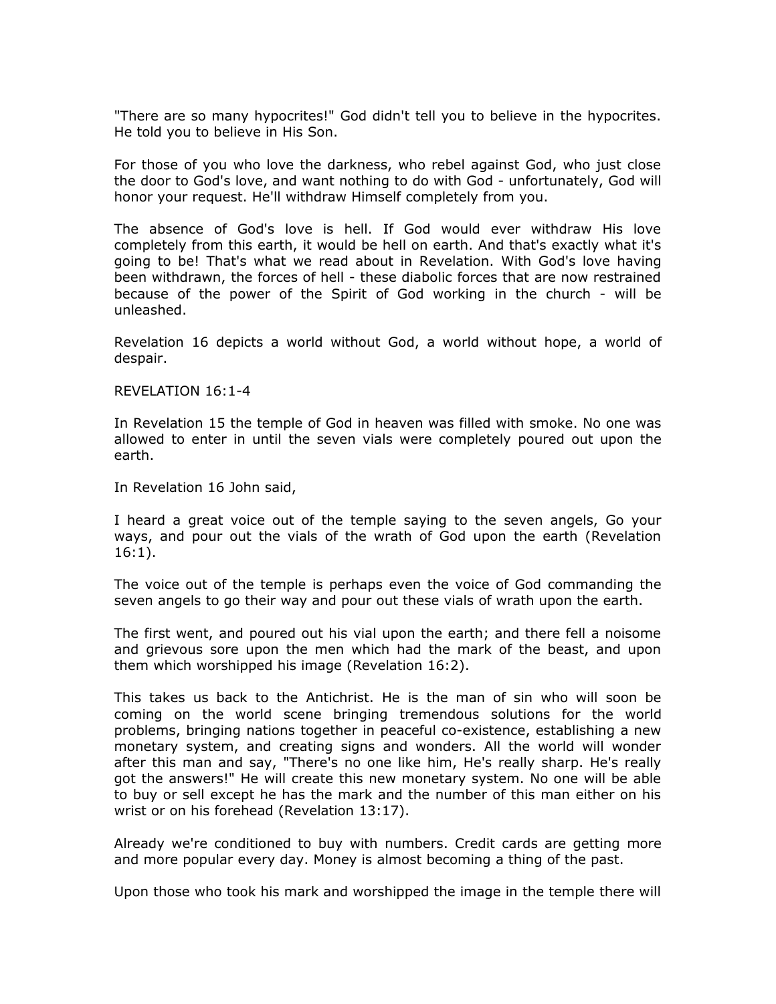"There are so many hypocrites!" God didn't tell you to believe in the hypocrites. He told you to believe in His Son.

For those of you who love the darkness, who rebel against God, who just close the door to God's love, and want nothing to do with God - unfortunately, God will honor your request. He'll withdraw Himself completely from you.

The absence of God's love is hell. If God would ever withdraw His love completely from this earth, it would be hell on earth. And that's exactly what it's going to be! That's what we read about in Revelation. With God's love having been withdrawn, the forces of hell - these diabolic forces that are now restrained because of the power of the Spirit of God working in the church - will be unleashed.

Revelation 16 depicts a world without God, a world without hope, a world of despair.

REVELATION 16:1-4

In Revelation 15 the temple of God in heaven was filled with smoke. No one was allowed to enter in until the seven vials were completely poured out upon the earth.

In Revelation 16 John said,

I heard a great voice out of the temple saying to the seven angels, Go your ways, and pour out the vials of the wrath of God upon the earth (Revelation 16:1).

The voice out of the temple is perhaps even the voice of God commanding the seven angels to go their way and pour out these vials of wrath upon the earth.

The first went, and poured out his vial upon the earth; and there fell a noisome and grievous sore upon the men which had the mark of the beast, and upon them which worshipped his image (Revelation 16:2).

This takes us back to the Antichrist. He is the man of sin who will soon be coming on the world scene bringing tremendous solutions for the world problems, bringing nations together in peaceful co-existence, establishing a new monetary system, and creating signs and wonders. All the world will wonder after this man and say, "There's no one like him, He's really sharp. He's really got the answers!" He will create this new monetary system. No one will be able to buy or sell except he has the mark and the number of this man either on his wrist or on his forehead (Revelation 13:17).

Already we're conditioned to buy with numbers. Credit cards are getting more and more popular every day. Money is almost becoming a thing of the past.

Upon those who took his mark and worshipped the image in the temple there will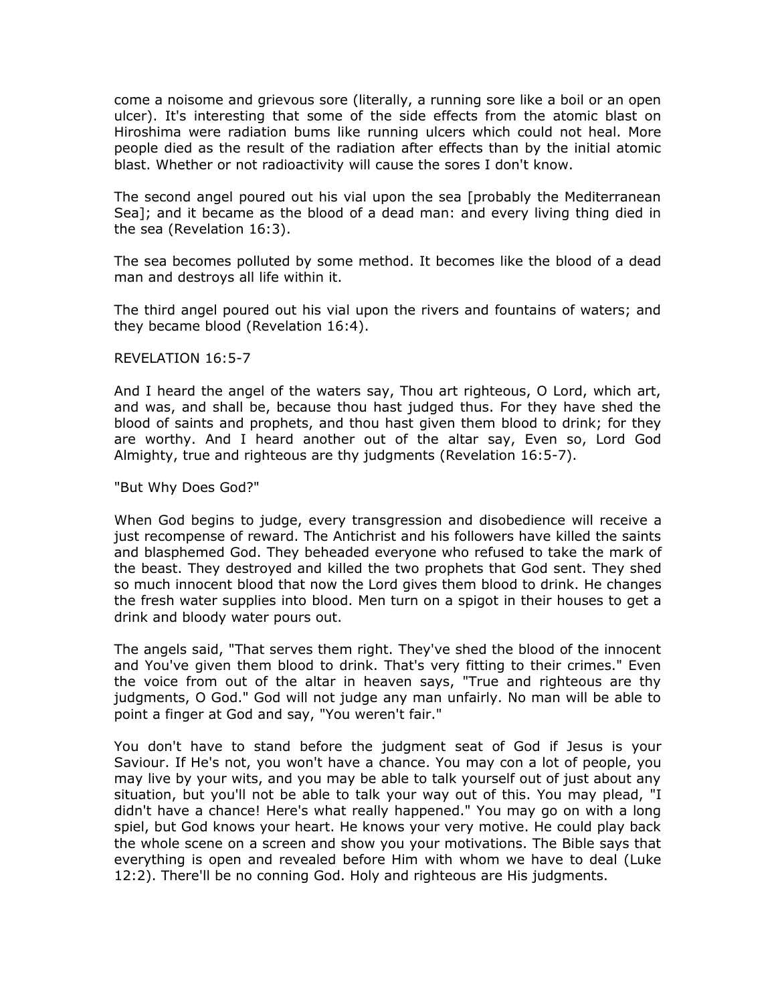come a noisome and grievous sore (literally, a running sore like a boil or an open ulcer). It's interesting that some of the side effects from the atomic blast on Hiroshima were radiation bums like running ulcers which could not heal. More people died as the result of the radiation after effects than by the initial atomic blast. Whether or not radioactivity will cause the sores I don't know.

The second angel poured out his vial upon the sea [probably the Mediterranean Sea]; and it became as the blood of a dead man: and every living thing died in the sea (Revelation 16:3).

The sea becomes polluted by some method. It becomes like the blood of a dead man and destroys all life within it.

The third angel poured out his vial upon the rivers and fountains of waters; and they became blood (Revelation 16:4).

# REVELATION 16:5-7

And I heard the angel of the waters say, Thou art righteous, O Lord, which art, and was, and shall be, because thou hast judged thus. For they have shed the blood of saints and prophets, and thou hast given them blood to drink; for they are worthy. And I heard another out of the altar say, Even so, Lord God Almighty, true and righteous are thy judgments (Revelation 16:5-7).

### "But Why Does God?"

When God begins to judge, every transgression and disobedience will receive a just recompense of reward. The Antichrist and his followers have killed the saints and blasphemed God. They beheaded everyone who refused to take the mark of the beast. They destroyed and killed the two prophets that God sent. They shed so much innocent blood that now the Lord gives them blood to drink. He changes the fresh water supplies into blood. Men turn on a spigot in their houses to get a drink and bloody water pours out.

The angels said, "That serves them right. They've shed the blood of the innocent and You've given them blood to drink. That's very fitting to their crimes." Even the voice from out of the altar in heaven says, "True and righteous are thy judgments, O God." God will not judge any man unfairly. No man will be able to point a finger at God and say, "You weren't fair."

You don't have to stand before the judgment seat of God if Jesus is your Saviour. If He's not, you won't have a chance. You may con a lot of people, you may live by your wits, and you may be able to talk yourself out of just about any situation, but you'll not be able to talk your way out of this. You may plead, "I didn't have a chance! Here's what really happened." You may go on with a long spiel, but God knows your heart. He knows your very motive. He could play back the whole scene on a screen and show you your motivations. The Bible says that everything is open and revealed before Him with whom we have to deal (Luke 12:2). There'll be no conning God. Holy and righteous are His judgments.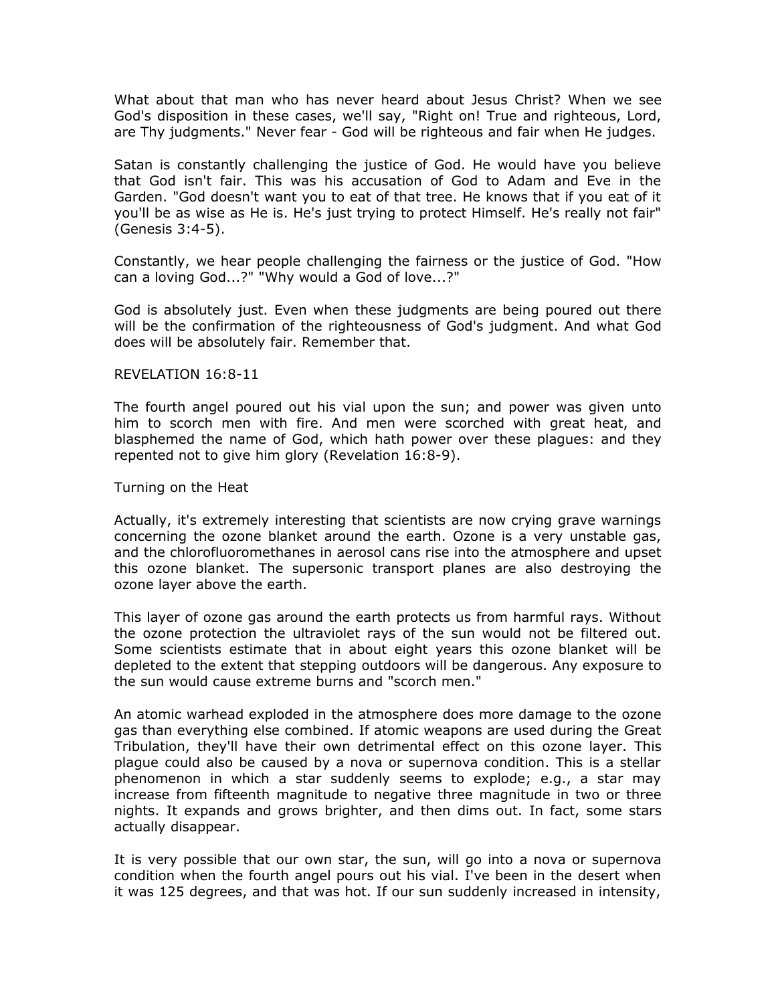What about that man who has never heard about Jesus Christ? When we see God's disposition in these cases, we'll say, "Right on! True and righteous, Lord, are Thy judgments." Never fear - God will be righteous and fair when He judges.

Satan is constantly challenging the justice of God. He would have you believe that God isn't fair. This was his accusation of God to Adam and Eve in the Garden. "God doesn't want you to eat of that tree. He knows that if you eat of it you'll be as wise as He is. He's just trying to protect Himself. He's really not fair" (Genesis 3:4-5).

Constantly, we hear people challenging the fairness or the justice of God. "How can a loving God...?" "Why would a God of love...?"

God is absolutely just. Even when these judgments are being poured out there will be the confirmation of the righteousness of God's judgment. And what God does will be absolutely fair. Remember that.

### REVELATION 16:8-11

The fourth angel poured out his vial upon the sun; and power was given unto him to scorch men with fire. And men were scorched with great heat, and blasphemed the name of God, which hath power over these plagues: and they repented not to give him glory (Revelation 16:8-9).

Turning on the Heat

Actually, it's extremely interesting that scientists are now crying grave warnings concerning the ozone blanket around the earth. Ozone is a very unstable gas, and the chlorofluoromethanes in aerosol cans rise into the atmosphere and upset this ozone blanket. The supersonic transport planes are also destroying the ozone layer above the earth.

This layer of ozone gas around the earth protects us from harmful rays. Without the ozone protection the ultraviolet rays of the sun would not be filtered out. Some scientists estimate that in about eight years this ozone blanket will be depleted to the extent that stepping outdoors will be dangerous. Any exposure to the sun would cause extreme burns and "scorch men."

An atomic warhead exploded in the atmosphere does more damage to the ozone gas than everything else combined. If atomic weapons are used during the Great Tribulation, they'll have their own detrimental effect on this ozone layer. This plague could also be caused by a nova or supernova condition. This is a stellar phenomenon in which a star suddenly seems to explode; e.g., a star may increase from fifteenth magnitude to negative three magnitude in two or three nights. It expands and grows brighter, and then dims out. In fact, some stars actually disappear.

It is very possible that our own star, the sun, will go into a nova or supernova condition when the fourth angel pours out his vial. I've been in the desert when it was 125 degrees, and that was hot. If our sun suddenly increased in intensity,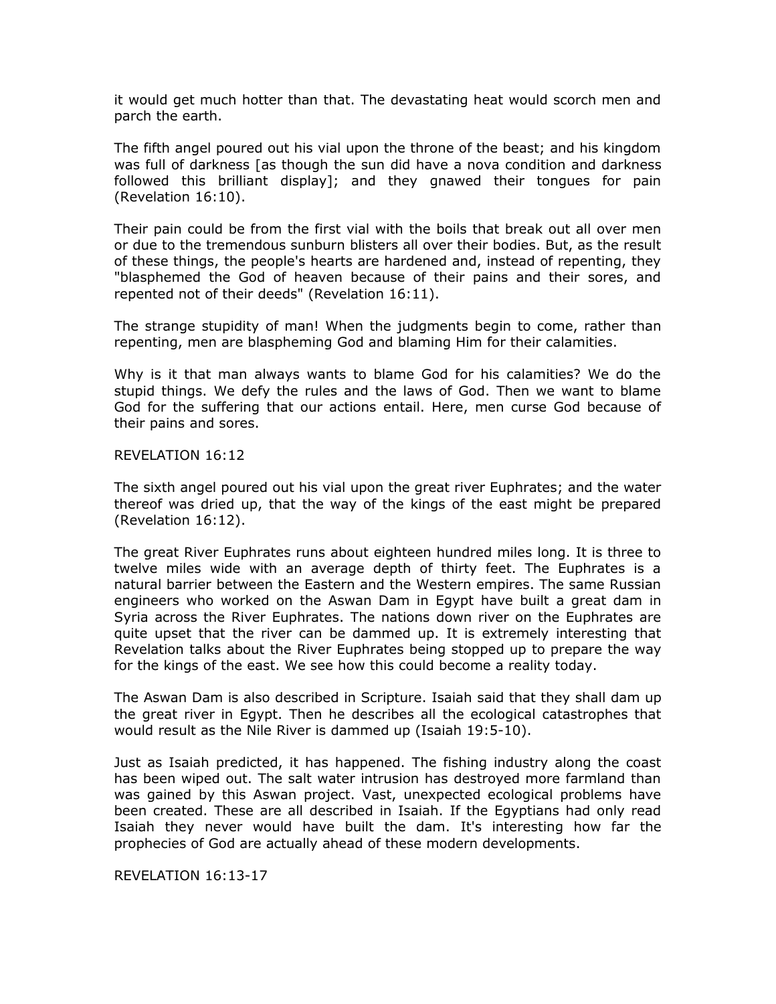it would get much hotter than that. The devastating heat would scorch men and parch the earth.

The fifth angel poured out his vial upon the throne of the beast; and his kingdom was full of darkness [as though the sun did have a nova condition and darkness followed this brilliant display]; and they gnawed their tongues for pain (Revelation 16:10).

Their pain could be from the first vial with the boils that break out all over men or due to the tremendous sunburn blisters all over their bodies. But, as the result of these things, the people's hearts are hardened and, instead of repenting, they "blasphemed the God of heaven because of their pains and their sores, and repented not of their deeds" (Revelation 16:11).

The strange stupidity of man! When the judgments begin to come, rather than repenting, men are blaspheming God and blaming Him for their calamities.

Why is it that man always wants to blame God for his calamities? We do the stupid things. We defy the rules and the laws of God. Then we want to blame God for the suffering that our actions entail. Here, men curse God because of their pains and sores.

### REVELATION 16:12

The sixth angel poured out his vial upon the great river Euphrates; and the water thereof was dried up, that the way of the kings of the east might be prepared (Revelation 16:12).

The great River Euphrates runs about eighteen hundred miles long. It is three to twelve miles wide with an average depth of thirty feet. The Euphrates is a natural barrier between the Eastern and the Western empires. The same Russian engineers who worked on the Aswan Dam in Egypt have built a great dam in Syria across the River Euphrates. The nations down river on the Euphrates are quite upset that the river can be dammed up. It is extremely interesting that Revelation talks about the River Euphrates being stopped up to prepare the way for the kings of the east. We see how this could become a reality today.

The Aswan Dam is also described in Scripture. Isaiah said that they shall dam up the great river in Egypt. Then he describes all the ecological catastrophes that would result as the Nile River is dammed up (Isaiah 19:5-10).

Just as Isaiah predicted, it has happened. The fishing industry along the coast has been wiped out. The salt water intrusion has destroyed more farmland than was gained by this Aswan project. Vast, unexpected ecological problems have been created. These are all described in Isaiah. If the Egyptians had only read Isaiah they never would have built the dam. It's interesting how far the prophecies of God are actually ahead of these modern developments.

REVELATION 16:13-17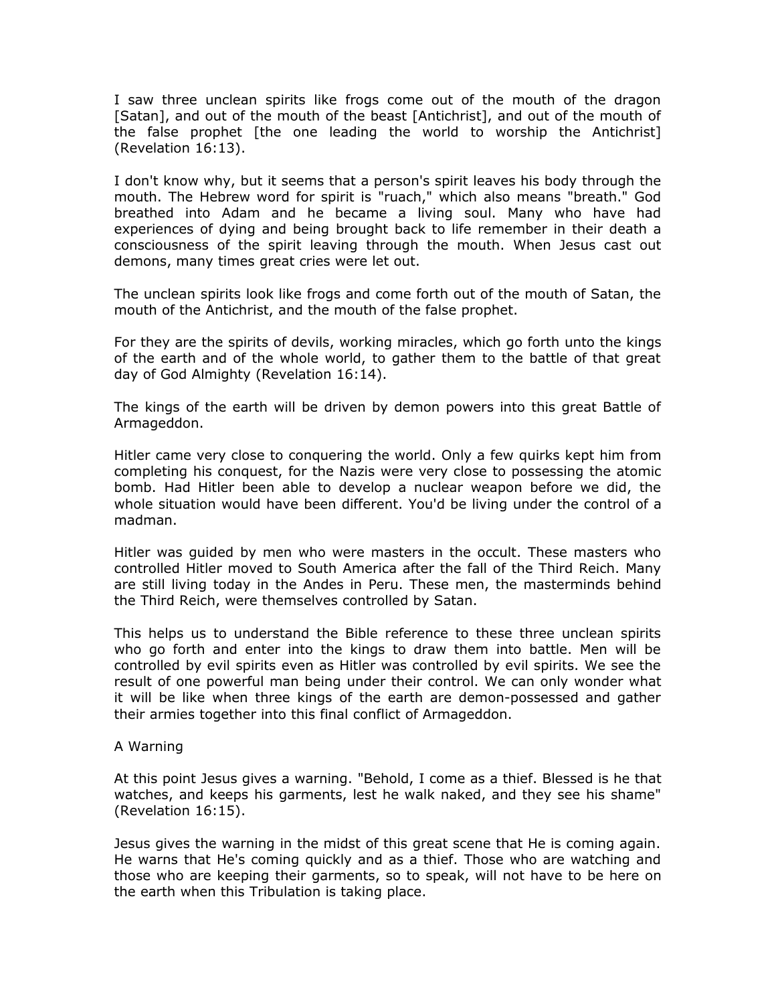I saw three unclean spirits like frogs come out of the mouth of the dragon [Satan], and out of the mouth of the beast [Antichrist], and out of the mouth of the false prophet [the one leading the world to worship the Antichrist] (Revelation 16:13).

I don't know why, but it seems that a person's spirit leaves his body through the mouth. The Hebrew word for spirit is "ruach," which also means "breath." God breathed into Adam and he became a living soul. Many who have had experiences of dying and being brought back to life remember in their death a consciousness of the spirit leaving through the mouth. When Jesus cast out demons, many times great cries were let out.

The unclean spirits look like frogs and come forth out of the mouth of Satan, the mouth of the Antichrist, and the mouth of the false prophet.

For they are the spirits of devils, working miracles, which go forth unto the kings of the earth and of the whole world, to gather them to the battle of that great day of God Almighty (Revelation 16:14).

The kings of the earth will be driven by demon powers into this great Battle of Armageddon.

Hitler came very close to conquering the world. Only a few quirks kept him from completing his conquest, for the Nazis were very close to possessing the atomic bomb. Had Hitler been able to develop a nuclear weapon before we did, the whole situation would have been different. You'd be living under the control of a madman.

Hitler was guided by men who were masters in the occult. These masters who controlled Hitler moved to South America after the fall of the Third Reich. Many are still living today in the Andes in Peru. These men, the masterminds behind the Third Reich, were themselves controlled by Satan.

This helps us to understand the Bible reference to these three unclean spirits who go forth and enter into the kings to draw them into battle. Men will be controlled by evil spirits even as Hitler was controlled by evil spirits. We see the result of one powerful man being under their control. We can only wonder what it will be like when three kings of the earth are demon-possessed and gather their armies together into this final conflict of Armageddon.

# A Warning

At this point Jesus gives a warning. "Behold, I come as a thief. Blessed is he that watches, and keeps his garments, lest he walk naked, and they see his shame" (Revelation 16:15).

Jesus gives the warning in the midst of this great scene that He is coming again. He warns that He's coming quickly and as a thief. Those who are watching and those who are keeping their garments, so to speak, will not have to be here on the earth when this Tribulation is taking place.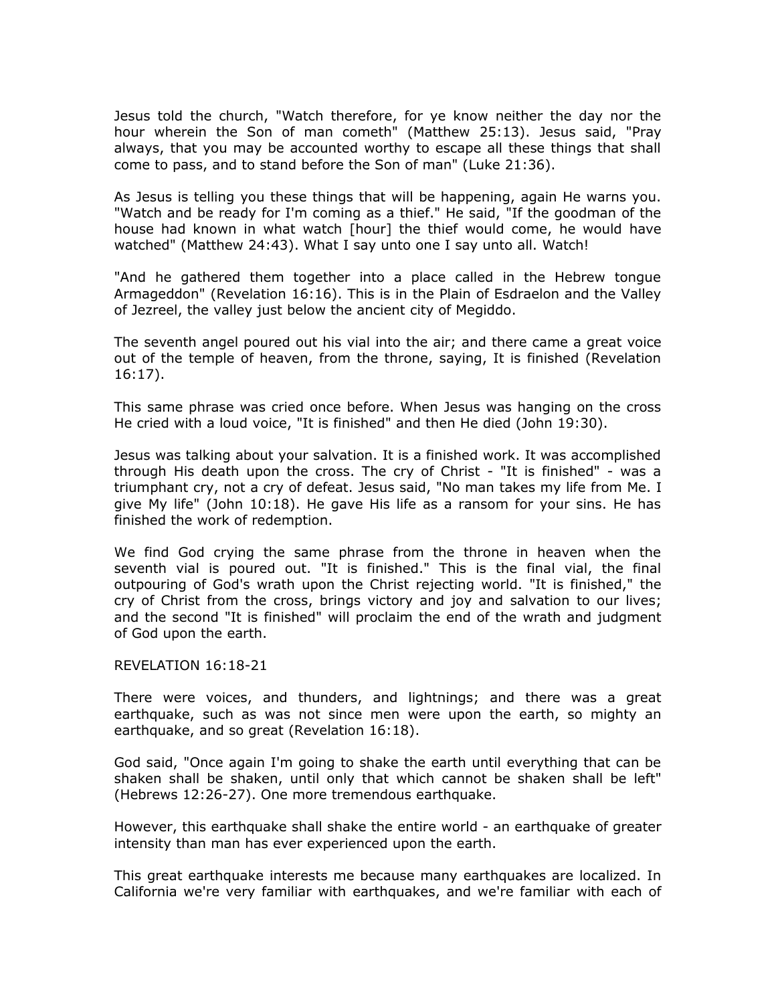Jesus told the church, "Watch therefore, for ye know neither the day nor the hour wherein the Son of man cometh" (Matthew 25:13). Jesus said, "Pray always, that you may be accounted worthy to escape all these things that shall come to pass, and to stand before the Son of man" (Luke 21:36).

As Jesus is telling you these things that will be happening, again He warns you. "Watch and be ready for I'm coming as a thief." He said, "If the goodman of the house had known in what watch [hour] the thief would come, he would have watched" (Matthew 24:43). What I say unto one I say unto all. Watch!

"And he gathered them together into a place called in the Hebrew tongue Armageddon" (Revelation 16:16). This is in the Plain of Esdraelon and the Valley of Jezreel, the valley just below the ancient city of Megiddo.

The seventh angel poured out his vial into the air; and there came a great voice out of the temple of heaven, from the throne, saying, It is finished (Revelation 16:17).

This same phrase was cried once before. When Jesus was hanging on the cross He cried with a loud voice, "It is finished" and then He died (John 19:30).

Jesus was talking about your salvation. It is a finished work. It was accomplished through His death upon the cross. The cry of Christ - "It is finished" - was a triumphant cry, not a cry of defeat. Jesus said, "No man takes my life from Me. I give My life" (John 10:18). He gave His life as a ransom for your sins. He has finished the work of redemption.

We find God crying the same phrase from the throne in heaven when the seventh vial is poured out. "It is finished." This is the final vial, the final outpouring of God's wrath upon the Christ rejecting world. "It is finished," the cry of Christ from the cross, brings victory and joy and salvation to our lives; and the second "It is finished" will proclaim the end of the wrath and judgment of God upon the earth.

### REVELATION 16:18-21

There were voices, and thunders, and lightnings; and there was a great earthquake, such as was not since men were upon the earth, so mighty an earthquake, and so great (Revelation 16:18).

God said, "Once again I'm going to shake the earth until everything that can be shaken shall be shaken, until only that which cannot be shaken shall be left" (Hebrews 12:26-27). One more tremendous earthquake.

However, this earthquake shall shake the entire world - an earthquake of greater intensity than man has ever experienced upon the earth.

This great earthquake interests me because many earthquakes are localized. In California we're very familiar with earthquakes, and we're familiar with each of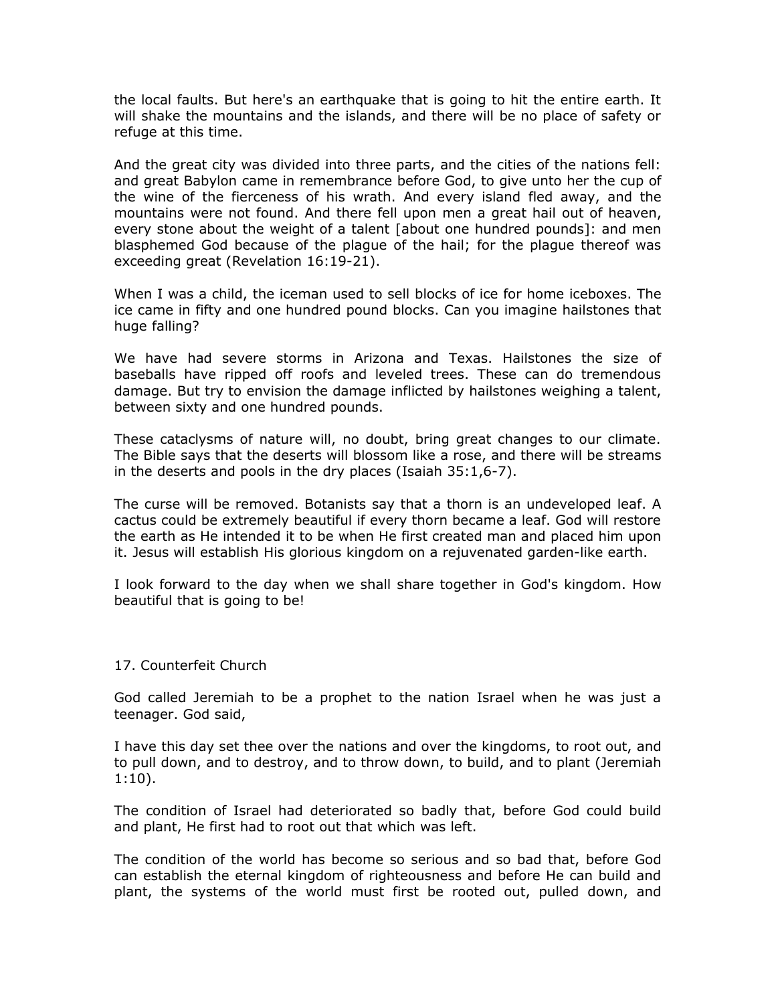the local faults. But here's an earthquake that is going to hit the entire earth. It will shake the mountains and the islands, and there will be no place of safety or refuge at this time.

And the great city was divided into three parts, and the cities of the nations fell: and great Babylon came in remembrance before God, to give unto her the cup of the wine of the fierceness of his wrath. And every island fled away, and the mountains were not found. And there fell upon men a great hail out of heaven, every stone about the weight of a talent [about one hundred pounds]: and men blasphemed God because of the plague of the hail; for the plague thereof was exceeding great (Revelation 16:19-21).

When I was a child, the iceman used to sell blocks of ice for home iceboxes. The ice came in fifty and one hundred pound blocks. Can you imagine hailstones that huge falling?

We have had severe storms in Arizona and Texas. Hailstones the size of baseballs have ripped off roofs and leveled trees. These can do tremendous damage. But try to envision the damage inflicted by hailstones weighing a talent, between sixty and one hundred pounds.

These cataclysms of nature will, no doubt, bring great changes to our climate. The Bible says that the deserts will blossom like a rose, and there will be streams in the deserts and pools in the dry places (Isaiah 35:1,6-7).

The curse will be removed. Botanists say that a thorn is an undeveloped leaf. A cactus could be extremely beautiful if every thorn became a leaf. God will restore the earth as He intended it to be when He first created man and placed him upon it. Jesus will establish His glorious kingdom on a rejuvenated garden-like earth.

I look forward to the day when we shall share together in God's kingdom. How beautiful that is going to be!

# 17. Counterfeit Church

God called Jeremiah to be a prophet to the nation Israel when he was just a teenager. God said,

I have this day set thee over the nations and over the kingdoms, to root out, and to pull down, and to destroy, and to throw down, to build, and to plant (Jeremiah 1:10).

The condition of Israel had deteriorated so badly that, before God could build and plant, He first had to root out that which was left.

The condition of the world has become so serious and so bad that, before God can establish the eternal kingdom of righteousness and before He can build and plant, the systems of the world must first be rooted out, pulled down, and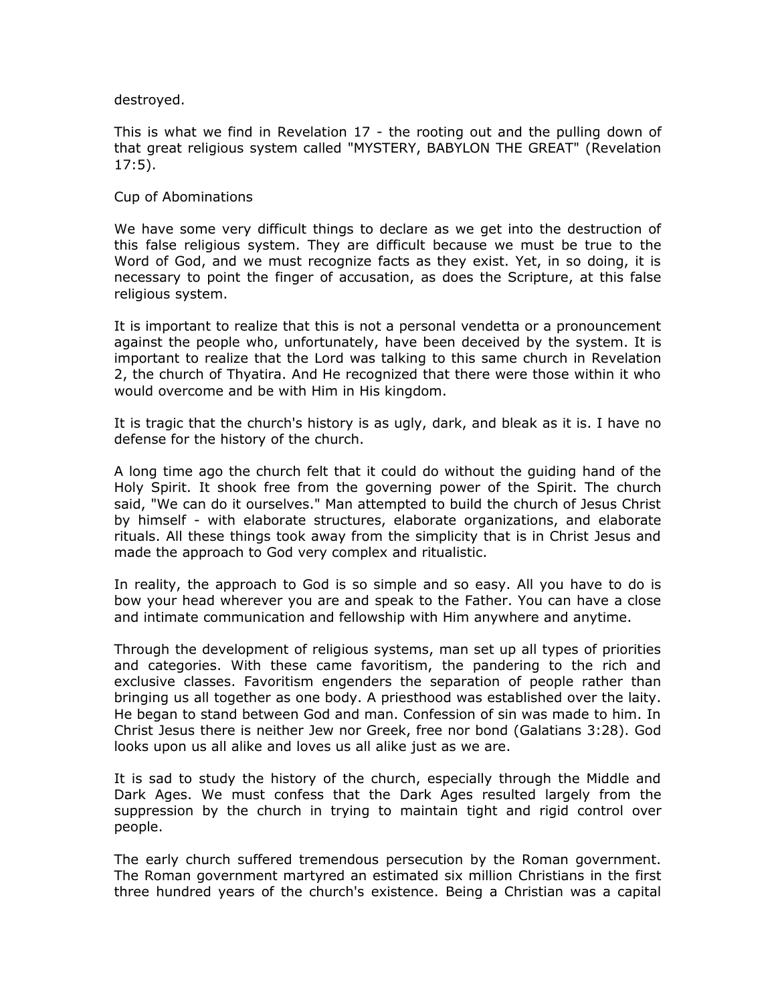destroyed.

This is what we find in Revelation 17 - the rooting out and the pulling down of that great religious system called "MYSTERY, BABYLON THE GREAT" (Revelation 17:5).

### Cup of Abominations

We have some very difficult things to declare as we get into the destruction of this false religious system. They are difficult because we must be true to the Word of God, and we must recognize facts as they exist. Yet, in so doing, it is necessary to point the finger of accusation, as does the Scripture, at this false religious system.

It is important to realize that this is not a personal vendetta or a pronouncement against the people who, unfortunately, have been deceived by the system. It is important to realize that the Lord was talking to this same church in Revelation 2, the church of Thyatira. And He recognized that there were those within it who would overcome and be with Him in His kingdom.

It is tragic that the church's history is as ugly, dark, and bleak as it is. I have no defense for the history of the church.

A long time ago the church felt that it could do without the guiding hand of the Holy Spirit. It shook free from the governing power of the Spirit. The church said, "We can do it ourselves." Man attempted to build the church of Jesus Christ by himself - with elaborate structures, elaborate organizations, and elaborate rituals. All these things took away from the simplicity that is in Christ Jesus and made the approach to God very complex and ritualistic.

In reality, the approach to God is so simple and so easy. All you have to do is bow your head wherever you are and speak to the Father. You can have a close and intimate communication and fellowship with Him anywhere and anytime.

Through the development of religious systems, man set up all types of priorities and categories. With these came favoritism, the pandering to the rich and exclusive classes. Favoritism engenders the separation of people rather than bringing us all together as one body. A priesthood was established over the laity. He began to stand between God and man. Confession of sin was made to him. In Christ Jesus there is neither Jew nor Greek, free nor bond (Galatians 3:28). God looks upon us all alike and loves us all alike just as we are.

It is sad to study the history of the church, especially through the Middle and Dark Ages. We must confess that the Dark Ages resulted largely from the suppression by the church in trying to maintain tight and rigid control over people.

The early church suffered tremendous persecution by the Roman government. The Roman government martyred an estimated six million Christians in the first three hundred years of the church's existence. Being a Christian was a capital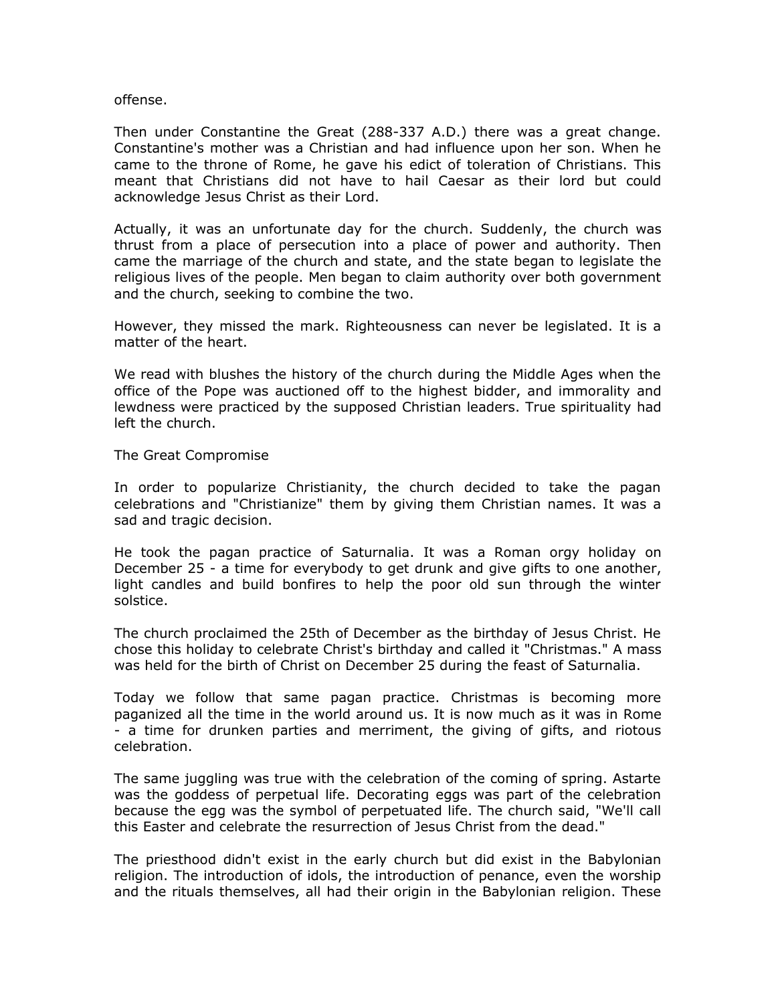offense.

Then under Constantine the Great (288-337 A.D.) there was a great change. Constantine's mother was a Christian and had influence upon her son. When he came to the throne of Rome, he gave his edict of toleration of Christians. This meant that Christians did not have to hail Caesar as their lord but could acknowledge Jesus Christ as their Lord.

Actually, it was an unfortunate day for the church. Suddenly, the church was thrust from a place of persecution into a place of power and authority. Then came the marriage of the church and state, and the state began to legislate the religious lives of the people. Men began to claim authority over both government and the church, seeking to combine the two.

However, they missed the mark. Righteousness can never be legislated. It is a matter of the heart.

We read with blushes the history of the church during the Middle Ages when the office of the Pope was auctioned off to the highest bidder, and immorality and lewdness were practiced by the supposed Christian leaders. True spirituality had left the church.

The Great Compromise

In order to popularize Christianity, the church decided to take the pagan celebrations and "Christianize" them by giving them Christian names. It was a sad and tragic decision.

He took the pagan practice of Saturnalia. It was a Roman orgy holiday on December 25 - a time for everybody to get drunk and give gifts to one another, light candles and build bonfires to help the poor old sun through the winter solstice.

The church proclaimed the 25th of December as the birthday of Jesus Christ. He chose this holiday to celebrate Christ's birthday and called it "Christmas." A mass was held for the birth of Christ on December 25 during the feast of Saturnalia.

Today we follow that same pagan practice. Christmas is becoming more paganized all the time in the world around us. It is now much as it was in Rome - a time for drunken parties and merriment, the giving of gifts, and riotous celebration.

The same juggling was true with the celebration of the coming of spring. Astarte was the goddess of perpetual life. Decorating eggs was part of the celebration because the egg was the symbol of perpetuated life. The church said, "We'll call this Easter and celebrate the resurrection of Jesus Christ from the dead."

The priesthood didn't exist in the early church but did exist in the Babylonian religion. The introduction of idols, the introduction of penance, even the worship and the rituals themselves, all had their origin in the Babylonian religion. These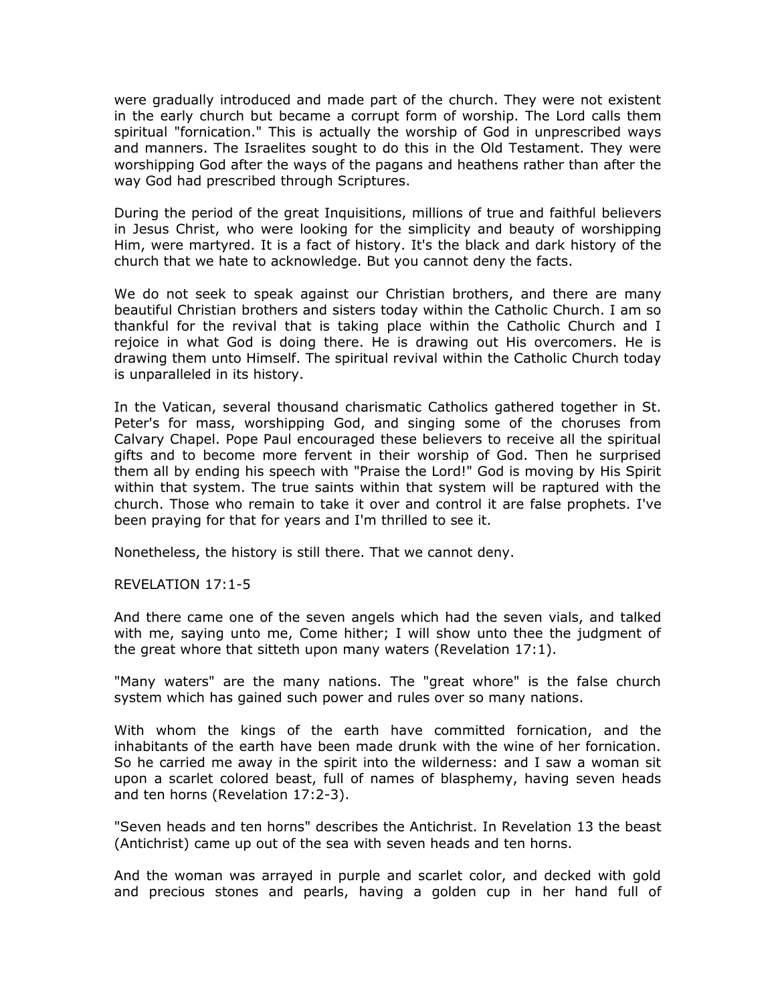were gradually introduced and made part of the church. They were not existent in the early church but became a corrupt form of worship. The Lord calls them spiritual "fornication." This is actually the worship of God in unprescribed ways and manners. The Israelites sought to do this in the Old Testament. They were worshipping God after the ways of the pagans and heathens rather than after the way God had prescribed through Scriptures.

During the period of the great Inquisitions, millions of true and faithful believers in Jesus Christ, who were looking for the simplicity and beauty of worshipping Him, were martyred. It is a fact of history. It's the black and dark history of the church that we hate to acknowledge. But you cannot deny the facts.

We do not seek to speak against our Christian brothers, and there are many beautiful Christian brothers and sisters today within the Catholic Church. I am so thankful for the revival that is taking place within the Catholic Church and I rejoice in what God is doing there. He is drawing out His overcomers. He is drawing them unto Himself. The spiritual revival within the Catholic Church today is unparalleled in its history.

In the Vatican, several thousand charismatic Catholics gathered together in St. Peter's for mass, worshipping God, and singing some of the choruses from Calvary Chapel. Pope Paul encouraged these believers to receive all the spiritual gifts and to become more fervent in their worship of God. Then he surprised them all by ending his speech with "Praise the Lord!" God is moving by His Spirit within that system. The true saints within that system will be raptured with the church. Those who remain to take it over and control it are false prophets. I've been praying for that for years and I'm thrilled to see it.

Nonetheless, the history is still there. That we cannot deny.

REVELATION 17:1-5

And there came one of the seven angels which had the seven vials, and talked with me, saying unto me, Come hither; I will show unto thee the judgment of the great whore that sitteth upon many waters (Revelation 17:1).

"Many waters" are the many nations. The "great whore" is the false church system which has gained such power and rules over so many nations.

With whom the kings of the earth have committed fornication, and the inhabitants of the earth have been made drunk with the wine of her fornication. So he carried me away in the spirit into the wilderness: and I saw a woman sit upon a scarlet colored beast, full of names of blasphemy, having seven heads and ten horns (Revelation 17:2-3).

"Seven heads and ten horns" describes the Antichrist. In Revelation 13 the beast (Antichrist) came up out of the sea with seven heads and ten horns.

And the woman was arrayed in purple and scarlet color, and decked with gold and precious stones and pearls, having a golden cup in her hand full of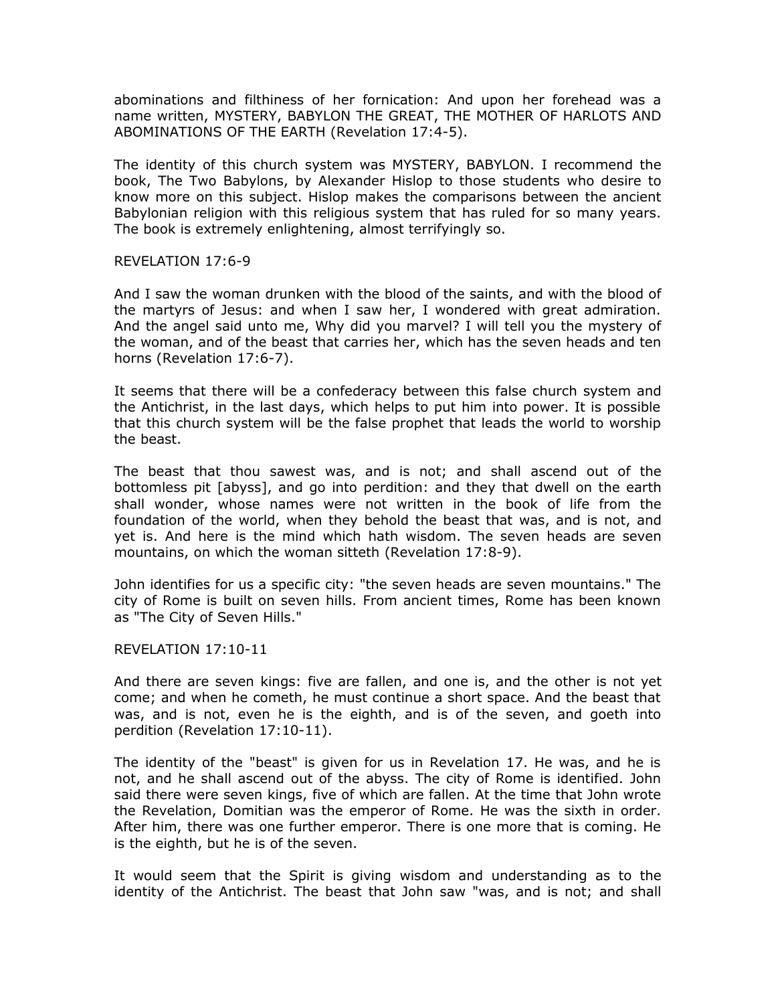abominations and filthiness of her fornication: And upon her forehead was a name written, MYSTERY, BABYLON THE GREAT, THE MOTHER OF HARLOTS AND ABOMINATIONS OF THE EARTH (Revelation 17:4-5).

The identity of this church system was MYSTERY, BABYLON. I recommend the book, The Two Babylons, by Alexander Hislop to those students who desire to know more on this subject. Hislop makes the comparisons between the ancient Babylonian religion with this religious system that has ruled for so many years. The book is extremely enlightening, almost terrifyingly so.

# REVELATION 17:6-9

And I saw the woman drunken with the blood of the saints, and with the blood of the martyrs of Jesus: and when I saw her, I wondered with great admiration. And the angel said unto me, Why did you marvel? I will tell you the mystery of the woman, and of the beast that carries her, which has the seven heads and ten horns (Revelation 17:6-7).

It seems that there will be a confederacy between this false church system and the Antichrist, in the last days, which helps to put him into power. It is possible that this church system will be the false prophet that leads the world to worship the beast.

The beast that thou sawest was, and is not; and shall ascend out of the bottomless pit [abyss], and go into perdition: and they that dwell on the earth shall wonder, whose names were not written in the book of life from the foundation of the world, when they behold the beast that was, and is not, and yet is. And here is the mind which hath wisdom. The seven heads are seven mountains, on which the woman sitteth (Revelation 17:8-9).

John identifies for us a specific city: "the seven heads are seven mountains." The city of Rome is built on seven hills. From ancient times, Rome has been known as "The City of Seven Hills."

# REVELATION 17:10-11

And there are seven kings: five are fallen, and one is, and the other is not yet come; and when he cometh, he must continue a short space. And the beast that was, and is not, even he is the eighth, and is of the seven, and goeth into perdition (Revelation 17:10-11).

The identity of the "beast" is given for us in Revelation 17. He was, and he is not, and he shall ascend out of the abyss. The city of Rome is identified. John said there were seven kings, five of which are fallen. At the time that John wrote the Revelation, Domitian was the emperor of Rome. He was the sixth in order. After him, there was one further emperor. There is one more that is coming. He is the eighth, but he is of the seven.

It would seem that the Spirit is giving wisdom and understanding as to the identity of the Antichrist. The beast that John saw "was, and is not; and shall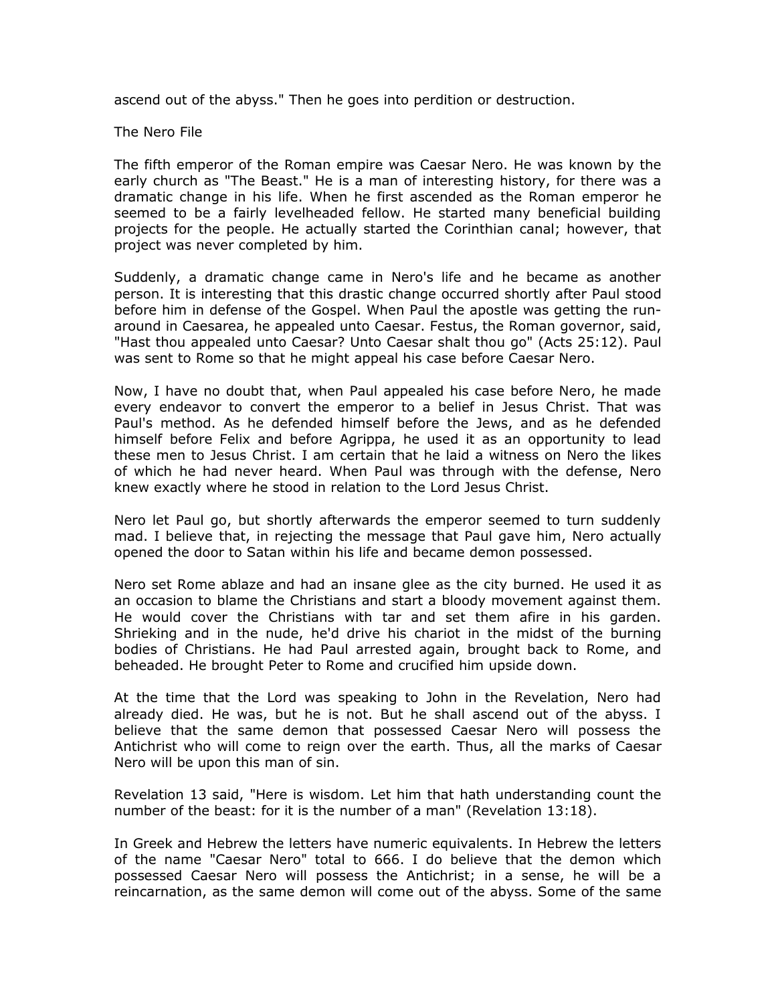ascend out of the abyss." Then he goes into perdition or destruction.

The Nero File

The fifth emperor of the Roman empire was Caesar Nero. He was known by the early church as "The Beast." He is a man of interesting history, for there was a dramatic change in his life. When he first ascended as the Roman emperor he seemed to be a fairly levelheaded fellow. He started many beneficial building projects for the people. He actually started the Corinthian canal; however, that project was never completed by him.

Suddenly, a dramatic change came in Nero's life and he became as another person. It is interesting that this drastic change occurred shortly after Paul stood before him in defense of the Gospel. When Paul the apostle was getting the runaround in Caesarea, he appealed unto Caesar. Festus, the Roman governor, said, "Hast thou appealed unto Caesar? Unto Caesar shalt thou go" (Acts 25:12). Paul was sent to Rome so that he might appeal his case before Caesar Nero.

Now, I have no doubt that, when Paul appealed his case before Nero, he made every endeavor to convert the emperor to a belief in Jesus Christ. That was Paul's method. As he defended himself before the Jews, and as he defended himself before Felix and before Agrippa, he used it as an opportunity to lead these men to Jesus Christ. I am certain that he laid a witness on Nero the likes of which he had never heard. When Paul was through with the defense, Nero knew exactly where he stood in relation to the Lord Jesus Christ.

Nero let Paul go, but shortly afterwards the emperor seemed to turn suddenly mad. I believe that, in rejecting the message that Paul gave him, Nero actually opened the door to Satan within his life and became demon possessed.

Nero set Rome ablaze and had an insane glee as the city burned. He used it as an occasion to blame the Christians and start a bloody movement against them. He would cover the Christians with tar and set them afire in his garden. Shrieking and in the nude, he'd drive his chariot in the midst of the burning bodies of Christians. He had Paul arrested again, brought back to Rome, and beheaded. He brought Peter to Rome and crucified him upside down.

At the time that the Lord was speaking to John in the Revelation, Nero had already died. He was, but he is not. But he shall ascend out of the abyss. I believe that the same demon that possessed Caesar Nero will possess the Antichrist who will come to reign over the earth. Thus, all the marks of Caesar Nero will be upon this man of sin.

Revelation 13 said, "Here is wisdom. Let him that hath understanding count the number of the beast: for it is the number of a man" (Revelation 13:18).

In Greek and Hebrew the letters have numeric equivalents. In Hebrew the letters of the name "Caesar Nero" total to 666. I do believe that the demon which possessed Caesar Nero will possess the Antichrist; in a sense, he will be a reincarnation, as the same demon will come out of the abyss. Some of the same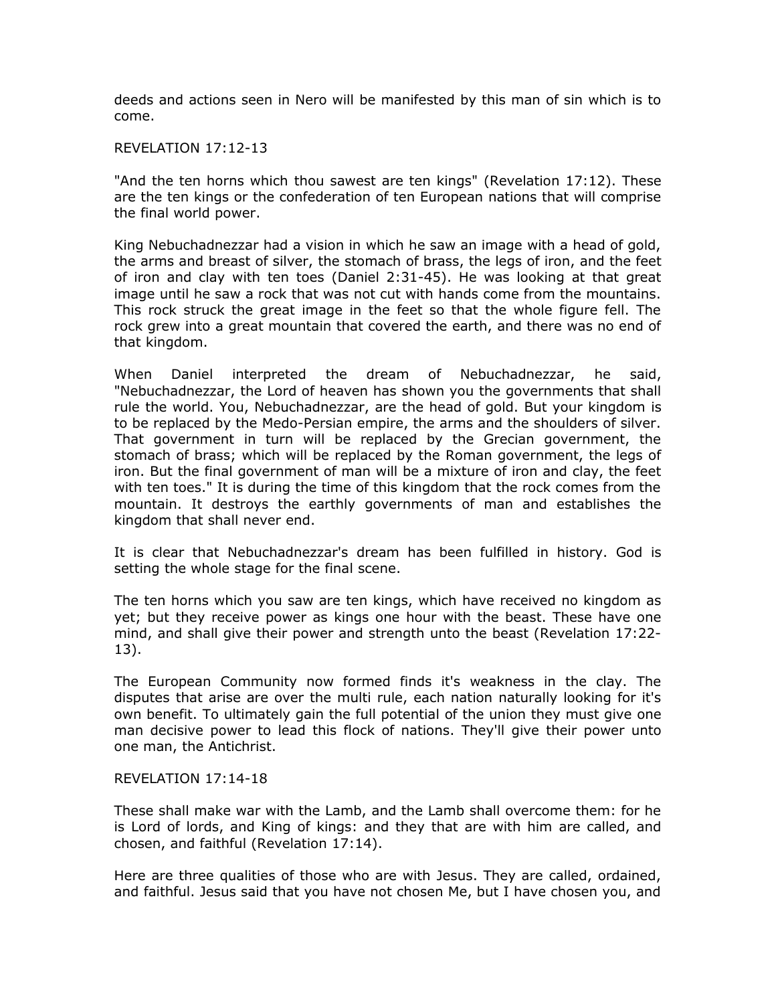deeds and actions seen in Nero will be manifested by this man of sin which is to come.

# REVELATION 17:12-13

"And the ten horns which thou sawest are ten kings" (Revelation 17:12). These are the ten kings or the confederation of ten European nations that will comprise the final world power.

King Nebuchadnezzar had a vision in which he saw an image with a head of gold, the arms and breast of silver, the stomach of brass, the legs of iron, and the feet of iron and clay with ten toes (Daniel 2:31-45). He was looking at that great image until he saw a rock that was not cut with hands come from the mountains. This rock struck the great image in the feet so that the whole figure fell. The rock grew into a great mountain that covered the earth, and there was no end of that kingdom.

When Daniel interpreted the dream of Nebuchadnezzar, he said, "Nebuchadnezzar, the Lord of heaven has shown you the governments that shall rule the world. You, Nebuchadnezzar, are the head of gold. But your kingdom is to be replaced by the Medo-Persian empire, the arms and the shoulders of silver. That government in turn will be replaced by the Grecian government, the stomach of brass; which will be replaced by the Roman government, the legs of iron. But the final government of man will be a mixture of iron and clay, the feet with ten toes." It is during the time of this kingdom that the rock comes from the mountain. It destroys the earthly governments of man and establishes the kingdom that shall never end.

It is clear that Nebuchadnezzar's dream has been fulfilled in history. God is setting the whole stage for the final scene.

The ten horns which you saw are ten kings, which have received no kingdom as yet; but they receive power as kings one hour with the beast. These have one mind, and shall give their power and strength unto the beast (Revelation 17:22- 13).

The European Community now formed finds it's weakness in the clay. The disputes that arise are over the multi rule, each nation naturally looking for it's own benefit. To ultimately gain the full potential of the union they must give one man decisive power to lead this flock of nations. They'll give their power unto one man, the Antichrist.

#### REVELATION 17:14-18

These shall make war with the Lamb, and the Lamb shall overcome them: for he is Lord of lords, and King of kings: and they that are with him are called, and chosen, and faithful (Revelation 17:14).

Here are three qualities of those who are with Jesus. They are called, ordained, and faithful. Jesus said that you have not chosen Me, but I have chosen you, and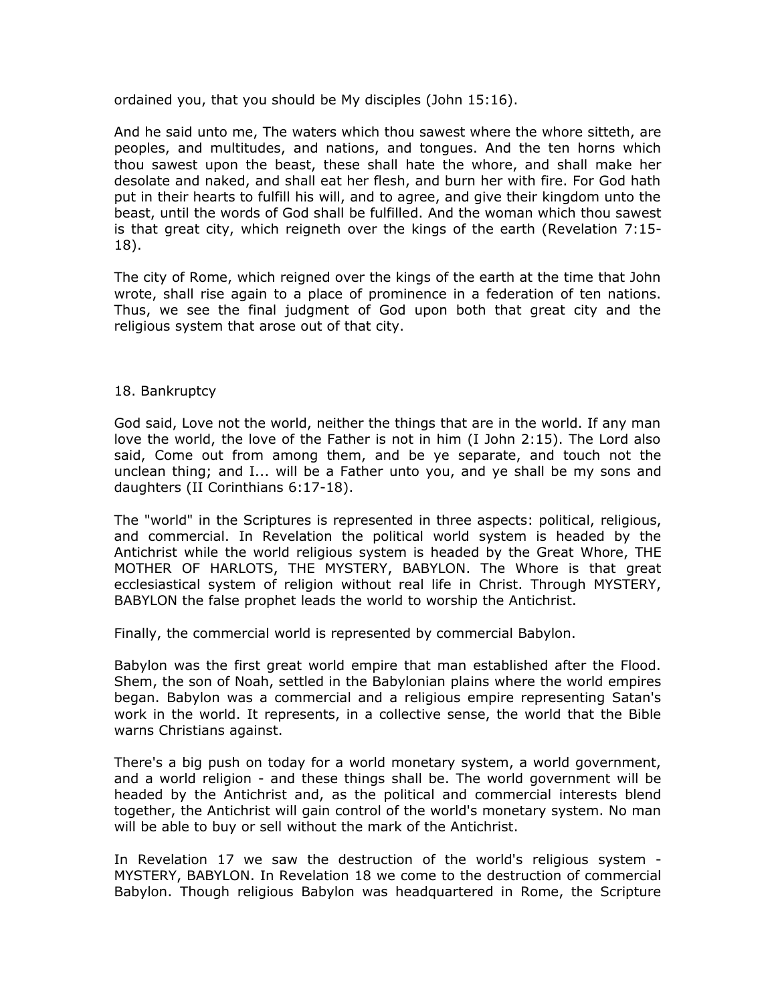ordained you, that you should be My disciples (John 15:16).

And he said unto me, The waters which thou sawest where the whore sitteth, are peoples, and multitudes, and nations, and tongues. And the ten horns which thou sawest upon the beast, these shall hate the whore, and shall make her desolate and naked, and shall eat her flesh, and burn her with fire. For God hath put in their hearts to fulfill his will, and to agree, and give their kingdom unto the beast, until the words of God shall be fulfilled. And the woman which thou sawest is that great city, which reigneth over the kings of the earth (Revelation 7:15- 18).

The city of Rome, which reigned over the kings of the earth at the time that John wrote, shall rise again to a place of prominence in a federation of ten nations. Thus, we see the final judgment of God upon both that great city and the religious system that arose out of that city.

# 18. Bankruptcy

God said, Love not the world, neither the things that are in the world. If any man love the world, the love of the Father is not in him (I John 2:15). The Lord also said, Come out from among them, and be ye separate, and touch not the unclean thing; and I... will be a Father unto you, and ye shall be my sons and daughters (II Corinthians 6:17-18).

The "world" in the Scriptures is represented in three aspects: political, religious, and commercial. In Revelation the political world system is headed by the Antichrist while the world religious system is headed by the Great Whore, THE MOTHER OF HARLOTS, THE MYSTERY, BABYLON. The Whore is that great ecclesiastical system of religion without real life in Christ. Through MYSTERY, BABYLON the false prophet leads the world to worship the Antichrist.

Finally, the commercial world is represented by commercial Babylon.

Babylon was the first great world empire that man established after the Flood. Shem, the son of Noah, settled in the Babylonian plains where the world empires began. Babylon was a commercial and a religious empire representing Satan's work in the world. It represents, in a collective sense, the world that the Bible warns Christians against.

There's a big push on today for a world monetary system, a world government, and a world religion - and these things shall be. The world government will be headed by the Antichrist and, as the political and commercial interests blend together, the Antichrist will gain control of the world's monetary system. No man will be able to buy or sell without the mark of the Antichrist.

In Revelation 17 we saw the destruction of the world's religious system - MYSTERY, BABYLON. In Revelation 18 we come to the destruction of commercial Babylon. Though religious Babylon was headquartered in Rome, the Scripture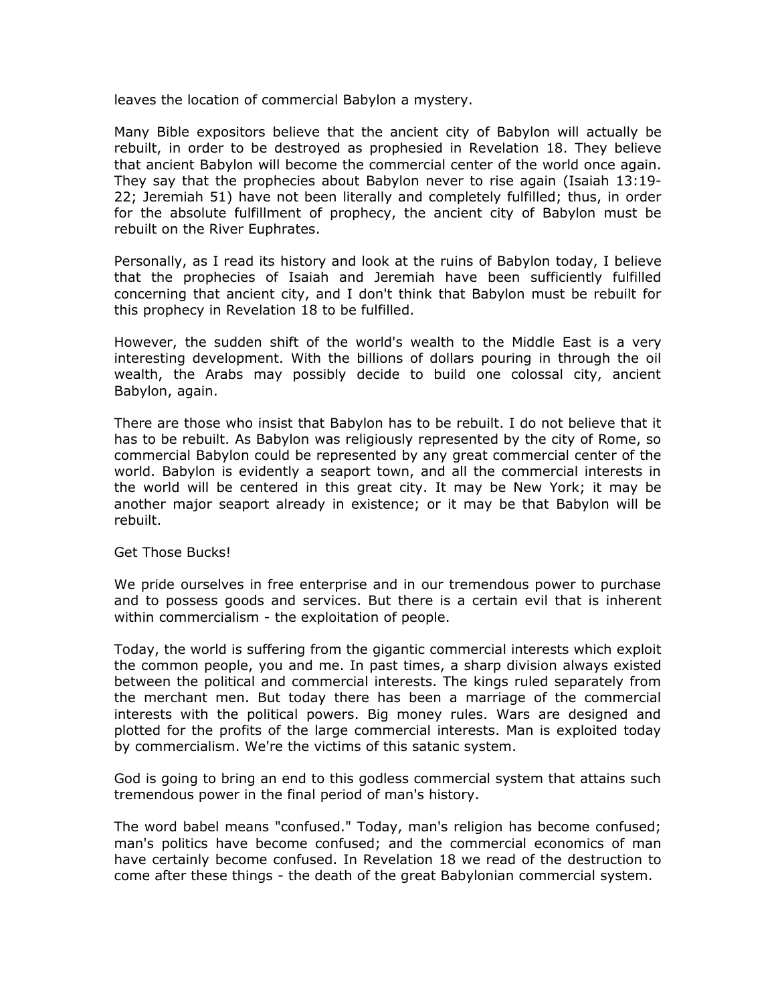leaves the location of commercial Babylon a mystery.

Many Bible expositors believe that the ancient city of Babylon will actually be rebuilt, in order to be destroyed as prophesied in Revelation 18. They believe that ancient Babylon will become the commercial center of the world once again. They say that the prophecies about Babylon never to rise again (Isaiah 13:19- 22; Jeremiah 51) have not been literally and completely fulfilled; thus, in order for the absolute fulfillment of prophecy, the ancient city of Babylon must be rebuilt on the River Euphrates.

Personally, as I read its history and look at the ruins of Babylon today, I believe that the prophecies of Isaiah and Jeremiah have been sufficiently fulfilled concerning that ancient city, and I don't think that Babylon must be rebuilt for this prophecy in Revelation 18 to be fulfilled.

However, the sudden shift of the world's wealth to the Middle East is a very interesting development. With the billions of dollars pouring in through the oil wealth, the Arabs may possibly decide to build one colossal city, ancient Babylon, again.

There are those who insist that Babylon has to be rebuilt. I do not believe that it has to be rebuilt. As Babylon was religiously represented by the city of Rome, so commercial Babylon could be represented by any great commercial center of the world. Babylon is evidently a seaport town, and all the commercial interests in the world will be centered in this great city. It may be New York; it may be another major seaport already in existence; or it may be that Babylon will be rebuilt.

Get Those Bucks!

We pride ourselves in free enterprise and in our tremendous power to purchase and to possess goods and services. But there is a certain evil that is inherent within commercialism - the exploitation of people.

Today, the world is suffering from the gigantic commercial interests which exploit the common people, you and me. In past times, a sharp division always existed between the political and commercial interests. The kings ruled separately from the merchant men. But today there has been a marriage of the commercial interests with the political powers. Big money rules. Wars are designed and plotted for the profits of the large commercial interests. Man is exploited today by commercialism. We're the victims of this satanic system.

God is going to bring an end to this godless commercial system that attains such tremendous power in the final period of man's history.

The word babel means "confused." Today, man's religion has become confused; man's politics have become confused; and the commercial economics of man have certainly become confused. In Revelation 18 we read of the destruction to come after these things - the death of the great Babylonian commercial system.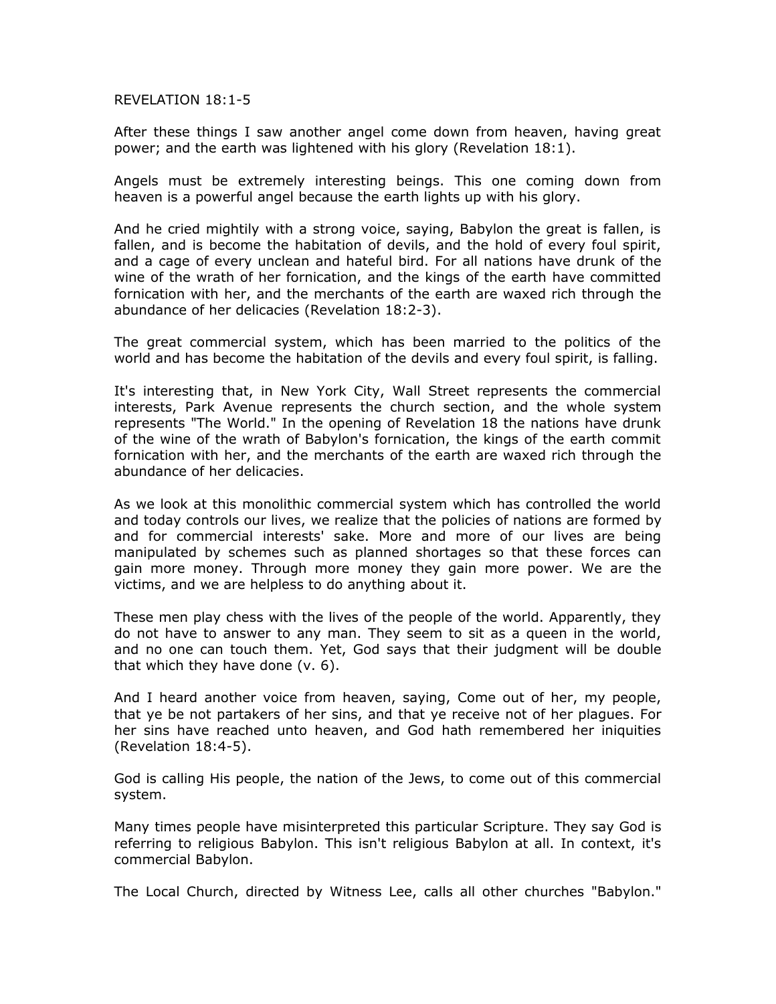REVELATION 18:1-5

After these things I saw another angel come down from heaven, having great power; and the earth was lightened with his glory (Revelation 18:1).

Angels must be extremely interesting beings. This one coming down from heaven is a powerful angel because the earth lights up with his glory.

And he cried mightily with a strong voice, saying, Babylon the great is fallen, is fallen, and is become the habitation of devils, and the hold of every foul spirit, and a cage of every unclean and hateful bird. For all nations have drunk of the wine of the wrath of her fornication, and the kings of the earth have committed fornication with her, and the merchants of the earth are waxed rich through the abundance of her delicacies (Revelation 18:2-3).

The great commercial system, which has been married to the politics of the world and has become the habitation of the devils and every foul spirit, is falling.

It's interesting that, in New York City, Wall Street represents the commercial interests, Park Avenue represents the church section, and the whole system represents "The World." In the opening of Revelation 18 the nations have drunk of the wine of the wrath of Babylon's fornication, the kings of the earth commit fornication with her, and the merchants of the earth are waxed rich through the abundance of her delicacies.

As we look at this monolithic commercial system which has controlled the world and today controls our lives, we realize that the policies of nations are formed by and for commercial interests' sake. More and more of our lives are being manipulated by schemes such as planned shortages so that these forces can gain more money. Through more money they gain more power. We are the victims, and we are helpless to do anything about it.

These men play chess with the lives of the people of the world. Apparently, they do not have to answer to any man. They seem to sit as a queen in the world, and no one can touch them. Yet, God says that their judgment will be double that which they have done (v. 6).

And I heard another voice from heaven, saying, Come out of her, my people, that ye be not partakers of her sins, and that ye receive not of her plagues. For her sins have reached unto heaven, and God hath remembered her iniquities (Revelation 18:4-5).

God is calling His people, the nation of the Jews, to come out of this commercial system.

Many times people have misinterpreted this particular Scripture. They say God is referring to religious Babylon. This isn't religious Babylon at all. In context, it's commercial Babylon.

The Local Church, directed by Witness Lee, calls all other churches "Babylon."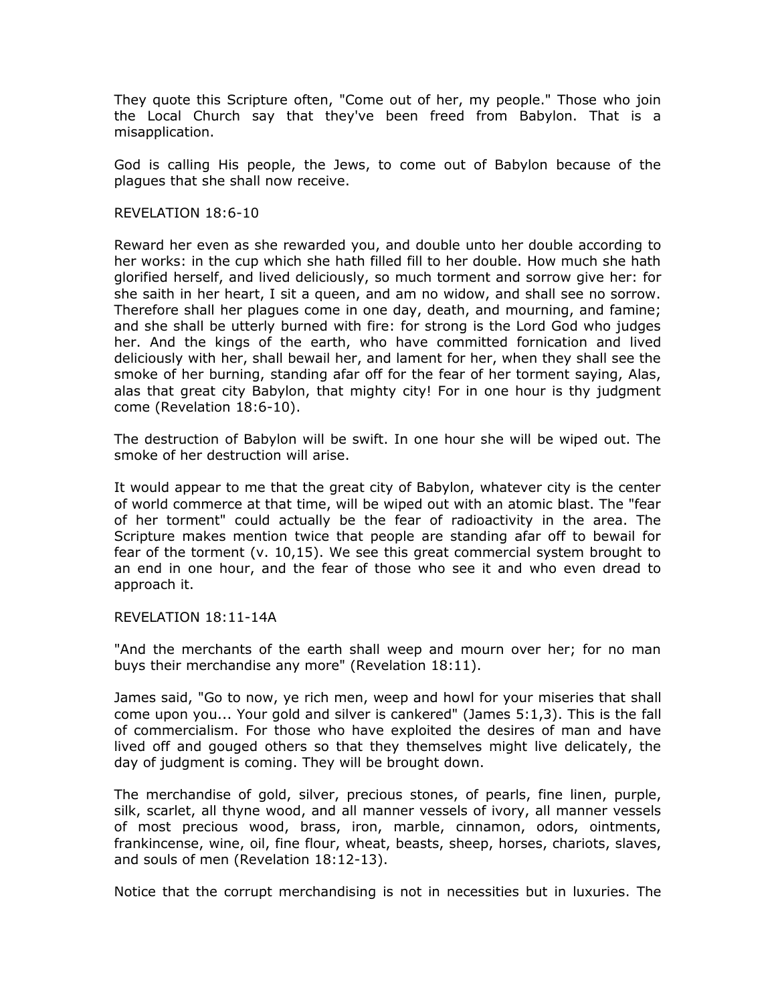They quote this Scripture often, "Come out of her, my people." Those who join the Local Church say that they've been freed from Babylon. That is a misapplication.

God is calling His people, the Jews, to come out of Babylon because of the plagues that she shall now receive.

### REVELATION 18:6-10

Reward her even as she rewarded you, and double unto her double according to her works: in the cup which she hath filled fill to her double. How much she hath glorified herself, and lived deliciously, so much torment and sorrow give her: for she saith in her heart, I sit a queen, and am no widow, and shall see no sorrow. Therefore shall her plagues come in one day, death, and mourning, and famine; and she shall be utterly burned with fire: for strong is the Lord God who judges her. And the kings of the earth, who have committed fornication and lived deliciously with her, shall bewail her, and lament for her, when they shall see the smoke of her burning, standing afar off for the fear of her torment saying, Alas, alas that great city Babylon, that mighty city! For in one hour is thy judgment come (Revelation 18:6-10).

The destruction of Babylon will be swift. In one hour she will be wiped out. The smoke of her destruction will arise.

It would appear to me that the great city of Babylon, whatever city is the center of world commerce at that time, will be wiped out with an atomic blast. The "fear of her torment" could actually be the fear of radioactivity in the area. The Scripture makes mention twice that people are standing afar off to bewail for fear of the torment (v. 10,15). We see this great commercial system brought to an end in one hour, and the fear of those who see it and who even dread to approach it.

#### REVELATION 18:11-14A

"And the merchants of the earth shall weep and mourn over her; for no man buys their merchandise any more" (Revelation 18:11).

James said, "Go to now, ye rich men, weep and howl for your miseries that shall come upon you... Your gold and silver is cankered" (James 5:1,3). This is the fall of commercialism. For those who have exploited the desires of man and have lived off and gouged others so that they themselves might live delicately, the day of judgment is coming. They will be brought down.

The merchandise of gold, silver, precious stones, of pearls, fine linen, purple, silk, scarlet, all thyne wood, and all manner vessels of ivory, all manner vessels of most precious wood, brass, iron, marble, cinnamon, odors, ointments, frankincense, wine, oil, fine flour, wheat, beasts, sheep, horses, chariots, slaves, and souls of men (Revelation 18:12-13).

Notice that the corrupt merchandising is not in necessities but in luxuries. The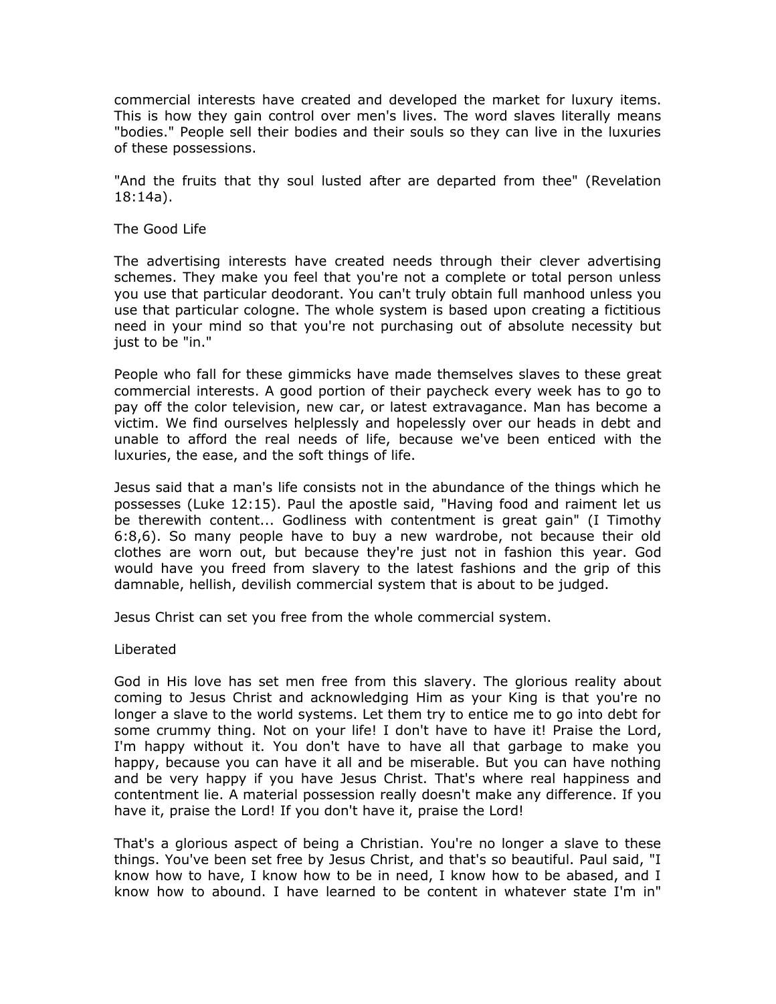commercial interests have created and developed the market for luxury items. This is how they gain control over men's lives. The word slaves literally means "bodies." People sell their bodies and their souls so they can live in the luxuries of these possessions.

"And the fruits that thy soul lusted after are departed from thee" (Revelation 18:14a).

The Good Life

The advertising interests have created needs through their clever advertising schemes. They make you feel that you're not a complete or total person unless you use that particular deodorant. You can't truly obtain full manhood unless you use that particular cologne. The whole system is based upon creating a fictitious need in your mind so that you're not purchasing out of absolute necessity but just to be "in."

People who fall for these gimmicks have made themselves slaves to these great commercial interests. A good portion of their paycheck every week has to go to pay off the color television, new car, or latest extravagance. Man has become a victim. We find ourselves helplessly and hopelessly over our heads in debt and unable to afford the real needs of life, because we've been enticed with the luxuries, the ease, and the soft things of life.

Jesus said that a man's life consists not in the abundance of the things which he possesses (Luke 12:15). Paul the apostle said, "Having food and raiment let us be therewith content... Godliness with contentment is great gain" (I Timothy 6:8,6). So many people have to buy a new wardrobe, not because their old clothes are worn out, but because they're just not in fashion this year. God would have you freed from slavery to the latest fashions and the grip of this damnable, hellish, devilish commercial system that is about to be judged.

Jesus Christ can set you free from the whole commercial system.

Liberated

God in His love has set men free from this slavery. The glorious reality about coming to Jesus Christ and acknowledging Him as your King is that you're no longer a slave to the world systems. Let them try to entice me to go into debt for some crummy thing. Not on your life! I don't have to have it! Praise the Lord, I'm happy without it. You don't have to have all that garbage to make you happy, because you can have it all and be miserable. But you can have nothing and be very happy if you have Jesus Christ. That's where real happiness and contentment lie. A material possession really doesn't make any difference. If you have it, praise the Lord! If you don't have it, praise the Lord!

That's a glorious aspect of being a Christian. You're no longer a slave to these things. You've been set free by Jesus Christ, and that's so beautiful. Paul said, "I know how to have, I know how to be in need, I know how to be abased, and I know how to abound. I have learned to be content in whatever state I'm in"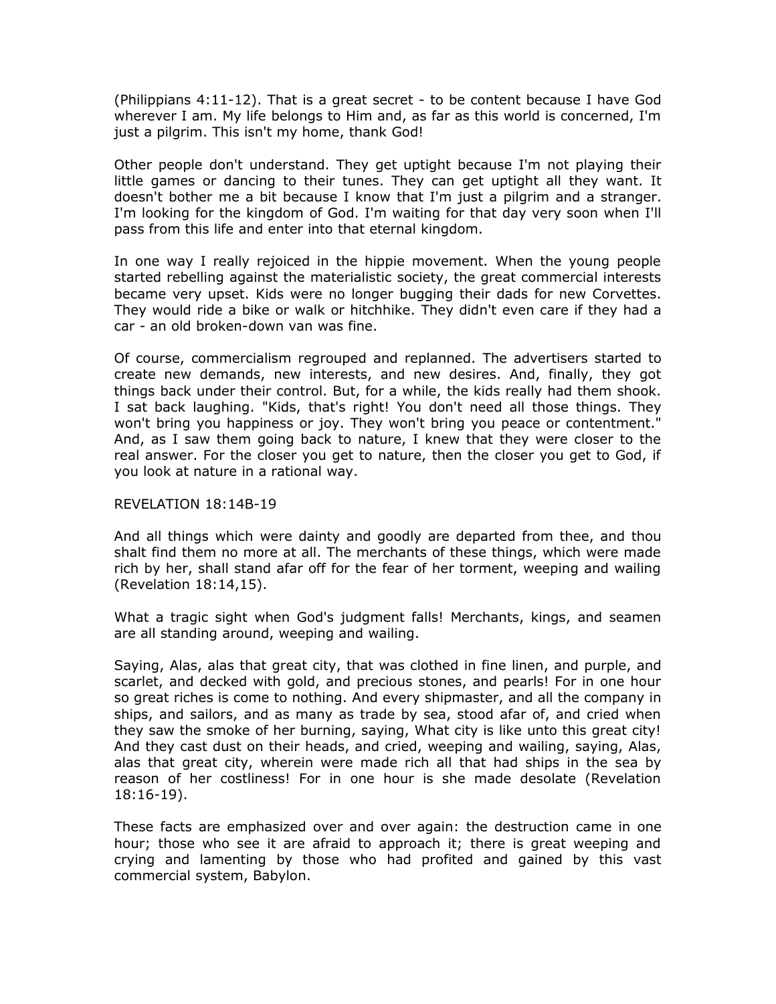(Philippians 4:11-12). That is a great secret - to be content because I have God wherever I am. My life belongs to Him and, as far as this world is concerned, I'm just a pilgrim. This isn't my home, thank God!

Other people don't understand. They get uptight because I'm not playing their little games or dancing to their tunes. They can get uptight all they want. It doesn't bother me a bit because I know that I'm just a pilgrim and a stranger. I'm looking for the kingdom of God. I'm waiting for that day very soon when I'll pass from this life and enter into that eternal kingdom.

In one way I really rejoiced in the hippie movement. When the young people started rebelling against the materialistic society, the great commercial interests became very upset. Kids were no longer bugging their dads for new Corvettes. They would ride a bike or walk or hitchhike. They didn't even care if they had a car - an old broken-down van was fine.

Of course, commercialism regrouped and replanned. The advertisers started to create new demands, new interests, and new desires. And, finally, they got things back under their control. But, for a while, the kids really had them shook. I sat back laughing. "Kids, that's right! You don't need all those things. They won't bring you happiness or joy. They won't bring you peace or contentment." And, as I saw them going back to nature, I knew that they were closer to the real answer. For the closer you get to nature, then the closer you get to God, if you look at nature in a rational way.

### REVELATION 18:14B-19

And all things which were dainty and goodly are departed from thee, and thou shalt find them no more at all. The merchants of these things, which were made rich by her, shall stand afar off for the fear of her torment, weeping and wailing (Revelation 18:14,15).

What a tragic sight when God's judgment falls! Merchants, kings, and seamen are all standing around, weeping and wailing.

Saying, Alas, alas that great city, that was clothed in fine linen, and purple, and scarlet, and decked with gold, and precious stones, and pearls! For in one hour so great riches is come to nothing. And every shipmaster, and all the company in ships, and sailors, and as many as trade by sea, stood afar of, and cried when they saw the smoke of her burning, saying, What city is like unto this great city! And they cast dust on their heads, and cried, weeping and wailing, saying, Alas, alas that great city, wherein were made rich all that had ships in the sea by reason of her costliness! For in one hour is she made desolate (Revelation 18:16-19).

These facts are emphasized over and over again: the destruction came in one hour; those who see it are afraid to approach it; there is great weeping and crying and lamenting by those who had profited and gained by this vast commercial system, Babylon.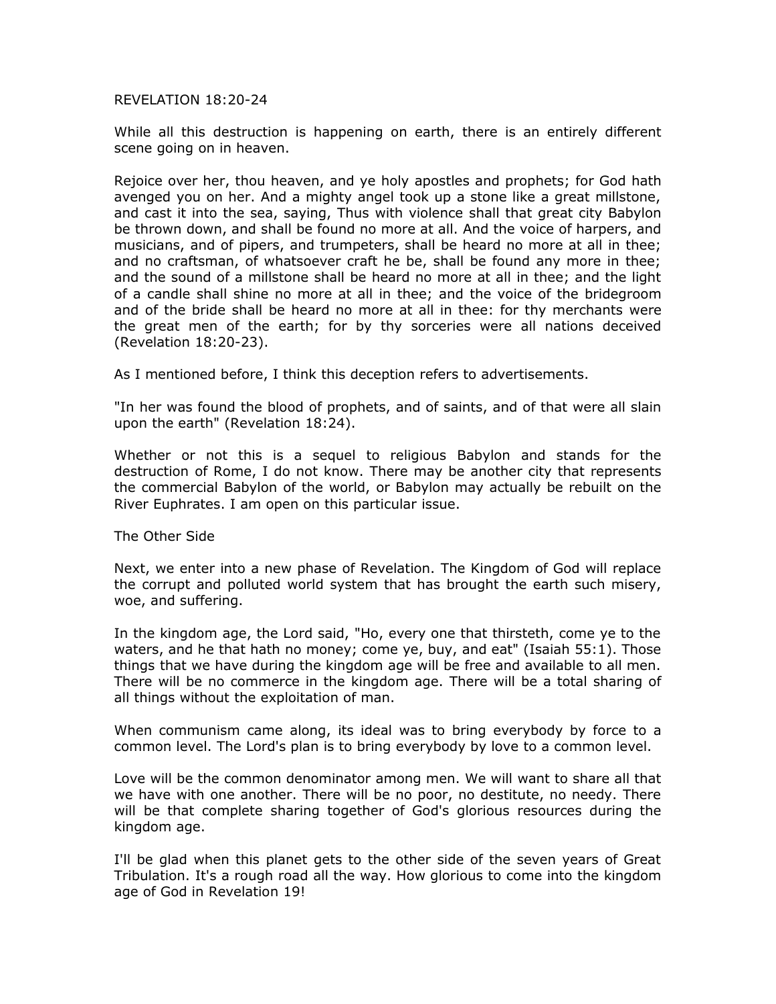REVELATION 18:20-24

While all this destruction is happening on earth, there is an entirely different scene going on in heaven.

Rejoice over her, thou heaven, and ye holy apostles and prophets; for God hath avenged you on her. And a mighty angel took up a stone like a great millstone, and cast it into the sea, saying, Thus with violence shall that great city Babylon be thrown down, and shall be found no more at all. And the voice of harpers, and musicians, and of pipers, and trumpeters, shall be heard no more at all in thee; and no craftsman, of whatsoever craft he be, shall be found any more in thee; and the sound of a millstone shall be heard no more at all in thee; and the light of a candle shall shine no more at all in thee; and the voice of the bridegroom and of the bride shall be heard no more at all in thee: for thy merchants were the great men of the earth; for by thy sorceries were all nations deceived (Revelation 18:20-23).

As I mentioned before, I think this deception refers to advertisements.

"In her was found the blood of prophets, and of saints, and of that were all slain upon the earth" (Revelation 18:24).

Whether or not this is a sequel to religious Babylon and stands for the destruction of Rome, I do not know. There may be another city that represents the commercial Babylon of the world, or Babylon may actually be rebuilt on the River Euphrates. I am open on this particular issue.

The Other Side

Next, we enter into a new phase of Revelation. The Kingdom of God will replace the corrupt and polluted world system that has brought the earth such misery, woe, and suffering.

In the kingdom age, the Lord said, "Ho, every one that thirsteth, come ye to the waters, and he that hath no money; come ye, buy, and eat" (Isaiah 55:1). Those things that we have during the kingdom age will be free and available to all men. There will be no commerce in the kingdom age. There will be a total sharing of all things without the exploitation of man.

When communism came along, its ideal was to bring everybody by force to a common level. The Lord's plan is to bring everybody by love to a common level.

Love will be the common denominator among men. We will want to share all that we have with one another. There will be no poor, no destitute, no needy. There will be that complete sharing together of God's glorious resources during the kingdom age.

I'll be glad when this planet gets to the other side of the seven years of Great Tribulation. It's a rough road all the way. How glorious to come into the kingdom age of God in Revelation 19!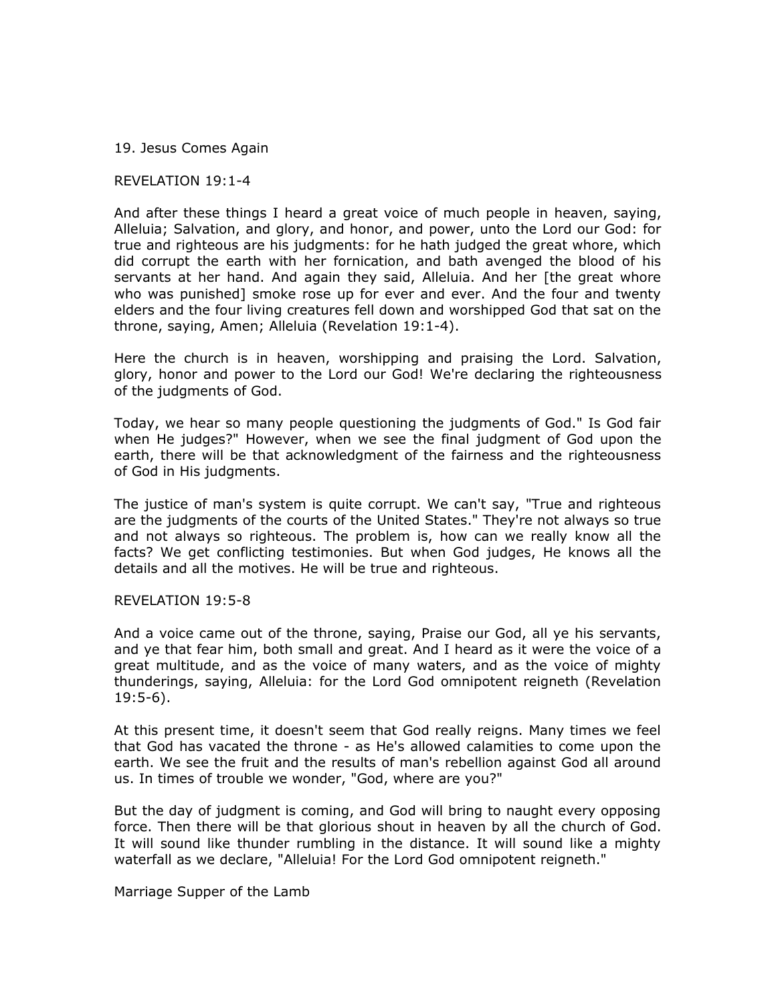19. Jesus Comes Again

#### REVELATION 19:1-4

And after these things I heard a great voice of much people in heaven, saying, Alleluia; Salvation, and glory, and honor, and power, unto the Lord our God: for true and righteous are his judgments: for he hath judged the great whore, which did corrupt the earth with her fornication, and bath avenged the blood of his servants at her hand. And again they said, Alleluia. And her [the great whore who was punished] smoke rose up for ever and ever. And the four and twenty elders and the four living creatures fell down and worshipped God that sat on the throne, saying, Amen; Alleluia (Revelation 19:1-4).

Here the church is in heaven, worshipping and praising the Lord. Salvation, glory, honor and power to the Lord our God! We're declaring the righteousness of the judgments of God.

Today, we hear so many people questioning the judgments of God." Is God fair when He judges?" However, when we see the final judgment of God upon the earth, there will be that acknowledgment of the fairness and the righteousness of God in His judgments.

The justice of man's system is quite corrupt. We can't say, "True and righteous are the judgments of the courts of the United States." They're not always so true and not always so righteous. The problem is, how can we really know all the facts? We get conflicting testimonies. But when God judges, He knows all the details and all the motives. He will be true and righteous.

#### REVELATION 19:5-8

And a voice came out of the throne, saying, Praise our God, all ye his servants, and ye that fear him, both small and great. And I heard as it were the voice of a great multitude, and as the voice of many waters, and as the voice of mighty thunderings, saying, Alleluia: for the Lord God omnipotent reigneth (Revelation 19:5-6).

At this present time, it doesn't seem that God really reigns. Many times we feel that God has vacated the throne - as He's allowed calamities to come upon the earth. We see the fruit and the results of man's rebellion against God all around us. In times of trouble we wonder, "God, where are you?"

But the day of judgment is coming, and God will bring to naught every opposing force. Then there will be that glorious shout in heaven by all the church of God. It will sound like thunder rumbling in the distance. It will sound like a mighty waterfall as we declare, "Alleluia! For the Lord God omnipotent reigneth."

Marriage Supper of the Lamb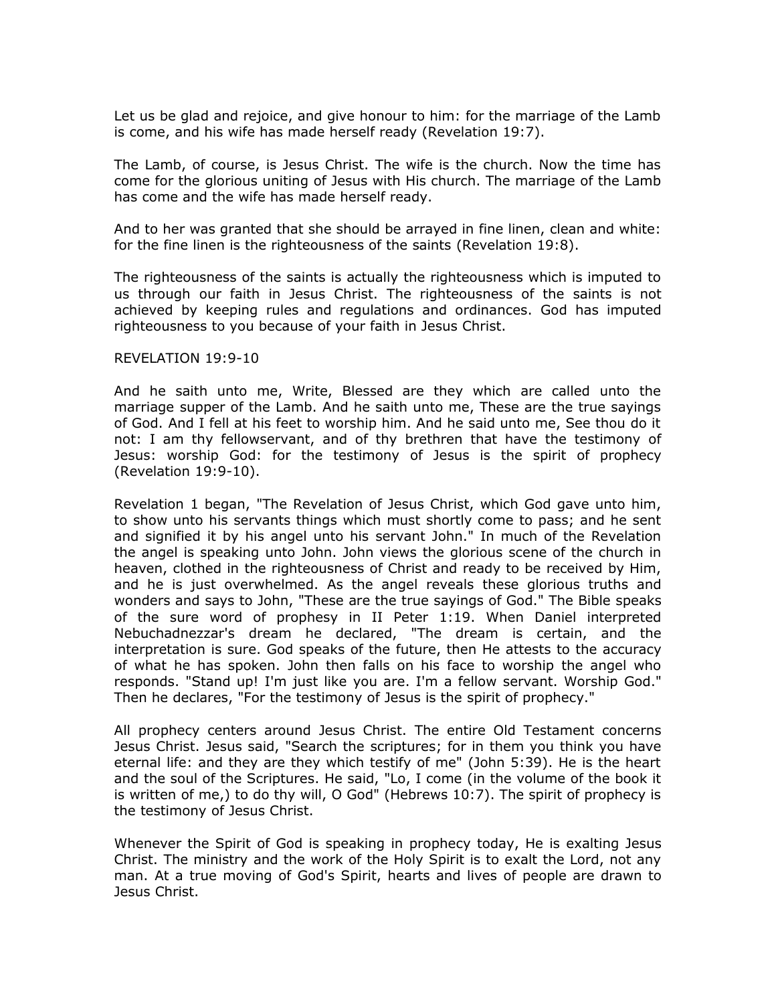Let us be glad and rejoice, and give honour to him: for the marriage of the Lamb is come, and his wife has made herself ready (Revelation 19:7).

The Lamb, of course, is Jesus Christ. The wife is the church. Now the time has come for the glorious uniting of Jesus with His church. The marriage of the Lamb has come and the wife has made herself ready.

And to her was granted that she should be arrayed in fine linen, clean and white: for the fine linen is the righteousness of the saints (Revelation 19:8).

The righteousness of the saints is actually the righteousness which is imputed to us through our faith in Jesus Christ. The righteousness of the saints is not achieved by keeping rules and regulations and ordinances. God has imputed righteousness to you because of your faith in Jesus Christ.

#### REVELATION 19:9-10

And he saith unto me, Write, Blessed are they which are called unto the marriage supper of the Lamb. And he saith unto me, These are the true sayings of God. And I fell at his feet to worship him. And he said unto me, See thou do it not: I am thy fellowservant, and of thy brethren that have the testimony of Jesus: worship God: for the testimony of Jesus is the spirit of prophecy (Revelation 19:9-10).

Revelation 1 began, "The Revelation of Jesus Christ, which God gave unto him, to show unto his servants things which must shortly come to pass; and he sent and signified it by his angel unto his servant John." In much of the Revelation the angel is speaking unto John. John views the glorious scene of the church in heaven, clothed in the righteousness of Christ and ready to be received by Him, and he is just overwhelmed. As the angel reveals these glorious truths and wonders and says to John, "These are the true sayings of God." The Bible speaks of the sure word of prophesy in II Peter 1:19. When Daniel interpreted Nebuchadnezzar's dream he declared, "The dream is certain, and the interpretation is sure. God speaks of the future, then He attests to the accuracy of what he has spoken. John then falls on his face to worship the angel who responds. "Stand up! I'm just like you are. I'm a fellow servant. Worship God." Then he declares, "For the testimony of Jesus is the spirit of prophecy."

All prophecy centers around Jesus Christ. The entire Old Testament concerns Jesus Christ. Jesus said, "Search the scriptures; for in them you think you have eternal life: and they are they which testify of me" (John 5:39). He is the heart and the soul of the Scriptures. He said, "Lo, I come (in the volume of the book it is written of me,) to do thy will, O God" (Hebrews 10:7). The spirit of prophecy is the testimony of Jesus Christ.

Whenever the Spirit of God is speaking in prophecy today, He is exalting Jesus Christ. The ministry and the work of the Holy Spirit is to exalt the Lord, not any man. At a true moving of God's Spirit, hearts and lives of people are drawn to Jesus Christ.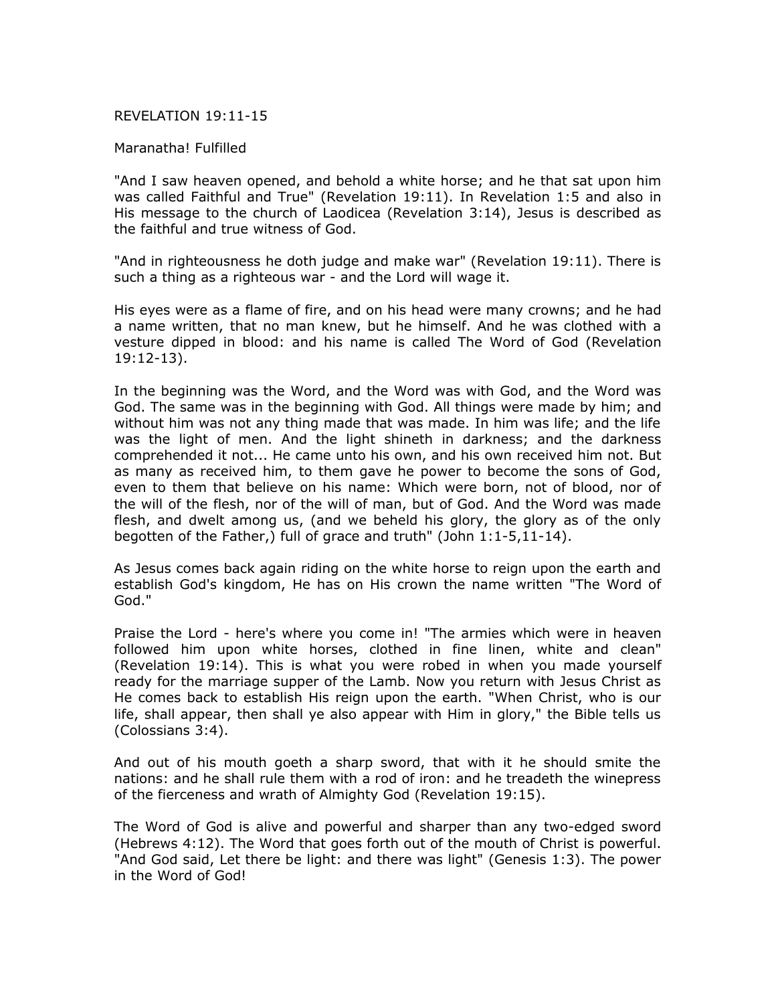### REVELATION 19:11-15

#### Maranatha! Fulfilled

"And I saw heaven opened, and behold a white horse; and he that sat upon him was called Faithful and True" (Revelation 19:11). In Revelation 1:5 and also in His message to the church of Laodicea (Revelation 3:14), Jesus is described as the faithful and true witness of God.

"And in righteousness he doth judge and make war" (Revelation 19:11). There is such a thing as a righteous war - and the Lord will wage it.

His eyes were as a flame of fire, and on his head were many crowns; and he had a name written, that no man knew, but he himself. And he was clothed with a vesture dipped in blood: and his name is called The Word of God (Revelation 19:12-13).

In the beginning was the Word, and the Word was with God, and the Word was God. The same was in the beginning with God. All things were made by him; and without him was not any thing made that was made. In him was life; and the life was the light of men. And the light shineth in darkness; and the darkness comprehended it not... He came unto his own, and his own received him not. But as many as received him, to them gave he power to become the sons of God, even to them that believe on his name: Which were born, not of blood, nor of the will of the flesh, nor of the will of man, but of God. And the Word was made flesh, and dwelt among us, (and we beheld his glory, the glory as of the only begotten of the Father,) full of grace and truth" (John 1:1-5,11-14).

As Jesus comes back again riding on the white horse to reign upon the earth and establish God's kingdom, He has on His crown the name written "The Word of God."

Praise the Lord - here's where you come in! "The armies which were in heaven followed him upon white horses, clothed in fine linen, white and clean" (Revelation 19:14). This is what you were robed in when you made yourself ready for the marriage supper of the Lamb. Now you return with Jesus Christ as He comes back to establish His reign upon the earth. "When Christ, who is our life, shall appear, then shall ye also appear with Him in glory," the Bible tells us (Colossians 3:4).

And out of his mouth goeth a sharp sword, that with it he should smite the nations: and he shall rule them with a rod of iron: and he treadeth the winepress of the fierceness and wrath of Almighty God (Revelation 19:15).

The Word of God is alive and powerful and sharper than any two-edged sword (Hebrews 4:12). The Word that goes forth out of the mouth of Christ is powerful. "And God said, Let there be light: and there was light" (Genesis 1:3). The power in the Word of God!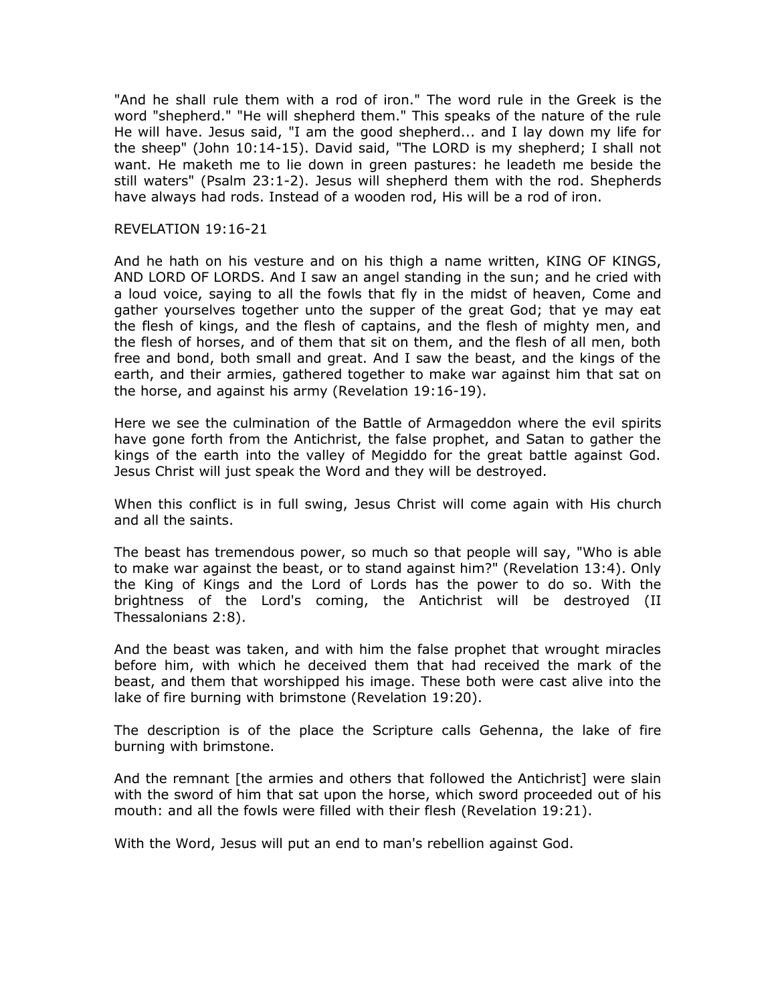"And he shall rule them with a rod of iron." The word rule in the Greek is the word "shepherd." "He will shepherd them." This speaks of the nature of the rule He will have. Jesus said, "I am the good shepherd... and I lay down my life for the sheep" (John 10:14-15). David said, "The LORD is my shepherd; I shall not want. He maketh me to lie down in green pastures: he leadeth me beside the still waters" (Psalm 23:1-2). Jesus will shepherd them with the rod. Shepherds have always had rods. Instead of a wooden rod, His will be a rod of iron.

### REVELATION 19:16-21

And he hath on his vesture and on his thigh a name written, KING OF KINGS, AND LORD OF LORDS. And I saw an angel standing in the sun; and he cried with a loud voice, saying to all the fowls that fly in the midst of heaven, Come and gather yourselves together unto the supper of the great God; that ye may eat the flesh of kings, and the flesh of captains, and the flesh of mighty men, and the flesh of horses, and of them that sit on them, and the flesh of all men, both free and bond, both small and great. And I saw the beast, and the kings of the earth, and their armies, gathered together to make war against him that sat on the horse, and against his army (Revelation 19:16-19).

Here we see the culmination of the Battle of Armageddon where the evil spirits have gone forth from the Antichrist, the false prophet, and Satan to gather the kings of the earth into the valley of Megiddo for the great battle against God. Jesus Christ will just speak the Word and they will be destroyed.

When this conflict is in full swing, Jesus Christ will come again with His church and all the saints.

The beast has tremendous power, so much so that people will say, "Who is able to make war against the beast, or to stand against him?" (Revelation 13:4). Only the King of Kings and the Lord of Lords has the power to do so. With the brightness of the Lord's coming, the Antichrist will be destroyed (II Thessalonians 2:8).

And the beast was taken, and with him the false prophet that wrought miracles before him, with which he deceived them that had received the mark of the beast, and them that worshipped his image. These both were cast alive into the lake of fire burning with brimstone (Revelation 19:20).

The description is of the place the Scripture calls Gehenna, the lake of fire burning with brimstone.

And the remnant [the armies and others that followed the Antichrist] were slain with the sword of him that sat upon the horse, which sword proceeded out of his mouth: and all the fowls were filled with their flesh (Revelation 19:21).

With the Word, Jesus will put an end to man's rebellion against God.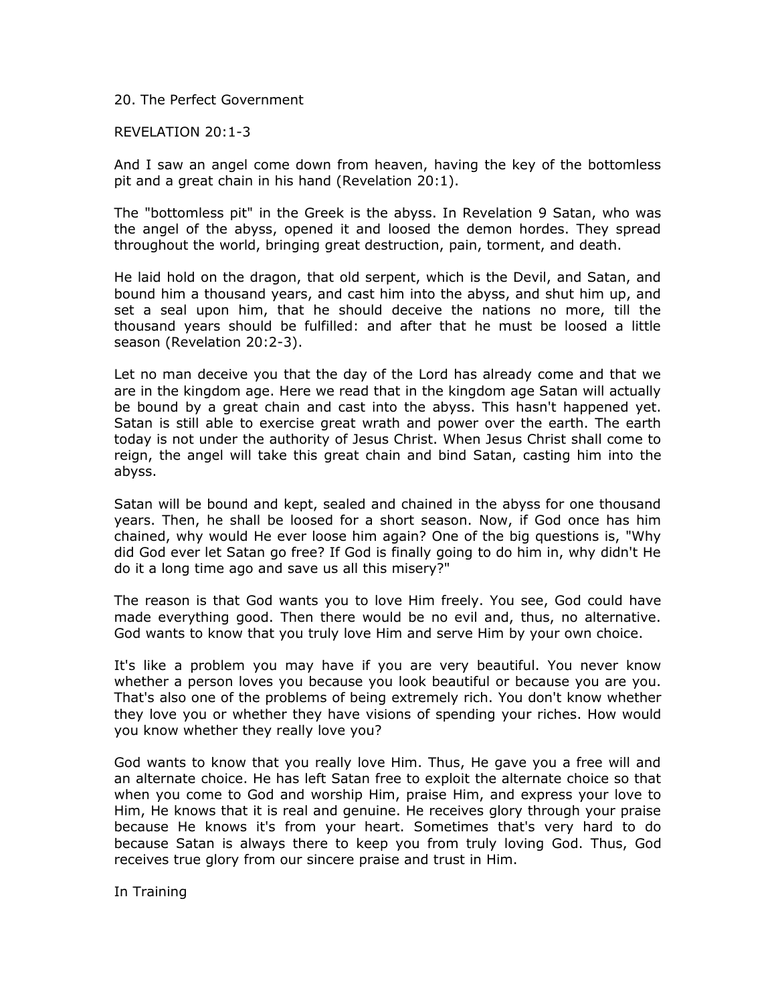### 20. The Perfect Government

### REVELATION 20:1-3

And I saw an angel come down from heaven, having the key of the bottomless pit and a great chain in his hand (Revelation 20:1).

The "bottomless pit" in the Greek is the abyss. In Revelation 9 Satan, who was the angel of the abyss, opened it and loosed the demon hordes. They spread throughout the world, bringing great destruction, pain, torment, and death.

He laid hold on the dragon, that old serpent, which is the Devil, and Satan, and bound him a thousand years, and cast him into the abyss, and shut him up, and set a seal upon him, that he should deceive the nations no more, till the thousand years should be fulfilled: and after that he must be loosed a little season (Revelation 20:2-3).

Let no man deceive you that the day of the Lord has already come and that we are in the kingdom age. Here we read that in the kingdom age Satan will actually be bound by a great chain and cast into the abyss. This hasn't happened yet. Satan is still able to exercise great wrath and power over the earth. The earth today is not under the authority of Jesus Christ. When Jesus Christ shall come to reign, the angel will take this great chain and bind Satan, casting him into the abyss.

Satan will be bound and kept, sealed and chained in the abyss for one thousand years. Then, he shall be loosed for a short season. Now, if God once has him chained, why would He ever loose him again? One of the big questions is, "Why did God ever let Satan go free? If God is finally going to do him in, why didn't He do it a long time ago and save us all this misery?"

The reason is that God wants you to love Him freely. You see, God could have made everything good. Then there would be no evil and, thus, no alternative. God wants to know that you truly love Him and serve Him by your own choice.

It's like a problem you may have if you are very beautiful. You never know whether a person loves you because you look beautiful or because you are you. That's also one of the problems of being extremely rich. You don't know whether they love you or whether they have visions of spending your riches. How would you know whether they really love you?

God wants to know that you really love Him. Thus, He gave you a free will and an alternate choice. He has left Satan free to exploit the alternate choice so that when you come to God and worship Him, praise Him, and express your love to Him, He knows that it is real and genuine. He receives glory through your praise because He knows it's from your heart. Sometimes that's very hard to do because Satan is always there to keep you from truly loving God. Thus, God receives true glory from our sincere praise and trust in Him.

In Training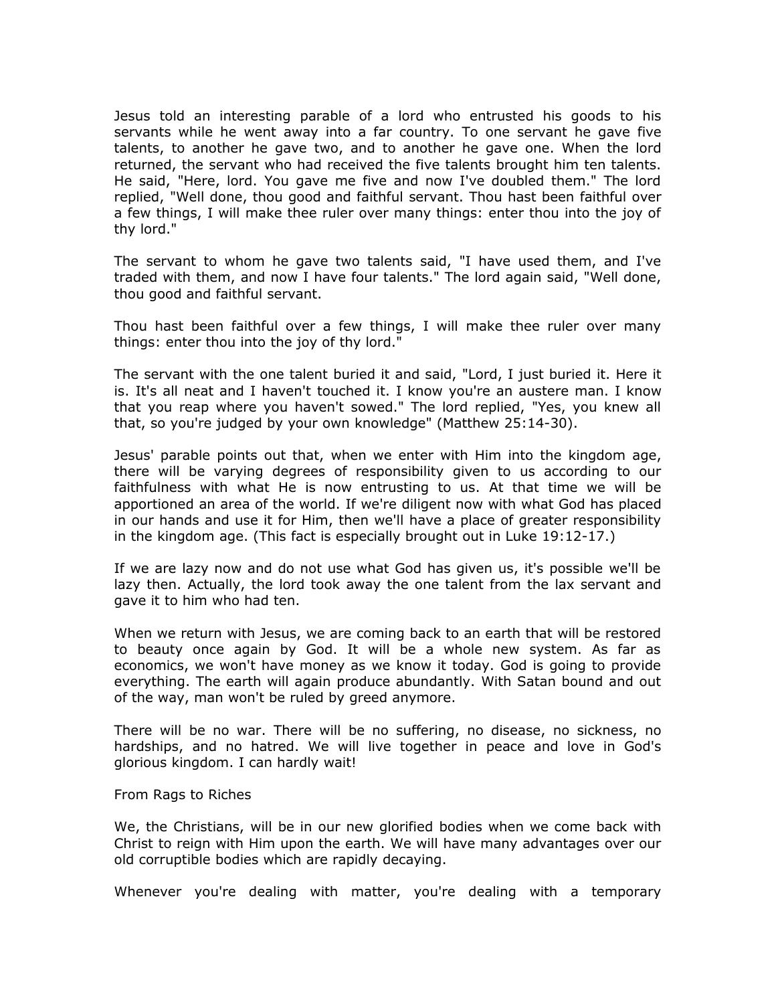Jesus told an interesting parable of a lord who entrusted his goods to his servants while he went away into a far country. To one servant he gave five talents, to another he gave two, and to another he gave one. When the lord returned, the servant who had received the five talents brought him ten talents. He said, "Here, lord. You gave me five and now I've doubled them." The lord replied, "Well done, thou good and faithful servant. Thou hast been faithful over a few things, I will make thee ruler over many things: enter thou into the joy of thy lord."

The servant to whom he gave two talents said, "I have used them, and I've traded with them, and now I have four talents." The lord again said, "Well done, thou good and faithful servant.

Thou hast been faithful over a few things, I will make thee ruler over many things: enter thou into the joy of thy lord."

The servant with the one talent buried it and said, "Lord, I just buried it. Here it is. It's all neat and I haven't touched it. I know you're an austere man. I know that you reap where you haven't sowed." The lord replied, "Yes, you knew all that, so you're judged by your own knowledge" (Matthew 25:14-30).

Jesus' parable points out that, when we enter with Him into the kingdom age, there will be varying degrees of responsibility given to us according to our faithfulness with what He is now entrusting to us. At that time we will be apportioned an area of the world. If we're diligent now with what God has placed in our hands and use it for Him, then we'll have a place of greater responsibility in the kingdom age. (This fact is especially brought out in Luke 19:12-17.)

If we are lazy now and do not use what God has given us, it's possible we'll be lazy then. Actually, the lord took away the one talent from the lax servant and gave it to him who had ten.

When we return with Jesus, we are coming back to an earth that will be restored to beauty once again by God. It will be a whole new system. As far as economics, we won't have money as we know it today. God is going to provide everything. The earth will again produce abundantly. With Satan bound and out of the way, man won't be ruled by greed anymore.

There will be no war. There will be no suffering, no disease, no sickness, no hardships, and no hatred. We will live together in peace and love in God's glorious kingdom. I can hardly wait!

From Rags to Riches

We, the Christians, will be in our new glorified bodies when we come back with Christ to reign with Him upon the earth. We will have many advantages over our old corruptible bodies which are rapidly decaying.

Whenever you're dealing with matter, you're dealing with a temporary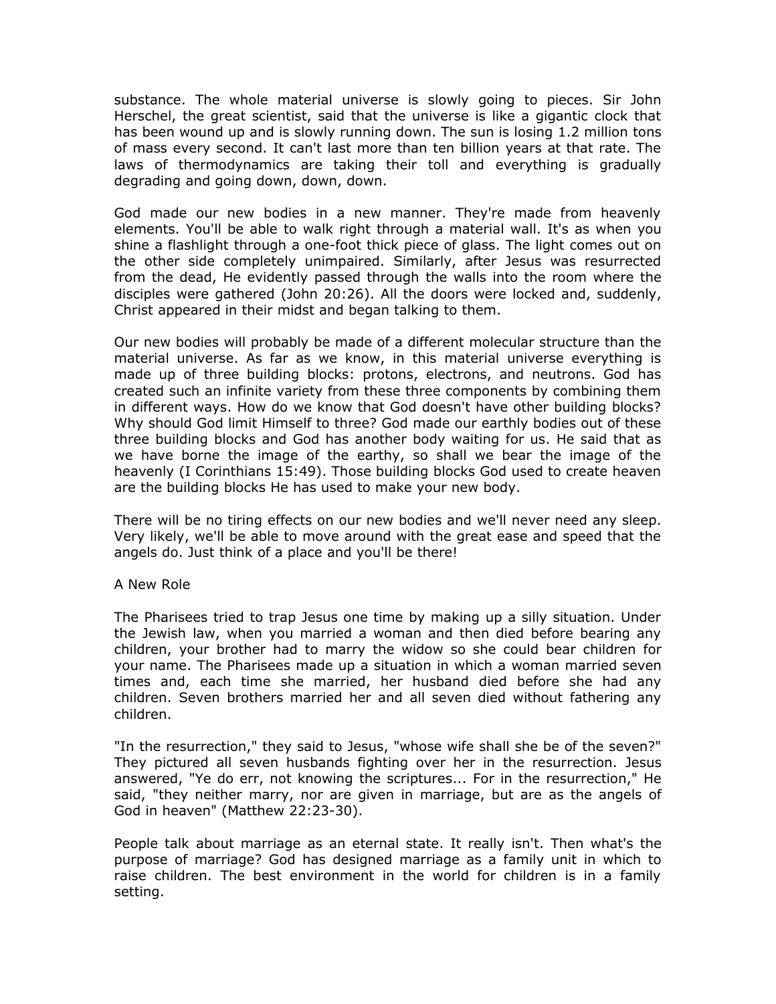substance. The whole material universe is slowly going to pieces. Sir John Herschel, the great scientist, said that the universe is like a gigantic clock that has been wound up and is slowly running down. The sun is losing 1.2 million tons of mass every second. It can't last more than ten billion years at that rate. The laws of thermodynamics are taking their toll and everything is gradually degrading and going down, down, down.

God made our new bodies in a new manner. They're made from heavenly elements. You'll be able to walk right through a material wall. It's as when you shine a flashlight through a one-foot thick piece of glass. The light comes out on the other side completely unimpaired. Similarly, after Jesus was resurrected from the dead, He evidently passed through the walls into the room where the disciples were gathered (John 20:26). All the doors were locked and, suddenly, Christ appeared in their midst and began talking to them.

Our new bodies will probably be made of a different molecular structure than the material universe. As far as we know, in this material universe everything is made up of three building blocks: protons, electrons, and neutrons. God has created such an infinite variety from these three components by combining them in different ways. How do we know that God doesn't have other building blocks? Why should God limit Himself to three? God made our earthly bodies out of these three building blocks and God has another body waiting for us. He said that as we have borne the image of the earthy, so shall we bear the image of the heavenly (I Corinthians 15:49). Those building blocks God used to create heaven are the building blocks He has used to make your new body.

There will be no tiring effects on our new bodies and we'll never need any sleep. Very likely, we'll be able to move around with the great ease and speed that the angels do. Just think of a place and you'll be there!

# A New Role

The Pharisees tried to trap Jesus one time by making up a silly situation. Under the Jewish law, when you married a woman and then died before bearing any children, your brother had to marry the widow so she could bear children for your name. The Pharisees made up a situation in which a woman married seven times and, each time she married, her husband died before she had any children. Seven brothers married her and all seven died without fathering any children.

"In the resurrection," they said to Jesus, "whose wife shall she be of the seven?" They pictured all seven husbands fighting over her in the resurrection. Jesus answered, "Ye do err, not knowing the scriptures... For in the resurrection," He said, "they neither marry, nor are given in marriage, but are as the angels of God in heaven" (Matthew 22:23-30).

People talk about marriage as an eternal state. It really isn't. Then what's the purpose of marriage? God has designed marriage as a family unit in which to raise children. The best environment in the world for children is in a family setting.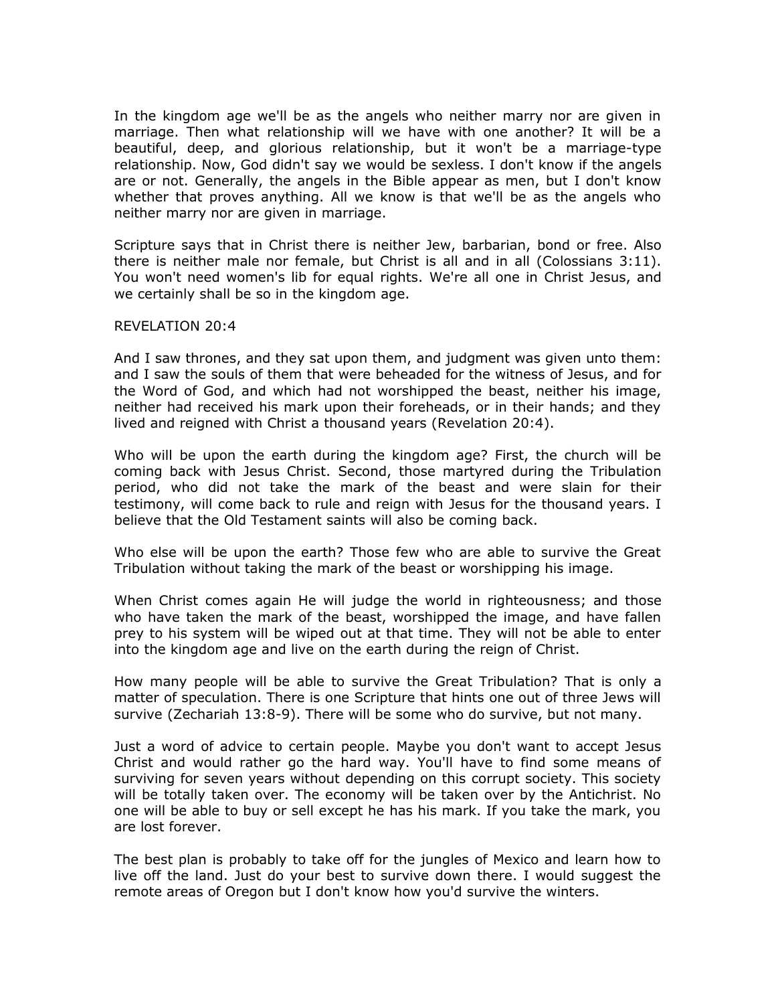In the kingdom age we'll be as the angels who neither marry nor are given in marriage. Then what relationship will we have with one another? It will be a beautiful, deep, and glorious relationship, but it won't be a marriage-type relationship. Now, God didn't say we would be sexless. I don't know if the angels are or not. Generally, the angels in the Bible appear as men, but I don't know whether that proves anything. All we know is that we'll be as the angels who neither marry nor are given in marriage.

Scripture says that in Christ there is neither Jew, barbarian, bond or free. Also there is neither male nor female, but Christ is all and in all (Colossians 3:11). You won't need women's lib for equal rights. We're all one in Christ Jesus, and we certainly shall be so in the kingdom age.

### REVELATION 20:4

And I saw thrones, and they sat upon them, and judgment was given unto them: and I saw the souls of them that were beheaded for the witness of Jesus, and for the Word of God, and which had not worshipped the beast, neither his image, neither had received his mark upon their foreheads, or in their hands; and they lived and reigned with Christ a thousand years (Revelation 20:4).

Who will be upon the earth during the kingdom age? First, the church will be coming back with Jesus Christ. Second, those martyred during the Tribulation period, who did not take the mark of the beast and were slain for their testimony, will come back to rule and reign with Jesus for the thousand years. I believe that the Old Testament saints will also be coming back.

Who else will be upon the earth? Those few who are able to survive the Great Tribulation without taking the mark of the beast or worshipping his image.

When Christ comes again He will judge the world in righteousness; and those who have taken the mark of the beast, worshipped the image, and have fallen prey to his system will be wiped out at that time. They will not be able to enter into the kingdom age and live on the earth during the reign of Christ.

How many people will be able to survive the Great Tribulation? That is only a matter of speculation. There is one Scripture that hints one out of three Jews will survive (Zechariah 13:8-9). There will be some who do survive, but not many.

Just a word of advice to certain people. Maybe you don't want to accept Jesus Christ and would rather go the hard way. You'll have to find some means of surviving for seven years without depending on this corrupt society. This society will be totally taken over. The economy will be taken over by the Antichrist. No one will be able to buy or sell except he has his mark. If you take the mark, you are lost forever.

The best plan is probably to take off for the jungles of Mexico and learn how to live off the land. Just do your best to survive down there. I would suggest the remote areas of Oregon but I don't know how you'd survive the winters.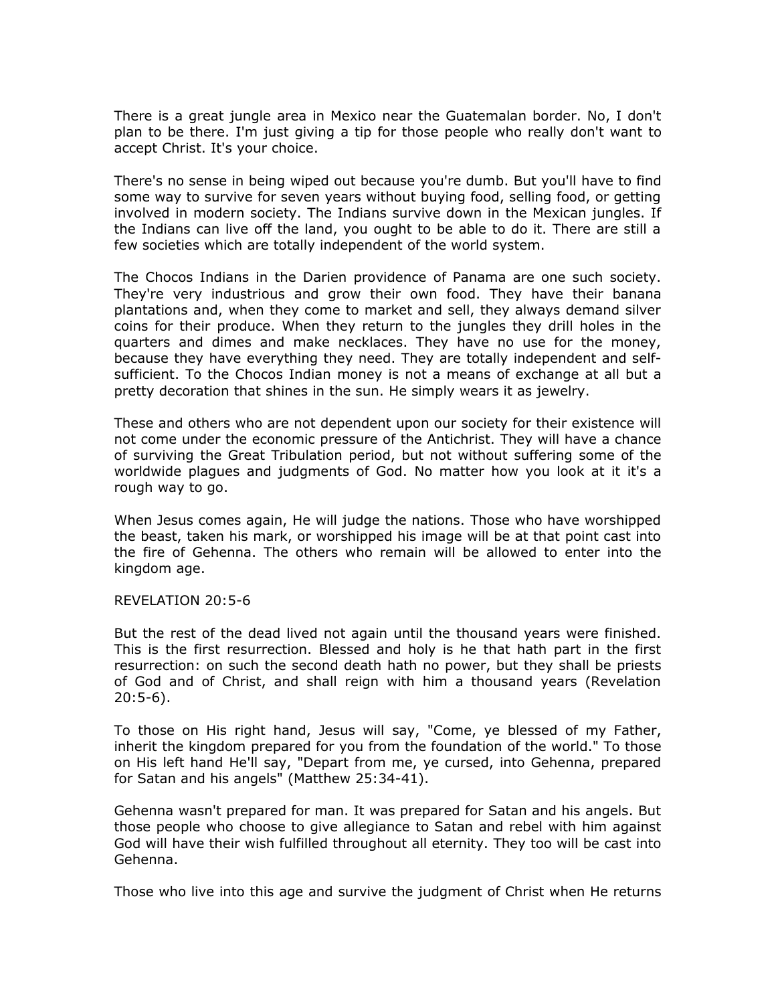There is a great jungle area in Mexico near the Guatemalan border. No, I don't plan to be there. I'm just giving a tip for those people who really don't want to accept Christ. It's your choice.

There's no sense in being wiped out because you're dumb. But you'll have to find some way to survive for seven years without buying food, selling food, or getting involved in modern society. The Indians survive down in the Mexican jungles. If the Indians can live off the land, you ought to be able to do it. There are still a few societies which are totally independent of the world system.

The Chocos Indians in the Darien providence of Panama are one such society. They're very industrious and grow their own food. They have their banana plantations and, when they come to market and sell, they always demand silver coins for their produce. When they return to the jungles they drill holes in the quarters and dimes and make necklaces. They have no use for the money, because they have everything they need. They are totally independent and selfsufficient. To the Chocos Indian money is not a means of exchange at all but a pretty decoration that shines in the sun. He simply wears it as jewelry.

These and others who are not dependent upon our society for their existence will not come under the economic pressure of the Antichrist. They will have a chance of surviving the Great Tribulation period, but not without suffering some of the worldwide plagues and judgments of God. No matter how you look at it it's a rough way to go.

When Jesus comes again, He will judge the nations. Those who have worshipped the beast, taken his mark, or worshipped his image will be at that point cast into the fire of Gehenna. The others who remain will be allowed to enter into the kingdom age.

#### REVELATION 20:5-6

But the rest of the dead lived not again until the thousand years were finished. This is the first resurrection. Blessed and holy is he that hath part in the first resurrection: on such the second death hath no power, but they shall be priests of God and of Christ, and shall reign with him a thousand years (Revelation 20:5-6).

To those on His right hand, Jesus will say, "Come, ye blessed of my Father, inherit the kingdom prepared for you from the foundation of the world." To those on His left hand He'll say, "Depart from me, ye cursed, into Gehenna, prepared for Satan and his angels" (Matthew 25:34-41).

Gehenna wasn't prepared for man. It was prepared for Satan and his angels. But those people who choose to give allegiance to Satan and rebel with him against God will have their wish fulfilled throughout all eternity. They too will be cast into Gehenna.

Those who live into this age and survive the judgment of Christ when He returns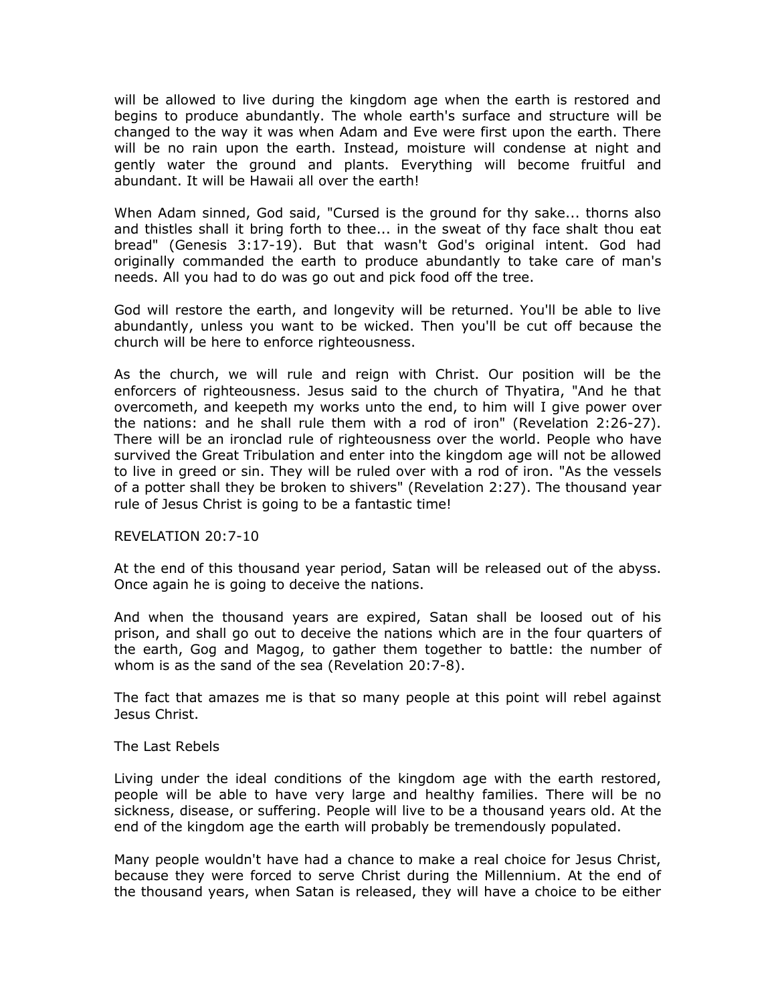will be allowed to live during the kingdom age when the earth is restored and begins to produce abundantly. The whole earth's surface and structure will be changed to the way it was when Adam and Eve were first upon the earth. There will be no rain upon the earth. Instead, moisture will condense at night and gently water the ground and plants. Everything will become fruitful and abundant. It will be Hawaii all over the earth!

When Adam sinned, God said, "Cursed is the ground for thy sake... thorns also and thistles shall it bring forth to thee... in the sweat of thy face shalt thou eat bread" (Genesis 3:17-19). But that wasn't God's original intent. God had originally commanded the earth to produce abundantly to take care of man's needs. All you had to do was go out and pick food off the tree.

God will restore the earth, and longevity will be returned. You'll be able to live abundantly, unless you want to be wicked. Then you'll be cut off because the church will be here to enforce righteousness.

As the church, we will rule and reign with Christ. Our position will be the enforcers of righteousness. Jesus said to the church of Thyatira, "And he that overcometh, and keepeth my works unto the end, to him will I give power over the nations: and he shall rule them with a rod of iron" (Revelation 2:26-27). There will be an ironclad rule of righteousness over the world. People who have survived the Great Tribulation and enter into the kingdom age will not be allowed to live in greed or sin. They will be ruled over with a rod of iron. "As the vessels of a potter shall they be broken to shivers" (Revelation 2:27). The thousand year rule of Jesus Christ is going to be a fantastic time!

# REVELATION 20:7-10

At the end of this thousand year period, Satan will be released out of the abyss. Once again he is going to deceive the nations.

And when the thousand years are expired, Satan shall be loosed out of his prison, and shall go out to deceive the nations which are in the four quarters of the earth, Gog and Magog, to gather them together to battle: the number of whom is as the sand of the sea (Revelation 20:7-8).

The fact that amazes me is that so many people at this point will rebel against Jesus Christ.

# The Last Rebels

Living under the ideal conditions of the kingdom age with the earth restored, people will be able to have very large and healthy families. There will be no sickness, disease, or suffering. People will live to be a thousand years old. At the end of the kingdom age the earth will probably be tremendously populated.

Many people wouldn't have had a chance to make a real choice for Jesus Christ, because they were forced to serve Christ during the Millennium. At the end of the thousand years, when Satan is released, they will have a choice to be either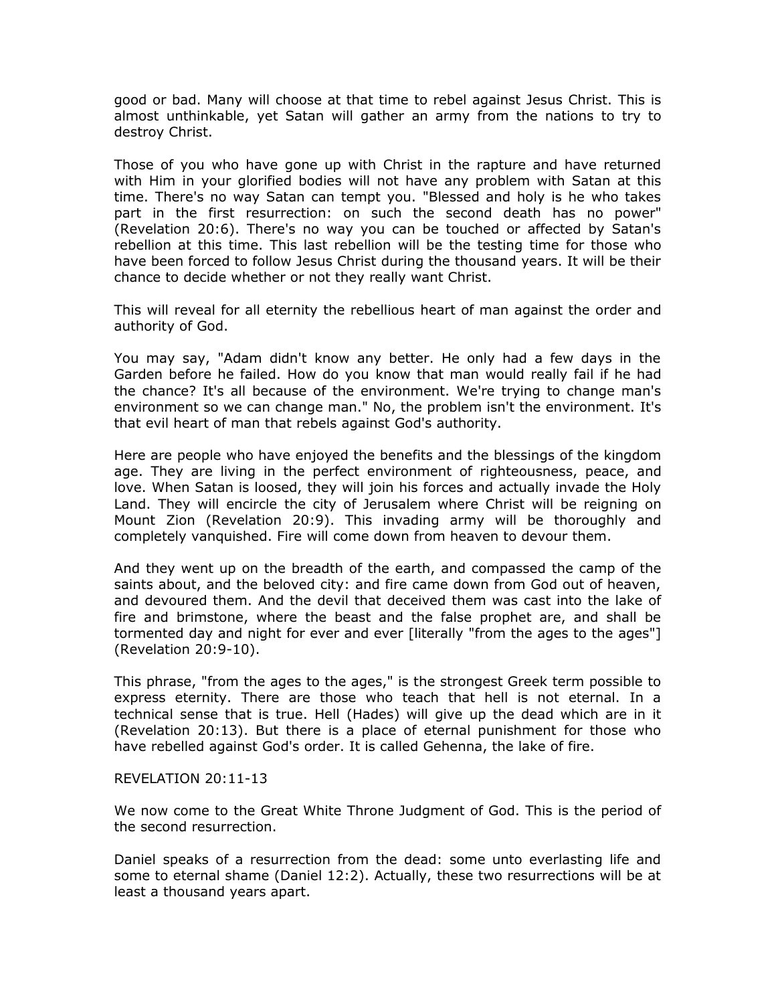good or bad. Many will choose at that time to rebel against Jesus Christ. This is almost unthinkable, yet Satan will gather an army from the nations to try to destroy Christ.

Those of you who have gone up with Christ in the rapture and have returned with Him in your glorified bodies will not have any problem with Satan at this time. There's no way Satan can tempt you. "Blessed and holy is he who takes part in the first resurrection: on such the second death has no power" (Revelation 20:6). There's no way you can be touched or affected by Satan's rebellion at this time. This last rebellion will be the testing time for those who have been forced to follow Jesus Christ during the thousand years. It will be their chance to decide whether or not they really want Christ.

This will reveal for all eternity the rebellious heart of man against the order and authority of God.

You may say, "Adam didn't know any better. He only had a few days in the Garden before he failed. How do you know that man would really fail if he had the chance? It's all because of the environment. We're trying to change man's environment so we can change man." No, the problem isn't the environment. It's that evil heart of man that rebels against God's authority.

Here are people who have enjoyed the benefits and the blessings of the kingdom age. They are living in the perfect environment of righteousness, peace, and love. When Satan is loosed, they will join his forces and actually invade the Holy Land. They will encircle the city of Jerusalem where Christ will be reigning on Mount Zion (Revelation 20:9). This invading army will be thoroughly and completely vanquished. Fire will come down from heaven to devour them.

And they went up on the breadth of the earth, and compassed the camp of the saints about, and the beloved city: and fire came down from God out of heaven, and devoured them. And the devil that deceived them was cast into the lake of fire and brimstone, where the beast and the false prophet are, and shall be tormented day and night for ever and ever [literally "from the ages to the ages"] (Revelation 20:9-10).

This phrase, "from the ages to the ages," is the strongest Greek term possible to express eternity. There are those who teach that hell is not eternal. In a technical sense that is true. Hell (Hades) will give up the dead which are in it (Revelation 20:13). But there is a place of eternal punishment for those who have rebelled against God's order. It is called Gehenna, the lake of fire.

REVELATION 20:11-13

We now come to the Great White Throne Judgment of God. This is the period of the second resurrection.

Daniel speaks of a resurrection from the dead: some unto everlasting life and some to eternal shame (Daniel 12:2). Actually, these two resurrections will be at least a thousand years apart.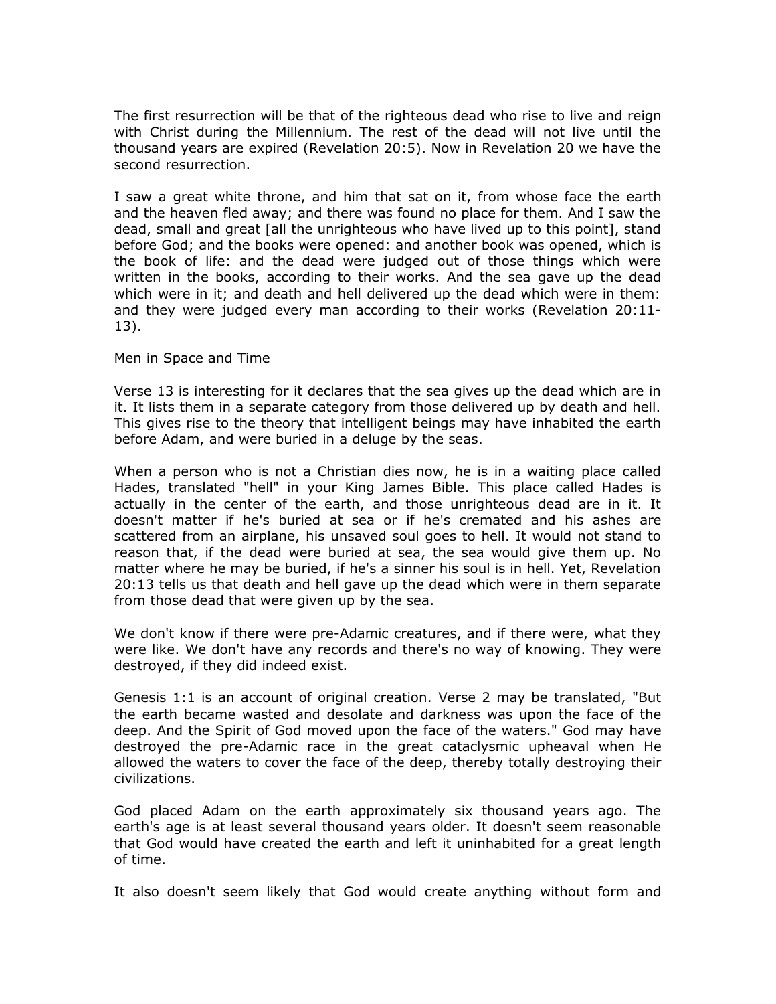The first resurrection will be that of the righteous dead who rise to live and reign with Christ during the Millennium. The rest of the dead will not live until the thousand years are expired (Revelation 20:5). Now in Revelation 20 we have the second resurrection.

I saw a great white throne, and him that sat on it, from whose face the earth and the heaven fled away; and there was found no place for them. And I saw the dead, small and great [all the unrighteous who have lived up to this point], stand before God; and the books were opened: and another book was opened, which is the book of life: and the dead were judged out of those things which were written in the books, according to their works. And the sea gave up the dead which were in it; and death and hell delivered up the dead which were in them: and they were judged every man according to their works (Revelation 20:11- 13).

Men in Space and Time

Verse 13 is interesting for it declares that the sea gives up the dead which are in it. It lists them in a separate category from those delivered up by death and hell. This gives rise to the theory that intelligent beings may have inhabited the earth before Adam, and were buried in a deluge by the seas.

When a person who is not a Christian dies now, he is in a waiting place called Hades, translated "hell" in your King James Bible. This place called Hades is actually in the center of the earth, and those unrighteous dead are in it. It doesn't matter if he's buried at sea or if he's cremated and his ashes are scattered from an airplane, his unsaved soul goes to hell. It would not stand to reason that, if the dead were buried at sea, the sea would give them up. No matter where he may be buried, if he's a sinner his soul is in hell. Yet, Revelation 20:13 tells us that death and hell gave up the dead which were in them separate from those dead that were given up by the sea.

We don't know if there were pre-Adamic creatures, and if there were, what they were like. We don't have any records and there's no way of knowing. They were destroyed, if they did indeed exist.

Genesis 1:1 is an account of original creation. Verse 2 may be translated, "But the earth became wasted and desolate and darkness was upon the face of the deep. And the Spirit of God moved upon the face of the waters." God may have destroyed the pre-Adamic race in the great cataclysmic upheaval when He allowed the waters to cover the face of the deep, thereby totally destroying their civilizations.

God placed Adam on the earth approximately six thousand years ago. The earth's age is at least several thousand years older. It doesn't seem reasonable that God would have created the earth and left it uninhabited for a great length of time.

It also doesn't seem likely that God would create anything without form and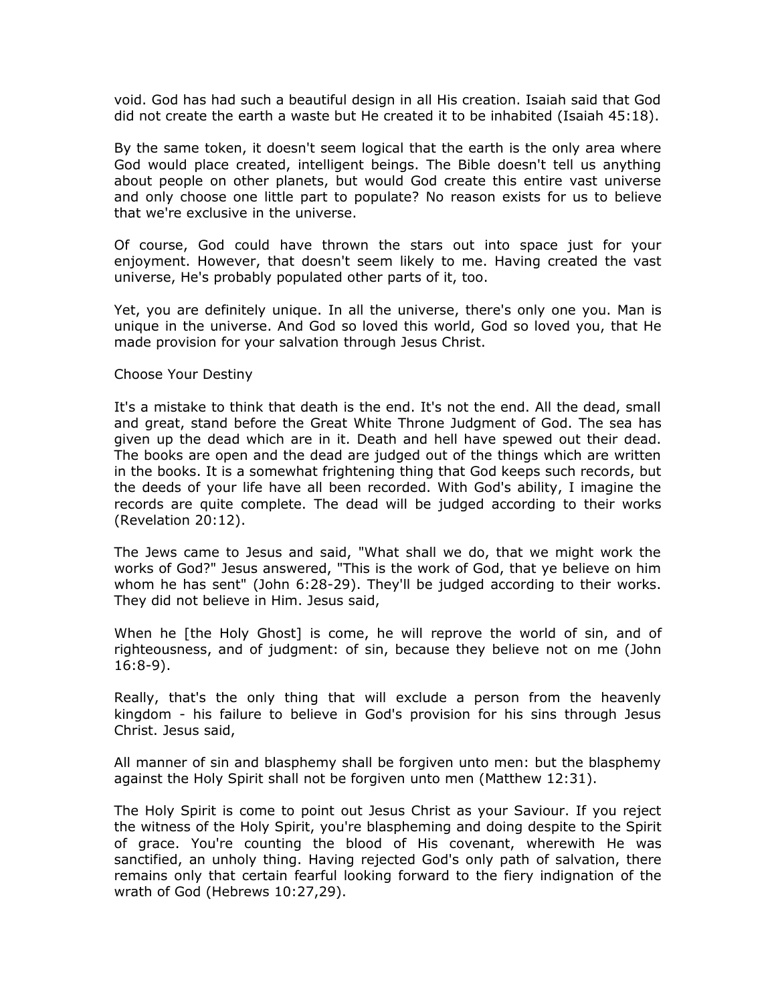void. God has had such a beautiful design in all His creation. Isaiah said that God did not create the earth a waste but He created it to be inhabited (Isaiah 45:18).

By the same token, it doesn't seem logical that the earth is the only area where God would place created, intelligent beings. The Bible doesn't tell us anything about people on other planets, but would God create this entire vast universe and only choose one little part to populate? No reason exists for us to believe that we're exclusive in the universe.

Of course, God could have thrown the stars out into space just for your enjoyment. However, that doesn't seem likely to me. Having created the vast universe, He's probably populated other parts of it, too.

Yet, you are definitely unique. In all the universe, there's only one you. Man is unique in the universe. And God so loved this world, God so loved you, that He made provision for your salvation through Jesus Christ.

### Choose Your Destiny

It's a mistake to think that death is the end. It's not the end. All the dead, small and great, stand before the Great White Throne Judgment of God. The sea has given up the dead which are in it. Death and hell have spewed out their dead. The books are open and the dead are judged out of the things which are written in the books. It is a somewhat frightening thing that God keeps such records, but the deeds of your life have all been recorded. With God's ability, I imagine the records are quite complete. The dead will be judged according to their works (Revelation 20:12).

The Jews came to Jesus and said, "What shall we do, that we might work the works of God?" Jesus answered, "This is the work of God, that ye believe on him whom he has sent" (John 6:28-29). They'll be judged according to their works. They did not believe in Him. Jesus said,

When he [the Holy Ghost] is come, he will reprove the world of sin, and of righteousness, and of judgment: of sin, because they believe not on me (John 16:8-9).

Really, that's the only thing that will exclude a person from the heavenly kingdom - his failure to believe in God's provision for his sins through Jesus Christ. Jesus said,

All manner of sin and blasphemy shall be forgiven unto men: but the blasphemy against the Holy Spirit shall not be forgiven unto men (Matthew 12:31).

The Holy Spirit is come to point out Jesus Christ as your Saviour. If you reject the witness of the Holy Spirit, you're blaspheming and doing despite to the Spirit of grace. You're counting the blood of His covenant, wherewith He was sanctified, an unholy thing. Having rejected God's only path of salvation, there remains only that certain fearful looking forward to the fiery indignation of the wrath of God (Hebrews 10:27,29).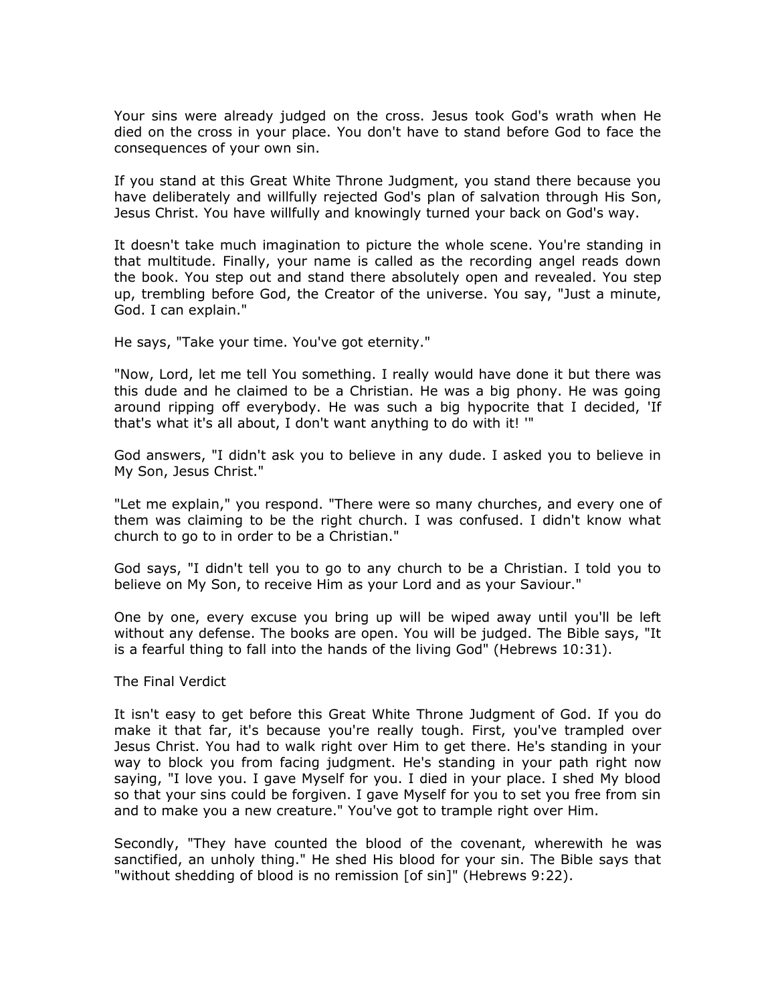Your sins were already judged on the cross. Jesus took God's wrath when He died on the cross in your place. You don't have to stand before God to face the consequences of your own sin.

If you stand at this Great White Throne Judgment, you stand there because you have deliberately and willfully rejected God's plan of salvation through His Son, Jesus Christ. You have willfully and knowingly turned your back on God's way.

It doesn't take much imagination to picture the whole scene. You're standing in that multitude. Finally, your name is called as the recording angel reads down the book. You step out and stand there absolutely open and revealed. You step up, trembling before God, the Creator of the universe. You say, "Just a minute, God. I can explain."

He says, "Take your time. You've got eternity."

"Now, Lord, let me tell You something. I really would have done it but there was this dude and he claimed to be a Christian. He was a big phony. He was going around ripping off everybody. He was such a big hypocrite that I decided, 'If that's what it's all about, I don't want anything to do with it! '"

God answers, "I didn't ask you to believe in any dude. I asked you to believe in My Son, Jesus Christ."

"Let me explain," you respond. "There were so many churches, and every one of them was claiming to be the right church. I was confused. I didn't know what church to go to in order to be a Christian."

God says, "I didn't tell you to go to any church to be a Christian. I told you to believe on My Son, to receive Him as your Lord and as your Saviour."

One by one, every excuse you bring up will be wiped away until you'll be left without any defense. The books are open. You will be judged. The Bible says, "It is a fearful thing to fall into the hands of the living God" (Hebrews 10:31).

#### The Final Verdict

It isn't easy to get before this Great White Throne Judgment of God. If you do make it that far, it's because you're really tough. First, you've trampled over Jesus Christ. You had to walk right over Him to get there. He's standing in your way to block you from facing judgment. He's standing in your path right now saying, "I love you. I gave Myself for you. I died in your place. I shed My blood so that your sins could be forgiven. I gave Myself for you to set you free from sin and to make you a new creature." You've got to trample right over Him.

Secondly, "They have counted the blood of the covenant, wherewith he was sanctified, an unholy thing." He shed His blood for your sin. The Bible says that "without shedding of blood is no remission [of sin]" (Hebrews 9:22).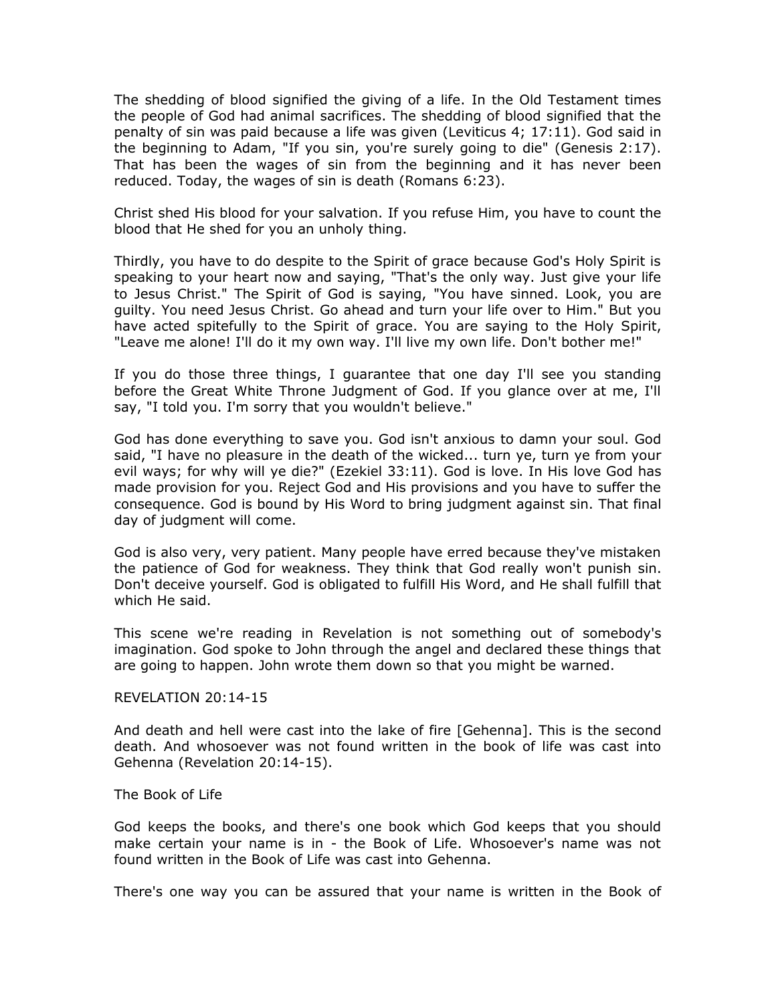The shedding of blood signified the giving of a life. In the Old Testament times the people of God had animal sacrifices. The shedding of blood signified that the penalty of sin was paid because a life was given (Leviticus 4; 17:11). God said in the beginning to Adam, "If you sin, you're surely going to die" (Genesis 2:17). That has been the wages of sin from the beginning and it has never been reduced. Today, the wages of sin is death (Romans 6:23).

Christ shed His blood for your salvation. If you refuse Him, you have to count the blood that He shed for you an unholy thing.

Thirdly, you have to do despite to the Spirit of grace because God's Holy Spirit is speaking to your heart now and saying, "That's the only way. Just give your life to Jesus Christ." The Spirit of God is saying, "You have sinned. Look, you are guilty. You need Jesus Christ. Go ahead and turn your life over to Him." But you have acted spitefully to the Spirit of grace. You are saying to the Holy Spirit, "Leave me alone! I'll do it my own way. I'll live my own life. Don't bother me!"

If you do those three things, I guarantee that one day I'll see you standing before the Great White Throne Judgment of God. If you glance over at me, I'll say, "I told you. I'm sorry that you wouldn't believe."

God has done everything to save you. God isn't anxious to damn your soul. God said, "I have no pleasure in the death of the wicked... turn ye, turn ye from your evil ways; for why will ye die?" (Ezekiel 33:11). God is love. In His love God has made provision for you. Reject God and His provisions and you have to suffer the consequence. God is bound by His Word to bring judgment against sin. That final day of judgment will come.

God is also very, very patient. Many people have erred because they've mistaken the patience of God for weakness. They think that God really won't punish sin. Don't deceive yourself. God is obligated to fulfill His Word, and He shall fulfill that which He said.

This scene we're reading in Revelation is not something out of somebody's imagination. God spoke to John through the angel and declared these things that are going to happen. John wrote them down so that you might be warned.

#### REVELATION 20:14-15

And death and hell were cast into the lake of fire [Gehenna]. This is the second death. And whosoever was not found written in the book of life was cast into Gehenna (Revelation 20:14-15).

# The Book of Life

God keeps the books, and there's one book which God keeps that you should make certain your name is in - the Book of Life. Whosoever's name was not found written in the Book of Life was cast into Gehenna.

There's one way you can be assured that your name is written in the Book of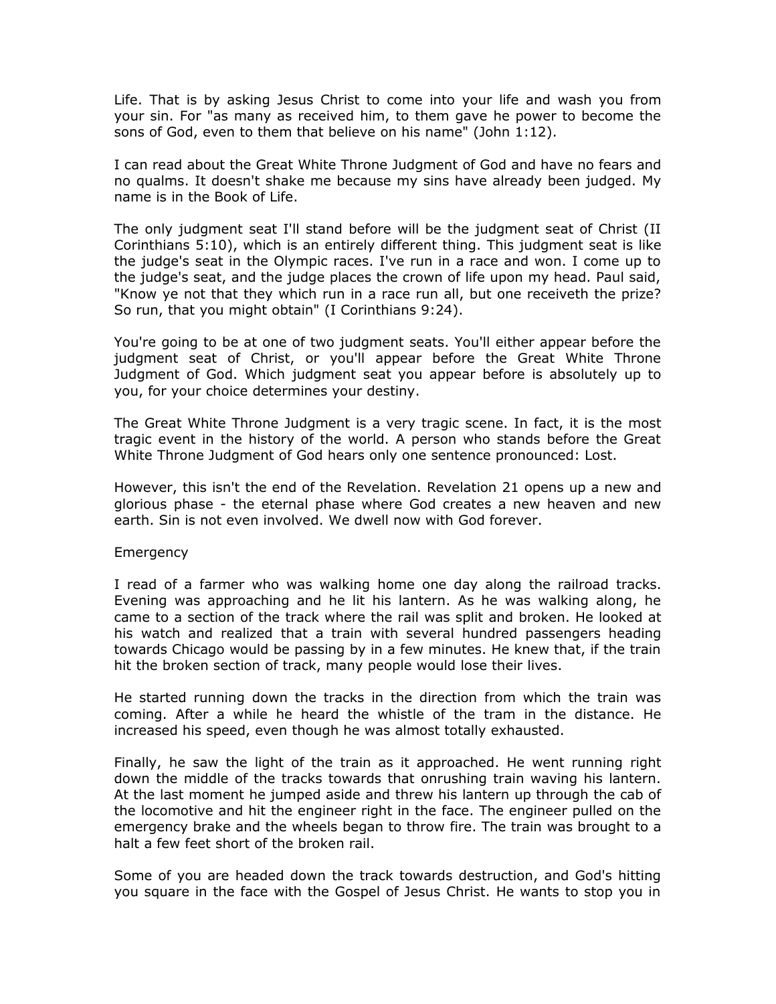Life. That is by asking Jesus Christ to come into your life and wash you from your sin. For "as many as received him, to them gave he power to become the sons of God, even to them that believe on his name" (John 1:12).

I can read about the Great White Throne Judgment of God and have no fears and no qualms. It doesn't shake me because my sins have already been judged. My name is in the Book of Life.

The only judgment seat I'll stand before will be the judgment seat of Christ (II Corinthians 5:10), which is an entirely different thing. This judgment seat is like the judge's seat in the Olympic races. I've run in a race and won. I come up to the judge's seat, and the judge places the crown of life upon my head. Paul said, "Know ye not that they which run in a race run all, but one receiveth the prize? So run, that you might obtain" (I Corinthians 9:24).

You're going to be at one of two judgment seats. You'll either appear before the judgment seat of Christ, or you'll appear before the Great White Throne Judgment of God. Which judgment seat you appear before is absolutely up to you, for your choice determines your destiny.

The Great White Throne Judgment is a very tragic scene. In fact, it is the most tragic event in the history of the world. A person who stands before the Great White Throne Judgment of God hears only one sentence pronounced: Lost.

However, this isn't the end of the Revelation. Revelation 21 opens up a new and glorious phase - the eternal phase where God creates a new heaven and new earth. Sin is not even involved. We dwell now with God forever.

# Emergency

I read of a farmer who was walking home one day along the railroad tracks. Evening was approaching and he lit his lantern. As he was walking along, he came to a section of the track where the rail was split and broken. He looked at his watch and realized that a train with several hundred passengers heading towards Chicago would be passing by in a few minutes. He knew that, if the train hit the broken section of track, many people would lose their lives.

He started running down the tracks in the direction from which the train was coming. After a while he heard the whistle of the tram in the distance. He increased his speed, even though he was almost totally exhausted.

Finally, he saw the light of the train as it approached. He went running right down the middle of the tracks towards that onrushing train waving his lantern. At the last moment he jumped aside and threw his lantern up through the cab of the locomotive and hit the engineer right in the face. The engineer pulled on the emergency brake and the wheels began to throw fire. The train was brought to a halt a few feet short of the broken rail.

Some of you are headed down the track towards destruction, and God's hitting you square in the face with the Gospel of Jesus Christ. He wants to stop you in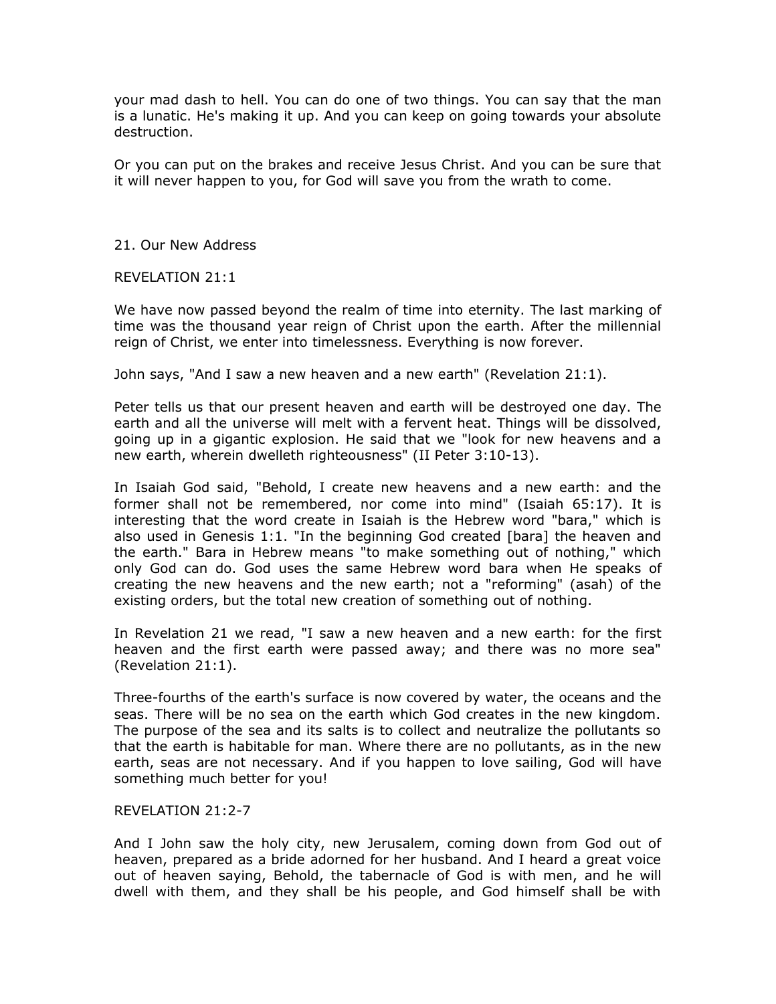your mad dash to hell. You can do one of two things. You can say that the man is a lunatic. He's making it up. And you can keep on going towards your absolute destruction.

Or you can put on the brakes and receive Jesus Christ. And you can be sure that it will never happen to you, for God will save you from the wrath to come.

# 21. Our New Address

# REVELATION 21:1

We have now passed beyond the realm of time into eternity. The last marking of time was the thousand year reign of Christ upon the earth. After the millennial reign of Christ, we enter into timelessness. Everything is now forever.

John says, "And I saw a new heaven and a new earth" (Revelation 21:1).

Peter tells us that our present heaven and earth will be destroyed one day. The earth and all the universe will melt with a fervent heat. Things will be dissolved, going up in a gigantic explosion. He said that we "look for new heavens and a new earth, wherein dwelleth righteousness" (II Peter 3:10-13).

In Isaiah God said, "Behold, I create new heavens and a new earth: and the former shall not be remembered, nor come into mind" (Isaiah 65:17). It is interesting that the word create in Isaiah is the Hebrew word "bara," which is also used in Genesis 1:1. "In the beginning God created [bara] the heaven and the earth." Bara in Hebrew means "to make something out of nothing," which only God can do. God uses the same Hebrew word bara when He speaks of creating the new heavens and the new earth; not a "reforming" (asah) of the existing orders, but the total new creation of something out of nothing.

In Revelation 21 we read, "I saw a new heaven and a new earth: for the first heaven and the first earth were passed away; and there was no more sea" (Revelation 21:1).

Three-fourths of the earth's surface is now covered by water, the oceans and the seas. There will be no sea on the earth which God creates in the new kingdom. The purpose of the sea and its salts is to collect and neutralize the pollutants so that the earth is habitable for man. Where there are no pollutants, as in the new earth, seas are not necessary. And if you happen to love sailing, God will have something much better for you!

# REVELATION 21:2-7

And I John saw the holy city, new Jerusalem, coming down from God out of heaven, prepared as a bride adorned for her husband. And I heard a great voice out of heaven saying, Behold, the tabernacle of God is with men, and he will dwell with them, and they shall be his people, and God himself shall be with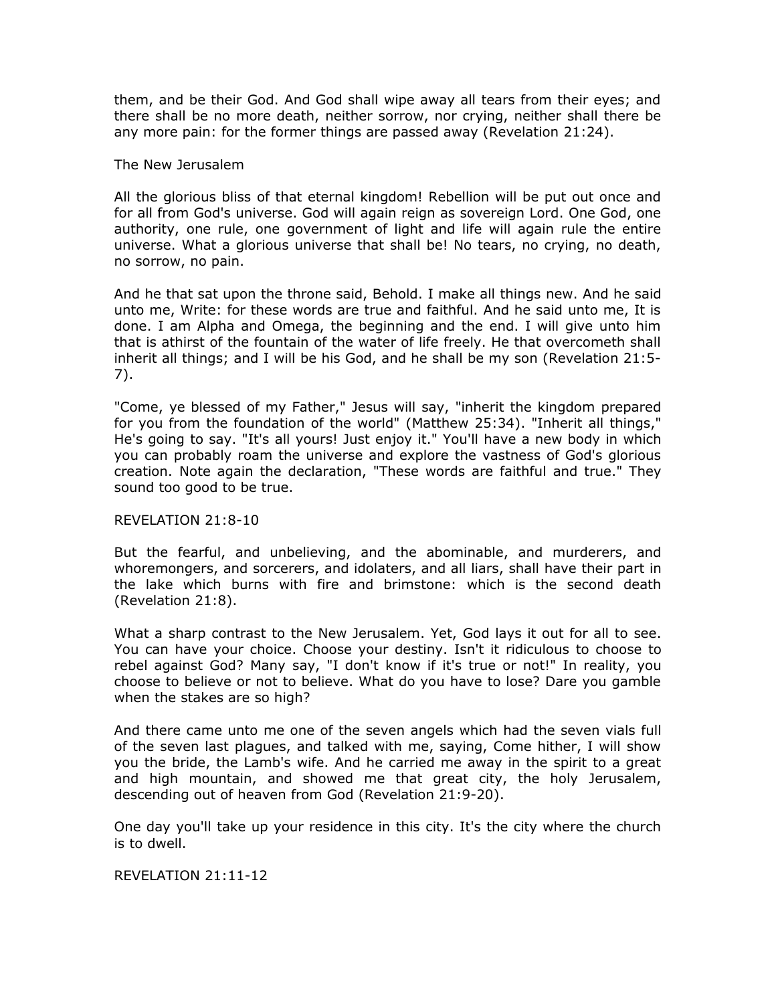them, and be their God. And God shall wipe away all tears from their eyes; and there shall be no more death, neither sorrow, nor crying, neither shall there be any more pain: for the former things are passed away (Revelation 21:24).

The New Jerusalem

All the glorious bliss of that eternal kingdom! Rebellion will be put out once and for all from God's universe. God will again reign as sovereign Lord. One God, one authority, one rule, one government of light and life will again rule the entire universe. What a glorious universe that shall be! No tears, no crying, no death, no sorrow, no pain.

And he that sat upon the throne said, Behold. I make all things new. And he said unto me, Write: for these words are true and faithful. And he said unto me, It is done. I am Alpha and Omega, the beginning and the end. I will give unto him that is athirst of the fountain of the water of life freely. He that overcometh shall inherit all things; and I will be his God, and he shall be my son (Revelation 21:5- 7).

"Come, ye blessed of my Father," Jesus will say, "inherit the kingdom prepared for you from the foundation of the world" (Matthew 25:34). "Inherit all things," He's going to say. "It's all yours! Just enjoy it." You'll have a new body in which you can probably roam the universe and explore the vastness of God's glorious creation. Note again the declaration, "These words are faithful and true." They sound too good to be true.

REVELATION 21:8-10

But the fearful, and unbelieving, and the abominable, and murderers, and whoremongers, and sorcerers, and idolaters, and all liars, shall have their part in the lake which burns with fire and brimstone: which is the second death (Revelation 21:8).

What a sharp contrast to the New Jerusalem. Yet, God lays it out for all to see. You can have your choice. Choose your destiny. Isn't it ridiculous to choose to rebel against God? Many say, "I don't know if it's true or not!" In reality, you choose to believe or not to believe. What do you have to lose? Dare you gamble when the stakes are so high?

And there came unto me one of the seven angels which had the seven vials full of the seven last plagues, and talked with me, saying, Come hither, I will show you the bride, the Lamb's wife. And he carried me away in the spirit to a great and high mountain, and showed me that great city, the holy Jerusalem, descending out of heaven from God (Revelation 21:9-20).

One day you'll take up your residence in this city. It's the city where the church is to dwell.

REVELATION 21:11-12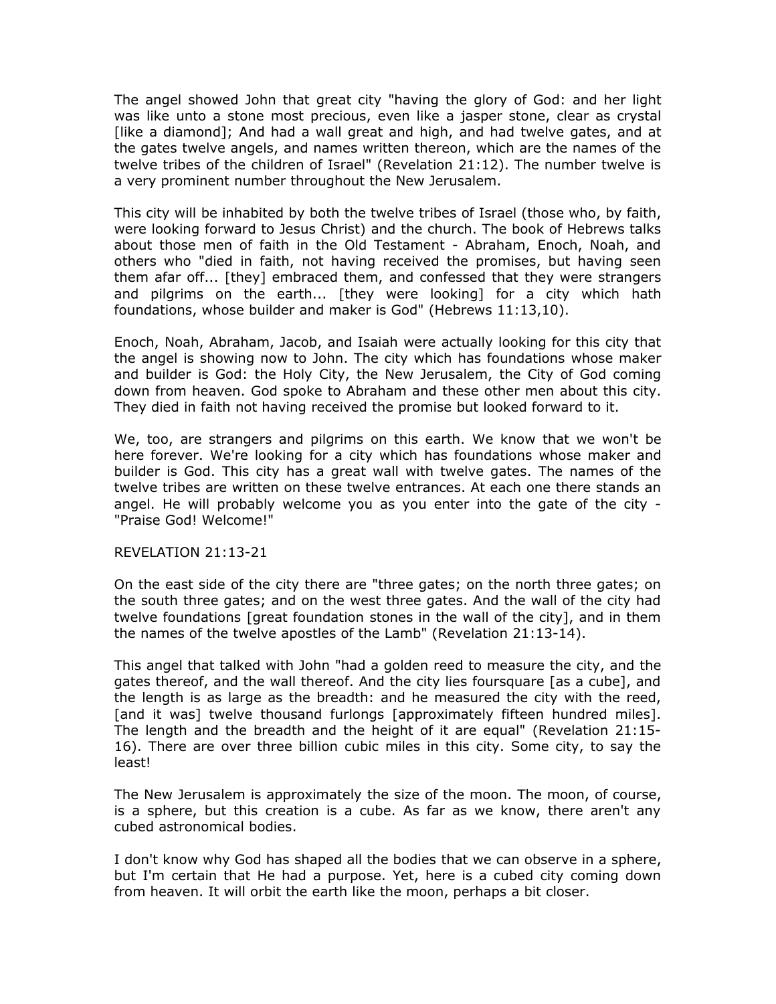The angel showed John that great city "having the glory of God: and her light was like unto a stone most precious, even like a jasper stone, clear as crystal [like a diamond]; And had a wall great and high, and had twelve gates, and at the gates twelve angels, and names written thereon, which are the names of the twelve tribes of the children of Israel" (Revelation 21:12). The number twelve is a very prominent number throughout the New Jerusalem.

This city will be inhabited by both the twelve tribes of Israel (those who, by faith, were looking forward to Jesus Christ) and the church. The book of Hebrews talks about those men of faith in the Old Testament - Abraham, Enoch, Noah, and others who "died in faith, not having received the promises, but having seen them afar off... [they] embraced them, and confessed that they were strangers and pilgrims on the earth... [they were looking] for a city which hath foundations, whose builder and maker is God" (Hebrews 11:13,10).

Enoch, Noah, Abraham, Jacob, and Isaiah were actually looking for this city that the angel is showing now to John. The city which has foundations whose maker and builder is God: the Holy City, the New Jerusalem, the City of God coming down from heaven. God spoke to Abraham and these other men about this city. They died in faith not having received the promise but looked forward to it.

We, too, are strangers and pilgrims on this earth. We know that we won't be here forever. We're looking for a city which has foundations whose maker and builder is God. This city has a great wall with twelve gates. The names of the twelve tribes are written on these twelve entrances. At each one there stands an angel. He will probably welcome you as you enter into the gate of the city - "Praise God! Welcome!"

# REVELATION 21:13-21

On the east side of the city there are "three gates; on the north three gates; on the south three gates; and on the west three gates. And the wall of the city had twelve foundations [great foundation stones in the wall of the city], and in them the names of the twelve apostles of the Lamb" (Revelation 21:13-14).

This angel that talked with John "had a golden reed to measure the city, and the gates thereof, and the wall thereof. And the city lies foursquare [as a cube], and the length is as large as the breadth: and he measured the city with the reed, [and it was] twelve thousand furlongs [approximately fifteen hundred miles]. The length and the breadth and the height of it are equal" (Revelation 21:15- 16). There are over three billion cubic miles in this city. Some city, to say the least!

The New Jerusalem is approximately the size of the moon. The moon, of course, is a sphere, but this creation is a cube. As far as we know, there aren't any cubed astronomical bodies.

I don't know why God has shaped all the bodies that we can observe in a sphere, but I'm certain that He had a purpose. Yet, here is a cubed city coming down from heaven. It will orbit the earth like the moon, perhaps a bit closer.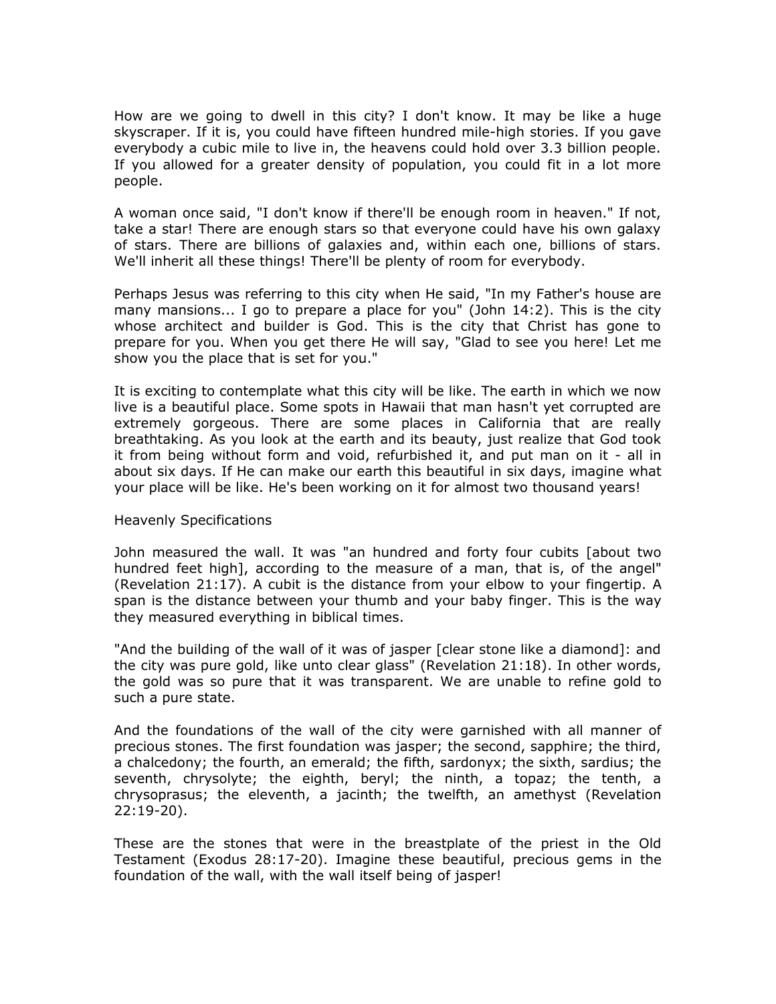How are we going to dwell in this city? I don't know. It may be like a huge skyscraper. If it is, you could have fifteen hundred mile-high stories. If you gave everybody a cubic mile to live in, the heavens could hold over 3.3 billion people. If you allowed for a greater density of population, you could fit in a lot more people.

A woman once said, "I don't know if there'll be enough room in heaven." If not, take a star! There are enough stars so that everyone could have his own galaxy of stars. There are billions of galaxies and, within each one, billions of stars. We'll inherit all these things! There'll be plenty of room for everybody.

Perhaps Jesus was referring to this city when He said, "In my Father's house are many mansions... I go to prepare a place for you" (John 14:2). This is the city whose architect and builder is God. This is the city that Christ has gone to prepare for you. When you get there He will say, "Glad to see you here! Let me show you the place that is set for you."

It is exciting to contemplate what this city will be like. The earth in which we now live is a beautiful place. Some spots in Hawaii that man hasn't yet corrupted are extremely gorgeous. There are some places in California that are really breathtaking. As you look at the earth and its beauty, just realize that God took it from being without form and void, refurbished it, and put man on it - all in about six days. If He can make our earth this beautiful in six days, imagine what your place will be like. He's been working on it for almost two thousand years!

# Heavenly Specifications

John measured the wall. It was "an hundred and forty four cubits [about two hundred feet high], according to the measure of a man, that is, of the angel" (Revelation 21:17). A cubit is the distance from your elbow to your fingertip. A span is the distance between your thumb and your baby finger. This is the way they measured everything in biblical times.

"And the building of the wall of it was of jasper [clear stone like a diamond]: and the city was pure gold, like unto clear glass" (Revelation 21:18). In other words, the gold was so pure that it was transparent. We are unable to refine gold to such a pure state.

And the foundations of the wall of the city were garnished with all manner of precious stones. The first foundation was jasper; the second, sapphire; the third, a chalcedony; the fourth, an emerald; the fifth, sardonyx; the sixth, sardius; the seventh, chrysolyte; the eighth, beryl; the ninth, a topaz; the tenth, a chrysoprasus; the eleventh, a jacinth; the twelfth, an amethyst (Revelation 22:19-20).

These are the stones that were in the breastplate of the priest in the Old Testament (Exodus 28:17-20). Imagine these beautiful, precious gems in the foundation of the wall, with the wall itself being of jasper!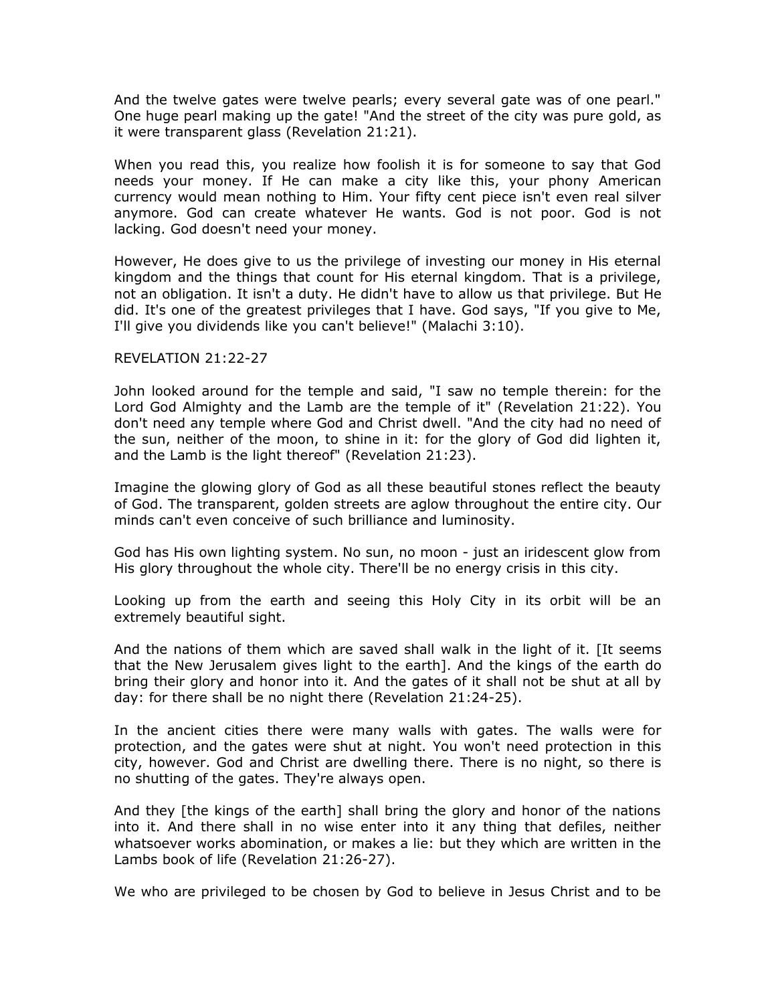And the twelve gates were twelve pearls; every several gate was of one pearl." One huge pearl making up the gate! "And the street of the city was pure gold, as it were transparent glass (Revelation 21:21).

When you read this, you realize how foolish it is for someone to say that God needs your money. If He can make a city like this, your phony American currency would mean nothing to Him. Your fifty cent piece isn't even real silver anymore. God can create whatever He wants. God is not poor. God is not lacking. God doesn't need your money.

However, He does give to us the privilege of investing our money in His eternal kingdom and the things that count for His eternal kingdom. That is a privilege, not an obligation. It isn't a duty. He didn't have to allow us that privilege. But He did. It's one of the greatest privileges that I have. God says, "If you give to Me, I'll give you dividends like you can't believe!" (Malachi 3:10).

# REVELATION 21:22-27

John looked around for the temple and said, "I saw no temple therein: for the Lord God Almighty and the Lamb are the temple of it" (Revelation 21:22). You don't need any temple where God and Christ dwell. "And the city had no need of the sun, neither of the moon, to shine in it: for the glory of God did lighten it, and the Lamb is the light thereof" (Revelation 21:23).

Imagine the glowing glory of God as all these beautiful stones reflect the beauty of God. The transparent, golden streets are aglow throughout the entire city. Our minds can't even conceive of such brilliance and luminosity.

God has His own lighting system. No sun, no moon - just an iridescent glow from His glory throughout the whole city. There'll be no energy crisis in this city.

Looking up from the earth and seeing this Holy City in its orbit will be an extremely beautiful sight.

And the nations of them which are saved shall walk in the light of it. [It seems that the New Jerusalem gives light to the earth]. And the kings of the earth do bring their glory and honor into it. And the gates of it shall not be shut at all by day: for there shall be no night there (Revelation 21:24-25).

In the ancient cities there were many walls with gates. The walls were for protection, and the gates were shut at night. You won't need protection in this city, however. God and Christ are dwelling there. There is no night, so there is no shutting of the gates. They're always open.

And they [the kings of the earth] shall bring the glory and honor of the nations into it. And there shall in no wise enter into it any thing that defiles, neither whatsoever works abomination, or makes a lie: but they which are written in the Lambs book of life (Revelation 21:26-27).

We who are privileged to be chosen by God to believe in Jesus Christ and to be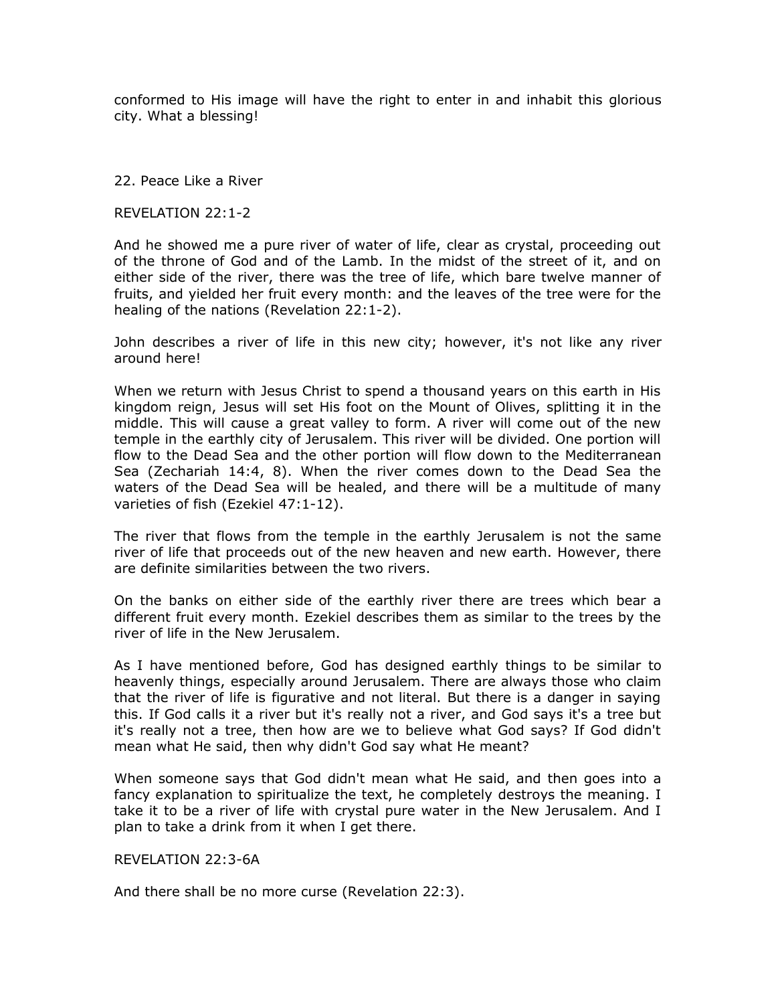conformed to His image will have the right to enter in and inhabit this glorious city. What a blessing!

# 22. Peace Like a River

### REVELATION 22:1-2

And he showed me a pure river of water of life, clear as crystal, proceeding out of the throne of God and of the Lamb. In the midst of the street of it, and on either side of the river, there was the tree of life, which bare twelve manner of fruits, and yielded her fruit every month: and the leaves of the tree were for the healing of the nations (Revelation 22:1-2).

John describes a river of life in this new city; however, it's not like any river around here!

When we return with Jesus Christ to spend a thousand years on this earth in His kingdom reign, Jesus will set His foot on the Mount of Olives, splitting it in the middle. This will cause a great valley to form. A river will come out of the new temple in the earthly city of Jerusalem. This river will be divided. One portion will flow to the Dead Sea and the other portion will flow down to the Mediterranean Sea (Zechariah 14:4, 8). When the river comes down to the Dead Sea the waters of the Dead Sea will be healed, and there will be a multitude of many varieties of fish (Ezekiel 47:1-12).

The river that flows from the temple in the earthly Jerusalem is not the same river of life that proceeds out of the new heaven and new earth. However, there are definite similarities between the two rivers.

On the banks on either side of the earthly river there are trees which bear a different fruit every month. Ezekiel describes them as similar to the trees by the river of life in the New Jerusalem.

As I have mentioned before, God has designed earthly things to be similar to heavenly things, especially around Jerusalem. There are always those who claim that the river of life is figurative and not literal. But there is a danger in saying this. If God calls it a river but it's really not a river, and God says it's a tree but it's really not a tree, then how are we to believe what God says? If God didn't mean what He said, then why didn't God say what He meant?

When someone says that God didn't mean what He said, and then goes into a fancy explanation to spiritualize the text, he completely destroys the meaning. I take it to be a river of life with crystal pure water in the New Jerusalem. And I plan to take a drink from it when I get there.

### REVELATION 22:3-6A

And there shall be no more curse (Revelation 22:3).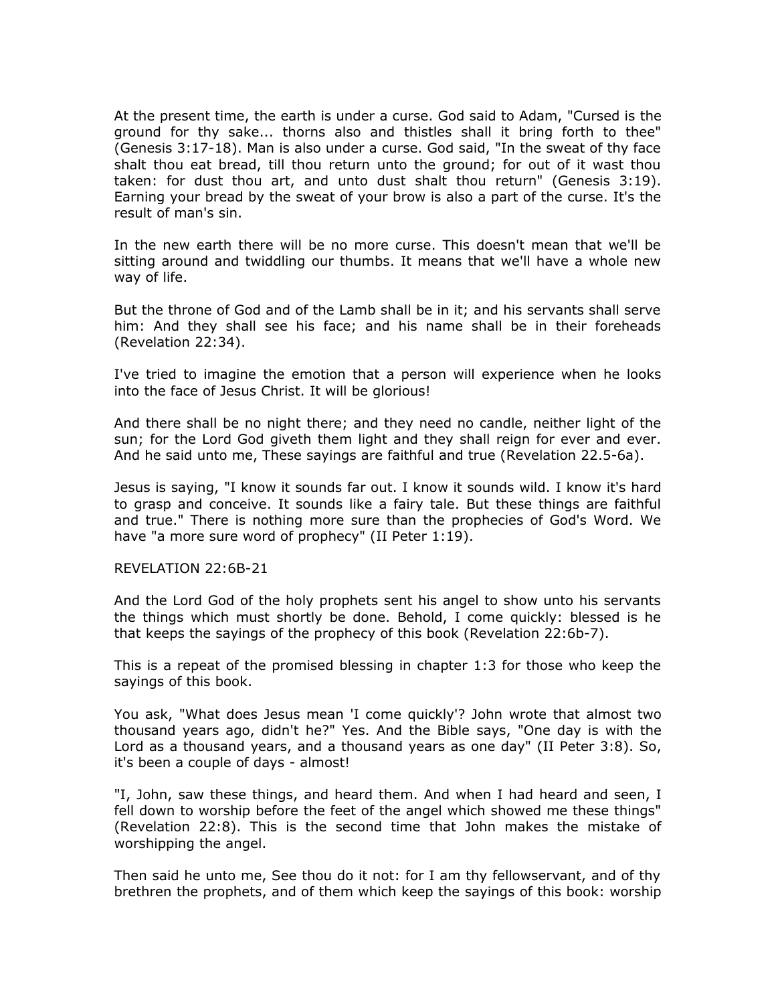At the present time, the earth is under a curse. God said to Adam, "Cursed is the ground for thy sake... thorns also and thistles shall it bring forth to thee" (Genesis 3:17-18). Man is also under a curse. God said, "In the sweat of thy face shalt thou eat bread, till thou return unto the ground; for out of it wast thou taken: for dust thou art, and unto dust shalt thou return" (Genesis 3:19). Earning your bread by the sweat of your brow is also a part of the curse. It's the result of man's sin.

In the new earth there will be no more curse. This doesn't mean that we'll be sitting around and twiddling our thumbs. It means that we'll have a whole new way of life.

But the throne of God and of the Lamb shall be in it; and his servants shall serve him: And they shall see his face; and his name shall be in their foreheads (Revelation 22:34).

I've tried to imagine the emotion that a person will experience when he looks into the face of Jesus Christ. It will be glorious!

And there shall be no night there; and they need no candle, neither light of the sun; for the Lord God giveth them light and they shall reign for ever and ever. And he said unto me, These sayings are faithful and true (Revelation 22.5-6a).

Jesus is saying, "I know it sounds far out. I know it sounds wild. I know it's hard to grasp and conceive. It sounds like a fairy tale. But these things are faithful and true." There is nothing more sure than the prophecies of God's Word. We have "a more sure word of prophecy" (II Peter 1:19).

#### REVELATION 22:6B-21

And the Lord God of the holy prophets sent his angel to show unto his servants the things which must shortly be done. Behold, I come quickly: blessed is he that keeps the sayings of the prophecy of this book (Revelation 22:6b-7).

This is a repeat of the promised blessing in chapter 1:3 for those who keep the sayings of this book.

You ask, "What does Jesus mean 'I come quickly'? John wrote that almost two thousand years ago, didn't he?" Yes. And the Bible says, "One day is with the Lord as a thousand years, and a thousand years as one day" (II Peter 3:8). So, it's been a couple of days - almost!

"I, John, saw these things, and heard them. And when I had heard and seen, I fell down to worship before the feet of the angel which showed me these things" (Revelation 22:8). This is the second time that John makes the mistake of worshipping the angel.

Then said he unto me, See thou do it not: for I am thy fellowservant, and of thy brethren the prophets, and of them which keep the sayings of this book: worship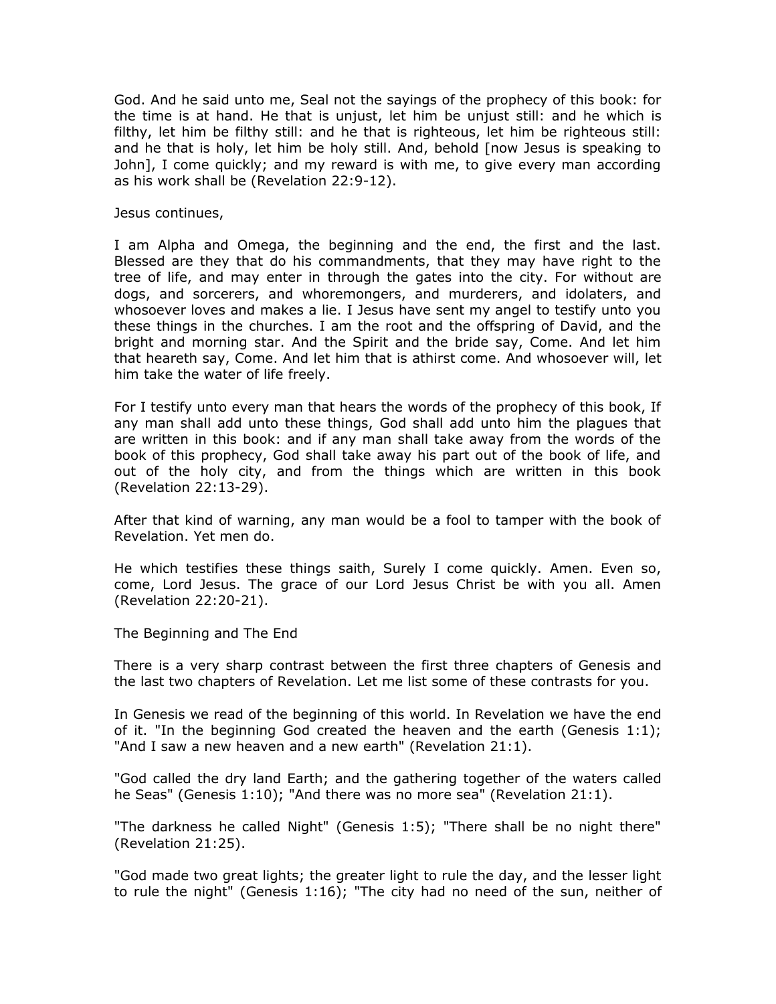God. And he said unto me, Seal not the sayings of the prophecy of this book: for the time is at hand. He that is unjust, let him be unjust still: and he which is filthy, let him be filthy still: and he that is righteous, let him be righteous still: and he that is holy, let him be holy still. And, behold [now Jesus is speaking to John], I come quickly; and my reward is with me, to give every man according as his work shall be (Revelation 22:9-12).

Jesus continues,

I am Alpha and Omega, the beginning and the end, the first and the last. Blessed are they that do his commandments, that they may have right to the tree of life, and may enter in through the gates into the city. For without are dogs, and sorcerers, and whoremongers, and murderers, and idolaters, and whosoever loves and makes a lie. I Jesus have sent my angel to testify unto you these things in the churches. I am the root and the offspring of David, and the bright and morning star. And the Spirit and the bride say, Come. And let him that heareth say, Come. And let him that is athirst come. And whosoever will, let him take the water of life freely.

For I testify unto every man that hears the words of the prophecy of this book, If any man shall add unto these things, God shall add unto him the plagues that are written in this book: and if any man shall take away from the words of the book of this prophecy, God shall take away his part out of the book of life, and out of the holy city, and from the things which are written in this book (Revelation 22:13-29).

After that kind of warning, any man would be a fool to tamper with the book of Revelation. Yet men do.

He which testifies these things saith, Surely I come quickly. Amen. Even so, come, Lord Jesus. The grace of our Lord Jesus Christ be with you all. Amen (Revelation 22:20-21).

The Beginning and The End

There is a very sharp contrast between the first three chapters of Genesis and the last two chapters of Revelation. Let me list some of these contrasts for you.

In Genesis we read of the beginning of this world. In Revelation we have the end of it. "In the beginning God created the heaven and the earth (Genesis 1:1); "And I saw a new heaven and a new earth" (Revelation 21:1).

"God called the dry land Earth; and the gathering together of the waters called he Seas" (Genesis 1:10); "And there was no more sea" (Revelation 21:1).

"The darkness he called Night" (Genesis 1:5); "There shall be no night there" (Revelation 21:25).

"God made two great lights; the greater light to rule the day, and the lesser light to rule the night" (Genesis 1:16); "The city had no need of the sun, neither of